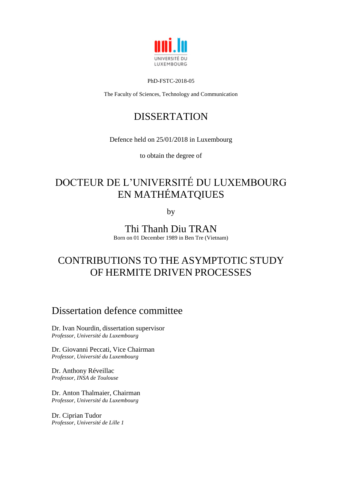

#### PhD-FSTC-2018-05

The Faculty of Sciences, Technology and Communication

# DISSERTATION

Defence held on 25/01/2018 in Luxembourg

to obtain the degree of

# DOCTEUR DE L'UNIVERSITÉ DU LUXEMBOURG EN MATHÉMATQIUES

by

Thi Thanh Diu TRAN

Born on 01 December 1989 in Ben Tre (Vietnam)

# CONTRIBUTIONS TO THE ASYMPTOTIC STUDY OF HERMITE DRIVEN PROCESSES

# Dissertation defence committee

Dr. Ivan Nourdin, dissertation supervisor *Professor, Université du Luxembourg*

Dr. Giovanni Peccati, Vice Chairman *Professor, Université du Luxembourg*

Dr. Anthony Réveillac *Professor, INSA de Toulouse*

Dr. Anton Thalmaier, Chairman *Professor, Université du Luxembourg*

Dr. Ciprian Tudor *Professor, Université de Lille 1*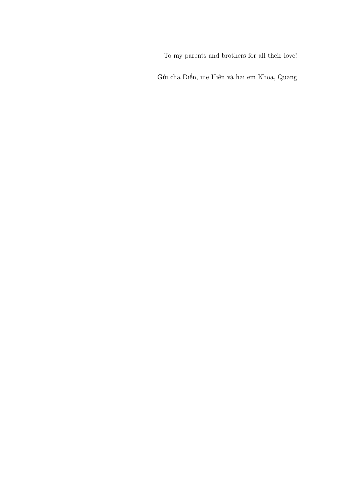To my parents and brothers for all their love!

Gửi cha Điển, mẹ Hiền và hai em Khoa, Quang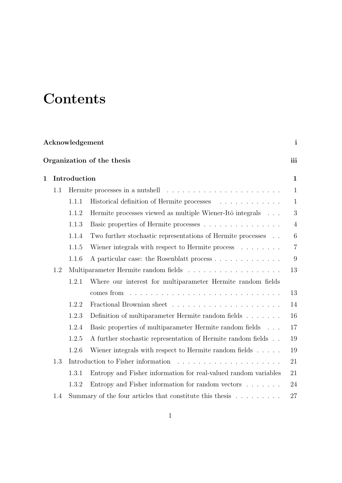# **Contents**

| Acknowledgement |                            |       |                                                                                 |                 |  |  |  |
|-----------------|----------------------------|-------|---------------------------------------------------------------------------------|-----------------|--|--|--|
|                 | Organization of the thesis |       |                                                                                 |                 |  |  |  |
| $\mathbf 1$     | Introduction               |       |                                                                                 |                 |  |  |  |
|                 | 1.1                        |       | Hermite processes in a nutshell                                                 | $\mathbf{1}$    |  |  |  |
|                 |                            | 1.1.1 | Historical definition of Hermite processes                                      | $\mathbf{1}$    |  |  |  |
|                 |                            | 1.1.2 | Hermite processes viewed as multiple Wiener-Itô integrals                       | 3               |  |  |  |
|                 |                            | 1.1.3 | Basic properties of Hermite processes                                           | $\overline{4}$  |  |  |  |
|                 |                            | 1.1.4 | Two further stochastic representations of Hermite processes                     | $6\phantom{.}6$ |  |  |  |
|                 |                            | 1.1.5 | Wiener integrals with respect to Hermite process $\dots \dots$                  | $\overline{7}$  |  |  |  |
|                 |                            | 1.1.6 | A particular case: the Rosenblatt process                                       | 9               |  |  |  |
|                 | 1.2                        |       |                                                                                 | 13              |  |  |  |
|                 |                            | 1.2.1 | Where our interest for multiparameter Hermite random fields                     |                 |  |  |  |
|                 |                            |       | comes from                                                                      | 13              |  |  |  |
|                 |                            | 1.2.2 |                                                                                 | 14              |  |  |  |
|                 |                            | 1.2.3 | Definition of multiparameter Hermite random fields                              | 16              |  |  |  |
|                 |                            | 1.2.4 | Basic properties of multiparameter Hermite random fields                        | 17              |  |  |  |
|                 |                            | 1.2.5 | A further stochastic representation of Hermite random fields                    | 19              |  |  |  |
|                 |                            | 1.2.6 | Wiener integrals with respect to Hermite random fields $\dots$ .                | 19              |  |  |  |
|                 | 1.3                        |       |                                                                                 | 21              |  |  |  |
|                 |                            | 1.3.1 | Entropy and Fisher information for real-valued random variables                 | 21              |  |  |  |
|                 |                            | 1.3.2 | Entropy and Fisher information for random vectors                               | 24              |  |  |  |
|                 | 1.4                        |       | Summary of the four articles that constitute this thesis $\ldots \ldots \ldots$ | 27              |  |  |  |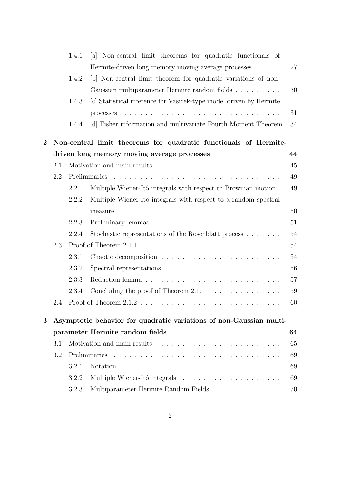|                |                                                                     | 1.4.1         | Non-central limit theorems for quadratic functionals of<br> a                      |        |  |  |  |  |
|----------------|---------------------------------------------------------------------|---------------|------------------------------------------------------------------------------------|--------|--|--|--|--|
|                |                                                                     |               | Hermite-driven long memory moving average processes                                | 27     |  |  |  |  |
|                |                                                                     | 1.4.2         | [b] Non-central limit theorem for quadratic variations of non-                     |        |  |  |  |  |
|                |                                                                     |               | Gaussian multiparameter Hermite random fields                                      | 30     |  |  |  |  |
|                |                                                                     | 1.4.3         | [c] Statistical inference for Vasicek-type model driven by Hermite                 |        |  |  |  |  |
|                |                                                                     |               |                                                                                    | 31     |  |  |  |  |
|                |                                                                     | 1.4.4         | [d] Fisher information and multivariate Fourth Moment Theorem                      | 34     |  |  |  |  |
| $\overline{2}$ |                                                                     |               | Non-central limit theorems for quadratic functionals of Hermite-                   |        |  |  |  |  |
|                |                                                                     |               | driven long memory moving average processes                                        | 44     |  |  |  |  |
|                | 2.1                                                                 |               |                                                                                    | 45     |  |  |  |  |
|                | 2.2                                                                 |               |                                                                                    | 49     |  |  |  |  |
|                |                                                                     | 2.2.1         | Multiple Wiener-Itô integrals with respect to Brownian motion.                     | 49     |  |  |  |  |
|                |                                                                     | 2.2.2         | Multiple Wiener-Itô integrals with respect to a random spectral                    |        |  |  |  |  |
|                |                                                                     |               |                                                                                    | 50     |  |  |  |  |
|                |                                                                     | 2.2.3         |                                                                                    | 51     |  |  |  |  |
|                |                                                                     | 2.2.4         | Stochastic representations of the Rosenblatt process                               | 54     |  |  |  |  |
|                | 2.3                                                                 |               |                                                                                    | $54\,$ |  |  |  |  |
|                |                                                                     | 2.3.1         |                                                                                    | 54     |  |  |  |  |
|                |                                                                     | 2.3.2         | Spectral representations $\ldots \ldots \ldots \ldots \ldots \ldots \ldots \ldots$ | 56     |  |  |  |  |
|                |                                                                     | 2.3.3         |                                                                                    | 57     |  |  |  |  |
|                |                                                                     | 2.3.4         | Concluding the proof of Theorem $2.1.1 \ldots \ldots \ldots \ldots$                | 59     |  |  |  |  |
|                | 2.4                                                                 |               |                                                                                    | 60     |  |  |  |  |
| 3              | Asymptotic behavior for quadratic variations of non-Gaussian multi- |               |                                                                                    |        |  |  |  |  |
|                | parameter Hermite random fields                                     |               |                                                                                    |        |  |  |  |  |
|                | 3.1                                                                 |               |                                                                                    | 65     |  |  |  |  |
|                | 3.2                                                                 | Preliminaries |                                                                                    |        |  |  |  |  |
|                |                                                                     | 3.2.1         |                                                                                    | 69     |  |  |  |  |
|                |                                                                     | 3.2.2         |                                                                                    | 69     |  |  |  |  |
|                |                                                                     | 3.2.3         | Multiparameter Hermite Random Fields                                               | 70     |  |  |  |  |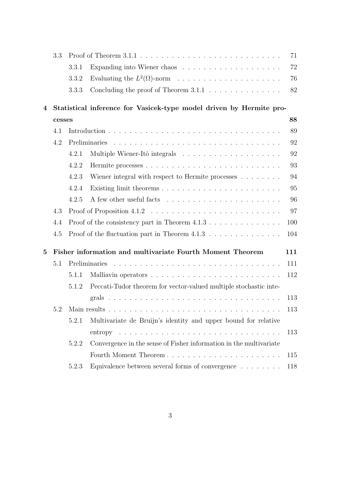|          | 3.3                                                              |                                                                              |                                                                                                         | 71  |  |  |
|----------|------------------------------------------------------------------|------------------------------------------------------------------------------|---------------------------------------------------------------------------------------------------------|-----|--|--|
|          |                                                                  | 3.3.1                                                                        |                                                                                                         | 72  |  |  |
|          |                                                                  | 3.3.2                                                                        |                                                                                                         | 76  |  |  |
|          |                                                                  | 3.3.3                                                                        | Concluding the proof of Theorem $3.1.1 \ldots \ldots \ldots \ldots$                                     | 82  |  |  |
| 4        |                                                                  |                                                                              | Statistical inference for Vasicek-type model driven by Hermite pro-                                     |     |  |  |
|          | cesses                                                           |                                                                              |                                                                                                         | 88  |  |  |
|          | 4.1                                                              |                                                                              |                                                                                                         | 89  |  |  |
|          | 4.2                                                              | Preliminaries                                                                |                                                                                                         |     |  |  |
|          |                                                                  | 4.2.1                                                                        |                                                                                                         | 92  |  |  |
|          |                                                                  | 4.2.2                                                                        |                                                                                                         | 93  |  |  |
|          |                                                                  | 4.2.3                                                                        | Wiener integral with respect to Hermite processes                                                       | 94  |  |  |
|          |                                                                  | 4.2.4                                                                        |                                                                                                         | 95  |  |  |
|          |                                                                  | 4.2.5                                                                        |                                                                                                         | 96  |  |  |
|          | 4.3                                                              |                                                                              |                                                                                                         |     |  |  |
|          | 4.4                                                              | Proof of the consistency part in Theorem $4.1.3 \ldots \ldots \ldots \ldots$ |                                                                                                         | 100 |  |  |
|          | 4.5                                                              |                                                                              |                                                                                                         | 104 |  |  |
| $\bf{5}$ | Fisher information and multivariate Fourth Moment Theorem<br>111 |                                                                              |                                                                                                         |     |  |  |
|          | 5.1                                                              |                                                                              | <u>. A series and a series and a series and a series and a series and a series and</u><br>Preliminaries | 111 |  |  |
|          |                                                                  | 5.1.1                                                                        |                                                                                                         | 112 |  |  |
|          |                                                                  | 5.1.2                                                                        | Peccati-Tudor theorem for vector-valued multiple stochastic inte-                                       |     |  |  |
|          |                                                                  |                                                                              |                                                                                                         | 113 |  |  |
|          |                                                                  |                                                                              |                                                                                                         | 113 |  |  |
|          |                                                                  | 5.2.1                                                                        | Multivariate de Bruijn's identity and upper bound for relative                                          |     |  |  |
|          |                                                                  |                                                                              |                                                                                                         | 113 |  |  |
|          |                                                                  | 5.2.2                                                                        | Convergence in the sense of Fisher information in the multivariate                                      |     |  |  |
|          |                                                                  |                                                                              | Fourth Moment Theorem                                                                                   | 115 |  |  |
|          |                                                                  | 5.2.3                                                                        | Equivalence between several forms of convergence $\hfill\ldots\ldots\ldots$                             | 118 |  |  |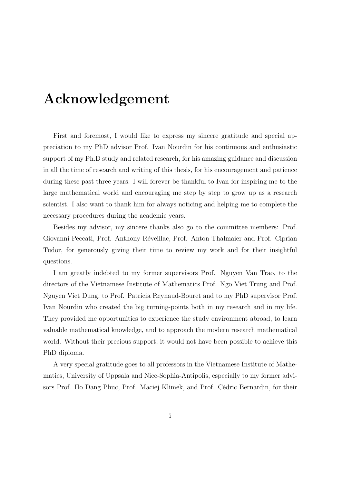# Acknowledgement

First and foremost, I would like to express my sincere gratitude and special appreciation to my PhD advisor Prof. Ivan Nourdin for his continuous and enthusiastic support of my Ph.D study and related research, for his amazing guidance and discussion in all the time of research and writing of this thesis, for his encouragement and patience during these past three years. I will forever be thankful to Ivan for inspiring me to the large mathematical world and encouraging me step by step to grow up as a research scientist. I also want to thank him for always noticing and helping me to complete the necessary procedures during the academic years.

Besides my advisor, my sincere thanks also go to the committee members: Prof. Giovanni Peccati, Prof. Anthony Réveillac, Prof. Anton Thalmaier and Prof. Ciprian Tudor, for generously giving their time to review my work and for their insightful questions.

I am greatly indebted to my former supervisors Prof. Nguyen Van Trao, to the directors of the Vietnamese Institute of Mathematics Prof. Ngo Viet Trung and Prof. Nguyen Viet Dung, to Prof. Patricia Reynaud-Bouret and to my PhD supervisor Prof. Ivan Nourdin who created the big turning-points both in my research and in my life. They provided me opportunities to experience the study environment abroad, to learn valuable mathematical knowledge, and to approach the modern research mathematical world. Without their precious support, it would not have been possible to achieve this PhD diploma.

A very special gratitude goes to all professors in the Vietnamese Institute of Mathematics, University of Uppsala and Nice-Sophia-Antipolis, especially to my former advisors Prof. Ho Dang Phuc, Prof. Maciej Klimek, and Prof. Cédric Bernardin, for their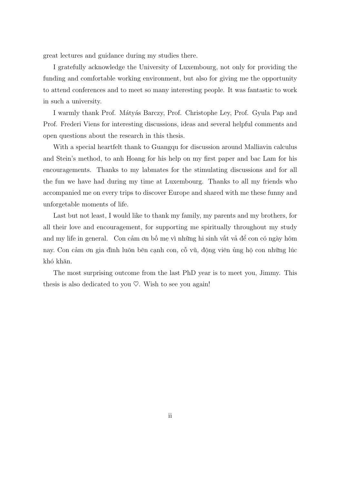great lectures and guidance during my studies there.

I gratefully acknowledge the University of Luxembourg, not only for providing the funding and comfortable working environment, but also for giving me the opportunity to attend conferences and to meet so many interesting people. It was fantastic to work in such a university.

I warmly thank Prof. Mátyás Barczy, Prof. Christophe Ley, Prof. Gyula Pap and Prof. Frederi Viens for interesting discussions, ideas and several helpful comments and open questions about the research in this thesis.

With a special heartfelt thank to Guangqu for discussion around Malliavin calculus and Stein's method, to anh Hoang for his help on my first paper and bac Lam for his encouragements. Thanks to my labmates for the stimulating discussions and for all the fun we have had during my time at Luxembourg. Thanks to all my friends who accompanied me on every trips to discover Europe and shared with me these funny and unforgetable moments of life.

Last but not least, I would like to thank my family, my parents and my brothers, for all their love and encouragement, for supporting me spiritually throughout my study and my life in general. Con cảm ơn bố mẹ vì những hi sinh vất vả để con có ngày hôm nay. Con cảm ơn gia đình luôn bên cạnh con, cỗ vũ, động viên ủng hộ con những lúc khó khăn.

The most surprising outcome from the last PhD year is to meet you, Jimmy. This thesis is also dedicated to you  $\heartsuit$ . Wish to see you again!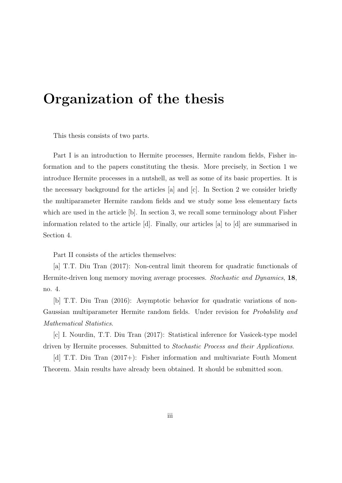# Organization of the thesis

This thesis consists of two parts.

Part I is an introduction to Hermite processes, Hermite random fields, Fisher information and to the papers constituting the thesis. More precisely, in Section 1 we introduce Hermite processes in a nutshell, as well as some of its basic properties. It is the necessary background for the articles [a] and [c]. In Section 2 we consider briefly the multiparameter Hermite random fields and we study some less elementary facts which are used in the article [b]. In section 3, we recall some terminology about Fisher information related to the article [d]. Finally, our articles [a] to [d] are summarised in Section 4.

Part II consists of the articles themselves:

[a] T.T. Diu Tran (2017): Non-central limit theorem for quadratic functionals of Hermite-driven long memory moving average processes. Stochastic and Dynamics, 18, no. 4.

[b] T.T. Diu Tran (2016): Asymptotic behavior for quadratic variations of non-Gaussian multiparameter Hermite random fields. Under revision for *Probability and* Mathematical Statistics.

[c] I. Nourdin, T.T. Diu Tran (2017): Statistical inference for Vasicek-type model driven by Hermite processes. Submitted to Stochastic Process and their Applications.

[d] T.T. Diu Tran (2017+): Fisher information and multivariate Fouth Moment Theorem. Main results have already been obtained. It should be submitted soon.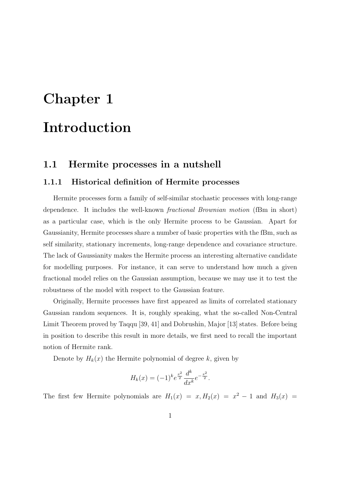# Chapter 1 Introduction

# 1.1 Hermite processes in a nutshell

#### 1.1.1 Historical definition of Hermite processes

Hermite processes form a family of self-similar stochastic processes with long-range dependence. It includes the well-known fractional Brownian motion (fBm in short) as a particular case, which is the only Hermite process to be Gaussian. Apart for Gaussianity, Hermite processes share a number of basic properties with the fBm, such as self similarity, stationary increments, long-range dependence and covariance structure. The lack of Gaussianity makes the Hermite process an interesting alternative candidate for modelling purposes. For instance, it can serve to understand how much a given fractional model relies on the Gaussian assumption, because we may use it to test the robustness of the model with respect to the Gaussian feature.

Originally, Hermite processes have first appeared as limits of correlated stationary Gaussian random sequences. It is, roughly speaking, what the so-called Non-Central Limit Theorem proved by Taqqu [39, 41] and Dobrushin, Major [13] states. Before being in position to describe this result in more details, we first need to recall the important notion of Hermite rank.

Denote by  $H_k(x)$  the Hermite polynomial of degree k, given by

$$
H_k(x) = (-1)^k e^{\frac{x^2}{2}} \frac{d^k}{dx^k} e^{-\frac{x^2}{2}}.
$$

The first few Hermite polynomials are  $H_1(x) = x$ ,  $H_2(x) = x^2 - 1$  and  $H_3(x) =$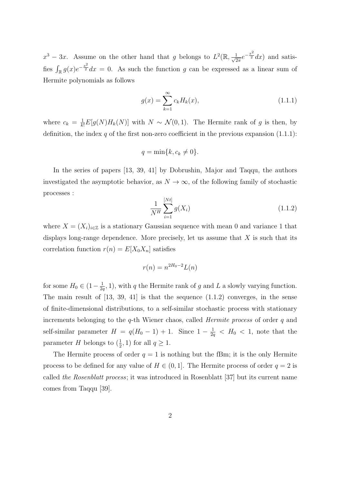$x^3 - 3x$ . Assume on the other hand that g belongs to  $L^2(\mathbb{R}, \frac{1}{\sqrt{2}})$  $\frac{1}{2\pi}e^{-\frac{x^2}{2}}dx$  and satisfies  $\int_{\mathbb{R}} g(x)e^{-\frac{x^2}{2}} dx = 0$ . As such the function g can be expressed as a linear sum of Hermite polynomials as follows

$$
g(x) = \sum_{k=1}^{\infty} c_k H_k(x),
$$
\n(1.1.1)

where  $c_k = \frac{1}{k!} E[g(N)H_k(N)]$  with  $N \sim \mathcal{N}(0, 1)$ . The Hermite rank of g is then, by definition, the index  $q$  of the first non-zero coefficient in the previous expansion  $(1.1.1)$ :

$$
q = \min\{k, c_k \neq 0\}.
$$

In the series of papers [13, 39, 41] by Dobrushin, Major and Taqqu, the authors investigated the asymptotic behavior, as  $N \to \infty$ , of the following family of stochastic processes :

$$
\frac{1}{N^H} \sum_{i=1}^{[Nt]} g(X_i)
$$
\n(1.1.2)

where  $X = (X_i)_{i \in \mathbb{Z}}$  is a stationary Gaussian sequence with mean 0 and variance 1 that displays long-range dependence. More precisely, let us assume that  $X$  is such that its correlation function  $r(n) = E[X_0 X_n]$  satisfies

$$
r(n) = n^{2H_0 - 2}L(n)
$$

for some  $H_0 \in (1 - \frac{1}{2a})$  $\frac{1}{2q}$ , 1), with q the Hermite rank of g and L a slowly varying function. The main result of [13, 39, 41] is that the sequence (1.1.2) converges, in the sense of finite-dimensional distributions, to a self-similar stochastic process with stationary increments belonging to the  $q$ -th Wiener chaos, called *Hermite process* of order  $q$  and self-similar parameter  $H = q(H_0 - 1) + 1$ . Since  $1 - \frac{1}{2}$  $\frac{1}{2q}$  < H<sub>0</sub> < 1, note that the parameter H belongs to  $(\frac{1}{2}, 1)$  for all  $q \ge 1$ .

The Hermite process of order  $q = 1$  is nothing but the fBm; it is the only Hermite process to be defined for any value of  $H \in (0,1]$ . The Hermite process of order  $q = 2$  is called the Rosenblatt process; it was introduced in Rosenblatt [37] but its current name comes from Taqqu [39].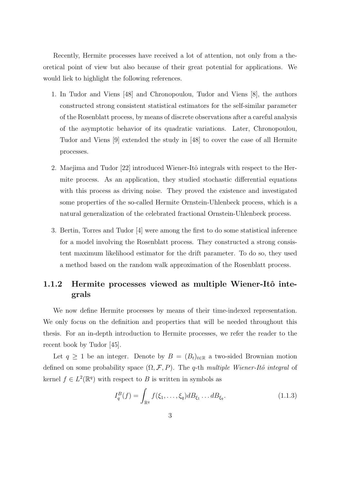Recently, Hermite processes have received a lot of attention, not only from a theoretical point of view but also because of their great potential for applications. We would liek to highlight the following references.

- 1. In Tudor and Viens [48] and Chronopoulou, Tudor and Viens [8], the authors constructed strong consistent statistical estimators for the self-similar parameter of the Rosenblatt process, by means of discrete observations after a careful analysis of the asymptotic behavior of its quadratic variations. Later, Chronopoulou, Tudor and Viens [9] extended the study in [48] to cover the case of all Hermite processes.
- 2. Maejima and Tudor [22] introduced Wiener-Itô integrals with respect to the Hermite process. As an application, they studied stochastic differential equations with this process as driving noise. They proved the existence and investigated some properties of the so-called Hermite Ornstein-Uhlenbeck process, which is a natural generalization of the celebrated fractional Ornstein-Uhlenbeck process.
- 3. Bertin, Torres and Tudor [4] were among the first to do some statistical inference for a model involving the Rosenblatt process. They constructed a strong consistent maximum likelihood estimator for the drift parameter. To do so, they used a method based on the random walk approximation of the Rosenblatt process.

# 1.1.2 Hermite processes viewed as multiple Wiener-Itô integrals

We now define Hermite processes by means of their time-indexed representation. We only focus on the definition and properties that will be needed throughout this thesis. For an in-depth introduction to Hermite processes, we refer the reader to the recent book by Tudor [45].

Let  $q \ge 1$  be an integer. Denote by  $B = (B_t)_{t \in \mathbb{R}}$  a two-sided Brownian motion defined on some probability space  $(\Omega, \mathcal{F}, P)$ . The q-th multiple Wiener-Itô integral of kernel  $f \in L^2(\mathbb{R}^q)$  with respect to B is written in symbols as

$$
I_q^B(f) = \int_{\mathbb{R}^q} f(\xi_1, \dots, \xi_q) d B_{\xi_1} \dots d B_{\xi_q}.
$$
 (1.1.3)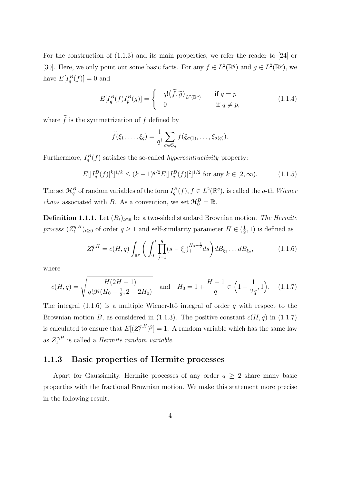For the construction of (1.1.3) and its main properties, we refer the reader to [24] or [30]. Here, we only point out some basic facts. For any  $f \in L^2(\mathbb{R}^q)$  and  $g \in L^2(\mathbb{R}^p)$ , we have  $E[I_q^B(f)] = 0$  and

$$
E[I_q^B(f)I_p^B(g)] = \begin{cases} q! \langle \widetilde{f}, \widetilde{g} \rangle_{L^2(\mathbb{R}^p)} & \text{if } q = p \\ 0 & \text{if } q \neq p, \end{cases}
$$
 (1.1.4)

where  $\tilde{f}$  is the symmetrization of f defined by

$$
\widetilde{f}(\xi_1,\ldots,\xi_q)=\frac{1}{q!}\sum_{\sigma\in\mathfrak{S}_q}f(\xi_{\sigma(1)},\ldots,\xi_{\sigma(q)}).
$$

Furthermore,  $I_q^B(f)$  satisfies the so-called *hypercontractivity* property:

$$
E[|I_q^B(f)|^k]^{1/k} \le (k-1)^{q/2} E[|I_q^B(f)|^2]^{1/2} \text{ for any } k \in [2, \infty). \tag{1.1.5}
$$

The set  $\mathfrak{H}^B_q$  of random variables of the form  $I_q^B(f)$ ,  $f \in L^2(\mathbb{R}^q)$ , is called the q-th Wiener *chaos* associated with B. As a convention, we set  $\mathcal{H}_0^B = \mathbb{R}$ .

**Definition 1.1.1.** Let  $(B_t)_{t \in \mathbb{R}}$  be a two-sided standard Brownian motion. The Hermite  $\displaystyle{process~(Z_{t}^{q,H} }$  $(t<sub>t</sub><sup>q,H</sup>)<sub>t\geq0</sub>$  of order  $q\geq1$  and self-similarity parameter  $H\in(\frac{1}{2})$  $(\frac{1}{2}, 1)$  is defined as

$$
Z_t^{q,H} = c(H,q) \int_{\mathbb{R}^q} \bigg( \int_0^t \prod_{j=1}^q (s - \xi_j)_+^{H_0 - \frac{3}{2}} ds \bigg) d B_{\xi_1} \dots d B_{\xi_q}, \tag{1.1.6}
$$

where

$$
c(H,q) = \sqrt{\frac{H(2H-1)}{q!\beta^q(H_0 - \frac{1}{2}, 2 - 2H_0)}} \quad \text{and} \quad H_0 = 1 + \frac{H-1}{q} \in \left(1 - \frac{1}{2q}, 1\right). \tag{1.1.7}
$$

The integral  $(1.1.6)$  is a multiple Wiener-Itô integral of order q with respect to the Brownian motion B, as considered in (1.1.3). The positive constant  $c(H, q)$  in (1.1.7) is calculated to ensure that  $E[(Z_1^{q,H})]$  $\binom{q,H}{1}^2$  = 1. A random variable which has the same law as  $Z_1^{q,H}$  $I_1^{q,H}$  is called a *Hermite random variable.* 

#### 1.1.3 Basic properties of Hermite processes

Apart for Gaussianity, Hermite processes of any order  $q \geq 2$  share many basic properties with the fractional Brownian motion. We make this statement more precise in the following result.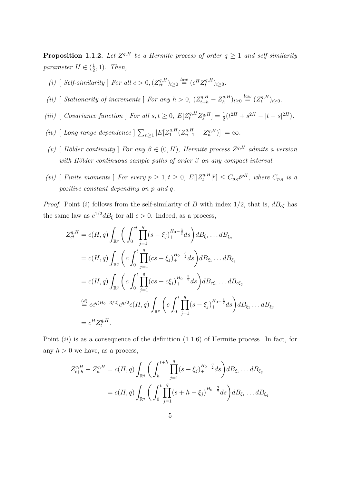**Proposition 1.1.2.** Let  $Z^{q,H}$  be a Hermite process of order  $q \ge 1$  and self-similarity parameter  $H \in (\frac{1}{2})$  $(\frac{1}{2},1)$ . Then,

- (i) [ Self-similarity ] For all  $c > 0$ ,  $(Z_{ct}^{q,H})_{t \geq 0} \stackrel{law}{=} (c^H Z_t^{q,H})$  $t^{q,H}_t)_{t\geq0}$ .
- (ii) [ Stationarity of increments ] For any  $h > 0$ ,  $(Z_{t+h}^{q,H} Z_h^{q,H})$  $\binom{q,H}{h}_{t\geq 0} \stackrel{law}{=} (Z_t^{q,H})$  $t^{q,H}_t)_{t\geq0}$ .
- (iii) [Covariance function ] For all  $s, t \ge 0$ ,  $E[Z_t^{q,H} Z_s^{q,H}] = \frac{1}{2}(t^{2H} + s^{2H} |t s|^{2H})$ .
- (iv) [ Long-range dependence  $\sum_{n\geq 1} |E[Z_1^{q,H}]|$  $\left[ \frac{q,H}{1} (Z_{n+1}^{q,H} - Z_n^{q,H}) \right] | = \infty.$
- (v) [ Hölder continuity ] For any  $\beta \in (0, H)$ , Hermite process  $Z^{q,H}$  admits a version with Hölder continuous sample paths of order  $\beta$  on any compact interval.
- (vi) [ Finite moments ] For every  $p \geq 1, t \geq 0, E[|Z_t^{q,H}]$  $[t]_t^{q,H}|^p] \leq C_{p,q} t^{pH}, \text{ where } C_{p,q} \text{ is a}$ positive constant depending on p and q.

*Proof.* Point (i) follows from the self-similarity of B with index  $1/2$ , that is,  $dB_{c\xi}$  has the same law as  $c^{1/2}dB_{\xi}$  for all  $c > 0$ . Indeed, as a process,

$$
Z_{ct}^{q,H} = c(H, q) \int_{\mathbb{R}^q} \left( \int_0^{ct} \prod_{j=1}^q (s - \xi_j)_+^{H_0 - \frac{3}{2}} ds \right) d B_{\xi_1} \dots d B_{\xi_q}
$$
  
\n
$$
= c(H, q) \int_{\mathbb{R}^q} \left( c \int_0^t \prod_{j=1}^q (cs - \xi_j)_+^{H_0 - \frac{3}{2}} ds \right) d B_{\xi_1} \dots d B_{\xi_q}
$$
  
\n
$$
= c(H, q) \int_{\mathbb{R}^q} \left( c \int_0^t \prod_{j=1}^q (cs - c \xi_j)_+^{H_0 - \frac{3}{2}} ds \right) d B_{c\xi_1} \dots d B_{c\xi_q}
$$
  
\n
$$
\stackrel{(d)}{=} c c^{q(H_0 - 3/2)} c^{q/2} c(H, q) \int_{\mathbb{R}^q} \left( c \int_0^t \prod_{j=1}^q (s - \xi_j)_+^{H_0 - \frac{3}{2}} ds \right) d B_{\xi_1} \dots d B_{\xi_q}
$$
  
\n
$$
= c^H Z_t^{q,H}.
$$

Point  $(ii)$  is as a consequence of the definition  $(1.1.6)$  of Hermite process. In fact, for any  $h > 0$  we have, as a process,

$$
Z_{t+h}^{q,H} - Z_h^{q,H} = c(H, q) \int_{\mathbb{R}^q} \left( \int_h^{t+h} \prod_{j=1}^q (s - \xi_j)_+^{H_0 - \frac{3}{2}} ds \right) d B_{\xi_1} \dots d B_{\xi_q}
$$
  
=  $c(H, q) \int_{\mathbb{R}^q} \left( \int_0^t \prod_{j=1}^q (s + h - \xi_j)_+^{H_0 - \frac{3}{2}} ds \right) d B_{\xi_1} \dots d B_{\xi_q}$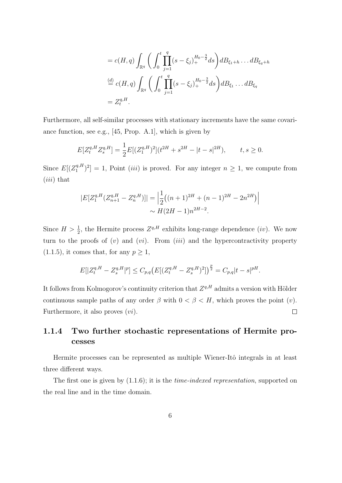$$
= c(H, q) \int_{\mathbb{R}^q} \left( \int_0^t \prod_{j=1}^q (s - \xi_j)_+^{H_0 - \frac{3}{2}} ds \right) d B_{\xi_1 + h} \dots d B_{\xi_q + h}
$$
  
\n
$$
\stackrel{(d)}{=} c(H, q) \int_{\mathbb{R}^q} \left( \int_0^t \prod_{j=1}^q (s - \xi_j)_+^{H_0 - \frac{3}{2}} ds \right) d B_{\xi_1} \dots d B_{\xi_q}
$$
  
\n
$$
= Z_t^{q, H}.
$$

Furthermore, all self-similar processes with stationary increments have the same covariance function, see e.g., [45, Prop. A.1], which is given by

$$
E[Z_t^{q,H} Z_s^{q,H}] = \frac{1}{2} E[(Z_1^{q,H})^2](t^{2H} + s^{2H} - |t - s|^{2H}), \qquad t, s \ge 0.
$$

Since  $E[(Z_1^{q,H})]$  $\binom{q,H}{1}^2$  = 1, Point *(iii)* is proved. For any integer  $n \geq 1$ , we compute from  $(iii)$  that

$$
|E[Z_1^{q,H}(Z_{n+1}^{q,H} - Z_n^{q,H})]| = \left| \frac{1}{2} \left( (n+1)^{2H} + (n-1)^{2H} - 2n^{2H} \right) \right|
$$
  
 
$$
\sim H(2H - 1)n^{2H - 2}.
$$

Since  $H > \frac{1}{2}$ , the Hermite process  $Z^{q,H}$  exhibits long-range dependence *(iv)*. We now turn to the proofs of  $(v)$  and  $(vi)$ . From  $(iii)$  and the hypercontractivity property  $(1.1.5)$ , it comes that, for any  $p \geq 1$ ,

$$
E[|Z_t^{q,H} - Z_s^{q,H}|^p] \le C_{p,q} \left( E[(Z_t^{q,H} - Z_s^{q,H})^2] \right)^{\frac{p}{2}} = C_{p,q} |t-s|^{pH}.
$$

It follows from Kolmogorov's continuity criterion that  $Z^{q,H}$  admits a version with Hölder continuous sample paths of any order  $\beta$  with  $0 < \beta < H$ , which proves the point  $(v)$ .  $\Box$ Furthermore, it also proves  $(vi)$ .

# 1.1.4 Two further stochastic representations of Hermite processes

Hermite processes can be represented as multiple Wiener-Itô integrals in at least three different ways.

The first one is given by  $(1.1.6)$ ; it is the *time-indexed representation*, supported on the real line and in the time domain.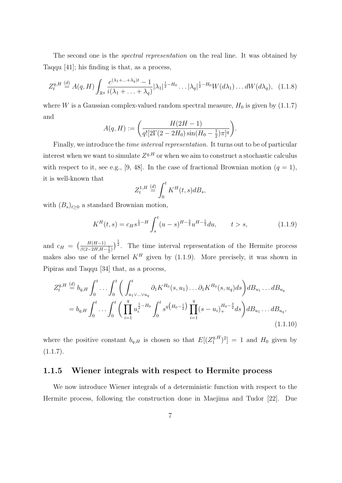The second one is the *spectral representation* on the real line. It was obtained by Taqqu [41]; his finding is that, as a process,

$$
Z_t^{q,H} \stackrel{(d)}{=} A(q,H) \int_{\mathbb{R}^q} \frac{e^{(\lambda_1 + \ldots + \lambda_q)t} - 1}{i(\lambda_1 + \ldots + \lambda_q)} |\lambda_1|^{\frac{1}{2} - H_0} \ldots |\lambda_q|^{\frac{1}{2} - H_0} W(d\lambda_1) \ldots dW(d\lambda_q), \quad (1.1.8)
$$

where W is a Gaussian complex-valued random spectral measure,  $H_0$  is given by (1.1.7) and

$$
A(q, H) := \left(\frac{H(2H - 1)}{q! [2\Gamma(2 - 2H_0) \sin(H_0 - \frac{1}{2})\pi]^q}\right).
$$

Finally, we introduce the time interval representation. It turns out to be of particular interest when we want to simulate  $Z^{q,H}$  or when we aim to construct a stochastic calculus with respect to it, see e.g., [9, 48]. In the case of fractional Brownian motion  $(q = 1)$ , it is well-known that

$$
Z_t^{1,H} \stackrel{(d)}{=} \int_0^t K^H(t,s)dB_s,
$$

with  $(B_s)_{t\geq0}$  a standard Brownian motion,

$$
K^{H}(t,s) = c_{H}s^{\frac{1}{2}-H} \int_{s}^{t} (u-s)^{H-\frac{3}{2}} u^{H-\frac{1}{2}} du, \qquad t > s,
$$
 (1.1.9)

and  $c_H = \left(\frac{H(H-1)}{\beta(2-2H,H-\frac{1}{2})}\right)^{\frac{1}{2}}$ . The time interval representation of the Hermite process makes also use of the kernel  $K<sup>H</sup>$  given by (1.1.9). More precisely, it was shown in Pipiras and Taqqu [34] that, as a process,

$$
Z_t^{q,H} \stackrel{(d)}{=} b_{q,H} \int_0^t \dots \int_0^t \left( \int_{u_1 \vee \dots \vee u_q}^t \partial_1 K^{H_0}(s, u_1) \dots \partial_1 K^{H_0}(s, u_q) ds \right) dB_{u_1} \dots dB_{u_q}
$$
  
=  $b_{q,H} \int_0^t \dots \int_0^t \left( \prod_{i=1}^q u_i^{\frac{1}{2} - H_0} \int_0^t s^{q \left( H_0 - \frac{1}{2} \right)} \prod_{i=1}^q (s - u_i)_+^{H_0 - \frac{3}{2}} ds \right) dB_{u_1} \dots dB_{u_q},$ \n(1.1.10)

where the positive constant  $b_{q,H}$  is chosen so that  $E[(Z_1^{q,H})]$  $\binom{q,H}{1}^2$  = 1 and  $H_0$  given by  $(1.1.7).$ 

#### 1.1.5 Wiener integrals with respect to Hermite process

We now introduce Wiener integrals of a deterministic function with respect to the Hermite process, following the construction done in Maejima and Tudor [22]. Due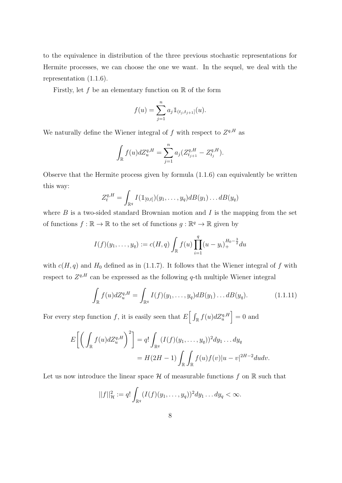to the equivalence in distribution of the three previous stochastic representations for Hermite processes, we can choose the one we want. In the sequel, we deal with the representation (1.1.6).

Firstly, let f be an elementary function on  $\mathbb R$  of the form

$$
f(u) = \sum_{j=1}^{n} a_j \mathbb{1}_{(t_j, t_{j+1}]}(u).
$$

We naturally define the Wiener integral of f with respect to  $Z^{q,H}$  as

$$
\int_{\mathbb{R}} f(u)dZ_u^{q,H} = \sum_{j=1}^n a_j (Z_{t_{j+1}}^{q,H} - Z_{t_j}^{q,H}).
$$

Observe that the Hermite process given by formula (1.1.6) can equivalently be written this way:

$$
Z_t^{q,H} = \int_{\mathbb{R}^q} I(\mathbb{1}_{[0,t]}) (y_1,\ldots,y_q) dB(y_1) \ldots dB(y_q)
$$

where  $B$  is a two-sided standard Brownian motion and  $I$  is the mapping from the set of functions  $f : \mathbb{R} \to \mathbb{R}$  to the set of functions  $g : \mathbb{R}^q \to \mathbb{R}$  given by

$$
I(f)(y_1,\ldots,y_q) := c(H,q) \int_{\mathbb{R}} f(u) \prod_{i=1}^q (u-y_i)_+^{H_0 - \frac{3}{2}} du
$$

with  $c(H, q)$  and  $H_0$  defined as in (1.1.7). It follows that the Wiener integral of f with respect to  $Z^{q,H}$  can be expressed as the following q-th multiple Wiener integral

$$
\int_{\mathbb{R}} f(u) dZ_u^{q,H} = \int_{\mathbb{R}^q} I(f)(y_1, \dots, y_q) dB(y_1) \dots dB(y_q).
$$
 (1.1.11)

For every step function f, it is easily seen that  $E\left[\int_{\mathbb{R}} f(u) dZ_u^{q,H}\right] = 0$  and

$$
E\left[\left(\int_{\mathbb{R}}f(u)dZ_u^{q,H}\right)^2\right] = q!\int_{\mathbb{R}^q}(I(f)(y_1,\ldots,y_q))^2dy_1\ldots dy_q
$$
  
=  $H(2H-1)\int_{\mathbb{R}}\int_{\mathbb{R}}f(u)f(v)|u-v|^{2H-2}dudv.$ 

Let us now introduce the linear space  $\mathcal H$  of measurable functions f on  $\mathbb R$  such that

$$
||f||_{\mathcal{H}}^2 := q! \int_{\mathbb{R}^q} (I(f)(y_1, \ldots, y_q))^2 dy_1 \ldots dy_q < \infty.
$$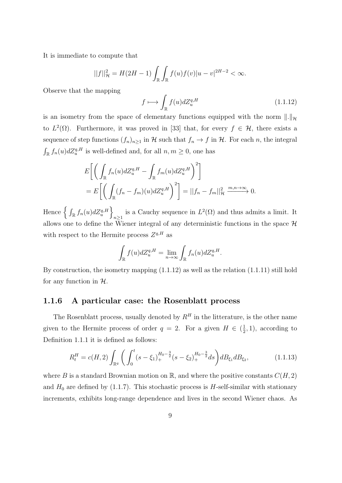It is immediate to compute that

$$
||f||_{\mathcal{H}}^{2} = H(2H - 1) \int_{\mathbb{R}} \int_{\mathbb{R}} f(u)f(v)|u - v|^{2H - 2} < \infty.
$$

Observe that the mapping

$$
f \longmapsto \int_{\mathbb{R}} f(u) dZ_u^{q,H} \tag{1.1.12}
$$

is an isometry from the space of elementary functions equipped with the norm  $\|\cdot\|_{\mathcal{H}}$ to  $L^2(\Omega)$ . Furthermore, it was proved in [33] that, for every  $f \in \mathcal{H}$ , there exists a sequence of step functions  $(f_n)_{n\geq 1}$  in H such that  $f_n \to f$  in H. For each n, the integral  $\int_{\mathbb{R}} f_n(u) dZ_u^{q,H}$  is well-defined and, for all  $n, m \geq 0$ , one has

$$
E\left[\left(\int_{\mathbb{R}} f_n(u)dZ_u^{q,H} - \int_{\mathbb{R}} f_m(u)dZ_u^{q,H}\right)^2\right]
$$
  
= 
$$
E\left[\left(\int_{\mathbb{R}} (f_n - f_m)(u)dZ_u^{q,H}\right)^2\right] = ||f_n - f_m||_{\mathcal{H}}^2 \xrightarrow{m,n \to \infty} 0.
$$

Hence  $\left\{ \int_{\mathbb{R}} f_n(u) dZ_u^{q,H} \right\}$ is a Cauchy sequence in  $L^2(\Omega)$  and thus admits a limit. It allows one to define the Wiener integral of any deterministic functions in the space  $\mathcal H$ with respect to the Hermite process  $Z^{q,H}$  as

$$
\int_{\mathbb{R}} f(u) dZ_u^{q,H} = \lim_{n \to \infty} \int_{\mathbb{R}} f_n(u) dZ_u^{q,H}.
$$

By construction, the isometry mapping  $(1.1.12)$  as well as the relation  $(1.1.11)$  still hold for any function in  $H$ .

#### 1.1.6 A particular case: the Rosenblatt process

The Rosenblatt process, usually denoted by  $R^H$  in the litterature, is the other name given to the Hermite process of order  $q = 2$ . For a given  $H \in \left(\frac{1}{2}\right)$  $(\frac{1}{2}, 1)$ , according to Definition 1.1.1 it is defined as follows:

$$
R_t^H = c(H,2) \int_{\mathbb{R}^q} \left( \int_0^t (s - \xi_1)_+^{H_0 - \frac{3}{2}} (s - \xi_2)_+^{H_0 - \frac{3}{2}} ds \right) d B_{\xi_1} d B_{\xi_2}, \tag{1.1.13}
$$

where B is a standard Brownian motion on R, and where the positive constants  $C(H, 2)$ and  $H_0$  are defined by (1.1.7). This stochastic process is  $H$ -self-similar with stationary increments, exhibits long-range dependence and lives in the second Wiener chaos. As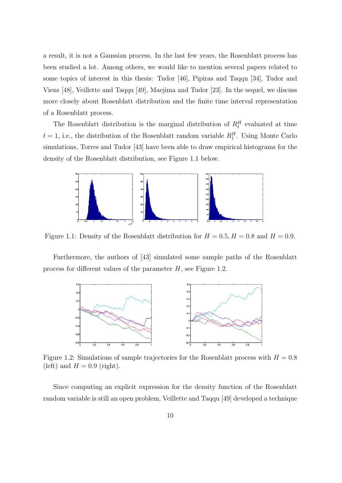a result, it is not a Gaussian process. In the last few years, the Rosenblatt process has been studied a lot. Among others, we would like to mention several papers related to some topics of interest in this thesis: Tudor [46], Pipiras and Taqqu [34], Tudor and Viens [48], Veillette and Taqqu [49], Maejima and Tudor [23]. In the sequel, we discuss more closely about Rosenblatt distribution and the finite time interval representation of a Rosenblatt process.

The Rosenblatt distribution is the marginal distribution of  $R_t^H$  evaluated at time  $t = 1$ , i.e., the distribution of the Rosenblatt random variable  $R_1^H$ . Using Monte Carlo simulations, Torres and Tudor [43] have been able to draw empirical histograms for the density of the Rosenblatt distribution, see Figure 1.1 below.



Figure 1.1: Density of the Rosenblatt distribution for  $H = 0.5, H = 0.8$  and  $H = 0.9$ .

Furthermore, the authors of [43] simulated some sample paths of the Rosenblatt process for different values of the parameter H, see Figure 1.2.



Figure 1.2: Simulations of sample trajectories for the Rosenblatt process with  $H = 0.8$ (left) and  $H = 0.9$  (right).

Since computing an explicit expression for the density function of the Rosenblatt random variable is still an open problem, Veillette and Taqqu [49] developed a technique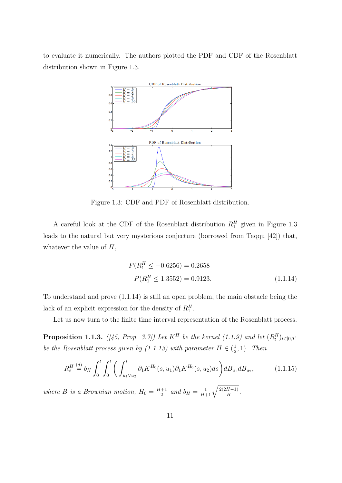to evaluate it numerically. The authors plotted the PDF and CDF of the Rosenblatt distribution shown in Figure 1.3.



Figure 1.3: CDF and PDF of Rosenblatt distribution.

A careful look at the CDF of the Rosenblatt distribution  $R_1^H$  given in Figure 1.3 leads to the natural but very mysterious conjecture (borrowed from Taqqu [42]) that, whatever the value of  $H$ ,

$$
P(R_1^H \le -0.6256) = 0.2658
$$
  
 
$$
P(R_1^H \le 1.3552) = 0.9123.
$$
 (1.1.14)

To understand and prove (1.1.14) is still an open problem, the main obstacle being the lack of an explicit expression for the density of  $R_1^H$ .

Let us now turn to the finite time interval representation of the Rosenblatt process.

**Proposition 1.1.3.** ([45, Prop. 3.7]) Let  $K^H$  be the kernel (1.1.9) and let  $(R_t^H)_{t \in [0,T]}$ be the Rosenblatt process given by (1.1.13) with parameter  $H \in \left(\frac{1}{2}\right)$  $(\frac{1}{2},1)$ . Then

$$
R_t^H \stackrel{(d)}{=} b_H \int_0^t \int_0^t \left( \int_{u_1 \vee u_2}^t \partial_1 K^{H_0}(s, u_1) \partial_1 K^{H_0}(s, u_2) ds \right) dW_{u_1} dW_{u_2}, \tag{1.1.15}
$$

where B is a Brownian motion,  $H_0 = \frac{H+1}{2}$  $\frac{1}{2}$  and  $b_H = \frac{1}{H+1}\sqrt{\frac{2(2H-1)}{H}}$ .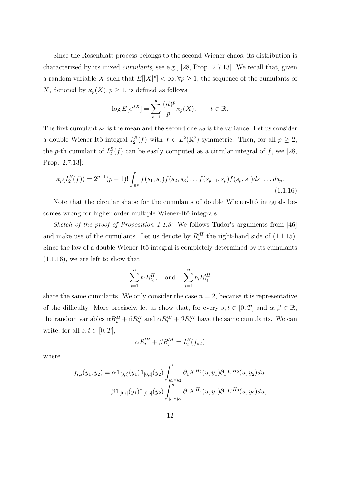Since the Rosenblatt process belongs to the second Wiener chaos, its distribution is characterized by its mixed cumulants, see e.g., [28, Prop. 2.7.13]. We recall that, given a random variable X such that  $E[|X|^p] < \infty, \forall p \geq 1$ , the sequence of the cumulants of X, denoted by  $\kappa_p(X)$ ,  $p \geq 1$ , is defined as follows

$$
\log E[e^{itX}] = \sum_{p=1}^{\infty} \frac{(it)^p}{p!} \kappa_p(X), \qquad t \in \mathbb{R}.
$$

The first cumulant  $\kappa_1$  is the mean and the second one  $\kappa_2$  is the variance. Let us consider a double Wiener-Itô integral  $I_2^B(f)$  with  $f \in L^2(\mathbb{R}^2)$  symmetric. Then, for all  $p \geq 2$ , the p-th cumulant of  $I_2^B(f)$  can be easily computed as a circular integral of f, see [28, Prop. 2.7.13]:

$$
\kappa_p(I_2^B(f)) = 2^{p-1}(p-1)! \int_{\mathbb{R}^p} f(s_1, s_2) f(s_2, s_3) \dots f(s_{p-1}, s_p) f(s_p, s_1) ds_1 \dots ds_p.
$$
\n(1.1.16)

Note that the circular shape for the cumulants of double Wiener-Itô integrals becomes wrong for higher order multiple Wiener-Itô integrals.

Sketch of the proof of Proposition 1.1.3: We follows Tudor's arguments from [46] and make use of the cumulants. Let us denote by  $R_t^H$  the right-hand side of (1.1.15). Since the law of a double Wiener-Itô integral is completely determined by its cumulants (1.1.16), we are left to show that

$$
\sum_{i=1}^{n} b_i R_{t_i}^H, \quad \text{and} \quad \sum_{i=1}^{n} b_i R_{t_i}^H
$$

share the same cumulants. We only consider the case  $n = 2$ , because it is representative of the difficulty. More precisely, let us show that, for every  $s, t \in [0, T]$  and  $\alpha, \beta \in \mathbb{R}$ , the random variables  $\alpha R_t^H + \beta R_s^H$  and  $\alpha R_t^H + \beta R_s^H$  have the same cumulants. We can write, for all  $s, t \in [0, T]$ ,

$$
\alpha R_t^{\prime H} + \beta R_s^{\prime H} = I_2^B(f_{s,t})
$$

where

$$
f_{t,s}(y_1, y_2) = \alpha \mathbb{1}_{[0,t]}(y_1) \mathbb{1}_{[0,t]}(y_2) \int_{y_1 \vee y_2}^t \partial_1 K^{H_0}(u, y_1) \partial_1 K^{H_0}(u, y_2) du + \beta \mathbb{1}_{[0,s]}(y_1) \mathbb{1}_{[0,s]}(y_2) \int_{y_1 \vee y_2}^s \partial_1 K^{H_0}(u, y_1) \partial_1 K^{H_0}(u, y_2) du,
$$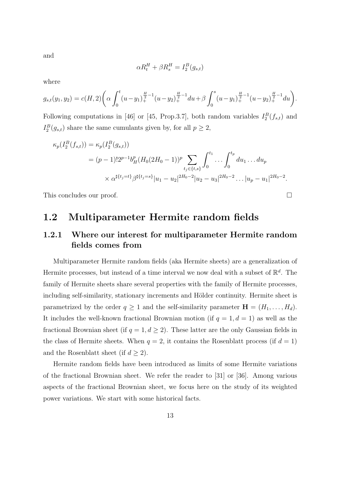and

$$
\alpha R_t^H + \beta R_s^H = I_2^B(g_{s,t})
$$

where

$$
g_{s,t}(y_1, y_2) = c(H, 2) \left( \alpha \int_0^t (u - y_1)_+^{\frac{H}{2}-1} (u - y_2)_+^{\frac{H}{2}-1} du + \beta \int_0^s (u - y_1)_+^{\frac{H}{2}-1} (u - y_2)_+^{\frac{H}{2}-1} du \right).
$$

Following computations in [46] or [45, Prop.3.7], both random variables  $I_2^B(f_{s,t})$  and  $I_2^B(g_{s,t})$  share the same cumulants given by, for all  $p \geq 2$ ,

$$
\kappa_p(I_2^B(f_{s,t})) = \kappa_p(I_2^B(g_{s,t}))
$$
  
=  $(p-1)!2^{p-1}b_H^p(H_0(2H_0-1))^p \sum_{t_j \in \{t,s\}} \int_0^{t_1} \dots \int_0^{t_p} du_1 \dots du_p$   

$$
\times \alpha^{\sharp\{t_j = t\}} \beta^{\sharp\{t_j = s\}} |u_1 - u_2|^{2H_0 - 2} |u_2 - u_3|^{2H_0 - 2} \dots |u_p - u_1|^{2H_0 - 2}.
$$

This concludes our proof.

# 1.2 Multiparameter Hermite random fields

# 1.2.1 Where our interest for multiparameter Hermite random fields comes from

Multiparameter Hermite random fields (aka Hermite sheets) are a generalization of Hermite processes, but instead of a time interval we now deal with a subset of  $\mathbb{R}^d$ . The family of Hermite sheets share several properties with the family of Hermite processes, including self-similarity, stationary increments and Hölder continuity. Hermite sheet is parametrized by the order  $q \ge 1$  and the self-similarity parameter  $\mathbf{H} = (H_1, \ldots, H_d)$ . It includes the well-known fractional Brownian motion (if  $q = 1, d = 1$ ) as well as the fractional Brownian sheet (if  $q = 1, d \geq 2$ ). These latter are the only Gaussian fields in the class of Hermite sheets. When  $q = 2$ , it contains the Rosenblatt process (if  $d = 1$ ) and the Rosenblatt sheet (if  $d \geq 2$ ).

Hermite random fields have been introduced as limits of some Hermite variations of the fractional Brownian sheet. We refer the reader to [31] or [36]. Among various aspects of the fractional Brownian sheet, we focus here on the study of its weighted power variations. We start with some historical facts.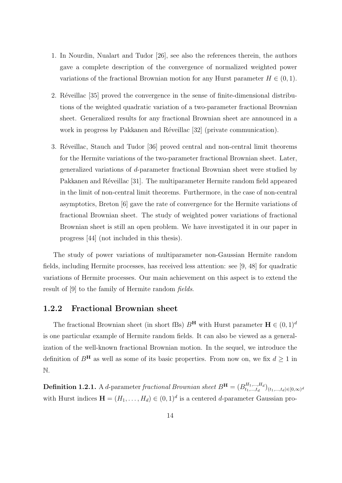- 1. In Nourdin, Nualart and Tudor [26], see also the references therein, the authors gave a complete description of the convergence of normalized weighted power variations of the fractional Brownian motion for any Hurst parameter  $H \in (0, 1)$ .
- 2. Réveillac [35] proved the convergence in the sense of finite-dimensional distributions of the weighted quadratic variation of a two-parameter fractional Brownian sheet. Generalized results for any fractional Brownian sheet are announced in a work in progress by Pakkanen and Réveillac [32] (private communication).
- 3. Réveillac, Stauch and Tudor [36] proved central and non-central limit theorems for the Hermite variations of the two-parameter fractional Brownian sheet. Later, generalized variations of d-parameter fractional Brownian sheet were studied by Pakkanen and Réveillac [31]. The multiparameter Hermite random field appeared in the limit of non-central limit theorems. Furthermore, in the case of non-central asymptotics, Breton [6] gave the rate of convergence for the Hermite variations of fractional Brownian sheet. The study of weighted power variations of fractional Brownian sheet is still an open problem. We have investigated it in our paper in progress [44] (not included in this thesis).

The study of power variations of multiparameter non-Gaussian Hermite random fields, including Hermite processes, has received less attention: see [9, 48] for quadratic variations of Hermite processes. Our main achievement on this aspect is to extend the result of [9] to the family of Hermite random fields.

#### 1.2.2 Fractional Brownian sheet

The fractional Brownian sheet (in short fBs)  $B^{\mathbf{H}}$  with Hurst parameter  $\mathbf{H} \in (0,1)^d$ is one particular example of Hermite random fields. It can also be viewed as a generalization of the well-known fractional Brownian motion. In the sequel, we introduce the definition of  $B^{\mathbf{H}}$  as well as some of its basic properties. From now on, we fix  $d \geq 1$  in N.

**Definition 1.2.1.** A d-parameter fractional Brownian sheet  $B^{\mathbf{H}} = (B_{t_1,...,t_d}^{H_1,...,H_d})$  $\binom{H_1,...,H_d}{t_1,...,t_d}(t_1,...,t_d) \in [0,\infty)^d$ with Hurst indices  $\mathbf{H} = (H_1, \ldots, H_d) \in (0, 1)^d$  is a centered d-parameter Gaussian pro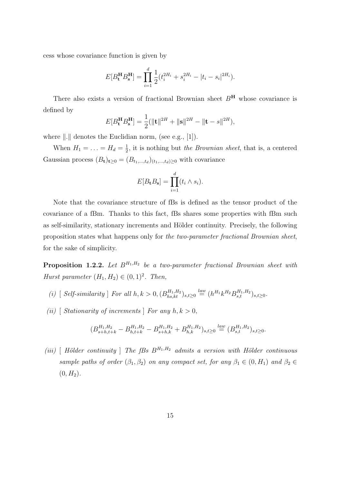cess whose covariance function is given by

$$
E[B_t^{\mathbf{H}} B_s^{\mathbf{H}}] = \prod_{i=1}^d \frac{1}{2} (t_i^{2H_i} + s_i^{2H_i} - |t_i - s_i|^{2H_i}).
$$

There also exists a version of fractional Brownian sheet  $B<sup>H</sup>$  whose covariance is defined by

$$
E[B_t^{\mathbf{H}} B_s^{\mathbf{H}}] = \frac{1}{2} (||\mathbf{t}||^{2H} + ||\mathbf{s}||^{2H} - ||\mathbf{t} - s||^{2H}),
$$

where  $\|.\|$  denotes the Euclidian norm, (see e.g., [1]).

When  $H_1 = \ldots = H_d = \frac{1}{2}$  $\frac{1}{2}$ , it is nothing but the *Brownian sheet*, that is, a centered Gaussian process  $(B_t)_{t\geq 0} = (B_{t_1,\ldots,t_d})_{(t_1,\ldots,t_d)\geq 0}$  with covariance

$$
E[B_{\mathbf{t}}B_{\mathbf{s}}] = \prod_{i=1}^{d} (t_i \wedge s_i).
$$

Note that the covariance structure of fBs is defined as the tensor product of the covariance of a fBm. Thanks to this fact, fBs shares some properties with fBm such as self-similarity, stationary increments and Hölder continuity. Precisely, the following proposition states what happens only for the two-parameter fractional Brownian sheet, for the sake of simplicity.

**Proposition 1.2.2.** Let  $B^{H_1,H_2}$  be a two-parameter fractional Brownian sheet with Hurst parameter  $(H_1, H_2) \in (0, 1)^2$ . Then,

- (i)  $\left[ \text{ Self-similarity} \right]$  For all  $h, k > 0, (B_{hs,kt}^{H_1, H_2})_{s,t \geq 0} \stackrel{law}{=} (h^{H_1} k^{H_2} B_{s,t}^{H_1, H_2})_{s,t \geq 0}$ .
- (ii) [ Stationarity of increments ] For any  $h, k > 0$ ,

$$
(B_{s+h,t+k}^{H_1,H_2} - B_{h,t+k}^{H_1,H_2} - B_{s+h,k}^{H_1,H_2} + B_{h,k}^{H_1,H_2})_{s,t\geq 0} \stackrel{law}{=} (B_{s,t}^{H_1,H_2})_{s,t\geq 0}.
$$

(iii) [ Hölder continuity ] The fBs  $B^{H_1,H_2}$  admits a version with Hölder continuous sample paths of order  $(\beta_1, \beta_2)$  on any compact set, for any  $\beta_1 \in (0, H_1)$  and  $\beta_2 \in$  $(0, H_2)$ .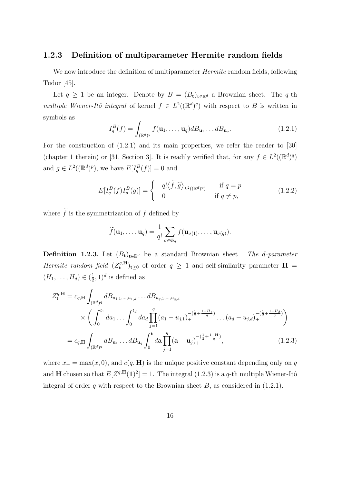#### 1.2.3 Definition of multiparameter Hermite random fields

We now introduce the definition of multiparameter *Hermite* random fields, following Tudor [45].

Let  $q \geq 1$  be an integer. Denote by  $B = (B_t)_{t \in \mathbb{R}^d}$  a Brownian sheet. The q-th multiple Wiener-Itô integral of kernel  $f \in L^2((\mathbb{R}^d)^q)$  with respect to B is written in symbols as

$$
I_q^B(f) = \int_{(\mathbb{R}^d)^q} f(\mathbf{u}_1, \dots, \mathbf{u}_q) dB_{\mathbf{u}_1} \dots dB_{\mathbf{u}_q}.
$$
 (1.2.1)

For the construction of  $(1.2.1)$  and its main properties, we refer the reader to [30] (chapter 1 therein) or [31, Section 3]. It is readily verified that, for any  $f \in L^2((\mathbb{R}^d)^q)$ and  $g \in L^2((\mathbb{R}^d)^p)$ , we have  $E[I_q^B(f)] = 0$  and

$$
E[I_q^B(f)I_p^B(g)] = \begin{cases} q! \langle \widetilde{f}, \widetilde{g} \rangle_{L^2((\mathbb{R}^d)^p)} & \text{if } q = p \\ 0 & \text{if } q \neq p, \end{cases}
$$
(1.2.2)

where  $\tilde{f}$  is the symmetrization of f defined by

$$
\widetilde{f}(\mathbf{u}_1,\ldots,\mathbf{u}_q)=\frac{1}{q!}\sum_{\sigma\in\mathfrak{S}_q}f(\mathbf{u}_{\sigma(1)},\ldots,\mathbf{u}_{\sigma(q)}).
$$

**Definition 1.2.3.** Let  $(B_t)_{t\in\mathbb{R}^d}$  be a standard Brownian sheet. The d-parameter Hermite random field  $(Z_t^{q,H})$  $(\mathbf{H}_t^{q,H})_{t\geq 0}$  of order  $q \geq 1$  and self-similarity parameter  $\mathbf{H} =$  $(H_1, \ldots, H_d) \in (\frac{1}{2})$  $(\frac{1}{2}, 1)^d$  is defined as

$$
Z_{\mathbf{t}}^{q,\mathbf{H}} = c_{q,\mathbf{H}} \int_{(\mathbb{R}^{d})^{q}} dB_{u_{1,1},...,u_{1,d}} \dots dB_{u_{q,1},...,u_{q,d}}
$$
  
 
$$
\times \left( \int_{0}^{t_{1}} da_{1} \dots \int_{0}^{t_{d}} da_{d} \prod_{j=1}^{q} (a_{1} - u_{j,1})_{+}^{-(\frac{1}{2} + \frac{1-H_{1}}{q})} \dots (a_{d} - u_{j,d})_{+}^{-(\frac{1}{2} + \frac{1-H_{d}}{q})} \right)
$$
  
=  $c_{q,\mathbf{H}} \int_{(\mathbb{R}^{d})^{q}} dB_{\mathbf{u}_{1}} \dots dB_{\mathbf{u}_{q}} \int_{0}^{\mathbf{t}} d\mathbf{a} \prod_{j=1}^{q} (\mathbf{a} - \mathbf{u}_{j})_{+}^{-(\frac{1}{2} + \frac{1-H_{1}}{q})},$  (1.2.3)

where  $x_+ = \max(x, 0)$ , and  $c(q, H)$  is the unique positive constant depending only on q and **H** chosen so that  $E[Z^{q,\mathbf{H}}(1)^{2}] = 1$ . The integral (1.2.3) is a q-th multiple Wiener-Itô integral of order q with respect to the Brownian sheet  $B$ , as considered in  $(1.2.1)$ .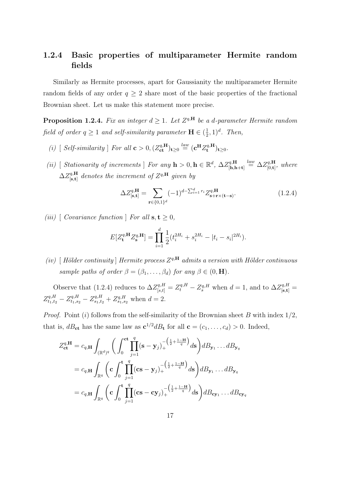# 1.2.4 Basic properties of multiparameter Hermite random fields

Similarly as Hermite processes, apart for Gaussianity the multiparameter Hermite random fields of any order  $q \geq 2$  share most of the basic properties of the fractional Brownian sheet. Let us make this statement more precise.

**Proposition 1.2.4.** Fix an integer  $d \geq 1$ . Let  $Z^{q,H}$  be a d-parameter Hermite random field of order  $q \geq 1$  and self-similarity parameter  $\mathbf{H} \in (\frac{1}{2})$  $(\frac{1}{2}, 1)^d$ . Then,

- (i) [ Self-similarity ] For all  $\mathbf{c} > 0$ ,  $(Z_{\mathbf{ct}}^{q,\mathbf{H}})_{\mathbf{t} \geq 0} \stackrel{law}{=} (\mathbf{c}^{\mathbf{H}} Z_{\mathbf{t}}^{q,\mathbf{H}})$  $\mathbf{t}^{q,\mathbf{H}}_t)_{t\geq 0}.$
- (ii) [ Stationarity of increments ] For any  $h > 0, h \in \mathbb{R}^d$ ,  $\Delta Z_{\text{lh}}^{q,H}$  $\mathcal{L}_{[\mathbf{h},\mathbf{h}+\mathbf{t}]}^{q,\mathbf{H}} \stackrel{law}{=} \Delta Z^{q,\mathbf{H}}_{[0,\mathbf{t}]}$  $\mathbf{f}_{[0,\mathbf{t}]}^{q,\mathbf{H}},\text{ where }% \mathbf{f}_{[0,\mathbf{t}]}^{q,\mathbf{H}}\equiv\mathbf{f}_{[0,\mathbf{t}]}^{q,\mathbf{H}}$  $\Delta Z^{q,\mathbf{H}}_{[\mathbf{s} \text{ } \mathbf{t}]}$  $\mathcal{F}_{\left[ \mathbf{s}, \mathbf{t} \right]}^{q, \mathbf{H}}$  denotes the increment of  $Z^{q, \mathbf{H}}$  given by

$$
\Delta Z_{\left[\mathbf{s},\mathbf{t}\right]}^{\mathbf{q},\mathbf{H}} = \sum_{\mathbf{r}\in\{0,1\}^d} (-1)^{d-\sum_{i=1}^d r_i} Z_{\mathbf{s}+\mathbf{r}\times(\mathbf{t}-\mathbf{s})}^{\mathbf{q},\mathbf{H}}.\tag{1.2.4}
$$

(iii)  $\int Covariance\ function \int For\ all\ s, t > 0,$ 

$$
E[Z_{\mathbf{t}}^{q,\mathbf{H}} Z_{\mathbf{s}}^{q,\mathbf{H}}] = \prod_{i=1}^{d} \frac{1}{2} (t_i^{2H_i} + s_i^{2H_i} - |t_i - s_i|^{2H_i}).
$$

(iv) [Hölder continuity] Hermite process  $Z^{q,H}$  admits a version with Hölder continuous sample paths of order  $\beta = (\beta_1, \ldots, \beta_d)$  for any  $\beta \in (0, \mathbf{H})$ .

Observe that (1.2.4) reduces to  $\Delta Z_{[s,t]}^{q,H} = Z_t^{q,H} - Z_s^{q,H}$  when  $d = 1$ , and to  $\Delta Z_{[s,t]}^{q,H} =$  $Z_{t_1,t_2}^{q,H} - Z_{t_1,s_2}^{q,H} - Z_{s_1,t_2}^{q,H} + Z_{s_1,s_2}^{q,H}$  when  $d=2$ .

*Proof.* Point (i) follows from the self-similarity of the Brownian sheet B with index  $1/2$ , that is,  $dB_{\text{ct}}$  has the same law as  $c^{1/2}dB_{\text{t}}$  for all  $c = (c_1, \ldots, c_d) > 0$ . Indeed,

$$
Z_{\mathbf{ct}}^{q,\mathbf{H}} = c_{q,\mathbf{H}} \int_{(\mathbb{R}^d)^q} \bigg( \int_0^{\mathbf{ct}} \prod_{j=1}^q (\mathbf{s} - \mathbf{y}_j)_+^{-\left(\frac{1}{2} + \frac{1-\mathbf{H}}{q}\right)} d\mathbf{s} \bigg) dB_{\mathbf{y}_1} \dots dB_{\mathbf{y}_q}
$$
  
\n
$$
= c_{q,\mathbf{H}} \int_{\mathbb{R}^q} \bigg( \mathbf{c} \int_0^{\mathbf{t}} \prod_{j=1}^q (\mathbf{c} \mathbf{s} - \mathbf{y}_j)_+^{-\left(\frac{1}{2} + \frac{1-\mathbf{H}}{q}\right)} d\mathbf{s} \bigg) dB_{\mathbf{y}_1} \dots dB_{\mathbf{y}_q}
$$
  
\n
$$
= c_{q,\mathbf{H}} \int_{\mathbb{R}^q} \bigg( \mathbf{c} \int_0^{\mathbf{t}} \prod_{j=1}^q (\mathbf{c} \mathbf{s} - \mathbf{c} \mathbf{y}_j)_+^{-\left(\frac{1}{2} + \frac{1-\mathbf{H}}{q}\right)} d\mathbf{s} \bigg) dB_{\mathbf{c} \mathbf{y}_1} \dots dB_{\mathbf{c} \mathbf{y}_q}
$$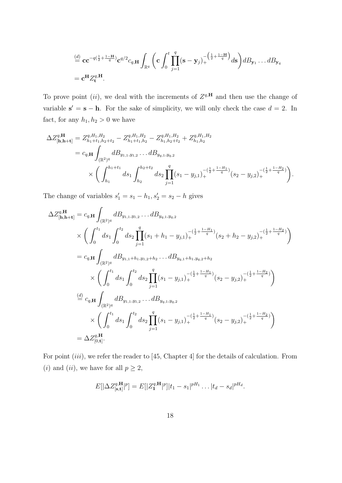$$
\stackrel{(d)}{=} \mathbf{cc}^{-q(\frac{1}{2}+\frac{1-\mathbf{H}}{q})}\mathbf{c}^{q/2}c_{q,\mathbf{H}}\int_{\mathbb{R}^q}\bigg(\mathbf{c}\int_0^t\prod_{j=1}^q(\mathbf{s}-\mathbf{y}_j)_+^{-\left(\frac{1}{2}+\frac{1-\mathbf{H}}{q}\right)}d\mathbf{s}\bigg)dB_{\mathbf{y}_1}\dots dB_{\mathbf{y}_q}
$$
\n
$$
=\mathbf{c}^{\mathbf{H}}Z_t^{q,\mathbf{H}}.
$$

To prove point (*ii*), we deal with the increments of  $Z^{q,H}$  and then use the change of variable  $s' = s - h$ . For the sake of simplicity, we will only check the case  $d = 2$ . In fact, for any  $h_1, h_2 > 0$  we have

$$
\Delta Z_{[\mathbf{h},\mathbf{h}+\mathbf{t}]}^{q,\mathbf{H}} = Z_{h_1+t_1,h_2+t_2}^{q,H_1,H_2} - Z_{h_1+t_1,h_2}^{q,H_1,H_2} - Z_{h_1,h_2+t_2}^{q,H_1,H_2} + Z_{h_1,h_2}^{q,H_1,H_2}
$$
  
\n
$$
= c_{q,\mathbf{H}} \int_{(\mathbb{R}^2)^q} dB_{y_{1,1},y_{1,2}} \dots dB_{y_{q,1},y_{q,2}}
$$
  
\n
$$
\times \left( \int_{h_1}^{h_1+t_1} ds_1 \int_{h_2}^{h_2+t_2} ds_2 \prod_{j=1}^q (s_1 - y_{j,1})_+^{-\left(\frac{1}{2} + \frac{1-H_1}{q}\right)} (s_2 - y_{j,2})_+^{-\left(\frac{1}{2} + \frac{1-H_2}{q}\right)} \right).
$$

The change of variables  $s'_1 = s_1 - h_1$ ,  $s'_2 = s_2 - h$  gives

$$
\Delta Z_{[\mathbf{h},\mathbf{h}+\mathbf{t}]}^{q,\mathbf{H}} = c_{q,\mathbf{H}} \int_{(\mathbb{R}^2)^q} dB_{y_{1,1},y_{1,2}} \dots dB_{y_{q,1},y_{q,2}}\n\times \left( \int_0^{t_1} ds_1 \int_0^{t_2} ds_2 \prod_{j=1}^q (s_1 + h_1 - y_{j,1})_+^{- (\frac{1}{2} + \frac{1-H_1}{q})} (s_2 + h_2 - y_{j,2})_+^{- (\frac{1}{2} + \frac{1-H_2}{q})} \right)\n= c_{q,\mathbf{H}} \int_{(\mathbb{R}^2)^q} dB_{y_{1,1} + h_1, y_{1,2} + h_2} \dots dB_{y_{q,1} + h_1, y_{q,2} + h_2}\n\times \left( \int_0^{t_1} ds_1 \int_0^{t_2} ds_2 \prod_{j=1}^q (s_1 - y_{j,1})_+^{- (\frac{1}{2} + \frac{1-H_1}{q})} (s_2 - y_{j,2})_+^{- (\frac{1}{2} + \frac{1-H_2}{q})} \right)\n\t\t\stackrel{(d)}{=} c_{q,\mathbf{H}} \int_{(\mathbb{R}^2)^q} dB_{y_{1,1},y_{1,2}} \dots dB_{y_{q,1},y_{q,2}\n\times}\n\times \left( \int_0^{t_1} ds_1 \int_0^{t_2} ds_2 \prod_{j=1}^q (s_1 - y_{j,1})_+^{- (\frac{1}{2} + \frac{1-H_1}{q})} (s_2 - y_{j,2})_+^{- (\frac{1}{2} + \frac{1-H_2}{q})} \right)\n= \Delta Z_{[0,\mathbf{t}]}^{q,\mathbf{H}}.
$$

For point *(iii)*, we refer the reader to [45, Chapter 4] for the details of calculation. From (*i*) and (*ii*), we have for all  $p \geq 2$ ,

$$
E[|\Delta Z_{[s,t]}^{q,\mathbf{H}}|^p] = E[|Z_1^{q,\mathbf{H}}|^p]|t_1 - s_1|^{pH_1} \dots |t_d - s_d|^{pH_d}.
$$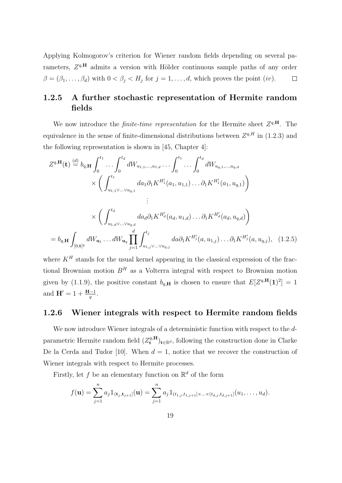Applying Kolmogorov's criterion for Wiener random fields depending on several parameters,  $Z^{q,H}$  admits a version with Hölder continuous sample paths of any order  $\beta = (\beta_1, \ldots, \beta_d)$  with  $0 < \beta_j < H_j$  for  $j = 1, \ldots, d$ , which proves the point  $(iv)$ .  $\Box$ 

## 1.2.5 A further stochastic representation of Hermite random fields

We now introduce the *finite-time representation* for the Hermite sheet  $Z^{q,H}$ . The equivalence in the sense of finite-dimensional distributions between  $Z^{q,H}$  in (1.2.3) and the following representation is shown in [45, Chapter 4]:

$$
Z^{q,\mathbf{H}}(\mathbf{t}) \stackrel{(d)}{=} b_{q,\mathbf{H}} \int_0^{t_1} \cdots \int_0^{t_d} dW_{u_{1,1},...,u_{1,d}} \cdots \int_0^{t_1} \cdots \int_0^{t_d} dW_{u_{q,1},...,u_{q,d}} \times \left( \int_{u_{1,1}}^{t_1} da_1 \partial_1 K^{H'_1}(a_1, u_{1,1}) \cdots \partial_1 K^{H'_1}(a_1, u_{q,1}) \right) \n\vdots \times \left( \int_{u_{1,d} \vee ... \vee u_{q,d}}^{t_d} da_d \partial_1 K^{H'_d}(a_d, u_{1,d}) \cdots \partial_1 K^{H'_d}(a_d, u_{q,d}) \right) \n= b_{q,\mathbf{H}} \int_{[0,\mathbf{t}]^q} dW_{\mathbf{u}_1} \cdots dW_{\mathbf{u}_q} \prod_{j=1}^d \int_{u_{1,j} \vee ... \vee u_{q,j}}^{t_j} da \partial_1 K^{H'_j}(a, u_{1,j}) \cdots \partial_1 K^{H'_j}(a, u_{q,j}), \quad (1.2.5)
$$

where  $K<sup>H</sup>$  stands for the usual kernel appearing in the classical expression of the fractional Brownian motion  $B<sup>H</sup>$  as a Volterra integral with respect to Brownian motion given by (1.1.9), the positive constant  $b_{q,H}$  is chosen to ensure that  $E[Z^{q,H}(1)^2] = 1$ and  $H' = 1 + \frac{H-1}{q}$ .

#### 1.2.6 Wiener integrals with respect to Hermite random fields

We now introduce Wiener integrals of a deterministic function with respect to the dparametric Hermite random field  $(Z_t^{q,\mathbf{H}})$  $\mathbf{t}^{q,\mathbf{H}}_t$ <sub>t∈R</sub>d, following the construction done in Clarke De la Cerda and Tudor [10]. When  $d = 1$ , notice that we recover the construction of Wiener integrals with respect to Hermite processes.

Firstly, let f be an elementary function on  $\mathbb{R}^d$  of the form

$$
f(\mathbf{u}) = \sum_{j=1}^n a_j \mathbb{1}_{(\mathbf{t}_j, \mathbf{t}_{j+1}]}(\mathbf{u}) = \sum_{j=1}^n a_j \mathbb{1}_{(t_{1,j}, t_{1,j+1}] \times ... \times (t_{d,j}, t_{d,j+1}]}(u_1, ..., u_d).
$$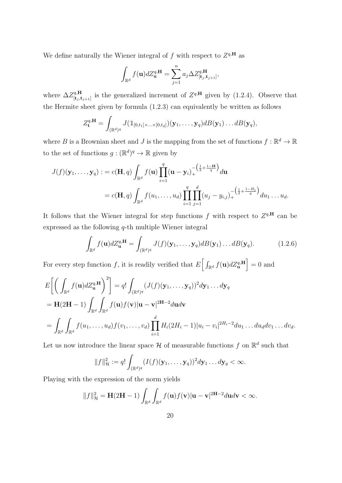We define naturally the Wiener integral of f with respect to  $Z^{q,\mathbf{H}}$  as

$$
\int_{\mathbb{R}^d} f(\mathbf{u}) dZ_{\mathbf{u}}^{q,\mathbf{H}} = \sum_{j=1}^n a_j \Delta Z_{[\mathbf{t}_j, \mathbf{t}_{j+1}]}^{q,\mathbf{H}},
$$

where  $\Delta Z^{q,\mathbf{H}}_{\text{[t-1]}}$  $[t_j,t_{j+1}]$  is the generalized increment of  $Z^{q,\mathbf{H}}$  given by (1.2.4). Observe that the Hermite sheet given by formula (1.2.3) can equivalently be written as follows

$$
Z_{\mathbf{t}}^{q,\mathbf{H}}=\int_{(\mathbb{R}^d)^q}J(\mathbb{1}_{[0,t_1]\times\ldots\times[0,t_d]})(\mathbf{y}_1,\ldots,\mathbf{y}_q)dB(\mathbf{y}_1)\ldots dB(\mathbf{y}_q),
$$

where B is a Brownian sheet and J is the mapping from the set of functions  $f : \mathbb{R}^d \to \mathbb{R}$ to the set of functions  $g: (\mathbb{R}^d)^q \to \mathbb{R}$  given by

$$
J(f)(\mathbf{y}_1,\ldots,\mathbf{y}_q) := c(\mathbf{H},q) \int_{\mathbb{R}^d} f(\mathbf{u}) \prod_{i=1}^q (\mathbf{u}-\mathbf{y}_i)_+^{-\left(\frac{1}{2}+\frac{1-\mathbf{H}}{q}\right)} d\mathbf{u}
$$
  
=  $c(\mathbf{H},q) \int_{\mathbb{R}^d} f(u_1,\ldots,u_d) \prod_{i=1}^q \prod_{j=1}^d (u_j - y_{i,j})_+^{-\left(\frac{1}{2}+\frac{1-H_i}{q}\right)} du_1 \ldots u_d.$ 

It follows that the Wiener integral for step functions f with respect to  $Z^{q,H}$  can be expressed as the following q-th multiple Wiener integral

$$
\int_{\mathbb{R}^d} f(\mathbf{u}) dZ_{\mathbf{u}}^{q,\mathbf{H}} = \int_{(\mathbb{R}^d)^q} J(f)(\mathbf{y}_1, \dots, \mathbf{y}_q) dB(\mathbf{y}_1) \dots dB(\mathbf{y}_q).
$$
(1.2.6)

For every step function f, it is readily verified that  $E\left[\int_{\mathbb{R}^d} f(\mathbf{u}) dZ_{\mathbf{u}}^{q,\mathbf{H}}\right] = 0$  and

$$
E\bigg[\bigg(\int_{\mathbb{R}^d} f(\mathbf{u}) dZ_{\mathbf{u}}^{q,\mathbf{H}}\bigg)^2\bigg] = q! \int_{(\mathbb{R}^d)^q} (J(f)(\mathbf{y}_1,\ldots,\mathbf{y}_q))^2 d\mathbf{y}_1 \ldots d\mathbf{y}_q
$$
  
\n
$$
= \mathbf{H}(2\mathbf{H}-1) \int_{\mathbb{R}^d} \int_{\mathbb{R}^d} f(\mathbf{u}) f(\mathbf{v}) |\mathbf{u}-\mathbf{v}|^{2\mathbf{H}-2} d\mathbf{u} d\mathbf{v}
$$
  
\n
$$
= \int_{\mathbb{R}^d} \int_{\mathbb{R}^d} f(u_1,\ldots,u_d) f(v_1,\ldots,v_d) \prod_{i=1}^d H_i (2H_i-1) |u_i-v_i|^{2H_i-2} du_1 \ldots du_d dv_1 \ldots dv_d.
$$

Let us now introduce the linear space  $\mathcal H$  of measurable functions f on  $\mathbb R^d$  such that

$$
||f||_{\mathcal{H}}^2:=q!\int_{(\mathbb{R}^d)^q}(I(f)(\mathbf{y}_1,\ldots,\mathbf{y}_q))^2d\mathbf{y}_1\ldots d\mathbf{y}_q<\infty.
$$

Playing with the expression of the norm yields

$$
||f||_{\mathcal{H}}^2 = \mathbf{H}(2\mathbf{H} - 1) \int_{\mathbb{R}^d} \int_{\mathbb{R}^d} f(\mathbf{u}) f(\mathbf{v}) |\mathbf{u} - \mathbf{v}|^{2\mathbf{H} - 2} d\mathbf{u} d\mathbf{v} < \infty.
$$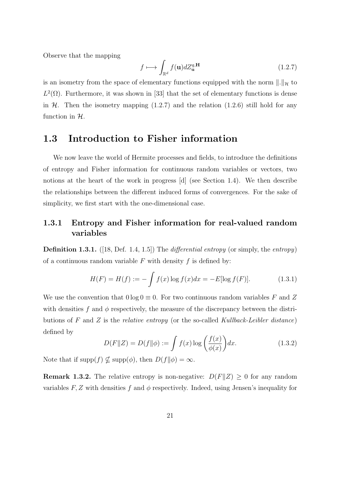Observe that the mapping

$$
f \longmapsto \int_{\mathbb{R}^d} f(\mathbf{u}) dZ_{\mathbf{u}}^{q,\mathbf{H}} \tag{1.2.7}
$$

is an isometry from the space of elementary functions equipped with the norm  $\|.\|_{\mathcal{H}}$  to  $L^2(\Omega)$ . Furthermore, it was shown in [33] that the set of elementary functions is dense in  $H$ . Then the isometry mapping  $(1.2.7)$  and the relation  $(1.2.6)$  still hold for any function in  $H$ .

# 1.3 Introduction to Fisher information

We now leave the world of Hermite processes and fields, to introduce the definitions of entropy and Fisher information for continuous random variables or vectors, two notions at the heart of the work in progress [d] (see Section 1.4). We then describe the relationships between the different induced forms of convergences. For the sake of simplicity, we first start with the one-dimensional case.

### 1.3.1 Entropy and Fisher information for real-valued random variables

**Definition 1.3.1.** ([18, Def. 1.4, 1.5]) The *differential entropy* (or simply, the *entropy*) of a continuous random variable  $F$  with density  $f$  is defined by:

$$
H(F) = H(f) := -\int f(x) \log f(x) dx = -E[\log f(F)].
$$
 (1.3.1)

We use the convention that  $0 \log 0 \equiv 0$ . For two continuous random variables F and Z with densities f and  $\phi$  respectively, the measure of the discrepancy between the distributions of F and Z is the relative entropy (or the so-called Kullback-Leibler distance) defined by

$$
D(F||Z) = D(f||\phi) := \int f(x) \log \left(\frac{f(x)}{\phi(x)}\right) dx.
$$
 (1.3.2)

Note that if  $\text{supp}(f) \nsubseteq \text{supp}(\phi)$ , then  $D(f||\phi) = \infty$ .

**Remark 1.3.2.** The relative entropy is non-negative:  $D(F||Z) \geq 0$  for any random variables F, Z with densities f and  $\phi$  respectively. Indeed, using Jensen's inequality for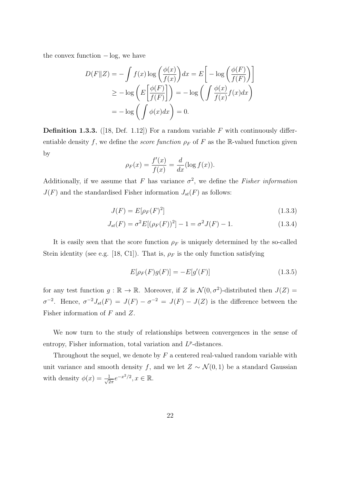the convex function  $-\log$ , we have

$$
D(F||Z) = -\int f(x) \log \left(\frac{\phi(x)}{f(x)}\right) dx = E \left[ -\log \left(\frac{\phi(F)}{f(F)}\right) \right]
$$
  
\n
$$
\geq -\log \left(E \left[ \frac{\phi(F)}{f(F)} \right] \right) = -\log \left(\int \frac{\phi(x)}{f(x)} f(x) dx \right)
$$
  
\n
$$
= -\log \left(\int \phi(x) dx \right) = 0.
$$

**Definition 1.3.3.** ([18, Def. 1.12]) For a random variable F with continuously differentiable density f, we define the *score function*  $\rho_F$  of F as the R-valued function given by

$$
\rho_F(x) = \frac{f'(x)}{f(x)} = \frac{d}{dx}(\log f(x)).
$$

Additionally, if we assume that F has variance  $\sigma^2$ , we define the Fisher information  $J(F)$  and the standardised Fisher information  $J_{st}(F)$  as follows:

$$
J(F) = E[\rho_F(F)^2]
$$
\n
$$
(1.3.3)
$$

$$
J_{st}(F) = \sigma^2 E[(\rho_F(F))^2] - 1 = \sigma^2 J(F) - 1.
$$
 (1.3.4)

It is easily seen that the score function  $\rho_F$  is uniquely determined by the so-called Stein identity (see e.g. [18, C1]). That is,  $\rho_F$  is the only function satisfying

$$
E[\rho_F(F)g(F)] = -E[g'(F)]
$$
\n(1.3.5)

for any test function  $g : \mathbb{R} \to \mathbb{R}$ . Moreover, if Z is  $\mathcal{N}(0, \sigma^2)$ -distributed then  $J(Z) =$  $\sigma^{-2}$ . Hence,  $\sigma^{-2}J_{st}(F) = J(F) - \sigma^{-2} = J(F) - J(Z)$  is the difference between the Fisher information of F and Z.

We now turn to the study of relationships between convergences in the sense of entropy, Fisher information, total variation and  $L^p$ -distances.

Throughout the sequel, we denote by  $F$  a centered real-valued random variable with unit variance and smooth density f, and we let  $Z \sim \mathcal{N}(0, 1)$  be a standard Gaussian with density  $\phi(x) = \frac{1}{\sqrt{c}}$  $\frac{1}{2\pi}e^{-x^2/2}, x \in \mathbb{R}.$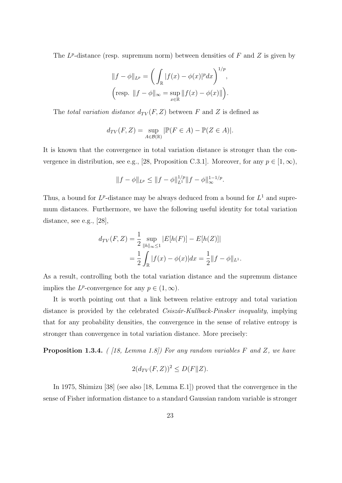The  $L^p$ -distance (resp. supremum norm) between densities of F and Z is given by

$$
||f - \phi||_{L^p} = \left(\int_{\mathbb{R}} |f(x) - \phi(x)|^p dx\right)^{1/p},
$$
  
\n
$$
\left(\text{resp. } ||f - \phi||_{\infty} = \sup_{x \in \mathbb{R}} ||f(x) - \phi(x)||\right).
$$

The total variation distance  $d_{TV}(F, Z)$  between F and Z is defined as

$$
d_{TV}(F, Z) = \sup_{A \in \mathcal{B}(\mathbb{R})} |\mathbb{P}(F \in A) - \mathbb{P}(Z \in A)|.
$$

It is known that the convergence in total variation distance is stronger than the convergence in distribution, see e.g., [28, Proposition C.3.1]. Moreover, for any  $p \in [1,\infty)$ ,

$$
||f - \phi||_{L^p} \le ||f - \phi||_{L^1}^{1/p} ||f - \phi||_{\infty}^{1-1/p}.
$$

Thus, a bound for  $L^p$ -distance may be always deduced from a bound for  $L^1$  and supremum distances. Furthermore, we have the following useful identity for total variation distance, see e.g., [28],

$$
d_{TV}(F, Z) = \frac{1}{2} \sup_{\|h\|_{\infty} \le 1} |E[h(F)] - E[h(Z)]|
$$
  
= 
$$
\frac{1}{2} \int_{\mathbb{R}} |f(x) - \phi(x)| dx = \frac{1}{2} ||f - \phi||_{L^1}.
$$

As a result, controlling both the total variation distance and the supremum distance implies the  $L^p$ -convergence for any  $p \in (1,\infty)$ .

It is worth pointing out that a link between relative entropy and total variation distance is provided by the celebrated *Csiszár-Kullback-Pinsker inequality*, implying that for any probability densities, the convergence in the sense of relative entropy is stronger than convergence in total variation distance. More precisely:

**Proposition 1.3.4.** ( [18, Lemma 1.8]) For any random variables F and Z, we have

$$
2(d_{TV}(F,Z))^2 \le D(F||Z).
$$

In 1975, Shimizu [38] (see also [18, Lemma E.1]) proved that the convergence in the sense of Fisher information distance to a standard Gaussian random variable is stronger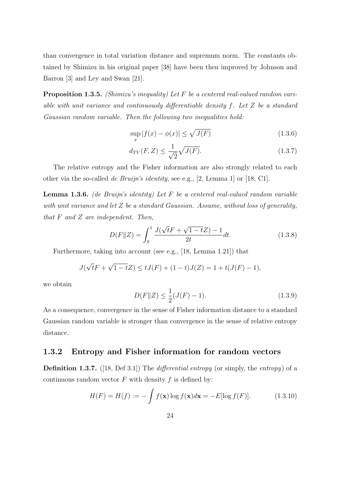than convergence in total variation distance and supremum norm. The constants obtained by Shimizu in his original paper [38] have been then improved by Johnson and Barron [3] and Ley and Swan [21].

Proposition 1.3.5. *(Shimizu's inequality)* Let F be a centered real-valued random variable with unit variance and continuously differentiable density f. Let Z be a standard Gaussian random variable. Then the following two inequalities hold:

$$
\sup_{x} |f(x) - \phi(x)| \le \sqrt{J(F)} \tag{1.3.6}
$$

$$
d_{TV}(F, Z) \le \frac{1}{\sqrt{2}} \sqrt{J(F)}.\tag{1.3.7}
$$

The relative entropy and the Fisher information are also strongly related to each other via the so-called de Bruijn's identity, see e.g., [2, Lemma 1] or [18, C1].

**Lemma 1.3.6.** (de Bruijn's identity) Let  $F$  be a centered real-valued random variable with unit variance and let Z be a standard Gaussian. Assume, without loss of generality, that  $F$  and  $Z$  are independent. Then,

$$
D(F||Z) = \int_0^1 \frac{J(\sqrt{t}F + \sqrt{1 - t}Z) - 1}{2t} dt.
$$
 (1.3.8)

Furthermore, taking into account (see e.g., [18, Lemma 1.21]) that

$$
J(\sqrt{t}F + \sqrt{1 - t}Z) \le tJ(F) + (1 - t)J(Z) = 1 + t(J(F) - 1),
$$

we obtain

$$
D(F||Z) \le \frac{1}{2}(J(F) - 1).
$$
\n(1.3.9)

As a consequence, convergence in the sense of Fisher information distance to a standard Gaussian random variable is stronger than convergence in the sense of relative entropy distance.

#### 1.3.2 Entropy and Fisher information for random vectors

**Definition 1.3.7.** ([18, Def 3.1]) The *differential entropy* (or simply, the *entropy*) of a continuous random vector  $F$  with density  $f$  is defined by:

$$
H(F) = H(f) := -\int f(\mathbf{x}) \log f(\mathbf{x}) d\mathbf{x} = -E[\log f(F)]. \tag{1.3.10}
$$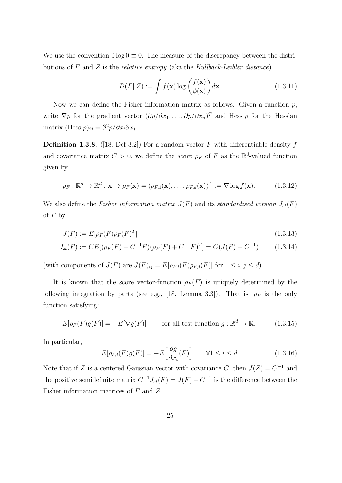We use the convention  $0 \log 0 \equiv 0$ . The measure of the discrepancy between the distributions of  $F$  and  $Z$  is the *relative entropy* (aka the Kullback-Leibler distance)

$$
D(F||Z) := \int f(\mathbf{x}) \log \left(\frac{f(\mathbf{x})}{\phi(\mathbf{x})}\right) d\mathbf{x}.\tag{1.3.11}
$$

Now we can define the Fisher information matrix as follows. Given a function  $p$ , write  $\nabla p$  for the gradient vector  $(\partial p/\partial x_1, \ldots, \partial p/\partial x_n)^T$  and Hess p for the Hessian matrix (Hess  $p)_{ij} = \frac{\partial^2 p}{\partial x_i \partial x_j}$ .

**Definition 1.3.8.** ([18, Def 3.2]) For a random vector F with differentiable density f and covariance matrix  $C > 0$ , we define the *score*  $\rho_F$  of F as the  $\mathbb{R}^d$ -valued function given by

$$
\rho_F: \mathbb{R}^d \to \mathbb{R}^d : \mathbf{x} \mapsto \rho_F(\mathbf{x}) = (\rho_{F,1}(\mathbf{x}), \dots, \rho_{F,d}(\mathbf{x}))^T := \nabla \log f(\mathbf{x}). \tag{1.3.12}
$$

We also define the Fisher information matrix  $J(F)$  and its standardised version  $J_{st}(F)$ of  $F$  by

$$
J(F) := E[\rho_F(F)\rho_F(F)^T]
$$
\n(1.3.13)

$$
J_{st}(F) := CE[(\rho_F(F) + C^{-1}F)(\rho_F(F) + C^{-1}F)^T] = C(J(F) - C^{-1})
$$
 (1.3.14)

(with components of  $J(F)$  are  $J(F)_{ij} = E[\rho_{F,i}(F)\rho_{F,j}(F)]$  for  $1 \leq i, j \leq d$ ).

It is known that the score vector-function  $\rho_F(F)$  is uniquely determined by the following integration by parts (see e.g., [18, Lemma 3.3]). That is,  $\rho_F$  is the only function satisfying:

$$
E[\rho_F(F)g(F)] = -E[\nabla g(F)] \qquad \text{for all test function } g: \mathbb{R}^d \to \mathbb{R}.
$$
 (1.3.15)

In particular,

$$
E[\rho_{F,i}(F)g(F)] = -E\left[\frac{\partial g}{\partial x_i}(F)\right] \qquad \forall 1 \le i \le d. \tag{1.3.16}
$$

Note that if Z is a centered Gaussian vector with covariance C, then  $J(Z) = C^{-1}$  and the positive semidefinite matrix  $C^{-1}J_{st}(F) = J(F) - C^{-1}$  is the difference between the Fisher information matrices of F and Z.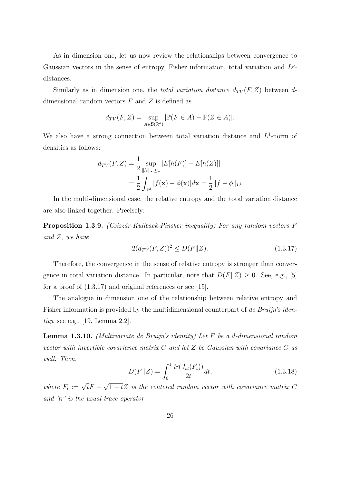As in dimension one, let us now review the relationships between convergence to Gaussian vectors in the sense of entropy, Fisher information, total variation and  $L^p$ distances.

Similarly as in dimension one, the *total variation distance*  $d_{TV}(F, Z)$  between ddimensional random vectors  $F$  and  $Z$  is defined as

$$
d_{TV}(F, Z) = \sup_{A \in \mathcal{B}(\mathbb{R}^d)} |\mathbb{P}(F \in A) - \mathbb{P}(Z \in A)|.
$$

We also have a strong connection between total variation distance and  $L^1$ -norm of densities as follows:

$$
d_{TV}(F, Z) = \frac{1}{2} \sup_{\|h\|_{\infty} \le 1} |E[h(F)] - E[h(Z)]|
$$
  
= 
$$
\frac{1}{2} \int_{\mathbb{R}^d} |f(\mathbf{x}) - \phi(\mathbf{x})| d\mathbf{x} = \frac{1}{2} ||f - \phi||_{L^1}
$$

In the multi-dimensional case, the relative entropy and the total variation distance are also linked together. Precisely:

**Proposition 1.3.9.** (Csiszár-Kullback-Pinsker inequality) For any random vectors  $F$ and Z, we have

$$
2(d_{TV}(F,Z))^2 \le D(F\|Z). \tag{1.3.17}
$$

Therefore, the convergence in the sense of relative entropy is stronger than convergence in total variation distance. In particular, note that  $D(F||Z) \geq 0$ . See, e.g., [5] for a proof of  $(1.3.17)$  and original references or see [15].

The analogue in dimension one of the relationship between relative entropy and Fisher information is provided by the multidimensional counterpart of de Bruijn's identity, see e.g., [19, Lemma 2.2].

**Lemma 1.3.10.** (Multivariate de Bruijn's identity) Let  $F$  be a d-dimensional random vector with invertible covariance matrix  $C$  and let  $Z$  be Gaussian with covariance  $C$  as well. Then,

$$
D(F||Z) = \int_0^1 \frac{tr(J_{st}(F_t))}{2t} dt,
$$
\n(1.3.18)

where  $F_t := \sqrt{t}F +$ √  $\overline{1-t}Z$  is the centered random vector with covariance matrix C and 'tr' is the usual trace operator.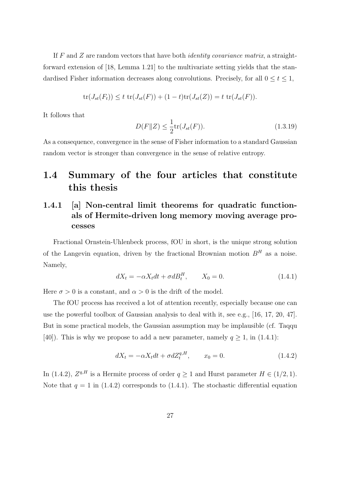If F and Z are random vectors that have both *identity covariance matrix*, a straightforward extension of [18, Lemma 1.21] to the multivariate setting yields that the standardised Fisher information decreases along convolutions. Precisely, for all  $0 \le t \le 1$ ,

$$
\text{tr}(J_{st}(F_t)) \le t \, \text{tr}(J_{st}(F)) + (1-t)\text{tr}(J_{st}(Z)) = t \, \text{tr}(J_{st}(F)).
$$

It follows that

$$
D(F||Z) \le \frac{1}{2} \text{tr}(J_{st}(F)).
$$
\n(1.3.19)

As a consequence, convergence in the sense of Fisher information to a standard Gaussian random vector is stronger than convergence in the sense of relative entropy.

# 1.4 Summary of the four articles that constitute this thesis

# 1.4.1 [a] Non-central limit theorems for quadratic functionals of Hermite-driven long memory moving average processes

Fractional Ornstein-Uhlenbeck process, fOU in short, is the unique strong solution of the Langevin equation, driven by the fractional Brownian motion  $B<sup>H</sup>$  as a noise. Namely,

$$
dX_t = -\alpha X_t dt + \sigma dB_t^H, \qquad X_0 = 0. \tag{1.4.1}
$$

Here  $\sigma > 0$  is a constant, and  $\alpha > 0$  is the drift of the model.

The fOU process has received a lot of attention recently, especially because one can use the powerful toolbox of Gaussian analysis to deal with it, see e.g., [16, 17, 20, 47]. But in some practical models, the Gaussian assumption may be implausible (cf. Taqqu [40]). This is why we propose to add a new parameter, namely  $q \ge 1$ , in (1.4.1):

$$
dX_t = -\alpha X_t dt + \sigma dZ_t^{q,H}, \qquad x_0 = 0. \tag{1.4.2}
$$

In (1.4.2),  $Z^{q,H}$  is a Hermite process of order  $q \ge 1$  and Hurst parameter  $H \in (1/2, 1)$ . Note that  $q = 1$  in (1.4.2) corresponds to (1.4.1). The stochastic differential equation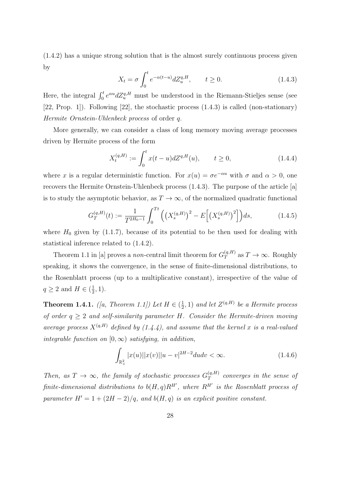(1.4.2) has a unique strong solution that is the almost surely continuous process given by

$$
X_t = \sigma \int_0^t e^{-\alpha(t-u)} dZ_u^{q,H}, \qquad t \ge 0.
$$
 (1.4.3)

Here, the integral  $\int_0^t e^{\alpha u} dZ_u^{q,H}$  must be understood in the Riemann-Stieljes sense (see [22, Prop. 1]). Following [22], the stochastic process (1.4.3) is called (non-stationary) Hermite Ornstein-Uhlenbeck process of order q.

More generally, we can consider a class of long memory moving average processes driven by Hermite process of the form

$$
X_t^{(q,H)} := \int_0^t x(t-u)dZ^{q,H}(u), \qquad t \ge 0,
$$
\n(1.4.4)

where x is a regular deterministic function. For  $x(u) = \sigma e^{-\alpha u}$  with  $\sigma$  and  $\alpha > 0$ , one recovers the Hermite Ornstein-Uhlenbeck process (1.4.3). The purpose of the article [a] is to study the asymptotic behavior, as  $T \to \infty$ , of the normalized quadratic functional

$$
G_T^{(q,H)}(t) := \frac{1}{T^{2H_0 - 1}} \int_0^{Tt} \left( \left( X_s^{(q,H)} \right)^2 - E \left[ \left( X_s^{(q,H)} \right)^2 \right] \right) ds, \tag{1.4.5}
$$

where  $H_0$  given by (1.1.7), because of its potential to be then used for dealing with statistical inference related to (1.4.2).

Theorem 1.1 in [a] proves a non-central limit theorem for  $G_T^{(q,H)}$  $T^{(q,H)}$  as  $T \to \infty$ . Roughly speaking, it shows the convergence, in the sense of finite-dimensional distributions, to the Rosenblatt process (up to a multiplicative constant), irrespective of the value of  $q \geq 2$  and  $H \in (\frac{1}{2})$  $(\frac{1}{2}, 1).$ 

**Theorem 1.4.1.** ([a, Theorem 1.1]) Let  $H \in \left(\frac{1}{2}\right)$  $(\frac{1}{2}, 1)$  and let  $Z^{(q,H)}$  be a Hermite process of order  $q \geq 2$  and self-similarity parameter H. Consider the Hermite-driven moving average process  $X^{(q,H)}$  defined by (1.4.4), and assume that the kernel x is a real-valued integrable function on  $[0, \infty)$  satisfying, in addition,

$$
\int_{\mathbb{R}^2_+} |x(u)| |x(v)| |u - v|^{2H - 2} du dv < \infty.
$$
\n(1.4.6)

Then, as  $T \to \infty$ , the family of stochastic processes  $G_T^{(q,H)}$  $T$  converges in the sense of finite-dimensional distributions to  $b(H,q)R^{H'}$ , where  $R^{H'}$  is the Rosenblatt process of parameter  $H' = 1 + (2H - 2)/q$ , and  $b(H, q)$  is an explicit positive constant.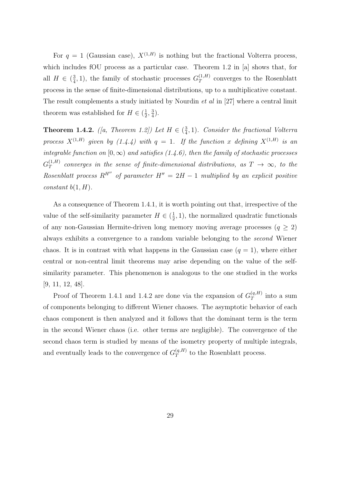For  $q = 1$  (Gaussian case),  $X^{(1,H)}$  is nothing but the fractional Volterra process, which includes fOU process as a particular case. Theorem 1.2 in [a] shows that, for all  $H \in (\frac{3}{4})$  $\frac{3}{4}$ , 1), the family of stochastic processes  $G_T^{(1,H)}$  $T^{(1,H)}$  converges to the Rosenblatt process in the sense of finite-dimensional distributions, up to a multiplicative constant. The result complements a study initiated by Nourdin *et al* in [27] where a central limit theorem was established for  $H \in \left(\frac{1}{2}\right)$  $\frac{1}{2}, \frac{3}{4}$  $\frac{3}{4}$ .

**Theorem 1.4.2.** ([a, Theorem 1.2]) Let  $H \in \left(\frac{3}{4}\right)$  $\frac{3}{4}$ , 1). Consider the fractional Volterra process  $X^{(1,H)}$  given by  $(1.4.4)$  with  $q=1$ . If the function x defining  $X^{(1,H)}$  is an integrable function on  $[0, \infty)$  and satisfies (1.4.6), then the family of stochastic processes  $G_T^{(1,H)}$  $T^{(1,H)}$  converges in the sense of finite-dimensional distributions, as  $T \rightarrow \infty$ , to the Rosenblatt process  $R^{H''}$  of parameter  $H'' = 2H - 1$  multiplied by an explicit positive constant  $b(1, H)$ .

As a consequence of Theorem 1.4.1, it is worth pointing out that, irrespective of the value of the self-similarity parameter  $H \in (\frac{1}{2})$  $(\frac{1}{2}, 1)$ , the normalized quadratic functionals of any non-Gaussian Hermite-driven long memory moving average processes  $(q \geq 2)$ always exhibits a convergence to a random variable belonging to the second Wiener chaos. It is in contrast with what happens in the Gaussian case  $(q = 1)$ , where either central or non-central limit theorems may arise depending on the value of the selfsimilarity parameter. This phenomenon is analogous to the one studied in the works [9, 11, 12, 48].

Proof of Theorem 1.4.1 and 1.4.2 are done via the expansion of  $G_T^{(q,H)}$  $T^{(q,n)}$  into a sum of components belonging to different Wiener chaoses. The asymptotic behavior of each chaos component is then analyzed and it follows that the dominant term is the term in the second Wiener chaos (i.e. other terms are negligible). The convergence of the second chaos term is studied by means of the isometry property of multiple integrals, and eventually leads to the convergence of  $G_T^{(q,H)}$  $T^{(q,n)}$  to the Rosenblatt process.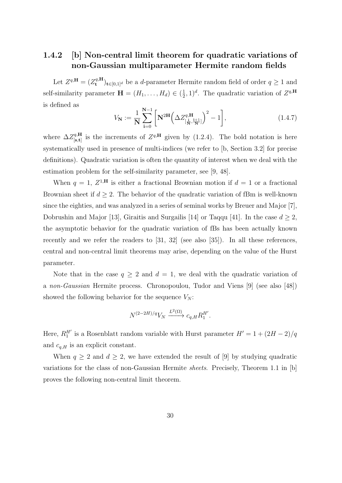#### 1.4.2 [b] Non-central limit theorem for quadratic variations of non-Gaussian multiparameter Hermite random fields

Let  $Z^{q,\mathbf{H}}=(Z_{\mathbf{t}}^{q,\mathbf{H}})$  $(\mathbf{t}^{q,H})_{t\in[0,1]^d}$  be a *d*-parameter Hermite random field of order  $q\geq 1$  and self-similarity parameter  $\mathbf{H} = (H_1, \ldots, H_d) \in (\frac{1}{2})$  $(\frac{1}{2}, 1)^d$ . The quadratic variation of  $Z^{q,\mathbf{H}}$ is defined as

$$
V_{N} := \frac{1}{N} \sum_{i=0}^{N-1} \left[ N^{2H} \left( \Delta Z_{\left[ \frac{i}{N}, \frac{i+1}{N} \right]}^{q, H} \right)^{2} - 1 \right],
$$
 (1.4.7)

where  $\Delta Z^{q,\mathbf{H}}_{\text{[s-t]}}$  $_{\text{[s,t]}}^{q,\text{H}}$  is the increments of  $Z^{q,\text{H}}$  given by (1.2.4). The bold notation is here systematically used in presence of multi-indices (we refer to [b, Section 3.2] for precise definitions). Quadratic variation is often the quantity of interest when we deal with the estimation problem for the self-similarity parameter, see [9, 48].

When  $q = 1, Z^{1,H}$  is either a fractional Brownian motion if  $d = 1$  or a fractional Brownian sheet if  $d \geq 2$ . The behavior of the quadratic variation of fBm is well-known since the eighties, and was analyzed in a series of seminal works by Breuer and Major [7], Dobrushin and Major [13], Giraitis and Surgailis [14] or Taqqu [41]. In the case  $d \geq 2$ , the asymptotic behavior for the quadratic variation of fBs has been actually known recently and we refer the readers to [31, 32] (see also [35]). In all these references, central and non-central limit theorems may arise, depending on the value of the Hurst parameter.

Note that in the case  $q \ge 2$  and  $d = 1$ , we deal with the quadratic variation of a non-Gaussian Hermite process. Chronopoulou, Tudor and Viens [9] (see also [48]) showed the following behavior for the sequence  $V_N$ :

$$
N^{(2-2H)/q}V_N \xrightarrow{L^2(\Omega)} c_{q,H} R_1^{H'}.
$$

Here,  $R_1^{H'}$  is a Rosenblatt random variable with Hurst parameter  $H' = 1 + (2H - 2)/q$ and  $c_{q,H}$  is an explicit constant.

When  $q \ge 2$  and  $d \ge 2$ , we have extended the result of [9] by studying quadratic variations for the class of non-Gaussian Hermite sheets. Precisely, Theorem 1.1 in [b] proves the following non-central limit theorem.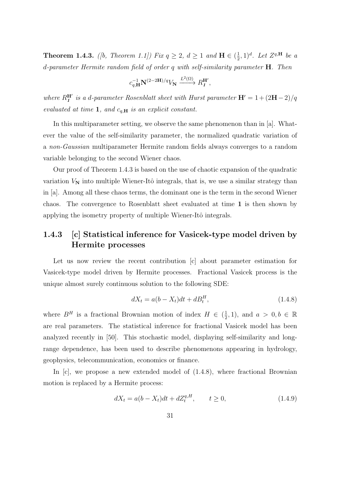**Theorem 1.4.3.** ([b, Theorem 1.1]) Fix  $q \geq 2$ ,  $d \geq 1$  and  $H \in \left(\frac{1}{2}\right)$  $(\frac{1}{2}, 1)^d$ . Let  $Z^{q,\mathbf{H}}$  be a d-parameter Hermite random field of order q with self-similarity parameter H. Then

$$
c_{q,\mathbf{H}}^{-1}\mathbf{N}^{(2-2\mathbf{H})/q}V_{\mathbf{N}}\xrightarrow{L^{2}(\Omega)}R_{\mathbf{1}}^{\mathbf{H'}},
$$

where  $R_1^{\mathbf{H}'}$  is a d-parameter Rosenblatt sheet with Hurst parameter  $\mathbf{H}' = 1 + (2\mathbf{H} - 2)/q$ evaluated at time 1, and  $c_{q,H}$  is an explicit constant.

In this multiparameter setting, we observe the same phenomenon than in [a]. Whatever the value of the self-similarity parameter, the normalized quadratic variation of a non-Gaussian multiparameter Hermite random fields always converges to a random variable belonging to the second Wiener chaos.

Our proof of Theorem 1.4.3 is based on the use of chaotic expansion of the quadratic variation  $V_N$  into multiple Wiener-Itô integrals, that is, we use a similar strategy than in [a]. Among all these chaos terms, the dominant one is the term in the second Wiener chaos. The convergence to Rosenblatt sheet evaluated at time 1 is then shown by applying the isometry property of multiple Wiener-Itô integrals.

#### 1.4.3 [c] Statistical inference for Vasicek-type model driven by Hermite processes

Let us now review the recent contribution [c] about parameter estimation for Vasicek-type model driven by Hermite processes. Fractional Vasicek process is the unique almost surely continuous solution to the following SDE:

$$
dX_t = a(b - X_t)dt + dB_t^H,
$$
\n(1.4.8)

where  $B^H$  is a fractional Brownian motion of index  $H \in \left(\frac{1}{2}\right)$  $(\frac{1}{2}, 1)$ , and  $a > 0, b \in \mathbb{R}$ are real parameters. The statistical inference for fractional Vasicek model has been analyzed recently in [50]. This stochastic model, displaying self-similarity and longrange dependence, has been used to describe phenomenons appearing in hydrology, geophysics, telecommunication, economics or finance.

In [c], we propose a new extended model of  $(1.4.8)$ , where fractional Brownian motion is replaced by a Hermite process:

$$
dX_t = a(b - X_t)dt + dZ_t^{q,H}, \t t \ge 0,
$$
\t(1.4.9)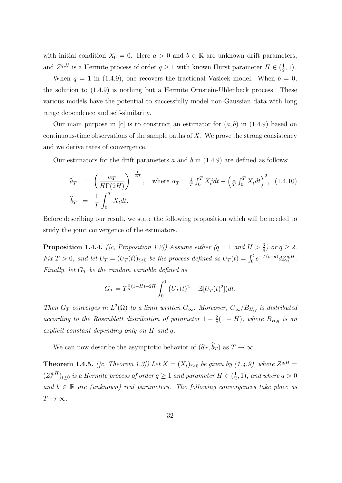with initial condition  $X_0 = 0$ . Here  $a > 0$  and  $b \in \mathbb{R}$  are unknown drift parameters, and  $Z^{q,H}$  is a Hermite process of order  $q \geq 1$  with known Hurst parameter  $H \in (\frac{1}{2})$  $(\frac{1}{2}, 1).$ 

When  $q = 1$  in (1.4.9), one recovers the fractional Vasicek model. When  $b = 0$ , the solution to (1.4.9) is nothing but a Hermite Ornstein-Uhlenbeck process. These various models have the potential to successfully model non-Gaussian data with long range dependence and self-similarity.

Our main purpose in [c] is to construct an estimator for  $(a, b)$  in  $(1.4.9)$  based on continuous-time observations of the sample paths of  $X$ . We prove the strong consistency and we derive rates of convergence.

Our estimators for the drift parameters a and b in  $(1.4.9)$  are defined as follows:

$$
\widehat{a}_T = \left(\frac{\alpha_T}{H\Gamma(2H)}\right)^{-\frac{1}{2H}}, \quad \text{where } \alpha_T = \frac{1}{T} \int_0^T X_t^2 dt - \left(\frac{1}{T} \int_0^T X_t dt\right)^2, \quad (1.4.10)
$$
\n
$$
\widehat{b}_T = \frac{1}{T} \int_0^T X_t dt.
$$

Before describing our result, we state the following proposition which will be needed to study the joint convergence of the estimators.

**Proposition 1.4.4.** ([c, Proposition 1.2]) Assume either  $(q = 1 \text{ and } H > \frac{3}{4})$  or  $q \geq 2$ . Fix  $T > 0$ , and let  $U_T = (U_T(t))_{t \geq 0}$  be the process defined as  $U_T(t) = \int_0^t e^{-T(t-u)} dZ_u^{q,H}$ . Finally, let  $G_T$  be the random variable defined as

$$
G_T = T^{\frac{2}{q}(1-H)+2H} \int_0^1 \left( U_T(t)^2 - \mathbb{E}[U_T(t)^2] \right) dt.
$$

Then  $G_T$  converges in  $L^2(\Omega)$  to a limit written  $G_{\infty}$ . Moreover,  $G_{\infty}/B_{H,q}$  is distributed according to the Rosenblatt distribution of parameter  $1-\frac{2}{a}$  $\frac{2}{q}(1-H)$ , where  $B_{H,q}$  is an explicit constant depending only on H and q.

We can now describe the asymptotic behavior of  $(\widehat{a}_T, \widehat{b}_T)$  as  $T \to \infty$ .

**Theorem 1.4.5.** ([c, Theorem 1.3]) Let  $X = (X_t)_{t \geq 0}$  be given by (1.4.9), where  $Z^{q,H} =$  $(Z_t^{q,H}$  $(t^{q,H}_t)_{t\geq 0}$  is a Hermite process of order  $q\geq 1$  and parameter  $H\in (\frac{1}{2})$  $(\frac{1}{2}, 1)$ , and where  $a > 0$ and  $b \in \mathbb{R}$  are (unknown) real parameters. The following convergences take place as  $T\to\infty$ .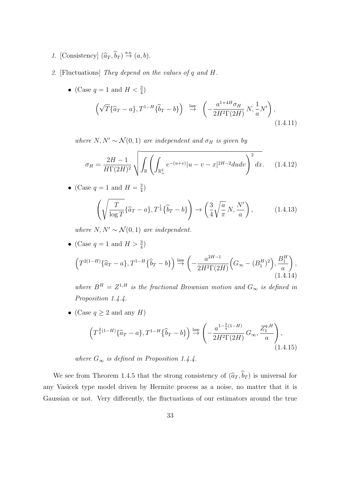- 1. [Consistency]  $(\widehat{a}_T, \widehat{b}_T) \stackrel{\text{a.s.}}{\rightarrow} (a, b)$ .
- 2. [Fluctuations] They depend on the values of q and H.
	- (Case  $q = 1$  and  $H < \frac{3}{4}$ )

$$
\left(\sqrt{T}\{\widehat{a}_T - a\}, T^{1-H}\{\widehat{b}_T - b\}\right) \stackrel{\text{law}}{\rightarrow} \left(-\frac{a^{1+4H}\sigma_H}{2H^2\Gamma(2H)}N, \frac{1}{a}N'\right),\tag{1.4.11}
$$

where  $N, N' \sim \mathcal{N}(0, 1)$  are independent and  $\sigma_H$  is given by

$$
\sigma_H = \frac{2H - 1}{H\Gamma(2H)^2} \sqrt{\int_{\mathbb{R}} \left( \int_{\mathbb{R}_+^2} e^{-(u+v)} |u - v - x|^{2H - 2} du dv \right)^2} dx. \quad (1.4.12)
$$

• (Case  $q=1$  and  $H=\frac{3}{4}$  $rac{3}{4}$ 

$$
\left(\sqrt{\frac{T}{\log T}}\{\widehat{a}_T - a\}, T^{\frac{1}{4}}\{\widehat{b}_T - b\}\right) \to \left(\frac{3}{4}\sqrt{\frac{a}{\pi}}N, \frac{N'}{a}\right),\tag{1.4.13}
$$

where  $N, N' \sim \mathcal{N}(0, 1)$  are independent.

• (Case  $q = 1$  and  $H > \frac{3}{4}$ )

$$
\left(T^{2(1-H)}\{\hat{a}_T - a\}, T^{1-H}\{\hat{b}_T - b\}\right) \stackrel{\text{law}}{\rightarrow} \left(-\frac{a^{2H-1}}{2H^2\Gamma(2H)}\left(G_{\infty} - (B_1^H)^2\right), \frac{B_1^H}{a}\right),\tag{1.4.14}
$$

where  $B^H = Z^{1,H}$  is the fractional Brownian motion and  $G_{\infty}$  is defined in Proposition 1.4.4.

• (Case  $q \ge 2$  and any  $H$ )

$$
\left(T^{\frac{2}{q}(1-H)}\{\hat{a}_T - a\}, T^{1-H}\{\hat{b}_T - b\}\right) \stackrel{\text{law}}{\rightarrow} \left(-\frac{a^{1-\frac{2}{q}(1-H)}}{2H^2\Gamma(2H)}G_\infty, \frac{Z_1^{q,H}}{a}\right),\tag{1.4.15}
$$

where  $G_{\infty}$  is defined in Proposition 1.4.4.

We see from Theorem 1.4.5 that the strong consistency of  $(\widehat{a}_T, \widehat{b}_T)$  is universal for any Vasicek type model driven by Hermite process as a noise, no matter that it is Gaussian or not. Very differently, the fluctuations of our estimators around the true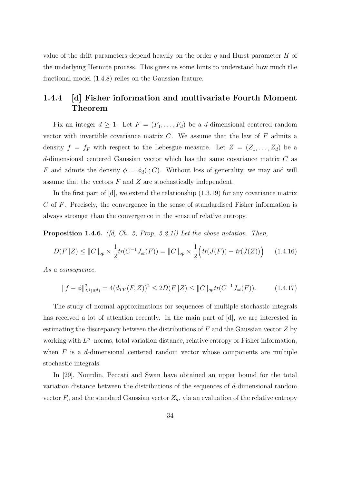value of the drift parameters depend heavily on the order  $q$  and Hurst parameter  $H$  of the underlying Hermite process. This gives us some hints to understand how much the fractional model (1.4.8) relies on the Gaussian feature.

#### 1.4.4 [d] Fisher information and multivariate Fourth Moment Theorem

Fix an integer  $d \geq 1$ . Let  $F = (F_1, \ldots, F_d)$  be a d-dimensional centered random vector with invertible covariance matrix  $C$ . We assume that the law of  $F$  admits a density  $f = f_F$  with respect to the Lebesgue measure. Let  $Z = (Z_1, \ldots, Z_d)$  be a d-dimensional centered Gaussian vector which has the same covariance matrix C as F and admits the density  $\phi = \phi_d(.; C)$ . Without loss of generality, we may and will assume that the vectors  $F$  and  $Z$  are stochastically independent.

In the first part of  $[d]$ , we extend the relationship  $(1.3.19)$  for any covariance matrix C of F. Precisely, the convergence in the sense of standardised Fisher information is always stronger than the convergence in the sense of relative entropy.

**Proposition 1.4.6.** ( $\vert d, Ch. 5, Prop. 5.2.1 \vert$ ) Let the above notation. Then,

$$
D(F||Z) \le ||C||_{op} \times \frac{1}{2} tr(C^{-1} J_{st}(F)) = ||C||_{op} \times \frac{1}{2} \Big( tr(J(F)) - tr(J(Z)) \Big) \tag{1.4.16}
$$

As a consequence,

$$
||f - \phi||_{L^{1}(\mathbb{R}^{d})}^{2} = 4(d_{TV}(F, Z))^{2} \le 2D(F||Z) \le ||C||_{op} tr(C^{-1}J_{st}(F)). \tag{1.4.17}
$$

The study of normal approximations for sequences of multiple stochastic integrals has received a lot of attention recently. In the main part of [d], we are interested in estimating the discrepancy between the distributions of  $F$  and the Gaussian vector  $Z$  by working with  $L^p$ - norms, total variation distance, relative entropy or Fisher information, when  $F$  is a d-dimensional centered random vector whose components are multiple stochastic integrals.

In [29], Nourdin, Peccati and Swan have obtained an upper bound for the total variation distance between the distributions of the sequences of d-dimensional random vector  $F_n$  and the standard Gaussian vector  $Z_n$ , via an evaluation of the relative entropy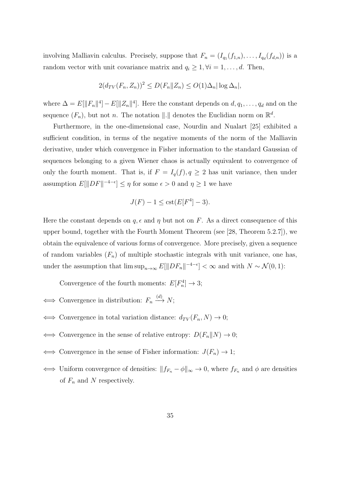involving Malliavin calculus. Precisely, suppose that  $F_n = (I_{q_1}(f_{1,n}), \ldots, I_{q_d}(f_{d,n}))$  is a random vector with unit covariance matrix and  $q_i \geq 1, \forall i = 1, ..., d$ . Then,

$$
2(d_{TV}(F_n, Z_n))^2 \le D(F_n || Z_n) \le O(1)\Delta_n |\log \Delta_n|,
$$

where  $\Delta = E[||F_n||^4] - E[||Z_n||^4]$ . Here the constant depends on  $d, q_1, \ldots, q_d$  and on the sequence  $(F_n)$ , but not n. The notation  $\|.\|$  denotes the Euclidian norm on  $\mathbb{R}^d$ .

Furthermore, in the one-dimensional case, Nourdin and Nualart [25] exhibited a sufficient condition, in terms of the negative moments of the norm of the Malliavin derivative, under which convergence in Fisher information to the standard Gaussian of sequences belonging to a given Wiener chaos is actually equivalent to convergence of only the fourth moment. That is, if  $F = I_q(f), q \geq 2$  has unit variance, then under assumption  $E[\|DF\|^{-4-\epsilon}] \leq \eta$  for some  $\epsilon > 0$  and  $\eta \geq 1$  we have

$$
J(F) - 1 \leq \text{cst}(E[F^4] - 3).
$$

Here the constant depends on  $q, \epsilon$  and  $\eta$  but not on F. As a direct consequence of this upper bound, together with the Fourth Moment Theorem (see [28, Theorem 5.2.7]), we obtain the equivalence of various forms of convergence. More precisely, given a sequence of random variables  $(F_n)$  of multiple stochastic integrals with unit variance, one has, under the assumption that  $\limsup_{n\to\infty} E[||DF_n||^{-4-\epsilon}] < \infty$  and with  $N \sim \mathcal{N}(0, 1)$ :

Convergence of the fourth moments:  $E[F_n^4] \to 3$ ;

- $\iff$  Convergence in distribution:  $F_n \xrightarrow{(d)} N;$
- $\iff$  Convergence in total variation distance:  $d_{TV}(F_n, N) \to 0;$
- $\iff$  Convergence in the sense of relative entropy:  $D(F_n||N) \to 0;$
- Convergence in the sense of Fisher information:  $J(F_n) \to 1$ ;
- $\iff$  Uniform convergence of densities:  $||f_{F_n} \phi||_{\infty} \to 0$ , where  $f_{F_n}$  and  $\phi$  are densities of  $F_n$  and N respectively.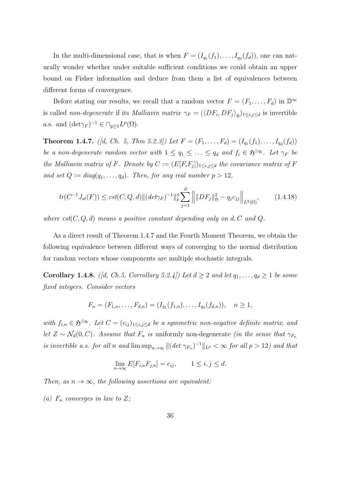In the multi-dimensional case, that is when  $F = (I_{q_1}(f_1), \ldots, I_{q_d}(f_d))$ , one can naturally wonder whether under suitable sufficient conditions we could obtain an upper bound on Fisher information and deduce from them a list of equivalences between different forms of convergence.

Before stating our results, we recall that a random vector  $F = (F_1, \ldots, F_d)$  in  $\mathbb{D}^{\infty}$ is called non-degenerate if its *Malliavin matrix*  $\gamma_F = (\langle DF_i, DF_j \rangle_{\mathfrak{H}})_{1 \leq i,j \leq d}$  is invertible a.s. and  $(\det \gamma_F)^{-1} \in \cap_{p \geq 1} L^p(\Omega)$ .

**Theorem 1.4.7.** ([d, Ch. 5, Thm 5.2.3]) Let  $F = (F_1, \ldots, F_d) = (I_{q_1}(f_1), \ldots, I_{q_d}(f_d))$ be a non-degenerate random vector with  $1 \leq q_1 \leq \ldots \leq q_d$  and  $f_i \in \mathfrak{H}^{\odot q_i}$ . Let  $\gamma_F$  be the Malliavin matrix of F. Denote by  $C := (E[F_i F_j])_{1 \leq i,j \leq d}$  the covariance matrix of F and set  $Q := diag(q_1, \ldots, q_d)$ . Then, for any real number  $p > 12$ ,

$$
tr(C^{-1}J_{st}(F)) \leq cst(C,Q,d) \|(det\gamma_F)^{-1}\|_p^4 \sum_{j=1}^d \left\| \|DF_j\|_{\mathfrak{H}}^2 - q_j c_{jj} \right\|_{L^2(\Omega)},\tag{1.4.18}
$$

where  $cst(C, Q, d)$  means a positive constant depending only on d, C and Q.

As a direct result of Theorem 1.4.7 and the Fourth Moment Theorem, we obtain the following equivalence between different ways of converging to the normal distribution for random vectors whose components are multiple stochastic integrals.

**Corollary 1.4.8.** ([d, Ch.5, Corrollary 5.2.4]) Let  $d \geq 2$  and let  $q_1, \ldots, q_d \geq 1$  be some fixed integers. Consider vectors

$$
F_n = (F_{1,n}, \ldots, F_{d,n}) = (I_{q_1}(f_{1,n}), \ldots, I_{q_d}(f_{d,n})), \quad n \ge 1,
$$

with  $f_{i,n} \in \mathfrak{H}^{\odot q_i}$ . Let  $C = (c_{ij})_{1 \leq i,j \leq d}$  be a symmetric non-negative definite matrix, and let  $Z \sim \mathcal{N}_d(0, C)$ . Assume that  $F_n$  is uniformly non-degenerate (in the sense that  $\gamma_{F_n}$ is invertible a.s. for all n and  $\limsup_{n\to\infty} \|(det \gamma_{F_n})^{-1}\|_{L^p} < \infty$  for all  $p > 12$ ) and that

$$
\lim_{n \to \infty} E[F_{i,n} F_{j,n}] = c_{ij}, \qquad 1 \le i, j \le d.
$$

Then, as  $n \to \infty$ , the following assertions are equivalent:

(a)  $F_n$  converges in law to Z;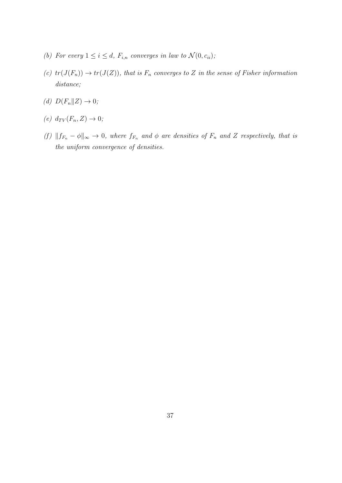- (b) For every  $1 \leq i \leq d$ ,  $F_{i,n}$  converges in law to  $\mathcal{N}(0, c_{ii})$ ;
- (c)  $tr(J(F_n)) \to tr(J(Z))$ , that is  $F_n$  converges to Z in the sense of Fisher information distance;
- (d)  $D(F_n||Z) \to 0;$
- (e)  $d_{TV}(F_n, Z) \rightarrow 0;$
- (f)  $||f_{F_n} \phi||_{\infty} \to 0$ , where  $f_{F_n}$  and  $\phi$  are densities of  $F_n$  and Z respectively, that is the uniform convergence of densities.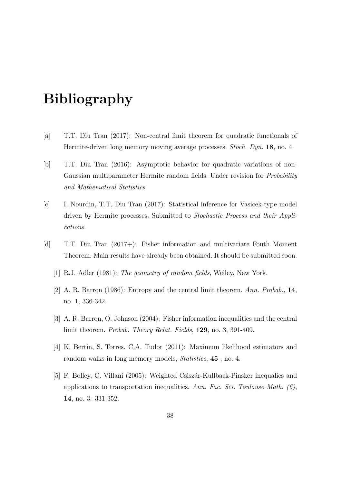# Bibliography

- [a] T.T. Diu Tran (2017): Non-central limit theorem for quadratic functionals of Hermite-driven long memory moving average processes. Stoch. Dyn. 18, no. 4.
- [b] T.T. Diu Tran (2016): Asymptotic behavior for quadratic variations of non-Gaussian multiparameter Hermite random fields. Under revision for *Probability* and Mathematical Statistics.
- [c] I. Nourdin, T.T. Diu Tran (2017): Statistical inference for Vasicek-type model driven by Hermite processes. Submitted to Stochastic Process and their Applications.
- [d] T.T. Diu Tran (2017+): Fisher information and multivariate Fouth Moment Theorem. Main results have already been obtained. It should be submitted soon.
	- [1] R.J. Adler (1981): *The geometry of random fields*, Weiley, New York.
	- [2] A. R. Barron (1986): Entropy and the central limit theorem. Ann. Probab., 14, no. 1, 336-342.
	- [3] A. R. Barron, O. Johnson (2004): Fisher information inequalities and the central limit theorem. Probab. Theory Relat. Fields, 129, no. 3, 391-409.
	- [4] K. Bertin, S. Torres, C.A. Tudor (2011): Maximum likelihood estimators and random walks in long memory models, *Statistics*, **45**, no. 4.
	- [5] F. Bolley, C. Villani (2005): Weighted Csiszár-Kullback-Pinsker inequalies and applications to transportation inequalities. Ann. Fac. Sci. Toulouse Math.  $(6)$ , 14, no. 3: 331-352.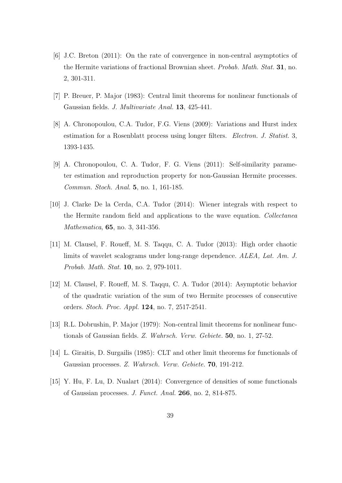- [6] J.C. Breton (2011): On the rate of convergence in non-central asymptotics of the Hermite variations of fractional Brownian sheet. Probab. Math. Stat. 31, no. 2, 301-311.
- [7] P. Breuer, P. Major (1983): Central limit theorems for nonlinear functionals of Gaussian fields. J. Multivariate Anal. 13, 425-441.
- [8] A. Chronopoulou, C.A. Tudor, F.G. Viens (2009): Variations and Hurst index estimation for a Rosenblatt process using longer filters. Electron. J. Statist. 3, 1393-1435.
- [9] A. Chronopoulou, C. A. Tudor, F. G. Viens (2011): Self-similarity parameter estimation and reproduction property for non-Gaussian Hermite processes. Commun. Stoch. Anal. 5, no. 1, 161-185.
- [10] J. Clarke De la Cerda, C.A. Tudor (2014): Wiener integrals with respect to the Hermite random field and applications to the wave equation. Collectanea Mathematica, 65, no. 3, 341-356.
- [11] M. Clausel, F. Roueff, M. S. Taqqu, C. A. Tudor (2013): High order chaotic limits of wavelet scalograms under long-range dependence. ALEA, Lat. Am. J. Probab. Math. Stat. 10, no. 2, 979-1011.
- [12] M. Clausel, F. Roueff, M. S. Taqqu, C. A. Tudor (2014): Asymptotic behavior of the quadratic variation of the sum of two Hermite processes of consecutive orders. Stoch. Proc. Appl. 124, no. 7, 2517-2541.
- [13] R.L. Dobrushin, P. Major (1979): Non-central limit theorems for nonlinear functionals of Gaussian fields. Z. Wahrsch. Verw. Gebiete. 50, no. 1, 27-52.
- [14] L. Giraitis, D. Surgailis (1985): CLT and other limit theorems for functionals of Gaussian processes. Z. Wahrsch. Verw. Gebiete. 70, 191-212.
- [15] Y. Hu, F. Lu, D. Nualart (2014): Convergence of densities of some functionals of Gaussian processes. J. Funct. Anal. 266, no. 2, 814-875.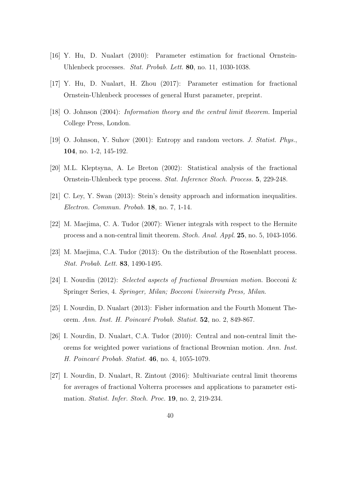- [16] Y. Hu, D. Nualart (2010): Parameter estimation for fractional Ornstein-Uhlenbeck processes. Stat. Probab. Lett. 80, no. 11, 1030-1038.
- [17] Y. Hu, D. Nualart, H. Zhou (2017): Parameter estimation for fractional Ornstein-Uhlenbeck processes of general Hurst parameter, preprint.
- [18] O. Johnson (2004): Information theory and the central limit theorem. Imperial College Press, London.
- [19] O. Johnson, Y. Suhov (2001): Entropy and random vectors. J. Statist. Phys., 104, no. 1-2, 145-192.
- [20] M.L. Kleptsyna, A. Le Breton (2002): Statistical analysis of the fractional Ornstein-Uhlenbeck type process. Stat. Inference Stoch. Process. 5, 229-248.
- [21] C. Ley, Y. Swan (2013): Stein's density approach and information inequalities. Electron. Commun. Probab. 18, no. 7, 1-14.
- [22] M. Maejima, C. A. Tudor (2007): Wiener integrals with respect to the Hermite process and a non-central limit theorem. Stoch. Anal. Appl. 25, no. 5, 1043-1056.
- [23] M. Maejima, C.A. Tudor (2013): On the distribution of the Rosenblatt process. Stat. Probab. Lett. 83, 1490-1495.
- [24] I. Nourdin (2012): Selected aspects of fractional Brownian motion. Bocconi & Springer Series, 4. Springer, Milan; Bocconi University Press, Milan.
- [25] I. Nourdin, D. Nualart (2013): Fisher information and the Fourth Moment Theorem. Ann. Inst. H. Poincaré Probab. Statist. 52, no. 2, 849-867.
- [26] I. Nourdin, D. Nualart, C.A. Tudor (2010): Central and non-central limit theorems for weighted power variations of fractional Brownian motion. Ann. Inst. H. Poincaré Probab. Statist. 46, no. 4, 1055-1079.
- [27] I. Nourdin, D. Nualart, R. Zintout (2016): Multivariate central limit theorems for averages of fractional Volterra processes and applications to parameter estimation. Statist. Infer. Stoch. Proc. 19, no. 2, 219-234.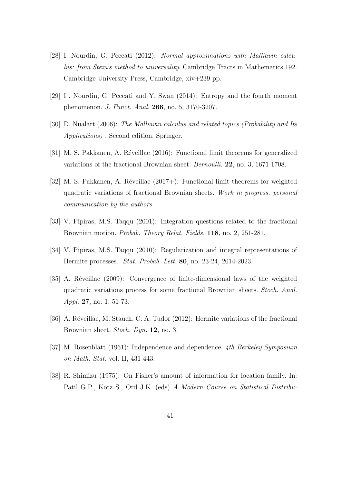- [28] I. Nourdin, G. Peccati (2012): Normal approximations with Malliavin calculus: from Stein's method to universality. Cambridge Tracts in Mathematics 192. Cambridge University Press, Cambridge, xiv+239 pp.
- [29] I . Nourdin, G. Peccati and Y. Swan (2014): Entropy and the fourth moment phenomenon. J. Funct. Anal. 266, no. 5, 3170-3207.
- [30] D. Nualart (2006): The Malliavin calculus and related topics (Probability and Its Applications) . Second edition. Springer.
- [31] M. S. Pakkanen, A. Réveillac (2016): Functional limit theorems for generalized variations of the fractional Brownian sheet. Bernoulli. 22, no. 3, 1671-1708.
- [32] M. S. Pakkanen, A. Réveillac  $(2017+)$ : Functional limit theorems for weighted quadratic variations of fractional Brownian sheets. Work in progress, personal communication by the authors.
- [33] V. Pipiras, M.S. Taqqu (2001): Integration questions related to the fractional Brownian motion. Probab. Theory Relat. Fields. 118, no. 2, 251-281.
- [34] V. Pipiras, M.S. Taqqu (2010): Regularization and integral representations of Hermite processes. Stat. Probab. Lett. 80, no. 23-24, 2014-2023.
- [35] A. Réveillac (2009): Convergence of finite-dimensional laws of the weighted quadratic variations process for some fractional Brownian sheets. Stoch. Anal. Appl. 27, no. 1, 51-73.
- [36] A. Réveillac, M. Stauch, C. A. Tudor  $(2012)$ : Hermite variations of the fractional Brownian sheet. Stoch. Dyn. 12, no. 3.
- [37] M. Rosenblatt (1961): Independence and dependence. 4th Berkeley Symposium on Math. Stat. vol. II, 431-443.
- [38] R. Shimizu (1975): On Fisher's amount of information for location family. In: Patil G.P., Kotz S., Ord J.K. (eds) A Modern Course on Statistical Distribu-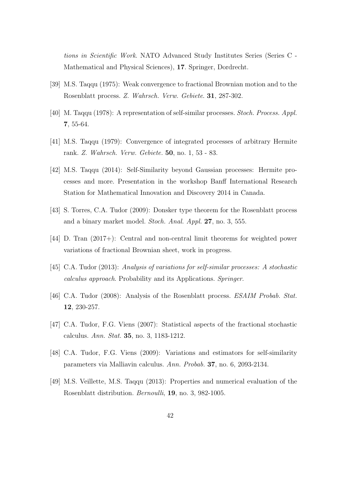tions in Scientific Work. NATO Advanced Study Institutes Series (Series C - Mathematical and Physical Sciences), 17. Springer, Dordrecht.

- [39] M.S. Taqqu (1975): Weak convergence to fractional Brownian motion and to the Rosenblatt process. Z. Wahrsch. Verw. Gebiete. 31, 287-302.
- [40] M. Taqqu (1978): A representation of self-similar processes. Stoch. Process. Appl. 7, 55-64.
- [41] M.S. Taqqu (1979): Convergence of integrated processes of arbitrary Hermite rank. Z. Wahrsch. Verw. Gebiete. 50, no. 1, 53 - 83.
- [42] M.S. Taqqu (2014): Self-Similarity beyond Gaussian processes: Hermite processes and more. Presentation in the workshop Banff International Research Station for Mathematical Innovation and Discovery 2014 in Canada.
- [43] S. Torres, C.A. Tudor (2009): Donsker type theorem for the Rosenblatt process and a binary market model. Stoch. Anal. Appl. 27, no. 3, 555.
- [44] D. Tran (2017+): Central and non-central limit theorems for weighted power variations of fractional Brownian sheet, work in progress.
- [45] C.A. Tudor (2013): Analysis of variations for self-similar processes: A stochastic calculus approach. Probability and its Applications. Springer.
- [46] C.A. Tudor (2008): Analysis of the Rosenblatt process. ESAIM Probab. Stat. 12, 230-257.
- [47] C.A. Tudor, F.G. Viens (2007): Statistical aspects of the fractional stochastic calculus. Ann. Stat. 35, no. 3, 1183-1212.
- [48] C.A. Tudor, F.G. Viens (2009): Variations and estimators for self-similarity parameters via Malliavin calculus. Ann. Probab. 37, no. 6, 2093-2134.
- [49] M.S. Veillette, M.S. Taqqu (2013): Properties and numerical evaluation of the Rosenblatt distribution. Bernoulli, 19, no. 3, 982-1005.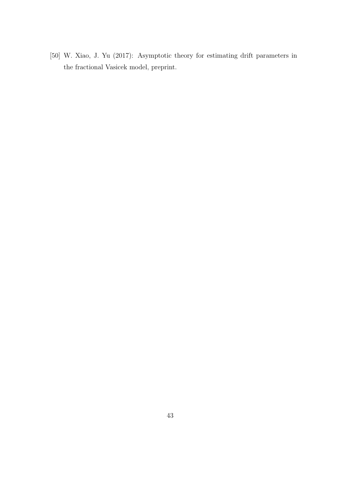[50] W. Xiao, J. Yu (2017): Asymptotic theory for estimating drift parameters in the fractional Vasicek model, preprint.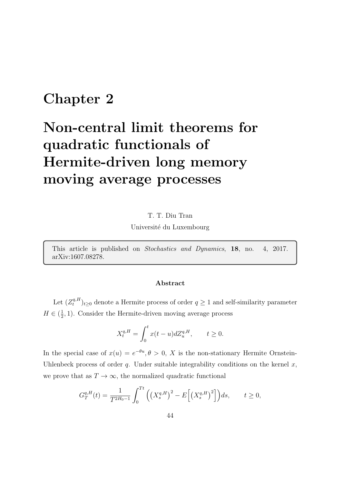## Chapter 2

# Non-central limit theorems for quadratic functionals of Hermite-driven long memory moving average processes

T. T. Diu Tran

Université du Luxembourg

This article is published on Stochastics and Dynamics, 18, no. 4, 2017. arXiv:1607.08278.

#### Abstract

Let  $(Z_t^{q,H})$  $(t<sup>q,H</sup>)_{t\geq0}$  denote a Hermite process of order  $q\geq1$  and self-similarity parameter  $H \in \left(\frac{1}{2}\right)$  $\frac{1}{2}$ , 1). Consider the Hermite-driven moving average process

$$
X_t^{q,H} = \int_0^t x(t-u)dZ_u^{q,H}, \qquad t \ge 0.
$$

In the special case of  $x(u) = e^{-\theta u}, \theta > 0$ , X is the non-stationary Hermite Ornstein-Uhlenbeck process of order  $q$ . Under suitable integrability conditions on the kernel  $x$ , we prove that as  $T \to \infty$ , the normalized quadratic functional

$$
G_T^{q,H}(t) = \frac{1}{T^{2H_0 - 1}} \int_0^{Tt} \left( \left( X_s^{q,H} \right)^2 - E \left[ \left( X_s^{q,H} \right)^2 \right] \right) ds, \qquad t \ge 0,
$$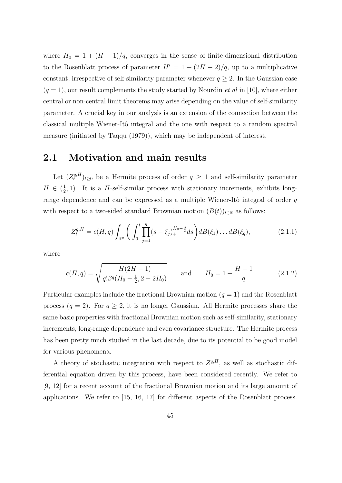where  $H_0 = 1 + (H - 1)/q$ , converges in the sense of finite-dimensional distribution to the Rosenblatt process of parameter  $H' = 1 + (2H - 2)/q$ , up to a multiplicative constant, irrespective of self-similarity parameter whenever  $q \geq 2$ . In the Gaussian case  $(q = 1)$ , our result complements the study started by Nourdin *et al* in [10], where either central or non-central limit theorems may arise depending on the value of self-similarity parameter. A crucial key in our analysis is an extension of the connection between the classical multiple Wiener-Itô integral and the one with respect to a random spectral measure (initiated by Taqqu (1979)), which may be independent of interest.

#### 2.1 Motivation and main results

Let  $(Z_t^{q,H})$  $(t<sub>t</sub><sup>q,H</sup>)<sub>t≥0</sub>$  be a Hermite process of order  $q \ge 1$  and self-similarity parameter  $H \in \left(\frac{1}{2}\right)$  $\frac{1}{2}$ , 1). It is a *H*-self-similar process with stationary increments, exhibits longrange dependence and can be expressed as a multiple Wiener-Itô integral of order  $q$ with respect to a two-sided standard Brownian motion  $(B(t))_{t\in\mathbb{R}}$  as follows:

$$
Z_t^{q,H} = c(H, q) \int_{\mathbb{R}^q} \left( \int_0^t \prod_{j=1}^q (s - \xi_j)_+^{H_0 - \frac{3}{2}} ds \right) d(t(\xi_1) \dots d(t(\xi_q)), \tag{2.1.1}
$$

where

$$
c(H, q) = \sqrt{\frac{H(2H - 1)}{q! \beta^q (H_0 - \frac{1}{2}, 2 - 2H_0)}} \quad \text{and} \quad H_0 = 1 + \frac{H - 1}{q}.
$$
 (2.1.2)

Particular examples include the fractional Brownian motion  $(q = 1)$  and the Rosenblatt process  $(q = 2)$ . For  $q \geq 2$ , it is no longer Gaussian. All Hermite processes share the same basic properties with fractional Brownian motion such as self-similarity, stationary increments, long-range dependence and even covariance structure. The Hermite process has been pretty much studied in the last decade, due to its potential to be good model for various phenomena.

A theory of stochastic integration with respect to  $Z^{q,H}$ , as well as stochastic differential equation driven by this process, have been considered recently. We refer to [9, 12] for a recent account of the fractional Brownian motion and its large amount of applications. We refer to [15, 16, 17] for different aspects of the Rosenblatt process.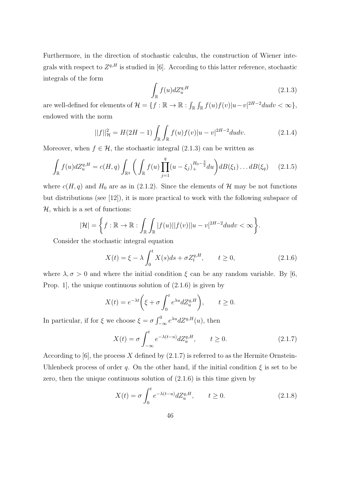Furthermore, in the direction of stochastic calculus, the construction of Wiener integrals with respect to  $Z^{q,H}$  is studied in [6]. According to this latter reference, stochastic integrals of the form

$$
\int_{\mathbb{R}} f(u)dZ_u^{q,H} \tag{2.1.3}
$$

are well-defined for elements of  $\mathcal{H} = \{f : \mathbb{R} \to \mathbb{R} : \int_{\mathbb{R}} \int_{\mathbb{R}} f(u)f(v)|u-v|^{2H-2}dudv < \infty\},\$ endowed with the norm

$$
||f||_{\mathcal{H}}^{2} = H(2H - 1) \int_{\mathbb{R}} \int_{\mathbb{R}} f(u)f(v)|u - v|^{2H - 2}dudv.
$$
 (2.1.4)

Moreover, when  $f \in \mathcal{H}$ , the stochastic integral (2.1.3) can be written as

$$
\int_{\mathbb{R}} f(u) dZ_u^{q,H} = c(H, q) \int_{\mathbb{R}^q} \left( \int_{\mathbb{R}} f(u) \prod_{j=1}^q (u - \xi_j)_+^{H_0 - \frac{3}{2}} du \right) dB(\xi_1) \dots dB(\xi_q) \tag{2.1.5}
$$

where  $c(H, q)$  and  $H_0$  are as in (2.1.2). Since the elements of  $H$  may be not functions but distributions (see [12]), it is more practical to work with the following subspace of  $H$ , which is a set of functions:

$$
|\mathcal{H}| = \left\{ f : \mathbb{R} \to \mathbb{R} : \int_{\mathbb{R}} \int_{\mathbb{R}} |f(u)| |f(v)| |u-v|^{2H-2} dudv < \infty \right\}.
$$

Consider the stochastic integral equation

$$
X(t) = \xi - \lambda \int_0^t X(s)ds + \sigma Z_t^{q,H}, \qquad t \ge 0,
$$
\n(2.1.6)

where  $\lambda, \sigma > 0$  and where the initial condition  $\xi$  can be any random variable. By [6, Prop. 1, the unique continuous solution of  $(2.1.6)$  is given by

$$
X(t) = e^{-\lambda t} \left( \xi + \sigma \int_0^t e^{\lambda u} dZ_u^{q,H} \right), \qquad t \ge 0.
$$

In particular, if for  $\xi$  we choose  $\xi = \sigma \int_{-\infty}^{0} e^{\lambda u} dZ^{q,H}(u)$ , then

$$
X(t) = \sigma \int_{-\infty}^{t} e^{-\lambda(t-u)} dZ_u^{q,H}, \qquad t \ge 0.
$$
 (2.1.7)

According to [6], the process X defined by  $(2.1.7)$  is referred to as the Hermite Ornstein-Uhlenbeck process of order q. On the other hand, if the initial condition  $\xi$  is set to be zero, then the unique continuous solution of (2.1.6) is this time given by

$$
X(t) = \sigma \int_0^t e^{-\lambda(t-u)} dZ_u^{q,H}, \qquad t \ge 0.
$$
 (2.1.8)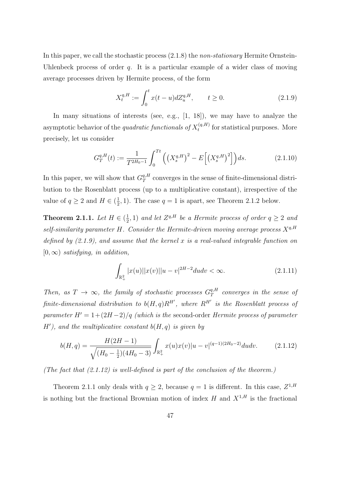In this paper, we call the stochastic process  $(2.1.8)$  the *non-stationary* Hermite Ornstein-Uhlenbeck process of order  $q$ . It is a particular example of a wider class of moving average processes driven by Hermite process, of the form

$$
X_t^{q,H} := \int_0^t x(t-u)dZ_u^{q,H}, \qquad t \ge 0.
$$
 (2.1.9)

In many situations of interests (see, e.g., [1, 18]), we may have to analyze the asymptotic behavior of the *quadratic functionals of*  $X_t^{(q,H)}$  $t_t^{(q,n)}$  for statistical purposes. More precisely, let us consider

$$
G_T^{q,H}(t) := \frac{1}{T^{2H_0 - 1}} \int_0^{Tt} \left( \left( X_s^{q,H} \right)^2 - E \left[ \left( X_s^{q,H} \right)^2 \right] \right) ds.
$$
 (2.1.10)

In this paper, we will show that  $G_T^{q,H}$  $T^{q,H}_{T}$  converges in the sense of finite-dimensional distribution to the Rosenblatt process (up to a multiplicative constant), irrespective of the value of  $q \geq 2$  and  $H \in (\frac{1}{2})$  $(\frac{1}{2}, 1)$ . The case  $q = 1$  is apart, see Theorem 2.1.2 below.

Theorem 2.1.1. Let  $H \in \left(\frac{1}{2}\right)$  $(\frac{1}{2}, 1)$  and let  $Z^{q,H}$  be a Hermite process of order  $q \geq 2$  and self-similarity parameter H. Consider the Hermite-driven moving average process  $X^{q,H}$ defined by  $(2.1.9)$ , and assume that the kernel x is a real-valued integrable function on  $[0,\infty)$  satisfying, in addition,

$$
\int_{\mathbb{R}^2_+} |x(u)| |x(v)| |u - v|^{2H - 2} du dv < \infty.
$$
\n(2.1.11)

Then, as  $T \to \infty$ , the family of stochastic processes  $G_T^{q,H}$  $T^q$  converges in the sense of finite-dimensional distribution to  $b(H,q)R^{H'}$ , where  $R^{H'}$  is the Rosenblatt process of parameter  $H' = 1+(2H-2)/q$  (which is the second-order Hermite process of parameter  $H'$ ), and the multiplicative constant  $b(H, q)$  is given by

$$
b(H,q) = \frac{H(2H-1)}{\sqrt{(H_0 - \frac{1}{2})(4H_0 - 3)}} \int_{\mathbb{R}_+^2} x(u)x(v)|u - v|^{(q-1)(2H_0 - 2)}dudv.
$$
 (2.1.12)

(The fact that  $(2.1.12)$  is well-defined is part of the conclusion of the theorem.)

Theorem 2.1.1 only deals with  $q \ge 2$ , because  $q = 1$  is different. In this case,  $Z^{1,H}$ is nothing but the fractional Brownian motion of index H and  $X^{1,H}$  is the fractional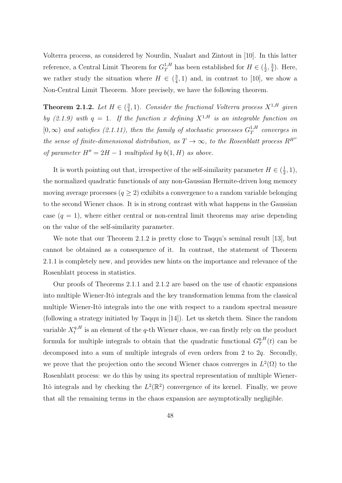Volterra process, as considered by Nourdin, Nualart and Zintout in [10]. In this latter reference, a Central Limit Theorem for  $G_T^{1,H}$  has been established for  $H \in (\frac{1}{2})$  $\frac{1}{2}, \frac{3}{4}$  $\frac{3}{4}$ ). Here, we rather study the situation where  $H \in \left(\frac{3}{4}\right)$  $(\frac{3}{4}, 1)$  and, in contrast to [10], we show a Non-Central Limit Theorem. More precisely, we have the following theorem.

Theorem 2.1.2. Let  $H \in \left(\frac{3}{4}\right)$  $\frac{3}{4}$ , 1). Consider the fractional Volterra process  $X^{1,H}$  given by (2.1.9) with  $q = 1$ . If the function x defining  $X^{1,H}$  is an integrable function on  $[0, \infty)$  and satisfies (2.1.11), then the family of stochastic processes  $G_T^{1,H}$  $T^{\rm I, H}_{\rm T}$  converges in the sense of finite-dimensional distribution, as  $T \rightarrow \infty$ , to the Rosenblatt process  $R^{H''}$ of parameter  $H'' = 2H - 1$  multiplied by  $b(1, H)$  as above.

It is worth pointing out that, irrespective of the self-similarity parameter  $H \in \left(\frac{1}{2}\right)$  $(\frac{1}{2}, 1),$ the normalized quadratic functionals of any non-Gaussian Hermite-driven long memory moving average processes  $(q \geq 2)$  exhibits a convergence to a random variable belonging to the second Wiener chaos. It is in strong contrast with what happens in the Gaussian case  $(q = 1)$ , where either central or non-central limit theorems may arise depending on the value of the self-similarity parameter.

We note that our Theorem 2.1.2 is pretty close to Taqqu's seminal result [13], but cannot be obtained as a consequence of it. In contrast, the statement of Theorem 2.1.1 is completely new, and provides new hints on the importance and relevance of the Rosenblatt process in statistics.

Our proofs of Theorems 2.1.1 and 2.1.2 are based on the use of chaotic expansions into multiple Wiener-Itô integrals and the key transformation lemma from the classical multiple Wiener-Itô integrals into the one with respect to a random spectral measure (following a strategy initiated by Taqqu in [14]). Let us sketch them. Since the random variable  $X_t^{q,H}$  $t_t^{q,H}$  is an element of the q-th Wiener chaos, we can firstly rely on the product formula for multiple integrals to obtain that the quadratic functional  $G_T^{q,H}$  $T^{q,H}(t)$  can be decomposed into a sum of multiple integrals of even orders from 2 to 2q. Secondly, we prove that the projection onto the second Wiener chaos converges in  $L^2(\Omega)$  to the Rosenblatt process: we do this by using its spectral representation of multiple Wiener-Itô integrals and by checking the  $L^2(\mathbb{R}^2)$  convergence of its kernel. Finally, we prove that all the remaining terms in the chaos expansion are asymptotically negligible.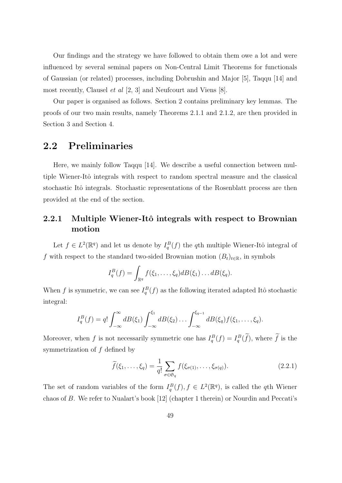Our findings and the strategy we have followed to obtain them owe a lot and were influenced by several seminal papers on Non-Central Limit Theorems for functionals of Gaussian (or related) processes, including Dobrushin and Major [5], Taqqu [14] and most recently, Clausel et al [2, 3] and Neufcourt and Viens [8].

Our paper is organised as follows. Section 2 contains preliminary key lemmas. The proofs of our two main results, namely Theorems 2.1.1 and 2.1.2, are then provided in Section 3 and Section 4.

#### 2.2 Preliminaries

Here, we mainly follow Taqqu [14]. We describe a useful connection between multiple Wiener-Itô integrals with respect to random spectral measure and the classical stochastic Itô integrals. Stochastic representations of the Rosenblatt process are then provided at the end of the section.

#### 2.2.1 Multiple Wiener-Itô integrals with respect to Brownian motion

Let  $f \in L^2(\mathbb{R}^q)$  and let us denote by  $I_q^B(f)$  the qth multiple Wiener-Itô integral of f with respect to the standard two-sided Brownian motion  $(B_t)_{t\in\mathbb{R}}$ , in symbols

$$
I_q^B(f) = \int_{\mathbb{R}^q} f(\xi_1,\ldots,\xi_q) dB(\xi_1)\ldots dB(\xi_q).
$$

When f is symmetric, we can see  $I_q^B(f)$  as the following iterated adapted Itô stochastic integral:

$$
I_q^B(f) = q! \int_{-\infty}^{\infty} dB(\xi_1) \int_{-\infty}^{\xi_1} dB(\xi_2) \dots \int_{-\infty}^{\xi_{q-1}} dB(\xi_q) f(\xi_1, \dots, \xi_q).
$$

Moreover, when f is not necessarily symmetric one has  $I_q^B(f) = I_q^B(f)$ , where f is the symmetrization of f defined by

$$
\widetilde{f}(\xi_1,\ldots,\xi_q) = \frac{1}{q!} \sum_{\sigma \in \mathfrak{S}_q} f(\xi_{\sigma(1)},\ldots,\xi_{\sigma(q)}).
$$
\n(2.2.1)

The set of random variables of the form  $I_q^B(f)$ ,  $f \in L^2(\mathbb{R}^q)$ , is called the qth Wiener chaos of B. We refer to Nualart's book [12] (chapter 1 therein) or Nourdin and Peccati's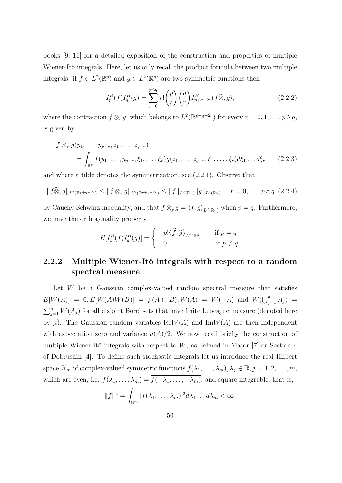books [9, 11] for a detailed exposition of the construction and properties of multiple Wiener-Itô integrals. Here, let us only recall the product formula between two multiple integrals: if  $f \in L^2(\mathbb{R}^p)$  and  $g \in L^2(\mathbb{R}^q)$  are two symmetric functions then

$$
I_p^B(f)I_q^B(g) = \sum_{r=0}^{p \wedge q} r! \binom{p}{r} \binom{q}{r} I_{p+q-2r}^B(f \widetilde{\otimes}_r g), \tag{2.2.2}
$$

where the contraction  $f \otimes_r g$ , which belongs to  $L^2(\mathbb{R}^{p+q-2r})$  for every  $r = 0, 1, \ldots, p \wedge q$ , is given by

$$
f \otimes_r g(y_1, \dots, y_{p-r}, z_1, \dots, z_{q-r})
$$
  
=  $\int_{\mathbb{R}^r} f(y_1, \dots, y_{p-r}, \xi_1, \dots, \xi_r) g(z_1, \dots, z_{q-r}, \xi_1, \dots, \xi_r) d\xi_1 \dots d\xi_r$  (2.2.3)

and where a tilde denotes the symmetrization, see (2.2.1). Observe that

$$
||f\widetilde{\otimes}_r g||_{L^2(\mathbb{R}^{p+q-2r})} \le ||f\otimes_r g||_{L^2(\mathbb{R}^{p+q-2r})} \le ||f||_{L^2(\mathbb{R}^p)} ||g||_{L^2(\mathbb{R}^q)}, \quad r = 0, \ldots, p \wedge q \ (2.2.4)
$$

by Cauchy-Schwarz inequality, and that  $f \otimes_p g = \langle f, g \rangle_{L^2(\mathbb{R}^p)}$  when  $p = q$ . Furthermore, we have the orthogonality property

$$
E[I_p^B(f)I_q^B(g)] = \begin{cases} p! \langle \widetilde{f}, \widetilde{g} \rangle_{L^2(\mathbb{R}^p)} & \text{if } p = q \\ 0 & \text{if } p \neq q. \end{cases}
$$

#### 2.2.2 Multiple Wiener-Itô integrals with respect to a random spectral measure

Let  $W$  be a Gaussian complex-valued random spectral measure that satisfies  $E[W(A)] = 0, E[W(A)\overline{W(B)}] = \mu(A \cap B), W(A) = \overline{W(-A)}$  and  $W(\bigcup_{j=1}^{n} A_j) =$  $\sum_{j=1}^{n} W(A_j)$  for all disjoint Borel sets that have finite Lebesgue measure (denoted here by  $\mu$ ). The Gaussian random variables ReW(A) and ImW(A) are then independent with expectation zero and variance  $\mu(A)/2$ . We now recall briefly the construction of multiple Wiener-Itô integrals with respect to  $W$ , as defined in Major [7] or Section 4 of Dobrushin [4]. To define such stochastic integrals let us introduce the real Hilbert space  $\mathcal{H}_m$  of complex-valued symmetric functions  $f(\lambda_1, \ldots, \lambda_m), \lambda_j \in \mathbb{R}, j = 1, 2, \ldots, m$ , which are even, i.e.  $f(\lambda_1, \ldots, \lambda_m) = \overline{f(-\lambda_1, \ldots, -\lambda_m)}$ , and square integrable, that is,

$$
||f||^2 = \int_{\mathbb{R}^m} |f(\lambda_1,\ldots,\lambda_m)|^2 d\lambda_1 \ldots d\lambda_m < \infty.
$$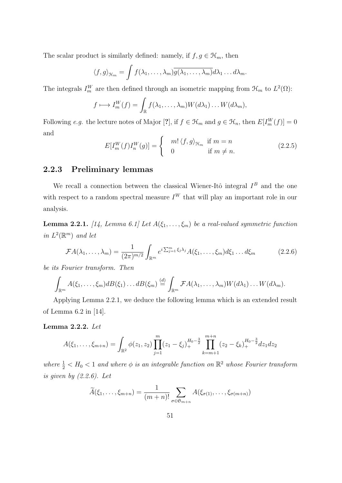The scalar product is similarly defined: namely, if  $f, g \in \mathcal{H}_m$ , then

$$
\langle f, g \rangle_{\mathcal{H}_m} = \int f(\lambda_1, \dots, \lambda_m) \overline{g(\lambda_1, \dots, \lambda_m)} d\lambda_1 \dots d\lambda_m.
$$

The integrals  $I_m^W$  are then defined through an isometric mapping from  $\mathfrak{H}_m$  to  $L^2(\Omega)$ :

$$
f \longmapsto I_m^W(f) = \int_{\mathbb{R}} f(\lambda_1, \dots, \lambda_m) W(d\lambda_1) \dots W(d\lambda_m),
$$

Following e.g. the lecture notes of Major [?], if  $f \in \mathcal{H}_m$  and  $g \in \mathcal{H}_n$ , then  $E[I_m^W(f)] = 0$ and

$$
E[I_m^W(f)I_n^W(g)] = \begin{cases} m! \langle f, g \rangle_{\mathcal{H}_m} & \text{if } m = n \\ 0 & \text{if } m \neq n. \end{cases}
$$
 (2.2.5)

#### 2.2.3 Preliminary lemmas

We recall a connection between the classical Wiener-Itô integral  $I^B$  and the one with respect to a random spectral measure  $I^W$  that will play an important role in our analysis.

**Lemma 2.2.1.** [14, Lemma 6.1] Let  $A(\xi_1, \ldots, \xi_m)$  be a real-valued symmetric function in  $L^2(\mathbb{R}^m)$  and let

$$
\mathcal{F}A(\lambda_1,\ldots,\lambda_m)=\frac{1}{(2\pi)^{m/2}}\int_{\mathbb{R}^m}e^{i\sum_{j=1}^m\xi_j\lambda_j}A(\xi_1,\ldots,\xi_m)d\xi_1\ldots d\xi_m\qquad(2.2.6)
$$

be its Fourier transform. Then

$$
\int_{\mathbb{R}^m} A(\xi_1,\ldots,\xi_m) dB(\xi_1)\ldots dB(\xi_m) \stackrel{(d)}{=} \int_{\mathbb{R}^m} \mathcal{F} A(\lambda_1,\ldots,\lambda_m) W(d\lambda_1)\ldots W(d\lambda_m).
$$

Applying Lemma 2.2.1, we deduce the following lemma which is an extended result of Lemma 6.2 in [14].

Lemma 2.2.2. Let

$$
A(\xi_1,\ldots,\xi_{m+n}) = \int_{\mathbb{R}^2} \phi(z_1,z_2) \prod_{j=1}^m (z_1 - \xi_j)_+^{H_0 - \frac{3}{2}} \prod_{k=m+1}^{m+n} (z_2 - \xi_k)_+^{H_0 - \frac{3}{2}} dz_1 dz_2
$$

where  $\frac{1}{2} < H_0 < 1$  and where  $\phi$  is an integrable function on  $\mathbb{R}^2$  whose Fourier transform is given by  $(2.2.6)$ . Let

$$
\widetilde{A}(\xi_1,\ldots,\xi_{m+n})=\frac{1}{(m+n)!}\sum_{\sigma\in\mathfrak{S}_{m+n}}A(\xi_{\sigma(1)},\ldots,\xi_{\sigma(m+n)})
$$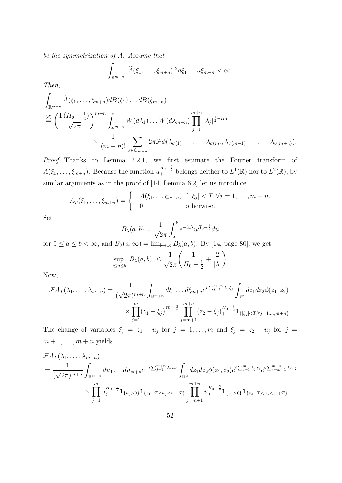be the symmetrization of A. Assume that

$$
\int_{\mathbb{R}^{m+n}} |\widetilde{A}(\xi_1,\ldots,\xi_{m+n})|^2 d\xi_1 \ldots d\xi_{m+n} < \infty.
$$

Then,

$$
\int_{\mathbb{R}^{m+n}} \widetilde{A}(\xi_1, \dots, \xi_{m+n}) dB(\xi_1) \dots dB(\xi_{m+n})
$$
\n
$$
\stackrel{(d)}{=} \left( \frac{\Gamma(H_0 - \frac{1}{2})}{\sqrt{2\pi}} \right)^{m+n} \int_{\mathbb{R}^{m+n}} W(d\lambda_1) \dots W(d\lambda_{m+n}) \prod_{j=1}^{m+n} |\lambda_j|^{\frac{1}{2} - H_0}
$$
\n
$$
\times \frac{1}{(m+n)!} \sum_{\sigma \in \mathfrak{S}_{m+n}} 2\pi \mathcal{F} \phi(\lambda_{\sigma(1)} + \dots + \lambda_{\sigma(m)}, \lambda_{\sigma(m+1)} + \dots + \lambda_{\sigma(m+n)}).
$$

Proof. Thanks to Lemma 2.2.1, we first estimate the Fourier transform of  $A(\xi_1,\ldots,\xi_{m+n})$ . Because the function  $u_+^{H_0-\frac{3}{2}}$  belongs neither to  $L^1(\mathbb{R})$  nor to  $L^2(\mathbb{R})$ , by similar arguments as in the proof of [14, Lemma 6.2] let us introduce

$$
A_T(\xi_1,\ldots,\xi_{m+n})=\begin{cases} A(\xi_1,\ldots,\xi_{m+n}) \text{ if } |\xi_j| < T \ \forall j=1,\ldots,m+n. \\ 0 \text{ otherwise.} \end{cases}
$$

Set

$$
B_{\lambda}(a,b) = \frac{1}{\sqrt{2\pi}} \int_{a}^{b} e^{-iu\lambda} u^{H_0 - \frac{3}{2}} du
$$

for  $0 \le a \le b < \infty$ , and  $B_{\lambda}(a, \infty) = \lim_{b \to \infty} B_{\lambda}(a, b)$ . By [14, page 80], we get

$$
\sup_{0\leq a\leq b} |B_{\lambda}(a,b)| \leq \frac{1}{\sqrt{2\pi}} \left( \frac{1}{H_0 - \frac{1}{2}} + \frac{2}{|\lambda|} \right).
$$

Now,

$$
\mathcal{F}A_T(\lambda_1,\ldots,\lambda_{m+n}) = \frac{1}{(\sqrt{2\pi})^{m+n}} \int_{\mathbb{R}^{m+n}} d\xi_1 \ldots d\xi_{m+n} e^{i \sum_{j=1}^{m+n} \lambda_j \xi_j} \int_{\mathbb{R}^2} dz_1 dz_2 \phi(z_1,z_2)
$$
  

$$
\times \prod_{j=1}^m (z_1 - \xi_j)_+^{H_0 - \frac{3}{2}} \prod_{j=m+1}^{m+n} (z_2 - \xi_j)_+^{H_0 - \frac{3}{2}} \mathbf{1}_{\{|\xi_j| < T, \forall j=1,\ldots,m+n\}}.
$$

The change of variables  $\xi_j = z_1 - u_j$  for  $j = 1, ..., m$  and  $\xi_j = z_2 - u_j$  for  $j =$  $m+1,\ldots,m+n$  yields

$$
\mathcal{F}A_T(\lambda_1, \ldots, \lambda_{m+n})
$$
\n
$$
= \frac{1}{(\sqrt{2\pi})^{m+n}} \int_{\mathbb{R}^{m+n}} du_1 \ldots du_{m+n} e^{-i \sum_{j=1}^{m+n} \lambda_j u_j} \int_{\mathbb{R}^2} dz_1 dz_2 \phi(z_1, z_2) e^{i \sum_{j=1}^{m} \lambda_j z_1} e^{i \sum_{j=m+1}^{m+n} \lambda_j z_2}
$$
\n
$$
\times \prod_{j=1}^m u_j^{H_0 - \frac{3}{2}} \mathbf{1}_{\{u_j > 0\}} \mathbf{1}_{\{z_1 - T < u_j < z_1 + T\}} \prod_{j=m+1}^{m+n} u_j^{H_0 - \frac{3}{2}} \mathbf{1}_{\{u_j > 0\}} \mathbf{1}_{\{z_2 - T < u_j < z_2 + T\}}.
$$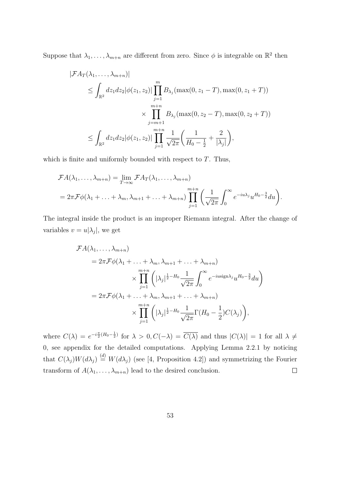Suppose that  $\lambda_1, \ldots, \lambda_{m+n}$  are different from zero. Since  $\phi$  is integrable on  $\mathbb{R}^2$  then

$$
|\mathcal{F}A_T(\lambda_1, ..., \lambda_{m+n})|
$$
  
\n
$$
\leq \int_{\mathbb{R}^2} dz_1 dz_2 |\phi(z_1, z_2)| \prod_{j=1}^m B_{\lambda_j}(\max(0, z_1 - T), \max(0, z_1 + T))
$$
  
\n
$$
\times \prod_{j=m+1}^{m+n} B_{\lambda_j}(\max(0, z_2 - T), \max(0, z_2 + T))
$$
  
\n
$$
\leq \int_{\mathbb{R}^2} dz_1 dz_2 |\phi(z_1, z_2)| \prod_{j=1}^{m+n} \frac{1}{\sqrt{2\pi}} \left( \frac{1}{H_0 - \frac{1}{2}} + \frac{2}{|\lambda_j|} \right),
$$

which is finite and uniformly bounded with respect to  $T$ . Thus,

$$
\mathcal{F}A(\lambda_1,\ldots,\lambda_{m+n}) = \lim_{T \to \infty} \mathcal{F}A_T(\lambda_1,\ldots,\lambda_{m+n})
$$
  
=  $2\pi \mathcal{F}\phi(\lambda_1 + \ldots + \lambda_m, \lambda_{m+1} + \ldots + \lambda_{m+n}) \prod_{j=1}^{m+n} \left(\frac{1}{\sqrt{2\pi}} \int_0^\infty e^{-iu\lambda_j} u^{H_0 - \frac{3}{2}} du\right).$ 

The integral inside the product is an improper Riemann integral. After the change of variables  $v = u|\lambda_j|$ , we get

$$
\mathcal{F}A(\lambda_1, ..., \lambda_{m+n})
$$
  
=  $2\pi \mathcal{F}\phi(\lambda_1 + ... + \lambda_m, \lambda_{m+1} + ... + \lambda_{m+n})$   

$$
\times \prod_{j=1}^{m+n} \left( |\lambda_j|^{\frac{1}{2} - H_0} \frac{1}{\sqrt{2\pi}} \int_0^\infty e^{-ius\mathrm{ign}\lambda_j} u^{H_0 - \frac{3}{2}} du \right)
$$
  
=  $2\pi \mathcal{F}\phi(\lambda_1 + ... + \lambda_m, \lambda_{m+1} + ... + \lambda_{m+n})$   

$$
\times \prod_{j=1}^{m+n} \left( |\lambda_j|^{\frac{1}{2} - H_0} \frac{1}{\sqrt{2\pi}} \Gamma(H_0 - \frac{1}{2}) C(\lambda_j) \right),
$$

where  $C(\lambda) = e^{-i\frac{\pi}{2}(H_0 - \frac{1}{2})}$  for  $\lambda > 0$ ,  $C(-\lambda) = \overline{C(\lambda)}$  and thus  $|C(\lambda)| = 1$  for all  $\lambda \neq 0$ 0, see appendix for the detailed computations. Applying Lemma 2.2.1 by noticing that  $C(\lambda_j)W(d\lambda_j) \stackrel{(d)}{=} W(d\lambda_j)$  (see [4, Proposition 4.2]) and symmetrizing the Fourier transform of  $A(\lambda_1, \ldots, \lambda_{m+n})$  lead to the desired conclusion.  $\Box$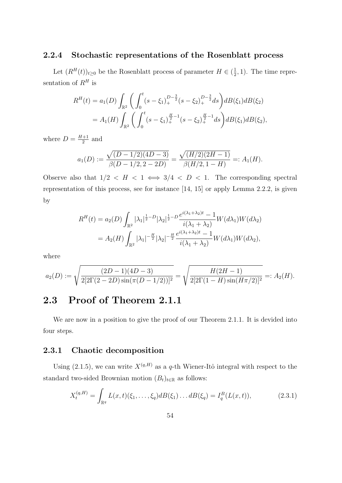#### 2.2.4 Stochastic representations of the Rosenblatt process

Let  $(R^H(t))_{t\geq 0}$  be the Rosenblatt process of parameter  $H \in \left(\frac{1}{2}\right)$  $(\frac{1}{2}, 1)$ . The time representation of  $R^H$  is

$$
R^{H}(t) = a_{1}(D) \int_{\mathbb{R}^{2}} \left( \int_{0}^{t} (s - \xi_{1})_{+}^{D - \frac{3}{2}} (s - \xi_{2})_{+}^{D - \frac{3}{2}} ds \right) dB(\xi_{1}) dB(\xi_{2})
$$
  
=  $A_{1}(H) \int_{\mathbb{R}^{2}} \left( \int_{0}^{t} (s - \xi_{1})_{+}^{\frac{H}{2} - 1} (s - \xi_{2})_{+}^{\frac{H}{2} - 1} ds \right) dB(\xi_{1}) dB(\xi_{2}),$ 

where  $D = \frac{H+1}{2}$  $\frac{+1}{2}$  and

$$
a_1(D) := \frac{\sqrt{(D-1/2)(4D-3)}}{\beta(D-1/2, 2-2D)} = \frac{\sqrt{(H/2)(2H-1)}}{\beta(H/2, 1-H)} =: A_1(H).
$$

Observe also that  $1/2 < H < 1 \iff 3/4 < D < 1$ . The corresponding spectral representation of this process, see for instance [14, 15] or apply Lemma 2.2.2, is given by

$$
R^{H}(t) = a_{2}(D) \int_{\mathbb{R}^{2}} |\lambda_{1}|^{\frac{1}{2}-D} |\lambda_{2}|^{\frac{1}{2}-D} \frac{e^{i(\lambda_{1}+\lambda_{2})t} - 1}{i(\lambda_{1}+\lambda_{2})} W(d\lambda_{1}) W(d\lambda_{2})
$$
  
=  $A_{2}(H) \int_{\mathbb{R}^{2}} |\lambda_{1}|^{-\frac{H}{2}} |\lambda_{2}|^{-\frac{H}{2}} \frac{e^{i(\lambda_{1}+\lambda_{2})t} - 1}{i(\lambda_{1}+\lambda_{2})} W(d\lambda_{1}) W(d\lambda_{2}),$ 

where

$$
a_2(D) := \sqrt{\frac{(2D-1)(4D-3)}{2[2\Gamma(2-2D)\sin(\pi(D-1/2))]^2}} = \sqrt{\frac{H(2H-1)}{2[2\Gamma(1-H)\sin(H\pi/2)]^2}} =: A_2(H).
$$

## 2.3 Proof of Theorem 2.1.1

We are now in a position to give the proof of our Theorem 2.1.1. It is devided into four steps.

#### 2.3.1 Chaotic decomposition

Using (2.1.5), we can write  $X^{(q,H)}$  as a q-th Wiener-Itô integral with respect to the standard two-sided Brownian motion  $(B_t)_{t \in \mathbb{R}}$  as follows:

$$
X_t^{(q,H)} = \int_{\mathbb{R}^q} L(x,t)(\xi_1,\ldots,\xi_q)dB(\xi_1)\ldots dB(\xi_q) = I_q^B(L(x,t)),\tag{2.3.1}
$$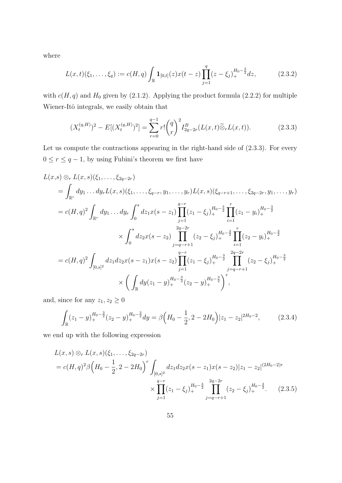where

$$
L(x,t)(\xi_1,\ldots,\xi_q) := c(H,q) \int_{\mathbb{R}} \mathbf{1}_{[0,t]}(z) x(t-z) \prod_{j=1}^q (z-\xi_j)_+^{H_0-\frac{3}{2}} dz, \tag{2.3.2}
$$

with  $c(H, q)$  and  $H_0$  given by (2.1.2). Applying the product formula (2.2.2) for multiple Wiener-Itô integrals, we easily obtain that

$$
(X_t^{(q,H)})^2 - E[(X_t^{(q,H)})^2] = \sum_{r=0}^{q-1} r! \binom{q}{r}^2 I_{2q-2r}^B(L(x,t)\widetilde{\otimes}_r L(x,t)).
$$
\n(2.3.3)

Let us compute the contractions appearing in the right-hand side of (2.3.3). For every  $0 \leq r \leq q-1,$  by using Fubini's theorem we first have

$$
L(x,s) \otimes_r L(x,s)(\xi_1, \ldots, \xi_{2q-2r})
$$
  
=  $\int_{\mathbb{R}^r} dy_1 \ldots dy_r L(x,s)(\xi_1, \ldots, \xi_{q-r}, y_1, \ldots, y_r) L(x,s)(\xi_{q-r+1}, \ldots, \xi_{2q-2r}, y_1, \ldots, y_r)$   
=  $c(H,q)^2 \int_{\mathbb{R}^r} dy_1 \ldots dy_r \int_0^s dz_1 x(s-z_1) \prod_{j=1}^{q-r} (z_1 - \xi_j)_+^{H_0 - \frac{3}{2}} \prod_{i=1}^r (z_1 - y_i)_+^{H_0 - \frac{3}{2}}$   
 $\times \int_0^s dz_2 x(s-z_2) \prod_{j=q-r+1}^{2q-2r} (z_2 - \xi_j)_+^{H_0 - \frac{3}{2}} \prod_{i=1}^r (z_2 - y_i)_+^{H_0 - \frac{3}{2}}$   
=  $c(H,q)^2 \int_{[0,s]^2} dz_1 dz_2 x(s-z_1) x(s-z_2) \prod_{j=1}^{q-r} (z_1 - \xi_j)_+^{H_0 - \frac{3}{2}} \prod_{j=q-r+1}^{2q-2r} (z_2 - \xi_j)_+^{H_0 - \frac{3}{2}}$   
 $\times \left( \int_{\mathbb{R}} dy (z_1 - y)_+^{H_0 - \frac{3}{2}} (z_2 - y)_+^{H_0 - \frac{3}{2}} \right)_r^r$ 

and, since for any  $z_1, z_2 \geq 0$ 

$$
\int_{\mathbb{R}} (z_1 - y)_+^{H_0 - \frac{3}{2}} (z_2 - y)_+^{H_0 - \frac{3}{2}} dy = \beta \left( H_0 - \frac{1}{2}, 2 - 2H_0 \right) |z_1 - z_2|^{2H_0 - 2}, \tag{2.3.4}
$$

we end up with the following expression

$$
L(x,s) \otimes_r L(x,s)(\xi_1,\ldots,\xi_{2q-2r})
$$
  
=  $c(H,q)^2 \beta \left(H_0 - \frac{1}{2}, 2 - 2H_0\right)^r \int_{[0,s]^2} dz_1 dz_2 x(s-z_1) x(s-z_2) |z_1 - z_2|^{(2H_0-2)r}$   
 $\times \prod_{j=1}^{q-r} (z_1 - \xi_j)_+^{H_0 - \frac{3}{2}} \prod_{j=q-r+1}^{2q-2r} (z_2 - \xi_j)_+^{H_0 - \frac{3}{2}}.$  (2.3.5)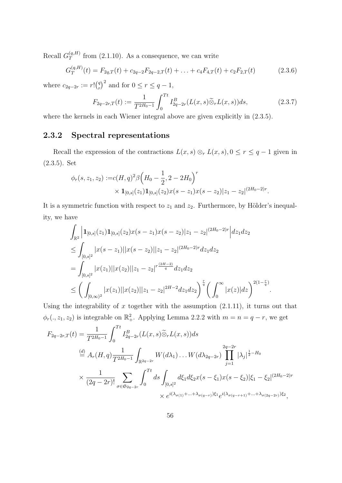Recall  $G_T^{(q,H)}$  $T^{(q,n)}$  from (2.1.10). As a consequence, we can write

$$
G_T^{(q,H)}(t) = F_{2q,T}(t) + c_{2q-2}F_{2q-2,T}(t) + \ldots + c_4F_{4,T}(t) + c_2F_{2,T}(t)
$$
\n(2.3.6)

where  $c_{2q-2r} := r! {q \choose r}$  $(r<sup>q</sup>)<sup>2</sup>$  and for  $0 \le r \le q-1$ ,

$$
F_{2q-2r,T}(t) := \frac{1}{T^{2H_0-1}} \int_0^{Tt} I_{2q-2r}^B(L(x,s)\widetilde{\otimes}_r L(x,s))ds,\tag{2.3.7}
$$

where the kernels in each Wiener integral above are given explicitly in  $(2.3.5)$ .

#### 2.3.2 Spectral representations

Recall the expression of the contractions  $L(x, s) \otimes_r L(x, s)$ ,  $0 \leq r \leq q-1$  given in (2.3.5). Set

$$
\phi_r(s, z_1, z_2) := c(H, q)^2 \beta \left( H_0 - \frac{1}{2}, 2 - 2H_0 \right)^r
$$
  
 
$$
\times \mathbf{1}_{[0,s]}(z_1) \mathbf{1}_{[0,s]}(z_2) x(s - z_1) x(s - z_2) |z_1 - z_2|^{(2H_0 - 2)r}.
$$

It is a symmetric function with respect to  $z_1$  and  $z_2$ . Furthermore, by Hölder's inequality, we have

$$
\int_{\mathbb{R}^2} \left| \mathbf{1}_{[0,s]}(z_1) \mathbf{1}_{[0,s]}(z_2) x(s-z_1) x(s-z_2) | z_1 - z_2 |^{(2H_0-2)r} \right| dz_1 dz_2
$$
\n
$$
\leq \int_{[0,s]^2} |x(s-z_1)| |x(s-z_2)| | z_1 - z_2 |^{(2H_0-2)r} dz_1 dz_2
$$
\n
$$
= \int_{[0,s]^2} |x(z_1)| |x(z_2)| | z_1 - z_2|^{r} \frac{(2H-2)}{q} dz_1 dz_2
$$
\n
$$
\leq \left( \int_{[0,\infty)^2} |x(z_1)| |x(z_2)| | z_1 - z_2|^{2H-2} dz_1 dz_2 \right)^{\frac{r}{q}} \left( \int_0^\infty |x(z)| dz \right)^{2(1-\frac{r}{q})}.
$$

Using the integrability of  $x$  together with the assumption  $(2.1.11)$ , it turns out that  $\phi_r(., z_1, z_2)$  is integrable on  $\mathbb{R}^2_+$ . Applying Lemma 2.2.2 with  $m = n = q - r$ , we get

$$
F_{2q-2r,T}(t) = \frac{1}{T^{2H_0-1}} \int_0^{Tt} I_{2q-2r}^B(L(x,s)\tilde{\otimes}_r L(x,s))ds
$$
  
\n
$$
\stackrel{(d)}{=} A_r(H,q) \frac{1}{T^{2H_0-1}} \int_{\mathbb{R}^{2q-2r}} W(d\lambda_1) \dots W(d\lambda_{2q-2r}) \prod_{j=1}^{2q-2r} |\lambda_j|^{\frac{1}{2}-H_0}
$$
  
\n
$$
\times \frac{1}{(2q-2r)!} \sum_{\sigma \in \mathfrak{S}_{2q-2r}} \int_0^{Tt} ds \int_{[0,s]^2} d\xi_1 d\xi_2 x(s-\xi_1) x(s-\xi_2) |\xi_1 - \xi_2|^{(2H_0-2)r}
$$
  
\n
$$
\times e^{i(\lambda_{\sigma(1)} + \dots + \lambda_{\sigma(q-r)})\xi_1} e^{i(\lambda_{\sigma(q-r+1)} + \dots + \lambda_{\sigma(2q-2r)})\xi_2},
$$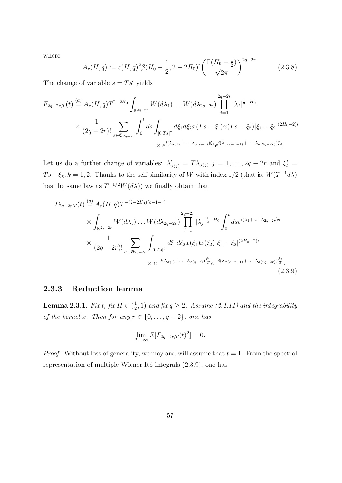where

$$
A_r(H, q) := c(H, q)^2 \beta (H_0 - \frac{1}{2}, 2 - 2H_0)^r \left( \frac{\Gamma(H_0 - \frac{1}{2})}{\sqrt{2\pi}} \right)^{2q - 2r}.
$$
 (2.3.8)

The change of variable  $s = Ts'$  yields

$$
F_{2q-2r,T}(t) \stackrel{(d)}{=} A_r(H,q)T^{2-2H_0} \int_{\mathbb{R}^{2q-2r}} W(d\lambda_1) \dots W(d\lambda_{2q-2r}) \prod_{j=1}^{2q-2r} |\lambda_j|^{\frac{1}{2}-H_0}
$$
  
\$\times \frac{1}{(2q-2r)!} \sum\_{\sigma \in \mathfrak{S}\_{2q-2r}} \int\_0^t ds \int\_{[0,Ts]^2} d\xi\_1 d\xi\_2 x (Ts - \xi\_1) x (Ts - \xi\_2) |\xi\_1 - \xi\_2|^{(2H\_0-2)r} \times e^{i(\lambda\_{\sigma(1)} + \dots + \lambda\_{\sigma(q-r)})\xi\_1} e^{i(\lambda\_{\sigma(q-r+1)} + \dots + \lambda\_{\sigma(2q-2r)})\xi\_2}.

Let us do a further change of variables:  $\lambda'_{\sigma(j)} = T\lambda_{\sigma(j)}, j = 1, \ldots, 2q - 2r$  and  $\xi'_{k} =$  $Ts - \xi_k, k = 1, 2$ . Thanks to the self-similarity of W with index 1/2 (that is,  $W(T^{-1}d\lambda)$ ) has the same law as  $T^{-1/2}W(d\lambda)$  we finally obtain that

$$
F_{2q-2r,T}(t) \stackrel{(d)}{=} A_r(H,q)T^{-(2-2H_0)(q-1-r)} \times \int_{\mathbb{R}^{2q-2r}} W(d\lambda_1) \dots W(d\lambda_{2q-2r}) \prod_{j=1}^{2q-2r} |\lambda_j|^{\frac{1}{2}-H_0} \int_0^t ds e^{i(\lambda_1+\dots+\lambda_{2q-2r})s} \times \frac{1}{(2q-2r)!} \sum_{\sigma \in \mathfrak{S}_{2q-2r}} \int_{[0,Ts]^2} d\xi_1 d\xi_2 x(\xi_1) x(\xi_2) |\xi_1 - \xi_2|^{(2H_0-2)r} \times e^{-i(\lambda_{\sigma(1)}+\dots+\lambda_{\sigma(q-r)})\frac{\xi_1}{T}} e^{-i(\lambda_{\sigma(q-r+1)}+\dots+\lambda_{\sigma(2q-2r)})\frac{\xi_2}{T}}.
$$
\n(2.3.9)

#### 2.3.3 Reduction lemma

Lemma 2.3.1. Fix t, fix  $H \in (\frac{1}{2})$  $(\frac{1}{2}, 1)$  and fix  $q \geq 2$ . Assume (2.1.11) and the integrability of the kernel x. Then for any  $r \in \{0, \ldots, q-2\}$ , one has

$$
\lim_{T \to \infty} E[F_{2q-2r,T}(t)^2] = 0.
$$

*Proof.* Without loss of generality, we may and will assume that  $t = 1$ . From the spectral representation of multiple Wiener-Itô integrals  $(2.3.9)$ , one has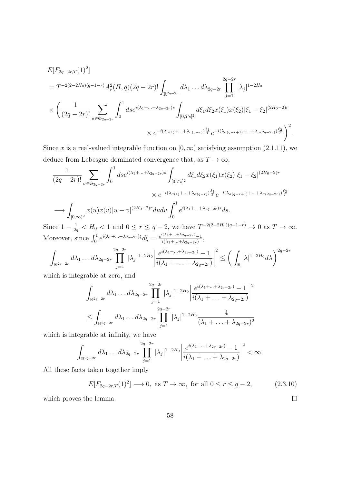$$
E[F_{2q-2r,T}(1)^{2}] = T^{-2(2-2H_{0})(q-1-r)} A_{r}^{2}(H,q)(2q-2r)! \int_{\mathbb{R}^{2q-2r}} d\lambda_{1} \dots d\lambda_{2q-2r} \prod_{j=1}^{2q-2r} |\lambda_{j}|^{1-2H_{0}}
$$
  
 
$$
\times \left( \frac{1}{(2q-2r)!} \sum_{\sigma \in \mathfrak{S}_{2q-2r}} \int_{0}^{1} ds e^{i(\lambda_{1}+\dots+\lambda_{2q-2r})s} \int_{[0,Ts]^{2}} d\xi_{1} d\xi_{2} x(\xi_{1}) x(\xi_{2}) |\xi_{1} - \xi_{2}|^{(2H_{0}-2)r}
$$
  
 
$$
\times e^{-i(\lambda_{\sigma(1)}+\dots+\lambda_{\sigma(q-r)})\frac{\xi_{1}}{T}} e^{-i(\lambda_{\sigma(q-r+1)}+\dots+\lambda_{\sigma(2q-2r)})\frac{\xi_{2}}{T}} \right)^{2}.
$$

Since x is a real-valued integrable function on  $[0, \infty)$  satisfying assumption (2.1.11), we deduce from Lebesgue dominated convergence that, as  $T \to \infty$ ,

$$
\frac{1}{(2q-2r)!} \sum_{\sigma \in \mathfrak{S}_{2q-2r}} \int_0^1 ds e^{i(\lambda_1 + \dots + \lambda_{2q-2r})s} \int_{[0,Ts]^2} d\xi_1 d\xi_2 x(\xi_1) x(\xi_2) |\xi_1 - \xi_2|^{(2H_0-2)r}
$$

$$
\times e^{-i(\lambda_{\sigma(1)} + \dots + \lambda_{\sigma(q-r)})\frac{\xi_1}{T}} e^{-i(\lambda_{\sigma(q-r+1)} + \dots + \lambda_{\sigma(2q-2r)})\frac{\xi_2}{T}}
$$

$$
\longrightarrow \int_{[0,\infty)^2} x(u) x(v) |u - v|^{(2H_0-2)r} du dv \int_0^1 e^{i(\lambda_1 + \dots + \lambda_{2q-2r})s} ds.
$$

Since  $1-\frac{1}{2}$  $\frac{1}{2q} < H_0 < 1$  and  $0 \le r \le q-2$ , we have  $T^{-2(2-2H_0)(q-1-r)} \to 0$  as  $T \to \infty$ . Moreover, since  $\int_0^1 e^{i(\lambda_1 + \ldots + \lambda_{2q-2r})\xi} d\xi = \frac{e^{i(\lambda_1 + \ldots + \lambda_{2q-2r})} - 1}{i(\lambda_1 + \ldots + \lambda_{2q-2r})}$  $\frac{i(\lambda_1+\ldots+\lambda_{2q-2r})-1}{i(\lambda_1+\ldots+\lambda_{2q-2r})},$ 

$$
\int_{\mathbb{R}^{2q-2r}} d\lambda_1 \dots d\lambda_{2q-2r} \prod_{j=1}^{2q-2r} |\lambda_j|^{1-2H_0} \left| \frac{e^{i(\lambda_1+\dots+\lambda_{2q-2r})}-1}{i(\lambda_1+\dots+\lambda_{2q-2r})} \right|^2 \leq \left(\int_{\mathbb{R}} |\lambda|^{1-2H_0} d\lambda\right)^{2q-2r}
$$

which is integrable at zero, and

$$
\int_{\mathbb{R}^{2q-2r}} d\lambda_1 \dots d\lambda_{2q-2r} \prod_{j=1}^{2q-2r} |\lambda_j|^{1-2H_0} \left| \frac{e^{i(\lambda_1 + \dots + \lambda_{2q-2r})} - 1}{i(\lambda_1 + \dots + \lambda_{2q-2r})} \right|^2
$$
  

$$
\leq \int_{\mathbb{R}^{2q-2r}} d\lambda_1 \dots d\lambda_{2q-2r} \prod_{j=1}^{2q-2r} |\lambda_j|^{1-2H_0} \frac{4}{(\lambda_1 + \dots + \lambda_{2q-2r})^2}
$$

which is integrable at infinity, we have

$$
\int_{\mathbb{R}^{2q-2r}} d\lambda_1 \dots d\lambda_{2q-2r} \prod_{j=1}^{2q-2r} |\lambda_j|^{1-2H_0} \left| \frac{e^{i(\lambda_1 + \dots + \lambda_{2q-2r})} - 1}{i(\lambda_1 + \dots + \lambda_{2q-2r})} \right|^2 < \infty.
$$

All these facts taken together imply

$$
E[F_{2q-2r,T}(1)^2] \longrightarrow 0, \text{ as } T \to \infty, \text{ for all } 0 \le r \le q-2,
$$
 (2.3.10)

 $\Box$ 

which proves the lemma.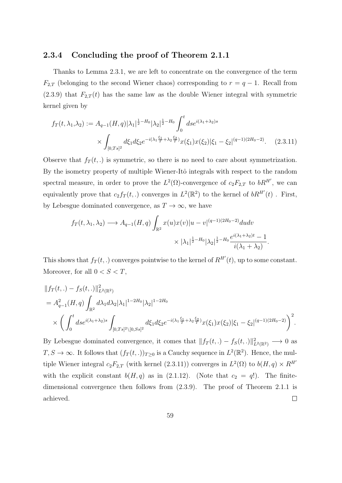#### 2.3.4 Concluding the proof of Theorem 2.1.1

Thanks to Lemma 2.3.1, we are left to concentrate on the convergence of the term  $F_{2,T}$  (belonging to the second Wiener chaos) corresponding to  $r = q - 1$ . Recall from  $(2.3.9)$  that  $F_{2,T}(t)$  has the same law as the double Wiener integral with symmetric kernel given by

$$
f_T(t, \lambda_1, \lambda_2) := A_{q-1}(H, q) |\lambda_1|^{\frac{1}{2} - H_0} |\lambda_2|^{\frac{1}{2} - H_0} \int_0^t ds e^{i(\lambda_1 + \lambda_2)s}
$$
  
 
$$
\times \int_{[0, Ts]^2} d\xi_1 d\xi_2 e^{-i(\lambda_1 \frac{\xi_1}{T} + \lambda_2 \frac{\xi_2}{T})} x(\xi_1) x(\xi_2) |\xi_1 - \xi_2|^{(q-1)(2H_0 - 2)}.
$$
 (2.3.11)

Observe that  $f_T(t,.)$  is symmetric, so there is no need to care about symmetrization. By the isometry property of multiple Wiener-Itô integrals with respect to the random spectral measure, in order to prove the  $L^2(\Omega)$ -convergence of  $c_2F_{2,T}$  to  $bR^{H'}$ , we can equivalently prove that  $c_2 f_T(t,.)$  converges in  $L^2(\mathbb{R}^2)$  to the kernel of  $bR^{H'}(t)$ . First, by Lebesgue dominated convergence, as  $T \to \infty$ , we have

$$
f_T(t, \lambda_1, \lambda_2) \longrightarrow A_{q-1}(H, q) \int_{\mathbb{R}^2} x(u)x(v)|u - v|^{(q-1)(2H_0 - 2)}dudv
$$

$$
\times |\lambda_1|^{\frac{1}{2} - H_0} |\lambda_2|^{\frac{1}{2} - H_0} \frac{e^{i(\lambda_1 + \lambda_2)t} - 1}{i(\lambda_1 + \lambda_2)}
$$

.

This shows that  $f_T(t,.)$  converges pointwise to the kernel of  $R^{H'}(t)$ , up to some constant. Moreover, for all  $0 < S < T$ ,

$$
\begin{split} &\|f_T(t,.) - f_S(t,.)\|_{L^2(\mathbb{R}^2)}^2\\ &= A_{q-1}^2(H,q) \int_{\mathbb{R}^2} d\lambda_1 d\lambda_2 |\lambda_1|^{1-2H_0} |\lambda_2|^{1-2H_0}\\ &\times \left(\int_0^t ds e^{i(\lambda_1+\lambda_2)s} \int_{[0,Ts]^2\backslash [0,Ss]^2} d\xi_1 d\xi_2 e^{-i(\lambda_1\frac{\xi_1}{T}+\lambda_2\frac{\xi_2}{T})} x(\xi_1) x(\xi_2) |\xi_1 - \xi_2|^{(q-1)(2H_0-2)}\right)^2. \end{split}
$$

By Lebesgue dominated convergence, it comes that  $|| f_T(t,.) - f_S(t,.) ||_{L^2(\mathbb{R}^2)}^2 \longrightarrow 0$  as  $T, S \to \infty$ . It follows that  $(f_T(t, .))_{T \geq 0}$  is a Cauchy sequence in  $L^2(\mathbb{R}^2)$ . Hence, the multiple Wiener integral  $c_2F_{2,T}$  (with kernel (2.3.11)) converges in  $L^2(\Omega)$  to  $b(H,q) \times R^{H'}$ with the explicit constant  $b(H, q)$  as in (2.1.12). (Note that  $c_2 = q!$ ). The finitedimensional convergence then follows from (2.3.9). The proof of Theorem 2.1.1 is  $\Box$ achieved.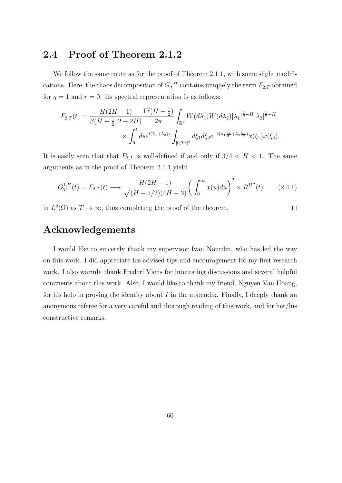### 2.4 Proof of Theorem 2.1.2

We follow the same route as for the proof of Theorem 2.1.1, with some slight modifications. Here, the chaos decomposition of  $G_T^{1,H}$  $T^{1,H}_{T}$  contains uniquely the term  $F_{2,T}$  obtained for  $q = 1$  and  $r = 0$ . Its spectral representation is as follows:

$$
F_{2,T}(t) = \frac{H(2H-1)}{\beta(H-\frac{1}{2}, 2-2H)} \frac{\Gamma^2(H-\frac{1}{2})}{2\pi} \int_{\mathbb{R}^2} W(d\lambda_1) W(d\lambda_2) |\lambda_1|^{\frac{1}{2}-H} |\lambda_2|^{\frac{1}{2}-H}
$$
  
 
$$
\times \int_0^t ds e^{i(\lambda_1+\lambda_2)s} \int_{[0,Ts]^2} d\xi_1 d\xi_2 e^{-i(\lambda_1\frac{\xi_1}{T}+\lambda_2\frac{\xi_2}{T})} x(\xi_1) x(\xi_2).
$$

It is easily seen that that  $F_{2,T}$  is well-defined if and only if  $3/4 < H < 1$ . The same arguments as in the proof of Theorem 2.1.1 yield

$$
G_T^{1,H}(t) = F_{2,T}(t) \longrightarrow \frac{H(2H - 1)}{\sqrt{(H - 1/2)(4H - 3)}} \left(\int_0^\infty x(u) du\right)^2 \times R^{H''}(t) \tag{2.4.1}
$$

in  $L^2(\Omega)$  as  $T \to \infty$ , thus completing the proof of the theorem.

 $\Box$ 

## Acknowledgements

I would like to sincerely thank my supervisor Ivan Nourdin, who has led the way on this work. I did appreciate his advised tips and encouragement for my first research work. I also warmly thank Frederi Viens for interesting discussions and several helpful comments about this work. Also, I would like to thank my friend, Nguyen Van Hoang, for his help in proving the identity about  $I$  in the appendix. Finally, I deeply thank an anonymous referee for a very careful and thorough reading of this work, and for her/his constructive remarks.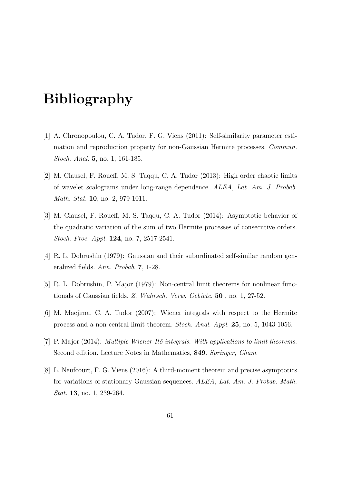# Bibliography

- [1] A. Chronopoulou, C. A. Tudor, F. G. Viens (2011): Self-similarity parameter estimation and reproduction property for non-Gaussian Hermite processes. Commun. Stoch. Anal. 5, no. 1, 161-185.
- [2] M. Clausel, F. Roueff, M. S. Taqqu, C. A. Tudor (2013): High order chaotic limits of wavelet scalograms under long-range dependence. ALEA, Lat. Am. J. Probab. Math. Stat. **10**, no. 2, 979-1011.
- [3] M. Clausel, F. Roueff, M. S. Taqqu, C. A. Tudor (2014): Asymptotic behavior of the quadratic variation of the sum of two Hermite processes of consecutive orders. Stoch. Proc. Appl. 124, no. 7, 2517-2541.
- [4] R. L. Dobrushin (1979): Gaussian and their subordinated self-similar random generalized fields. Ann. Probab. 7, 1-28.
- [5] R. L. Dobrushin, P. Major (1979): Non-central limit theorems for nonlinear functionals of Gaussian fields. Z. Wahrsch. Verw. Gebiete. 50 , no. 1, 27-52.
- [6] M. Maejima, C. A. Tudor (2007): Wiener integrals with respect to the Hermite process and a non-central limit theorem. Stoch. Anal. Appl. 25, no. 5, 1043-1056.
- [7] P. Major (2014): Multiple Wiener-Itô integrals. With applications to limit theorems. Second edition. Lecture Notes in Mathematics, 849. Springer, Cham.
- [8] L. Neufcourt, F. G. Viens (2016): A third-moment theorem and precise asymptotics for variations of stationary Gaussian sequences. ALEA, Lat. Am. J. Probab. Math. Stat. 13, no. 1, 239-264.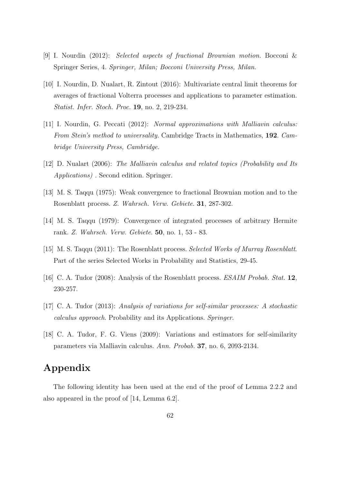- [9] I. Nourdin (2012): Selected aspects of fractional Brownian motion. Bocconi & Springer Series, 4. Springer, Milan; Bocconi University Press, Milan.
- [10] I. Nourdin, D. Nualart, R. Zintout (2016): Multivariate central limit theorems for averages of fractional Volterra processes and applications to parameter estimation. Statist. Infer. Stoch. Proc. 19, no. 2, 219-234.
- [11] I. Nourdin, G. Peccati (2012): Normal approximations with Malliavin calculus: From Stein's method to universality. Cambridge Tracts in Mathematics, 192. Cambridge University Press, Cambridge.
- [12] D. Nualart (2006): The Malliavin calculus and related topics (Probability and Its Applications) . Second edition. Springer.
- [13] M. S. Taqqu (1975): Weak convergence to fractional Brownian motion and to the Rosenblatt process. Z. Wahrsch. Verw. Gebiete. 31, 287-302.
- [14] M. S. Taqqu (1979): Convergence of integrated processes of arbitrary Hermite rank. Z. Wahrsch. Verw. Gebiete. 50, no. 1, 53 - 83.
- [15] M. S. Taqqu (2011): The Rosenblatt process. Selected Works of Murray Rosenblatt. Part of the series Selected Works in Probability and Statistics, 29-45.
- [16] C. A. Tudor (2008): Analysis of the Rosenblatt process. ESAIM Probab. Stat. 12, 230-257.
- [17] C. A. Tudor (2013): Analysis of variations for self-similar processes: A stochastic calculus approach. Probability and its Applications. Springer.
- [18] C. A. Tudor, F. G. Viens (2009): Variations and estimators for self-similarity parameters via Malliavin calculus. Ann. Probab. 37, no. 6, 2093-2134.

## Appendix

The following identity has been used at the end of the proof of Lemma 2.2.2 and also appeared in the proof of [14, Lemma 6.2].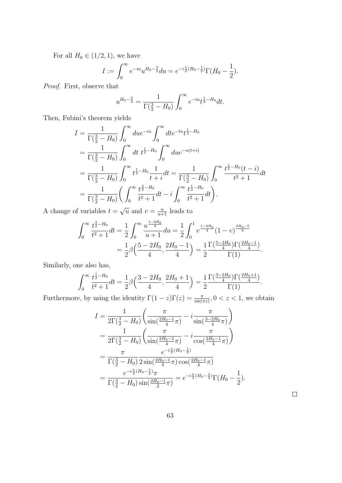For all  $H_0 \in (1/2, 1)$ , we have

$$
I := \int_0^\infty e^{-iu} u^{H_0 - \frac{3}{2}} du = e^{-i\frac{\pi}{2}(H_0 - \frac{1}{2})} \Gamma(H_0 - \frac{1}{2}).
$$

Proof. First, observe that

$$
u^{H_0 - \frac{3}{2}} = \frac{1}{\Gamma(\frac{3}{2} - H_0)} \int_0^\infty e^{-tu} t^{\frac{1}{2} - H_0} dt.
$$

Then, Fubini's theorem yields

$$
I = \frac{1}{\Gamma(\frac{3}{2} - H_0)} \int_0^\infty du e^{-iu} \int_0^\infty dt e^{-tu} t^{\frac{1}{2} - H_0}
$$
  
\n
$$
= \frac{1}{\Gamma(\frac{3}{2} - H_0)} \int_0^\infty dt t^{\frac{1}{2} - H_0} \int_0^\infty du e^{-u(t+i)}
$$
  
\n
$$
= \frac{1}{\Gamma(\frac{3}{2} - H_0)} \int_0^\infty t^{\frac{1}{2} - H_0} \frac{1}{t + i} dt = \frac{1}{\Gamma(\frac{3}{2} - H_0)} \int_0^\infty \frac{t^{\frac{1}{2} - H_0}(t - i)}{t^2 + 1} dt
$$
  
\n
$$
= \frac{1}{\Gamma(\frac{3}{2} - H_0)} \left( \int_0^\infty \frac{t^{\frac{3}{2} - H_0}}{t^2 + 1} dt - i \int_0^\infty \frac{t^{\frac{1}{2} - H_0}}{t^2 + 1} dt \right).
$$

A change of variables  $t =$  $\overline{u}$  and  $v = \frac{u}{u+1}$  leads to

$$
\int_0^\infty \frac{t^{\frac{3}{2}-H_0}}{t^2+1} dt = \frac{1}{2} \int_0^\infty \frac{u^{\frac{1-2H_0}{4}}}{u+1} du = \frac{1}{2} \int_0^1 v^{\frac{1-2H_0}{4}} (1-v)^{\frac{2H_0-5}{4}} = \frac{1}{2} \beta \left( \frac{5-2H_0}{4}, \frac{2H_0-1}{4} \right) = \frac{1}{2} \frac{\Gamma(\frac{5-2H_0}{4}) \Gamma(\frac{2H_0-1}{4})}{\Gamma(1)}.
$$

Similarly, one also has,

$$
\int_0^\infty \frac{t^{\frac{1}{2}-H_0}}{t^2+1} dt = \frac{1}{2} \beta \left( \frac{3-2H_0}{4}, \frac{2H_0+1}{4} \right) = \frac{1}{2} \frac{\Gamma(\frac{3-2H_0}{4}) \Gamma(\frac{2H_0+1}{4})}{\Gamma(1)}.
$$

Furthermore, by using the identity  $\Gamma(1-z)\Gamma(z) = \frac{\pi}{\sin(\pi z)}$ ,  $0 < z < 1$ , we obtain

$$
I = \frac{1}{2\Gamma(\frac{3}{2} - H_0)} \left( \frac{\pi}{\sin(\frac{2H_0 - 1}{4}\pi)} - i \frac{\pi}{\sin(\frac{3 - 2H_0}{4}\pi)} \right)
$$
  
= 
$$
\frac{1}{2\Gamma(\frac{3}{2} - H_0)} \left( \frac{\pi}{\sin(\frac{2H_0 - 1}{4}\pi)} - i \frac{\pi}{\cos(\frac{2H_0 - 1}{4}\pi)} \right)
$$
  
= 
$$
\frac{\pi}{\Gamma(\frac{3}{2} - H_0)} \frac{e^{-i\frac{\pi}{2}(H_0 - \frac{1}{2})}}{2\sin(\frac{2H_0 - 1}{4}\pi)\cos(\frac{2H_0 - 1}{4}\pi)}
$$
  
= 
$$
\frac{e^{-i\frac{\pi}{2}(H_0 - \frac{1}{2})}\pi}{\Gamma(\frac{3}{2} - H_0)\sin(\frac{2H_0 - 1}{2}\pi)} = e^{-i\frac{\pi}{2}(H_0 - \frac{1}{2})}\Gamma(H_0 - \frac{1}{2}).
$$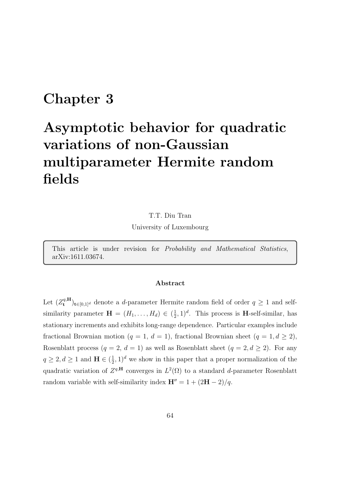## Chapter 3

# Asymptotic behavior for quadratic variations of non-Gaussian multiparameter Hermite random fields

T.T. Diu Tran University of Luxembourg

This article is under revision for Probability and Mathematical Statistics, arXiv:1611.03674.

#### Abstract

Let  $(Z^{q,{\bf H}}_{\mathbf{t}} %Mathcal{H}}:Z^{q,{\bf H}}_{\mathbf{t}} %Mathcal{H}}:Z^{q,{\bf H}}_{\mathbf{t}} %Mathcal{H}}\times Z^{q,{\bf H}}_{\mathbf{t}} %Mathcal{H}}\ni$  $\mathbf{t}^{q,\mathbf{H}}_{\mathbf{t}}$ <sub>t∈[0,1]</sub><sup>d</sup> denote a *d*-parameter Hermite random field of order  $q \geq 1$  and selfsimilarity parameter  $\mathbf{H} = (H_1, \ldots, H_d) \in \left(\frac{1}{2}\right)$  $(\frac{1}{2}, 1)^d$ . This process is **H**-self-similar, has stationary increments and exhibits long-range dependence. Particular examples include fractional Brownian motion (q = 1, d = 1), fractional Brownian sheet (q = 1, d  $\geq$  2), Rosenblatt process  $(q = 2, d = 1)$  as well as Rosenblatt sheet  $(q = 2, d \ge 2)$ . For any  $q \ge 2, d \ge 1$  and  $\mathbf{H} \in (\frac{1}{2})$  $(\frac{1}{2}, 1)^d$  we show in this paper that a proper normalization of the quadratic variation of  $Z^{q,H}$  converges in  $L^2(\Omega)$  to a standard d-parameter Rosenblatt random variable with self-similarity index  $\mathbf{H}'' = 1 + (2\mathbf{H} - 2)/q$ .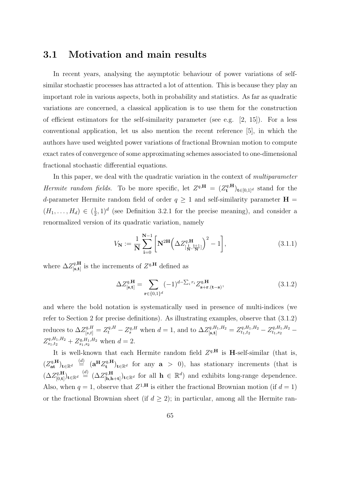### 3.1 Motivation and main results

In recent years, analysing the asymptotic behaviour of power variations of selfsimilar stochastic processes has attracted a lot of attention. This is because they play an important role in various aspects, both in probability and statistics. As far as quadratic variations are concerned, a classical application is to use them for the construction of efficient estimators for the self-similarity parameter (see e.g. [2, 15]). For a less conventional application, let us also mention the recent reference [5], in which the authors have used weighted power variations of fractional Brownian motion to compute exact rates of convergence of some approximating schemes associated to one-dimensional fractional stochastic differential equations.

In this paper, we deal with the quadratic variation in the context of multiparameter Hermite random fields. To be more specific, let  $Z^{q,\mathbf{H}} = (Z^{q,\mathbf{H}}_{\mathbf{t}})$  $(t_t^{q,H})_{t\in[0,1]^d}$  stand for the d-parameter Hermite random field of order  $q \ge 1$  and self-similarity parameter  $H =$  $(H_1, \ldots, H_d) \in \left(\frac{1}{2}\right)$  $(\frac{1}{2}, 1)^d$  (see Definition 3.2.1 for the precise meaning), and consider a renormalized version of its quadratic variation, namely

$$
V_{N} := \frac{1}{N} \sum_{i=0}^{N-1} \left[ N^{2H} \left( \Delta Z_{\left[ \frac{i}{N}, \frac{i+1}{N} \right]}^{q, H} \right)^{2} - 1 \right],
$$
 (3.1.1)

where  $\Delta Z^{q,\mathbf{H}}_{\text{ls t}}$  $_{\left[ \mathbf{s},\mathbf{t} \right]}^{q,\mathbf{H}}$  is the increments of  $Z^{q,\mathbf{H}}$  defined as

$$
\Delta Z_{\left[\mathbf{s},\mathbf{t}\right]}^{q,\mathbf{H}} = \sum_{\mathbf{r}\in\{0,1\}^d} (-1)^{d-\sum_i r_i} Z_{\mathbf{s}+\mathbf{r}\cdot(\mathbf{t}-\mathbf{s})}^{q,\mathbf{H}},\tag{3.1.2}
$$

and where the bold notation is systematically used in presence of multi-indices (we refer to Section 2 for precise definitions). As illustrating examples, observe that (3.1.2) reduces to  $\Delta Z_{[s,t]}^{q,H} = Z_t^{q,H} - Z_s^{q,H}$  when  $d = 1$ , and to  $\Delta Z_{[s,t]}^{q,H_1,H_2} = Z_{t_1,t_2}^{q,H_1,H_2} - Z_{t_1,s_2}^{q,H_1,H_2} - Z_{t_1,t_3}^{q,H_1,H_3}$  $Z_{s_1,t_2}^{q,H_1,H_2} + Z_{s_1,s_2}^{q,H_1,H_2}$  when  $d=2$ .

It is well-known that each Hermite random field  $Z^{q,H}$  is H-self-similar (that is,  $(Z_{\mathbf{at}}^{q,\mathbf{H}})_{\mathbf{t}\in\mathbb{R}^d} \stackrel{(d)}{=} (\mathbf{a}^{\mathbf{H}} Z_{\mathbf{t}}^{q,\mathbf{H}})$  $(\mathbf{t}^{q,\mathbf{H}})_{\mathbf{t}\in\mathbb{R}^d}$  for any  $\mathbf{a} > 0$ , has stationary increments (that is  $(\Delta Z^{q,\mathbf{H}}_{\mathsf{[0,t]}}$  $\binom{q,\mathbf{H}}{[0,\mathbf{t}]}\mathbf{t} \in \mathbb{R}^d \ \stackrel{(d)}{=} \ (\Delta Z^{q,\mathbf{H}}_{[\mathbf{h},\mathbf{h}]}$  $\{[\mathbf{h}, \mathbf{h} + \mathbf{t}]\}_{\mathbf{t}\in\mathbb{R}^d}$  for all  $\mathbf{h} \in \mathbb{R}^d$  and exhibits long-range dependence. Also, when  $q = 1$ , observe that  $Z^{1,H}$  is either the fractional Brownian motion (if  $d = 1$ ) or the fractional Brownian sheet (if  $d \geq 2$ ); in particular, among all the Hermite ran-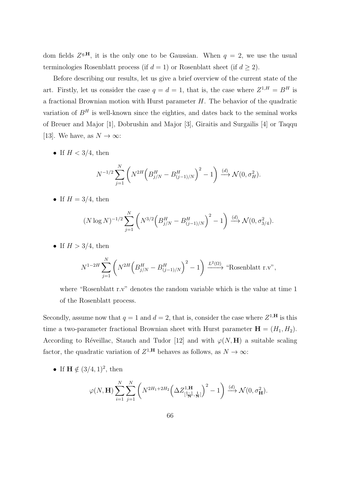dom fields  $Z^{q,H}$ , it is the only one to be Gaussian. When  $q = 2$ , we use the usual terminologies Rosenblatt process (if  $d = 1$ ) or Rosenblatt sheet (if  $d \geq 2$ ).

Before describing our results, let us give a brief overview of the current state of the art. Firstly, let us consider the case  $q = d = 1$ , that is, the case where  $Z^{1,H} = B^H$  is a fractional Brownian motion with Hurst parameter  $H$ . The behavior of the quadratic variation of  $B<sup>H</sup>$  is well-known since the eighties, and dates back to the seminal works of Breuer and Major [1], Dobrushin and Major [3], Giraitis and Surgailis [4] or Taqqu [13]. We have, as  $N \to \infty$ :

• If  $H < 3/4$ , then

$$
N^{-1/2} \sum_{j=1}^{N} \left( N^{2H} \left( B_{j/N}^{H} - B_{(j-1)/N}^{H} \right)^{2} - 1 \right) \xrightarrow{(d)} \mathcal{N}(0, \sigma_{H}^{2}).
$$

• If  $H = 3/4$ , then

$$
(N \log N)^{-1/2} \sum_{j=1}^{N} \left( N^{3/2} \left( B_{j/N}^{H} - B_{(j-1)/N}^{H} \right)^{2} - 1 \right) \xrightarrow{(d)} \mathcal{N}(0, \sigma_{3/4}^{2}).
$$

• If  $H > 3/4$ , then

$$
N^{1-2H} \sum_{j=1}^{N} \left( N^{2H} \left( B_{j/N}^{H} - B_{(j-1)/N}^{H} \right)^{2} - 1 \right) \xrightarrow{L^{2}(\Omega)} \text{``Rosenblatt r.v''},
$$

where "Rosenblatt r.v" denotes the random variable which is the value at time 1 of the Rosenblatt process.

Secondly, assume now that  $q = 1$  and  $d = 2$ , that is, consider the case where  $Z^{1,H}$  is this time a two-parameter fractional Brownian sheet with Hurst parameter  $\mathbf{H} = (H_1, H_2)$ . According to Réveillac, Stauch and Tudor [12] and with  $\varphi(N, H)$  a suitable scaling factor, the quadratic variation of  $Z^{1,H}$  behaves as follows, as  $N \to \infty$ :

• If  $\mathbf{H} \notin (3/4, 1)^2$ , then

$$
\varphi(N, \mathbf{H}) \sum_{i=1}^{N} \sum_{j=1}^{N} \left( N^{2H_1 + 2H_2} \left( \Delta Z^{1, \mathbf{H}}_{\left[\frac{i-1}{N}, \frac{i}{N}\right]} \right)^2 - 1 \right) \xrightarrow{(d)} \mathcal{N}(0, \sigma^2_{\mathbf{H}}).
$$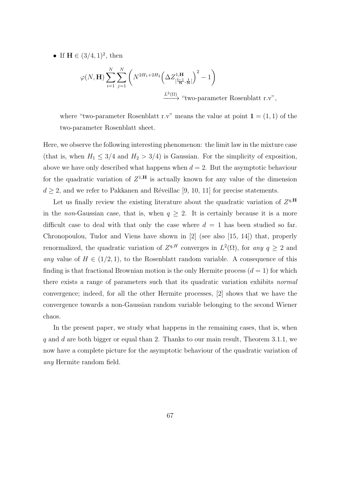• If  $H \in (3/4, 1)^2$ , then

$$
\varphi(N, \mathbf{H}) \sum_{i=1}^{N} \sum_{j=1}^{N} \left( N^{2H_1 + 2H_2} \left( \Delta Z_{\left[\frac{i-1}{N}, \frac{i}{N}\right]}^{1, \mathbf{H}} \right)^2 - 1 \right)
$$
  

$$
\xrightarrow{L^2(\Omega)} \text{``two-parameter Rosenblatt r.v''},
$$

where "two-parameter Rosenblatt r.v" means the value at point  $\mathbf{1} = (1,1)$  of the two-parameter Rosenblatt sheet.

Here, we observe the following interesting phenomenon: the limit law in the mixture case (that is, when  $H_1 \leq 3/4$  and  $H_2 > 3/4$ ) is Gaussian. For the simplicity of exposition, above we have only described what happens when  $d = 2$ . But the asymptotic behaviour for the quadratic variation of  $Z^{1,H}$  is actually known for any value of the dimension  $d \geq 2$ , and we refer to Pakkanen and Réveillac [9, 10, 11] for precise statements.

Let us finally review the existing literature about the quadratic variation of  $Z^{q,\mathbf{H}}$ in the non-Gaussian case, that is, when  $q \geq 2$ . It is certainly because it is a more difficult case to deal with that only the case where  $d = 1$  has been studied so far. Chronopoulou, Tudor and Viens have shown in [2] (see also [15, 14]) that, properly renormalized, the quadratic variation of  $Z^{q,H}$  converges in  $L^2(\Omega)$ , for any  $q \geq 2$  and any value of  $H \in (1/2, 1)$ , to the Rosenblatt random variable. A consequence of this finding is that fractional Brownian motion is the only Hermite process  $(d = 1)$  for which there exists a range of parameters such that its quadratic variation exhibits normal convergence; indeed, for all the other Hermite processes, [2] shows that we have the convergence towards a non-Gaussian random variable belonging to the second Wiener chaos.

In the present paper, we study what happens in the remaining cases, that is, when q and d are both bigger or equal than 2. Thanks to our main result, Theorem 3.1.1, we now have a complete picture for the asymptotic behaviour of the quadratic variation of any Hermite random field.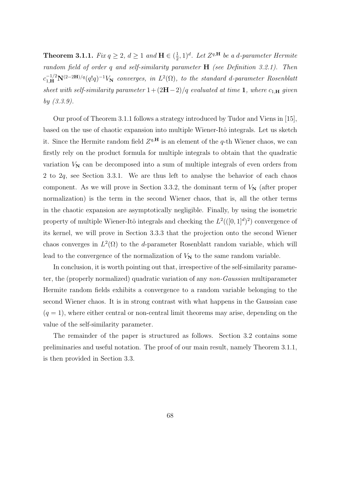**Theorem 3.1.1.** Fix  $q \geq 2$ ,  $d \geq 1$  and  $\mathbf{H} \in \left(\frac{1}{2}\right)$  $(\frac{1}{2}, 1)^d$ . Let  $Z^{q,\mathbf{H}}$  be a d-parameter Hermite random field of order q and self-similarity parameter **H** (see Definition 3.2.1). Then  $c_{1,\mathbf{H}}^{-1/2}\mathbf{N}^{(2-2\mathbf{H})/q}(q!q)^{-1}V_{\mathbf{N}}$  converges, in  $L^2(\Omega)$ , to the standard d-parameter Rosenblatt sheet with self-similarity parameter  $1+(2H-2)/q$  evaluated at time 1, where  $c_{1,\mathbf{H}}$  given by (3.3.9).

Our proof of Theorem 3.1.1 follows a strategy introduced by Tudor and Viens in [15], based on the use of chaotic expansion into multiple Wiener-Itô integrals. Let us sketch it. Since the Hermite random field  $Z^{q,H}$  is an element of the q-th Wiener chaos, we can firstly rely on the product formula for multiple integrals to obtain that the quadratic variation  $V_N$  can be decomposed into a sum of multiple integrals of even orders from 2 to 2q, see Section 3.3.1. We are thus left to analyse the behavior of each chaos component. As we will prove in Section 3.3.2, the dominant term of  $V_N$  (after proper normalization) is the term in the second Wiener chaos, that is, all the other terms in the chaotic expansion are asymptotically negligible. Finally, by using the isometric property of multiple Wiener-Itô integrals and checking the  $L^2((0,1]^d)^2)$  convergence of its kernel, we will prove in Section 3.3.3 that the projection onto the second Wiener chaos converges in  $L^2(\Omega)$  to the d-parameter Rosenblatt random variable, which will lead to the convergence of the normalization of  $V_N$  to the same random variable.

In conclusion, it is worth pointing out that, irrespective of the self-similarity parameter, the (properly normalized) quadratic variation of any non-Gaussian multiparameter Hermite random fields exhibits a convergence to a random variable belonging to the second Wiener chaos. It is in strong contrast with what happens in the Gaussian case  $(q = 1)$ , where either central or non-central limit theorems may arise, depending on the value of the self-similarity parameter.

The remainder of the paper is structured as follows. Section 3.2 contains some preliminaries and useful notation. The proof of our main result, namely Theorem 3.1.1, is then provided in Section 3.3.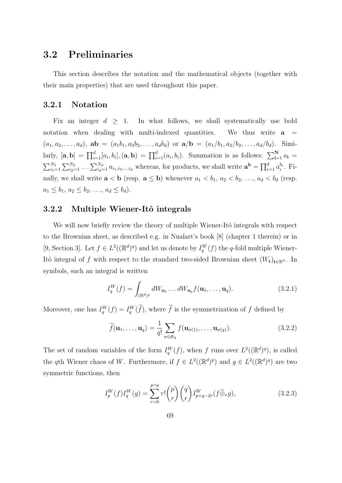### 3.2 Preliminaries

This section describes the notation and the mathematical objects (together with their main properties) that are used throughout this paper.

#### 3.2.1 Notation

Fix an integer  $d \geq 1$ . In what follows, we shall systematically use bold notation when dealing with multi-indexed quantities. We thus write  $a =$  $(a_1, a_2, \ldots, a_d)$ ,  $ab = (a_1b_1, a_2b_2, \ldots, a_d b_d)$  or  $a/b = (a_1/b_1, a_2/b_2, \ldots, a_d/b_d)$ . Similarly,  $[\mathbf{a}, \mathbf{b}] = \prod_{i=1}^d [a_i, b_i], (\mathbf{a}, \mathbf{b}) = \prod_{i=1}^d (a_i, b_i)$ . Summation is as follows:  $\sum_{i=1}^N a_i =$  $\sum_{i=1}^{N_1} \sum_{i=1}^{N_2} \ldots \sum_{i_d=1}^{N_d} a_{i_1,i_2,\ldots,i_d}$  whereas, for products, we shall write  $\mathbf{a}^{\mathbf{b}} = \prod_{i=1}^d a_i^{b_i}$ . Finally, we shall write  $\mathbf{a} < \mathbf{b}$  (resp.  $\mathbf{a} \leq \mathbf{b}$ ) whenever  $a_1 < b_1, a_2 < b_2, \ldots, a_d < b_d$  (resp.  $a_1 \leq b_1, a_2 \leq b_2, \ldots, a_d \leq b_d$ .

### 3.2.2 Multiple Wiener-Itô integrals

We will now briefly review the theory of multiple Wiener-Itô integrals with respect to the Brownian sheet, as described e.g. in Nualart's book [8] (chapter 1 therein) or in [9, Section 3]. Let  $f \in L^2((\mathbb{R}^d)^q)$  and let us denote by  $I_q^W(f)$  the q-fold multiple Wiener-Itô integral of f with respect to the standard two-sided Brownian sheet  $(W_t)_{t\in\mathbb{R}^d}$ . In symbols, such an integral is written

$$
I_q^W(f) = \int_{(\mathbb{R}^d)^q} dW_{\mathbf{u}_1} \dots dW_{\mathbf{u}_q} f(\mathbf{u}_1, \dots, \mathbf{u}_q).
$$
 (3.2.1)

Moreover, one has  $I_q^W(f) = I_q^W(f)$ , where  $f$  is the symmetrization of  $f$  defined by

$$
\widetilde{f}(\mathbf{u}_1,\ldots,\mathbf{u}_q) = \frac{1}{q!} \sum_{\sigma \in \mathfrak{S}_q} f(\mathbf{u}_{\sigma(1)},\ldots,\mathbf{u}_{\sigma(q)}).
$$
\n(3.2.2)

The set of random variables of the form  $I_q^W(f)$ , when f runs over  $L^2((\mathbb{R}^d)^q)$ , is called the qth Wiener chaos of W. Furthermore, if  $f \in L^2((\mathbb{R}^d)^p)$  and  $g \in L^2((\mathbb{R}^d)^q)$  are two symmetric functions, then

$$
I_p^W(f)I_q^W(g) = \sum_{r=0}^{p \wedge q} r! \binom{p}{r} \binom{q}{r} I_{p+q-2r}^W(f \widetilde{\otimes}_r g), \tag{3.2.3}
$$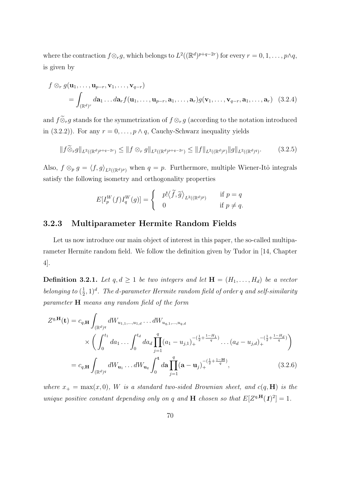where the contraction  $f \otimes_r g$ , which belongs to  $L^2((\mathbb{R}^d)^{p+q-2r})$  for every  $r = 0, 1, \ldots, p \wedge q$ , is given by

$$
f \otimes_r g(\mathbf{u}_1, \dots, \mathbf{u}_{p-r}, \mathbf{v}_1, \dots, \mathbf{v}_{q-r})
$$
  
=  $\int_{(\mathbb{R}^d)^r} d\mathbf{a}_1 \dots d\mathbf{a}_r f(\mathbf{u}_1, \dots, \mathbf{u}_{p-r}, \mathbf{a}_1, \dots, \mathbf{a}_r) g(\mathbf{v}_1, \dots, \mathbf{v}_{q-r}, \mathbf{a}_1, \dots, \mathbf{a}_r) (3.2.4)$ 

and  $f \widetilde{\otimes}_r g$  stands for the symmetrization of  $f \otimes_r g$  (according to the notation introduced in (3.2.2)). For any  $r = 0, \ldots, p \wedge q$ , Cauchy-Schwarz inequality yields

$$
||f\widetilde{\otimes}_r g||_{L^2((\mathbb{R}^d)^{p+q-2r})} \le ||f\otimes_r g||_{L^2((\mathbb{R}^d)^{p+q-2r})} \le ||f||_{L^2((\mathbb{R}^d)^p)} ||g||_{L^2((\mathbb{R}^d)^q)}.
$$
 (3.2.5)

Also,  $f \otimes_p g = \langle f, g \rangle_{L^2((\mathbb{R}^d)^p)}$  when  $q = p$ . Furthermore, multiple Wiener-Itô integrals satisfy the following isometry and orthogonality properties

$$
E[I_p^W(f)I_q^W(g)] = \begin{cases} p! \langle \widetilde{f}, \widetilde{g} \rangle_{L^2((\mathbb{R}^d)^p)} & \text{if } p = q \\ 0 & \text{if } p \neq q. \end{cases}
$$

### 3.2.3 Multiparameter Hermite Random Fields

Let us now introduce our main object of interest in this paper, the so-called multiparameter Hermite random field. We follow the definition given by Tudor in [14, Chapter 4].

**Definition 3.2.1.** Let  $q, d \geq 1$  be two integers and let  $\mathbf{H} = (H_1, \ldots, H_d)$  be a vector belonging to  $(\frac{1}{2})$  $(\frac{1}{2},1)^d$ . The d-parameter Hermite random field of order  $q$  and self-similarity parameter H means any random field of the form

$$
Z^{q,\mathbf{H}}(\mathbf{t}) = c_{q,\mathbf{H}} \int_{(\mathbb{R}^d)^q} dW_{u_{1,1},...,u_{1,d}} \dots dW_{u_{q,1},...,u_{q,d}} \times \left( \int_0^{t_1} da_1 \dots \int_0^{t_d} da_d \prod_{j=1}^q (a_1 - u_{j,1})_+^{-(\frac{1}{2} + \frac{1-H_1}{q})} \dots (a_d - u_{j,d})_+^{-(\frac{1}{2} + \frac{1-H_d}{q})} \right) = c_{q,\mathbf{H}} \int_{(\mathbb{R}^d)^q} dW_{\mathbf{u}_1} \dots dW_{\mathbf{u}_q} \int_0^{\mathbf{t}} da \prod_{j=1}^q (\mathbf{a} - \mathbf{u}_j)_+^{-(\frac{1}{2} + \frac{1-\mathbf{H}}{q})},
$$
(3.2.6)

where  $x_+ = \max(x, 0)$ , W is a standard two-sided Brownian sheet, and  $c(q, H)$  is the unique positive constant depending only on q and **H** chosen so that  $E[Z^{q,H}(1)^2] = 1$ .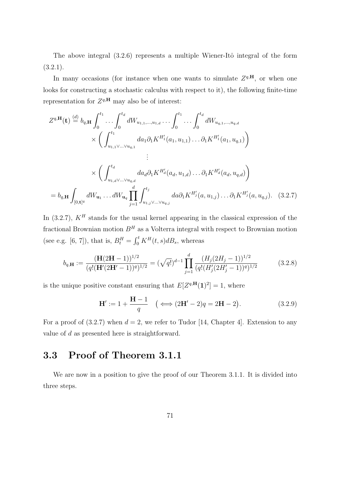The above integral  $(3.2.6)$  represents a multiple Wiener-Itô integral of the form  $(3.2.1).$ 

In many occasions (for instance when one wants to simulate  $Z^{q,H}$ , or when one looks for constructing a stochastic calculus with respect to it), the following finite-time representation for  $Z^{q,\mathbf{H}}$  may also be of interest:

$$
Z^{q,\mathbf{H}}(\mathbf{t}) \stackrel{(d)}{=} b_{q,\mathbf{H}} \int_0^{t_1} \cdots \int_0^{t_d} dW_{u_{1,1},...,u_{1,d}} \cdots \int_0^{t_1} \cdots \int_0^{t_d} dW_{u_{q,1},...,u_{q,d}} \times \left( \int_{u_{1,1}}^{t_1} da_1 \partial_1 K^{H'_1}(a_1, u_{1,1}) \cdots \partial_1 K^{H'_1}(a_1, u_{q,1}) \right) \n\vdots \times \left( \int_{u_{1,d}}^{t_d} da_d \partial_1 K^{H'_d}(a_d, u_{1,d}) \cdots \partial_1 K^{H'_d}(a_d, u_{q,d}) \right) \n= b_{q,\mathbf{H}} \int_{[0,\mathbf{t}]^q} dW_{\mathbf{u}_1} \cdots dW_{\mathbf{u}_q} \prod_{j=1}^d \int_{u_{1,j} \vee \ldots \vee u_{q,j}}^{t_j} da \partial_1 K^{H'_j}(a, u_{1,j}) \cdots \partial_1 K^{H'_j}(a, u_{q,j}).
$$
\n(3.2.7)

In (3.2.7),  $K<sup>H</sup>$  stands for the usual kernel appearing in the classical expression of the fractional Brownian motion  $B<sup>H</sup>$  as a Volterra integral with respect to Brownian motion (see e.g. [6, 7]), that is,  $B_t^H = \int_0^t K^H(t, s) dB_s$ , whereas

$$
b_{q,\mathbf{H}} := \frac{(\mathbf{H}(2\mathbf{H} - 1))^{1/2}}{(q!(\mathbf{H}'(2\mathbf{H}' - 1))^{q})^{1/2}} = (\sqrt{q!})^{d-1} \prod_{j=1}^{d} \frac{(H_j(2H_j - 1))^{1/2}}{(q!(H'_j(2H'_j - 1))^{q})^{1/2}}
$$
(3.2.8)

is the unique positive constant ensuring that  $E[Z^{q,\mathbf{H}}(1)^{2}] = 1$ , where

$$
\mathbf{H'} := 1 + \frac{\mathbf{H} - 1}{q} \quad (\iff (2\mathbf{H'} - 2)q = 2\mathbf{H} - 2). \tag{3.2.9}
$$

For a proof of  $(3.2.7)$  when  $d = 2$ , we refer to Tudor [14, Chapter 4]. Extension to any value of d as presented here is straightforward.

## 3.3 Proof of Theorem 3.1.1

We are now in a position to give the proof of our Theorem 3.1.1. It is divided into three steps.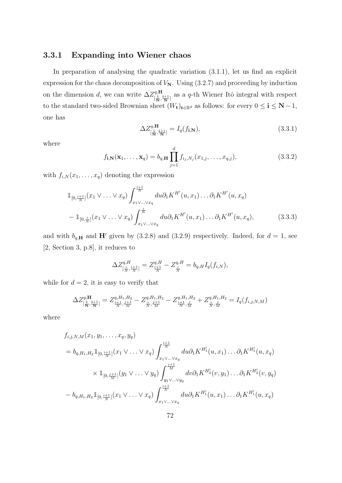### 3.3.1 Expanding into Wiener chaos

In preparation of analysing the quadratic variation (3.1.1), let us find an explicit expression for the chaos decomposition of  $V_N$ . Using  $(3.2.7)$  and proceeding by induction on the dimension d, we can write  $\Delta Z_{\text{f}}^{q,\text{H}}$  $\frac{q,\mathbf{H}}{[\frac{1}{\mathbf{N}},\frac{1+1}{\mathbf{N}}]}$  as a q-th Wiener Itô integral with respect to the standard two-sided Brownian sheet  $(W_t)_{t\in\mathbb{R}^d}$  as follows: for every  $0 \leq \mathbf{i} \leq \mathbf{N} - 1$ , one has

$$
\Delta Z_{\left[\frac{\mathbf{i}}{\mathbf{N}},\frac{\mathbf{i}+\mathbf{1}}{\mathbf{N}}\right]}^{\mathbf{q},\mathbf{H}} = I_q(f_{\mathbf{i},\mathbf{N}}),\tag{3.3.1}
$$

where

$$
f_{\mathbf{i},\mathbf{N}}(\mathbf{x}_1,\ldots,\mathbf{x}_q) = b_{q,\mathbf{H}} \prod_{j=1}^d f_{i_j,N_j}(x_{1,j},\ldots,x_{q,j}),
$$
\n(3.3.2)

with  $f_{i,N}(x_1,\ldots,x_q)$  denoting the expression

$$
\mathbb{1}_{[0,\frac{i+1}{N}]}(x_1 \vee \ldots \vee x_q) \int_{x_1 \vee \ldots \vee x_q}^{\frac{i+1}{N}} du \partial_1 K^{H'}(u,x_1) \ldots \partial_1 K^{H'}(u,x_q)
$$
\n
$$
-\mathbb{1}_{[0,\frac{i}{N}]}(x_1 \vee \ldots \vee x_q) \int_{x_1 \vee \ldots \vee x_q}^{\frac{i}{N}} du \partial_1 K^{H'}(u,x_1) \ldots \partial_1 K^{H'}(u,x_q), \tag{3.3.3}
$$

and with  $b_{q,H}$  and  $H'$  given by (3.2.8) and (3.2.9) respectively. Indeed, for  $d = 1$ , see [2, Section 3, p.8], it reduces to

$$
\Delta Z^{q,H}_{[\frac{i}{N},\frac{i+1}{N}]}=Z^{q,H}_{\frac{i+1}{N}}-Z^{q,H}_{\frac{i}{N}}=b_{q,H}I_q(f_{i,N}),
$$

while for  $d = 2$ , it is easy to verify that

$$
\Delta Z_{\left[\frac{1}{N},\frac{1+1}{N}\right]}^{q,H} = Z_{\frac{i+1}{N},\frac{j+1}{M}}^{q,H_1,H_2} - Z_{\frac{i}{N},\frac{j+1}{M}}^{q,H_1,H_2} - Z_{\frac{i+1}{N},\frac{j}{M}}^{q,H_1,H_2} + Z_{\frac{i}{N},\frac{j}{M}}^{q,H_1,H_2} = I_q(f_{i,j,N,M})
$$

where

$$
f_{i,j,N,M}(x_1, y_1, \ldots, x_q, y_q)
$$
  
=  $b_{q,H_1,H_2} \mathbb{1}_{[0, \frac{i+1}{N}]}(x_1 \vee \ldots \vee x_q) \int_{x_1 \vee \ldots \vee x_q}^{\frac{i+1}{N}} du \partial_1 K^{H'_1}(u, x_1) \ldots \partial_1 K^{H'_1}(u, x_q)$   

$$
\times \mathbb{1}_{[0, \frac{i+1}{M}]}(y_1 \vee \ldots \vee y_q) \int_{y_1 \vee \ldots \vee y_q}^{\frac{i+1}{M}} dv \partial_1 K^{H'_2}(v, y_1) \ldots \partial_1 K^{H'_2}(v, y_q)
$$

$$
- b_{q,H_1,H_2} \mathbb{1}_{[0, \frac{i+1}{N}]}(x_1 \vee \ldots \vee x_q) \int_{x_1 \vee \ldots \vee x_q}^{\frac{i+1}{N}} du \partial_1 K^{H'_1}(u, x_1) \ldots \partial_1 K^{H'_1}(u, x_q)
$$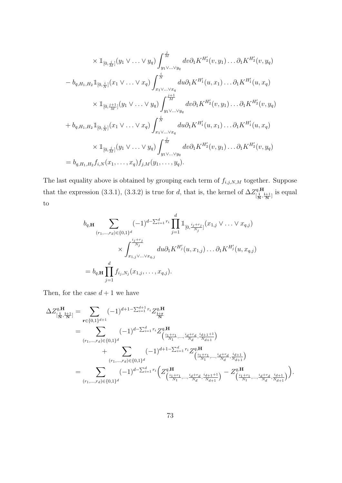$$
\times \mathbb{1}_{[0,\frac{j}{M}]}(y_1 \vee \dots \vee y_q) \int_{y_1 \vee \dots \vee y_q}^{\frac{j}{M}} dv \partial_1 K^{H'_2}(v, y_1) \dots \partial_1 K^{H'_2}(v, y_q)
$$
  
\n
$$
- b_{q,H_1,H_2} \mathbb{1}_{[0,\frac{i}{N}]}(x_1 \vee \dots \vee x_q) \int_{x_1 \vee \dots \vee x_q}^{\frac{j}{N}} dw \partial_1 K^{H'_1}(u, x_1) \dots \partial_1 K^{H'_1}(u, x_q)
$$
  
\n
$$
\times \mathbb{1}_{[0,\frac{j+1}{M}]}(y_1 \vee \dots \vee y_q) \int_{y_1 \vee \dots \vee y_q}^{\frac{j+1}{M}} dv \partial_1 K^{H'_2}(v, y_1) \dots \partial_1 K^{H'_2}(v, y_q)
$$
  
\n
$$
+ b_{q,H_1,H_2} \mathbb{1}_{[0,\frac{i}{N}]}(x_1 \vee \dots \vee x_q) \int_{x_1 \vee \dots \vee x_q}^{\frac{j}{N}} dw \partial_1 K^{H'_1}(u, x_1) \dots \partial_1 K^{H'_1}(u, x_q)
$$
  
\n
$$
\times \mathbb{1}_{[0,\frac{j}{M}]}(y_1 \vee \dots \vee y_q) \int_{y_1 \vee \dots \vee y_q}^{\frac{j}{M}} dw \partial_1 K^{H'_2}(v, y_1) \dots \partial_1 K^{H'_2}(v, y_q)
$$
  
\n
$$
= b_{q,H_1,H_2} f_{i,N}(x_1, \dots, x_q) f_{j,M}(y_1, \dots, y_q).
$$

The last equality above is obtained by grouping each term of  $f_{i,j,N,M}$  together. Suppose that the expression (3.3.1), (3.3.2) is true for d, that is, the kernel of  $\Delta Z_{\text{I}}^{q,H}$  $\frac{d^q \cdot \mathbf{H}}{[\frac{\mathbf{i}}{\mathbf{N}},\frac{\mathbf{i}+1}{\mathbf{N}}]}$  is equal to

$$
b_{q,\mathbf{H}} \sum_{(r_1,\ldots,r_d)\in\{0,1\}^d} (-1)^{d-\sum_{i=1}^d r_i} \prod_{j=1}^d \mathbb{1}_{[0,\frac{i_j+r_j}{N_j}]}(x_{1,j}\vee \ldots \vee x_{q,j})
$$
  

$$
\times \int_{x_{1,j}\vee\ldots\vee x_{q,j}}^{x_{j+r_j}} du \partial_1 K^{H'_j}(u,x_{1,j}) \ldots \partial_1 K^{H'_j}(u,x_{q,j})
$$
  

$$
= b_{q,\mathbf{H}} \prod_{j=1}^d f_{i_j,N_j}(x_{1,j},\ldots,x_{q,j}).
$$

Then, for the case  $d + 1$  we have

$$
\Delta Z_{[\frac{1}{N},\frac{i+1}{N}]}^{q,\mathbf{H}} = \sum_{\mathbf{r} \in \{0,1\}^{d+1}} (-1)^{d+1-\sum_{i=1}^{d+1} r_i} Z_{\frac{i+r}{N}}^{q,\mathbf{H}}
$$
\n
$$
= \sum_{(r_1,\ldots,r_d) \in \{0,1\}^d} (-1)^{d-\sum_{i=1}^d r_i} Z_{(\frac{i_1+r_1}{N_1},\ldots,\frac{i_d+r_d}{N_d},\frac{i_{d+1}+1}{N_{d+1}})}^{q,\mathbf{H}} + \sum_{(r_1,\ldots,r_d) \in \{0,1\}^d} (-1)^{d+1-\sum_{i=1}^d r_i} Z_{(\frac{i_1+r_1}{N_1},\ldots,\frac{i_d+r_d}{N_d},\frac{i_{d+1}}{N_{d+1}})}^{q,\mathbf{H}}
$$
\n
$$
= \sum_{(r_1,\ldots,r_d) \in \{0,1\}^d} (-1)^{d-\sum_{i=1}^d r_i} \left(Z_{(\frac{i_1+r_1}{N_1},\ldots,\frac{i_d+r_d}{N_d},\frac{i_{d+1}+1}{N_{d+1}})}^{q,\mathbf{H}} - Z_{(\frac{i_1+r_1}{N_1},\ldots,\frac{i_d+r_d}{N_d},\frac{i_{d+1}}{N_{d+1}})}^{q,\mathbf{H}}
$$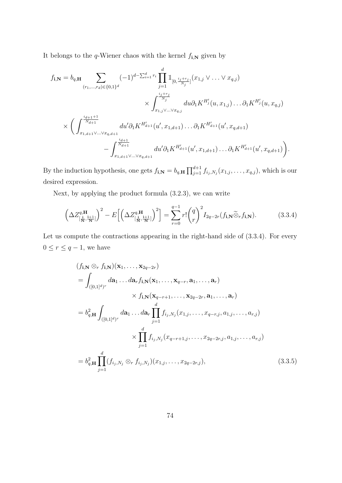It belongs to the  $q\text{-}\mathit{Wiener}$  chaos with the kernel  $f_{\mathbf{i},\mathbf{N}}$  given by

$$
f_{\mathbf{i},\mathbf{N}} = b_{q,\mathbf{H}} \sum_{(r_1,\ldots,r_d)\in\{0,1\}^d} (-1)^{d-\sum_{i=1}^d r_i} \prod_{j=1}^d \mathbb{1}_{[0,\frac{i_j+r_j}{N_j}]}(x_{1,j}\vee \ldots \vee x_{q,j})
$$
  

$$
\times \int_{x_{1,j}\vee\ldots\vee x_{q,j}}^{\frac{i_j+r_j}{N_j}} du \partial_1 K^{H'_j}(u,x_{1,j})\ldots \partial_1 K^{H'_j}(u,x_{q,j})
$$
  

$$
\times \left(\int_{x_{1,d+1}\vee\ldots\vee x_{q,d+1}}^{\frac{i_{d+1}+1}{N_{d+1}}} du' \partial_1 K^{H'_{d+1}}(u',x_{1,d+1})\ldots \partial_1 K^{H'_{d+1}}(u',x_{q,d+1}) - \int_{x_{1,d+1}\vee\ldots\vee x_{q,d+1}}^{\frac{i_{d+1}}{N_{d+1}}} du' \partial_1 K^{H'_{d+1}}(u',x_{1,d+1})\ldots \partial_1 K^{H'_{d+1}}(u',x_{q,d+1})\right).
$$

By the induction hypothesis, one gets  $f_{\mathbf{i},\mathbf{N}} = b_{q,\mathbf{H}} \prod_{j=1}^{d+1} f_{i_j,N_j}(x_{1,j},\ldots,x_{q,j})$ , which is our desired expression.

Next, by applying the product formula (3.2.3), we can write

$$
\left(\Delta Z_{\left[\frac{1}{N},\frac{1+1}{N}\right]}^{q,H}\right)^2 - E\left[\left(\Delta Z_{\left[\frac{1}{N},\frac{1+1}{N}\right]}^{q,H}\right)^2\right] = \sum_{r=0}^{q-1} r! \binom{q}{r}^2 I_{2q-2r}(f_{\mathbf{i},\mathbf{N}}\widetilde{\otimes}_r f_{\mathbf{i},\mathbf{N}}).
$$
(3.3.4)

Let us compute the contractions appearing in the right-hand side of  $(3.3.4)$ . For every  $0 \le r \le q-1$ , we have

$$
(f_{\mathbf{i},\mathbf{N}} \otimes_r f_{\mathbf{i},\mathbf{N}})(\mathbf{x}_1,\ldots,\mathbf{x}_{2q-2r})
$$
  
=  $\int_{([0,1]^{d})^r} d\mathbf{a}_1 \ldots d\mathbf{a}_r f_{\mathbf{i},\mathbf{N}}(\mathbf{x}_1,\ldots,\mathbf{x}_{q-r},\mathbf{a}_1,\ldots,\mathbf{a}_r)$   
 $\times f_{\mathbf{i},\mathbf{N}}(\mathbf{x}_{q-r+1},\ldots,\mathbf{x}_{2q-2r},\mathbf{a}_1,\ldots,\mathbf{a}_r)$   
=  $b_{q,\mathbf{H}}^2 \int_{([0,1]^{d})^r} d\mathbf{a}_1 \ldots d\mathbf{a}_r \prod_{j=1}^d f_{i_j,N_j}(x_{1,j},\ldots,x_{q-r,j},a_{1,j},\ldots,a_{r,j})$   
 $\times \prod_{j=1}^d f_{i_j,N_j}(x_{q-r+1,j},\ldots,x_{2q-2r,j},a_{1,j},\ldots,a_{r,j})$   
=  $b_{q,\mathbf{H}}^2 \prod_{j=1}^d (f_{i_j,N_j} \otimes_r f_{i_j,N_j})(x_{1,j},\ldots,x_{2q-2r,j}),$  (3.3.5)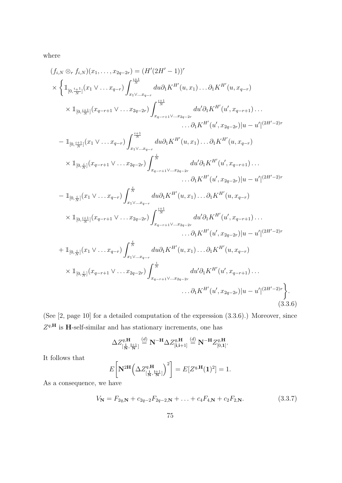where

$$
(f_{i,N} \otimes_r f_{i,N})(x_1, \ldots, x_{2q-2r}) = (H'(2H' - 1))^{r}
$$
\n
$$
\times \left\{ \mathbb{1}_{[0,\frac{i+1}{N}]}(x_1 \vee \ldots x_{q-r}) \int_{x_1 \vee \ldots x_{q-r}}^{x_1} du \partial_1 K^{H'}(u, x_1) \ldots \partial_1 K^{H'}(u, x_{q-r}) \right\}
$$
\n
$$
\times \mathbb{1}_{[0,\frac{i+1}{N}]}(x_{q-r+1} \vee \ldots x_{2q-2r}) \int_{x_{q-r+1} \vee \ldots x_{2q-2r}}^{x_1} du' \partial_1 K^{H'}(u', x_{q-r+1}) \ldots
$$
\n
$$
\ldots \partial_1 K^{H'}(u', x_{q-r+1}) \ldots
$$
\n
$$
- \mathbb{1}_{[0,\frac{i+1}{N}]}(x_1 \vee \ldots x_{q-r}) \int_{x_1 \vee \ldots x_{q-r}}^{x_1} du \partial_1 K^{H'}(u, x_1) \ldots \partial_1 K^{H'}(u, x_{q-r})
$$
\n
$$
\times \mathbb{1}_{[0,\frac{i}{N}]}(x_{q-r+1} \vee \ldots x_{2q-2r}) \int_{x_{q-r+1} \vee \ldots x_{2q-2r}}^{x_1} du' \partial_1 K^{H'}(u', x_{q-r+1}) \ldots
$$
\n
$$
- \partial_1 K^{H'}(u', x_{2q-2r}) |u - u'|^{(2H'-2)r}
$$
\n
$$
- \mathbb{1}_{[0,\frac{i}{N}]}(x_1 \vee \ldots x_{q-r}) \int_{x_1 \vee \ldots x_{q-r}}^{x_1} du \partial_1 K^{H'}(u, x_1) \ldots \partial_1 K^{H'}(u, x_{q-r})
$$
\n
$$
\times \mathbb{1}_{[0,\frac{i}{N}]}(x_1 \vee \ldots x_{q-r}) \int_{x_1 \vee \ldots x_{q-r}}^{x_1} du \partial_1 K^{H'}(u, x_1) \ldots \partial_1 K^{H'}(u', x_{q-r+1}) \ldots
$$
\n
$$
+ \mathbb{1}_{[0,\frac{i}{N}]}(x_1 \
$$

(See [2, page 10] for a detailed computation of the expression (3.3.6).) Moreover, since  $Z^{q,H}$  is H-self-similar and has stationary increments, one has

$$
\Delta Z^{\mathbf{q},\mathbf{H}}_{\left[\frac{\mathbf{i}}{\mathbf{N}},\frac{\mathbf{i}+1}{\mathbf{N}}\right]} \stackrel{(d)}{=} \mathbf{N}^{-\mathbf{H}} \Delta Z^{\mathbf{q},\mathbf{H}}_{\left[\mathbf{i},\mathbf{i}+1\right]} \stackrel{(d)}{=} \mathbf{N}^{-\mathbf{H}} Z^{\mathbf{q},\mathbf{H}}_{\left[0,\mathbf{1}\right]}.
$$

It follows that

$$
E\bigg[\mathbf{N}^{2\mathbf{H}}\bigg(\Delta Z^{q,\mathbf{H}}_{\left[\frac{\mathbf{i}}{\mathbf{N}},\frac{\mathbf{i}+\mathbf{1}}{\mathbf{N}}\right]}\bigg)^2\bigg] = E[Z^{q,\mathbf{H}}(\mathbf{1})^2] = 1.
$$

As a consequence, we have

$$
V_{\mathbf{N}} = F_{2q,\mathbf{N}} + c_{2q-2}F_{2q-2,\mathbf{N}} + \ldots + c_4 F_{4,\mathbf{N}} + c_2 F_{2,\mathbf{N}}.\tag{3.3.7}
$$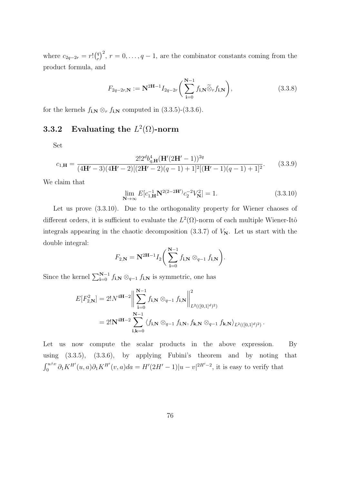where  $c_{2q-2r} = r! {q \choose r}$  $(r_r^q)^2$ ,  $r = 0, \ldots, q-1$ , are the combinator constants coming from the product formula, and

$$
F_{2q-2r,\mathbf{N}} := \mathbf{N}^{2\mathbf{H}-1} I_{2q-2r} \bigg( \sum_{\mathbf{i}=0}^{\mathbf{N}-1} f_{\mathbf{i},\mathbf{N}} \widetilde{\otimes}_r f_{\mathbf{i},\mathbf{N}} \bigg), \tag{3.3.8}
$$

for the kernels  $f_{\mathbf{i},\mathbf{N}} \otimes_r f_{\mathbf{i},\mathbf{N}}$  computed in (3.3.5)-(3.3.6).

### **3.3.2** Evaluating the  $L^2(\Omega)$ -norm

Set

$$
c_{1,\mathbf{H}} = \frac{2!2^d b_{q,\mathbf{H}}^4 (\mathbf{H}' (2\mathbf{H}' - 1))^{2q}}{(4\mathbf{H}' - 3)(4\mathbf{H}' - 2)[(2\mathbf{H}' - 2)(q - 1) + 1]^2 [(\mathbf{H}' - 1)(q - 1) + 1]^2}.
$$
(3.3.9)

We claim that

$$
\lim_{\mathbf{N}\to\infty} E[c_{1,\mathbf{H}}^{-1} \mathbf{N}^{2(2-2\mathbf{H}')} c_2^{-2} V_{\mathbf{N}}^2] = 1.
$$
\n(3.3.10)

.

Let us prove (3.3.10). Due to the orthogonality property for Wiener chaoses of different orders, it is sufficient to evaluate the  $L^2(\Omega)$ -norm of each multiple Wiener-Itô integrals appearing in the chaotic decomposition  $(3.3.7)$  of  $V_N$ . Let us start with the double integral:

$$
F_{2,\mathbf{N}}=\mathbf{N}^{2\mathbf{H}-1}I_2\bigg(\sum_{\mathbf{i}=0}^{\mathbf{N}-1}f_{\mathbf{i},\mathbf{N}}\otimes_{q-1}f_{\mathbf{i},\mathbf{N}}\bigg).
$$

Since the kernel  $\sum_{i=0}^{N-1} f_{i,N} \otimes_{q-1} f_{i,N}$  is symmetric, one has

$$
E[F_{2,N}^2] = 2!N^{4H-2} \Big\| \sum_{i=0}^{N-1} f_{i,N} \otimes_{q-1} f_{i,N} \Big\|_{L^2(([0,1]^d)^2)}^2
$$
  
=  $2!N^{4H-2} \sum_{i,k=0}^{N-1} \langle f_{i,N} \otimes_{q-1} f_{i,N}, f_{k,N} \otimes_{q-1} f_{k,N} \rangle_{L^2(([0,1]^d)^2)}$ 

Let us now compute the scalar products in the above expression. By using (3.3.5), (3.3.6), by applying Fubini's theorem and by noting that  $\int_0^{u \wedge v} \partial_1 K^{H'}(u, a) \partial_1 K^{H'}(v, a) da = H'(2H'-1)|u - v|^{2H'-2}$ , it is easy to verify that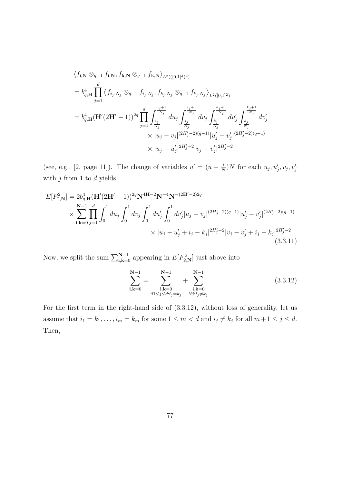$$
\langle f_{\mathbf{i},\mathbf{N}} \otimes_{q-1} f_{\mathbf{i},\mathbf{N}}, f_{\mathbf{k},\mathbf{N}} \otimes_{q-1} f_{\mathbf{k},\mathbf{N}} \rangle_{L^2(([0,1]^d))^2)}
$$
\n
$$
= b_{q,\mathbf{H}}^4 \prod_{j=1}^d \langle f_{i_j, N_j} \otimes_{q-1} f_{i_j, N_j}, f_{k_j, N_j} \otimes_{q-1} f_{k_j, N_j} \rangle_{L^2([0,1]^2)}
$$
\n
$$
= b_{q,\mathbf{H}}^4 (\mathbf{H}'(2\mathbf{H}'-1))^{2q} \prod_{j=1}^d \int_{\frac{i_j}{N_j}}^{\frac{i_j+1}{N_j}} du_j \int_{\frac{i_j}{N_j}}^{\frac{i_j+1}{N_j}} dv_j \int_{\frac{k_j}{N_j}}^{\frac{k_j+1}{N_j}} du'_j \int_{\frac{k_j}{N_j}}^{\frac{k_j+1}{N_j}} dv'_j
$$
\n
$$
\times |u_j - v_j|^{(2H'_j-2)(q-1)} |u'_j - v'_j|^{(2H'_j-2)(q-1)}
$$
\n
$$
\times |u_j - u'_j|^{2H'_j-2} |v_j - v'_j|^{2H'_j-2},
$$

(see, e.g., [2, page 11]). The change of variables  $u' = (u - \frac{i}{\lambda})$  $\frac{i}{N}$ )*N* for each  $u_j, u'_j, v_j, v'_j$ with  $j$  from 1 to  $d$  yields

$$
E[F_{2,\mathbf{N}}^2] = 2b_{q,\mathbf{H}}^4 (\mathbf{H}' (2\mathbf{H}' - 1))^{2q} \mathbf{N}^{4\mathbf{H} - 2} \mathbf{N}^{-4} \mathbf{N}^{-(2\mathbf{H}' - 2)2q}
$$
  
\$\times \sum\_{\mathbf{i}, \mathbf{k} = 0}^{\mathbf{N} - 1} \prod\_{j=1}^d \int\_0^1 du\_j \int\_0^1 dv\_j \int\_0^1 du'\_j \int\_0^1 dv'\_j |u\_j - v\_j|^{(2H'\_j - 2)(q - 1)} |u'\_j - v'\_j|^{(2H'\_j - 2)(q - 1)} \times |u\_j - u'\_j + i\_j - k\_j|^{2H'\_j - 2} |v\_j - v'\_j + i\_j - k\_j|^{2H'\_j - 2}. \tag{3.3.11}

Now, we split the sum  $\sum_{i,k=0}^{N-1}$  appearing in  $E[F_{2,N}^2]$  just above into

$$
\sum_{\mathbf{i},\mathbf{k}=0}^{N-1} = \sum_{\substack{\mathbf{i},\mathbf{k}=0\\ \exists 1 \le j \le d: i_j = k_j}}^{N-1} + \sum_{\substack{\mathbf{i},\mathbf{k}=0\\ \forall j: i_j \ne k_j}}^{N-1}.
$$
\n(3.3.12)

For the first term in the right-hand side of (3.3.12), without loss of generality, let us assume that  $i_1 = k_1, \ldots, i_m = k_m$  for some  $1 \le m < d$  and  $i_j \ne k_j$  for all  $m+1 \le j \le d$ . Then,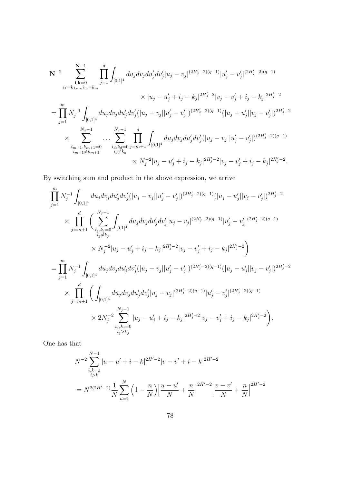$$
\begin{split} \mathbf{N}^{-2}\sum_{i_1=k_1,\ldots,i_m=k_m}^{\mathbf{N}-1}\prod_{j=1}^d\int_{[0,1]^4}du_jdv_jdu_j'dv_j'|u_j-v_j|^{(2H_j'-2)(q-1)}|u_j'-v_j'|^{(2H_j'-2)(q-1)}\\ &\times |u_j-u_j'+i_j-k_j|^{2H_j'-2}|v_j-v_j'+i_j-k_j|^{2H_j'-2}\\ =&\prod_{j=1}^mN_j^{-1}\int_{[0,1]^4}du_jdv_jdu_j'dv_j'(|u_j-v_j||u_j'-v_j'|)^{(2H_j'-2)(q-1)}(|u_j-u_j'||v_j-v_j'|)^{2H_j'-2}\\ &\times \sum_{\substack{i_m+1,k_{m+1}=0\\i_{m+1}\neq k_{m+1}}}^{\mathit{N}_j-1}\prod_{\substack{i_d,k_d=0\\i_d\neq k_d}}^d\int_{[0,1]^4}du_jdv_jdu_j'dv_j'(|u_j-v_j||u_j'-v_j'|)^{(2H_j'-2)(q-1)}\\ &\times N_j^{-2}|u_j-u_j'+i_j-k_j|^{2H_j'-2}|v_j-v_j'+i_j-k_j|^{2H_j'-2}. \end{split}
$$

By switching sum and product in the above expression, we arrive

$$
\prod_{j=1}^{m} N_j^{-1} \int_{[0,1]^4} du_j dv_j du'_j dv'_j (|u_j - v_j||u'_j - v'_j|)^{(2H'_j - 2)(q-1)} (|u_j - u'_j||v_j - v'_j|)^{2H'_j - 2}
$$
\n
$$
\times \prod_{j=m+1}^{d} \Big( \sum_{\substack{i_j, k_j = 0 \\ i_j \neq k_j}}^{N_j - 1} \int_{[0,1]^4} du_j dv_j du'_j dv'_j |u_j - v_j|^{(2H'_j - 2)(q-1)} |u'_j - v'_j|^{(2H'_j - 2)(q-1)}
$$
\n
$$
\times N_j^{-2} |u_j - u'_j + i_j - k_j|^{2H'_j - 2} |v_j - v'_j + i_j - k_j|^{2H'_j - 2} \Big)
$$
\n
$$
= \prod_{j=1}^{m} N_j^{-1} \int_{[0,1]^4} du_j dv_j du'_j dv'_j (|u_j - v_j||u'_j - v'_j|)^{(2H'_j - 2)(q-1)} (|u_j - u'_j||v_j - v'_j|)^{2H'_j - 2}
$$
\n
$$
\times \prod_{j=m+1}^{d} \Big( \int_{[0,1]^4} du_j dv_j du'_j dv'_j |u_j - v_j|^{(2H'_j - 2)(q-1)} |u'_j - v'_j|^{(2H'_j - 2)(q-1)}
$$
\n
$$
\times 2N_j^{-2} \sum_{\substack{i_j, k_j = 0 \\ i_j > k_j}}^{N_j - 1} |u_j - u'_j + i_j - k_j|^{2H'_j - 2} |v_j - v'_j + i_j - k_j|^{2H'_j - 2} \Big).
$$

One has that

$$
N^{-2} \sum_{\substack{i,k=0 \ i>k}}^{N-1} |u - u' + i - k|^{2H'-2} |v - v' + i - k|^{2H'-2}
$$
  
= 
$$
N^{2(2H'-2)} \frac{1}{N} \sum_{n=1}^{N} \left(1 - \frac{n}{N}\right) \left|\frac{u - u'}{N} + \frac{n}{N}\right|^{2H'-2} \left|\frac{v - v'}{N} + \frac{n}{N}\right|^{2H'-2}
$$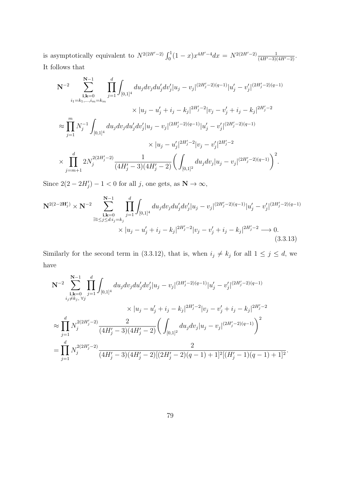is asymptotically equivalent to  $N^{2(2H'-2)} \int_0^1 (1-x)x^{4H'-4} dx = N^{2(2H'-2)} \frac{1}{(4H'-3)(4H'-2)}$ . It follows that

$$
\begin{split} \mathbf{N}^{-2}\sum_{\mathbf{i},\mathbf{k}=0}^{\mathbf{N}-1}\prod_{j=1}^{d}\int_{[0,1]^{4}}du_{j}dv_{j}du'_{j}dv'_{j}|u_{j}-v_{j}|^{(2H'_{j}-2)(q-1)}|u'_{j}-v'_{j}|^{(2H'_{j}-2)(q-1)}\\ &\times|u_{j}-u'_{j}+i_{j}-k_{j}|^{2H'_{j}-2}|v_{j}-v'_{j}+i_{j}-k_{j}|^{2H'_{j}-2}\\ \approx &\prod_{j=1}^{m}N_{j}^{-1}\int_{[0,1]^{4}}du_{j}dv_{j}du'_{j}dv'_{j}|u_{j}-v_{j}|^{(2H'_{j}-2)(q-1)}|u'_{j}-v'_{j}|^{(2H'_{j}-2)(q-1)}\\ &\times|u_{j}-u'_{j}|^{2H'_{j}-2}|v_{j}-v'_{j}|^{2H'_{j}-2}\\ \times &\prod_{j=m+1}^{d}2N_{j}^{2(2H'_{j}-2)}\frac{1}{(4H'_{j}-3)(4H'_{j}-2)}\bigg(\int_{[0,1]^{2}}du_{j}dv_{j}|u_{j}-v_{j}|^{(2H'_{j}-2)(q-1)}\bigg)^{2}. \end{split}
$$

Since  $2(2-2H'_j)-1<0$  for all j, one gets, as  $\mathbf{N} \to \infty$ ,

$$
\mathbf{N}^{2(2-2\mathbf{H}'_j)} \times \mathbf{N}^{-2} \sum_{\substack{\mathbf{i}, \mathbf{k}=0 \\ \exists 1 \le j \le d: i_j = k_j}}^{\mathbf{N}-1} \prod_{j=1}^d \int_{[0,1]^4} du_j dv_j du'_j dv'_j |u_j - v_j|^{(2H'_j - 2)(q-1)} |u'_j - v'_j|^{(2H'_j - 2)(q-1)} \times |u_j - u'_j + i_j - k_j|^{2H'_j - 2} |v_j - v'_j + i_j - k_j|^{2H'_j - 2} \longrightarrow 0.
$$
\n(3.3.13)

Similarly for the second term in (3.3.12), that is, when  $i_j \neq k_j$  for all  $1 \leq j \leq d$ , we have

$$
\begin{split} \mathbf{N}^{-2}\sum_{\mathbf{i},\mathbf{k}=0}^{\mathbf{N}-1}\prod_{j=1}^{d}\int_{[0,1]^{4}}du_{j}dv_{j}du'_{j}dv'_{j}|u_{j}-v_{j}|^{(2H'_{j}-2)(q-1)}|u'_{j}-v'_{j}|^{(2H'_{j}-2)(q-1)}\\ &\times|u_{j}-u'_{j}+i_{j}-k_{j}|^{2H'_{j}-2}|v_{j}-v'_{j}+i_{j}-k_{j}|^{2H'_{j}-2}\\ \approx &\prod_{j=1}^{d}N_{j}^{2(2H'_{j}-2)}\frac{2}{(4H'_{j}-3)(4H'_{j}-2)}\bigg(\int_{[0,1]^{2}}du_{j}dv_{j}|u_{j}-v_{j}|^{(2H'_{j}-2)(q-1)}\bigg)^{2}\\ = &\prod_{j=1}^{d}N_{j}^{2(2H'_{j}-2)}\frac{2}{(4H'_{j}-3)(4H'_{j}-2)[(2H'_{j}-2)(q-1)+1]^{2}[(H'_{j}-1)(q-1)+1]^{2}}. \end{split}
$$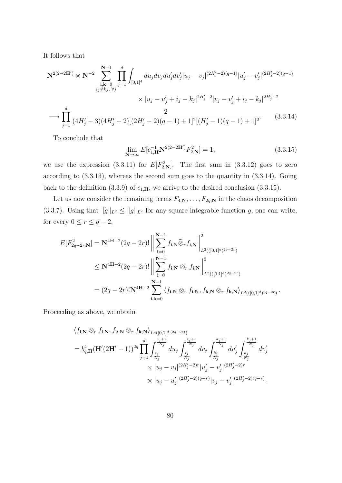It follows that

$$
\mathbf{N}^{2(2-2\mathbf{H}')} \times \mathbf{N}^{-2} \sum_{\substack{\mathbf{i}, \mathbf{k}=0 \ j \neq k_j, \ \forall j}}^{\mathbf{N}-1} \prod_{j=1}^{d} \int_{[0,1]^4} du_j dv_j du'_j dv'_j |u_j - v_j|^{(2H'_j-2)(q-1)} |u'_j - v'_j|^{(2H'_j-2)(q-1)} \times |u_j - u'_j + i_j - k_j|^{2H'_j-2} |v_j - v'_j + i_j - k_j|^{2H'_j-2} \n\longrightarrow \prod_{j=1}^{d} \frac{2}{(4H'_j-3)(4H'_j-2)[(2H'_j-2)(q-1)+1]^2 [(H'_j-1)(q-1)+1]^2}.
$$
\n(3.3.14)

To conclude that

$$
\lim_{\mathbf{N}\to\infty} E[c_{1,\mathbf{H}}^{-1}\mathbf{N}^{2(2-2\mathbf{H}')}F_{2,\mathbf{N}}^2] = 1,
$$
\n(3.3.15)

we use the expression (3.3.11) for  $E[F_{2,N}^2]$ . The first sum in (3.3.12) goes to zero according to (3.3.13), whereas the second sum goes to the quantity in (3.3.14). Going back to the definition (3.3.9) of  $c_{1,\mathbf{H}}$ , we arrive to the desired conclusion (3.3.15).

Let us now consider the remaining terms  $F_{4,N}, \ldots, F_{2q,N}$  in the chaos decomposition (3.3.7). Using that  $\|\tilde{g}\|_{L^2} \le \|g\|_{L^2}$  for any square integrable function g, one can write, for every  $0 \le r \le q-2$ ,

$$
E[F_{2q-2r,\mathbf{N}}^{2}] = \mathbf{N}^{4\mathbf{H}-2}(2q-2r)! \left\| \sum_{\mathbf{i}=0}^{\mathbf{N}-1} f_{\mathbf{i},\mathbf{N}} \widetilde{\otimes}_r f_{\mathbf{i},\mathbf{N}} \right\|_{L^2(((0,1]^d)^{2q-2r})}^2
$$
  
\n
$$
\leq \mathbf{N}^{4\mathbf{H}-2}(2q-2r)! \left\| \sum_{\mathbf{i}=0}^{\mathbf{N}-1} f_{\mathbf{i},\mathbf{N}} \otimes_r f_{\mathbf{i},\mathbf{N}} \right\|_{L^2(((0,1]^d)^{2q-2r})}^2
$$
  
\n
$$
= (2q-2r)! \mathbf{N}^{4\mathbf{H}-2} \sum_{\mathbf{i},\mathbf{k}=0}^{\mathbf{N}-1} \langle f_{\mathbf{i},\mathbf{N}} \otimes_r f_{\mathbf{i},\mathbf{N}}, f_{\mathbf{k},\mathbf{N}} \otimes_r f_{\mathbf{k},\mathbf{N}} \rangle_{L^2(((0,1]^d)^{2q-2r})}.
$$

Proceeding as above, we obtain

$$
\langle f_{\mathbf{i},\mathbf{N}} \otimes_r f_{\mathbf{i},\mathbf{N}}, f_{\mathbf{k},\mathbf{N}} \otimes_r f_{\mathbf{k},\mathbf{N}} \rangle_{L^2([0,1]^{d \cdot (2q-2r)})}
$$
\n
$$
= b_{q,\mathbf{H}}^4 (\mathbf{H}' (2\mathbf{H}' - 1))^{2q} \prod_{j=1}^d \int_{\frac{i_j}{N_j}}^{\frac{i_j+1}{N_j}} du_j \int_{\frac{i_j}{N_j}}^{\frac{i_j+1}{N_j}} dv_j \int_{\frac{k_j}{N_j}}^{\frac{k_j+1}{N_j}} du'_j \int_{\frac{k_j}{N_j}}^{\frac{k_j+1}{N_j}} dv'_j
$$
\n
$$
\times |u_j - v_j|^{(2H'_j - 2)r} |u'_j - v'_j|^{(2H'_j - 2)r}
$$
\n
$$
\times |u_j - u'_j|^{(2H'_j - 2)(q - r)} |v_j - v'_j|^{(2H'_j - 2)(q - r)}.
$$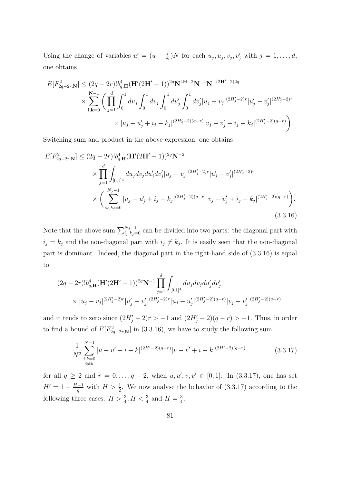Using the change of variables  $u' = (u - \frac{i}{\lambda})$  $\frac{i}{N}$ )*N* for each  $u_j, u_j, v_j, v'_j$  with  $j = 1, ..., d$ , one obtains

$$
E[F_{2q-2r,\mathbf{N}}^2] \leq (2q-2r)!b_{q,\mathbf{H}}^4(\mathbf{H}'(2\mathbf{H}'-1))^{2q}\mathbf{N}^{4\mathbf{H}-2}\mathbf{N}^{-4}\mathbf{N}^{-(2\mathbf{H}'-2)2q}
$$
  
\$\times \sum\_{\mathbf{i},\mathbf{k}=0}^{\mathbf{N}-1} \left( \prod\_{j=1}^d \int\_0^1 du\_j \int\_0^1 dv\_j \int\_0^1 du'\_j \int\_0^1 dv'\_j |u\_j - v\_j|^{(2H'\_j-2)r} |u'\_j - v'\_j|^{(2H'\_j-2)r} \right.   
\$\times |u\_j - u'\_j + i\_j - k\_j|^{(2H'\_j-2)(q-r)} |v\_j - v'\_j + i\_j - k\_j|^{(2H'\_j-2)(q-r)} \right).

Switching sum and product in the above expression, one obtains

$$
E[F_{2q-2r,\mathbf{N}}^2] \leq (2q-2r)!b_{q,\mathbf{H}}^4(\mathbf{H}'(2\mathbf{H}'-1))^{2q}\mathbf{N}^{-2}
$$
  
\$\times \prod\_{j=1}^d \int\_{[0,1]^4} du\_j dv\_j du'\_j dv'\_j |u\_j - v\_j|^{(2H'\_j-2)r} |u'\_j - v'\_j|^{(2H'\_j-2)r}  
\$\times \left( \sum\_{i\_j,k\_j=0}^{N\_j-1} |u\_j - u'\_j + i\_j - k\_j|^{(2H'\_j-2)(q-r)} |v\_j - v'\_j + i\_j - k\_j|^{(2H'\_j-2)(q-r)} \right). \tag{3.3.16}

Note that the above sum  $\sum_{i_j, k_j=0}^{N_j-1}$  can be divided into two parts: the diagonal part with  $i_j = k_j$  and the non-diagonal part with  $i_j \neq k_j$ . It is easily seen that the non-diagonal part is dominant. Indeed, the diagonal part in the right-hand side of (3.3.16) is equal to

$$
(2q-2r)!b_{q,\mathbf{H}}^{4}(\mathbf{H}'(2\mathbf{H}'-1))^{2q}\mathbf{N}^{-1}\prod_{j=1}^{d}\int_{[0,1]^{4}}du_{j}dv_{j}du'_{j}dv'_{j}
$$
  
 
$$
\times |u_{j}-v_{j}|^{(2H'_{j}-2)r}|u'_{j}-v'_{j}|^{(2H'_{j}-2)r}|u_{j}-u'_{j}|^{(2H'_{j}-2)(q-r)}|v_{j}-v'_{j}|^{(2H'_{j}-2)(q-r)}.
$$

and it tends to zero since  $(2H'_j - 2)r > -1$  and  $(2H'_j - 2)(q - r) > -1$ . Thus, in order to find a bound of  $E[F_{2q-2r,\mathbf{N}}^2]$  in (3.3.16), we have to study the following sum

$$
\frac{1}{N^2} \sum_{\substack{i,k=0 \ i \neq k}}^{N-1} |u - u' + i - k|^{(2H'-2)(q-r)} |v - v' + i - k|^{(2H'-2)(q-r)} \tag{3.3.17}
$$

for all  $q \ge 2$  and  $r = 0, \ldots, q - 2$ , when  $u, u', v, v' \in [0, 1]$ . In  $(3.3.17)$ , one has set  $H' = 1 + \frac{H-1}{q}$  with  $H > \frac{1}{2}$ . We now analyse the behavior of (3.3.17) according to the following three cases:  $H > \frac{3}{4}$ ,  $H < \frac{3}{4}$  and  $H = \frac{3}{4}$  $\frac{3}{4}$ .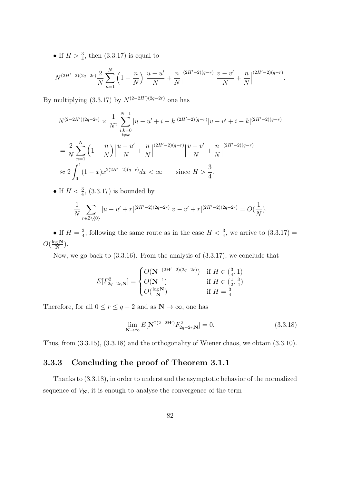• If  $H > \frac{3}{4}$ , then (3.3.17) is equal to

$$
N^{(2H'-2)(2q-2r)}\frac{2}{N}\sum_{n=1}^{N}\left(1-\frac{n}{N}\right)\left|\frac{u-u'}{N}+\frac{n}{N}\right|^{(2H'-2)(q-r)}\left|\frac{v-v'}{N}+\frac{n}{N}\right|^{(2H'-2)(q-r)}.
$$

By multiplying  $(3.3.17)$  by  $N^{(2-2H')(2q-2r)}$  one has

$$
N^{(2-2H')(2q-2r)} \times \frac{1}{N^2} \sum_{\substack{i,k=0 \ i \neq k}}^{N-1} |u - u' + i - k|^{(2H'-2)(q-r)} |v - v' + i - k|^{(2H'-2)(q-r)}
$$
  
= 
$$
\frac{2}{N} \sum_{n=1}^{N} \left(1 - \frac{n}{N}\right) \left|\frac{u - u'}{N} + \frac{n}{N}\right|^{(2H'-2)(q-r)} \left|\frac{v - v'}{N} + \frac{n}{N}\right|^{(2H'-2)(q-r)}
$$
  

$$
\approx 2 \int_{0}^{1} (1-x)x^{2(2H'-2)(q-r)} dx < \infty \quad \text{since } H > \frac{3}{4}.
$$

• If  $H < \frac{3}{4}$ , (3.3.17) is bounded by

$$
\frac{1}{N} \sum_{r \in \mathbb{Z} \setminus \{0\}} |u - u' + r|^{(2H' - 2)(2q - 2r)} |v - v' + r|^{(2H' - 2)(2q - 2r)} = O(\frac{1}{N}).
$$

• If  $H=\frac{3}{4}$  $\frac{3}{4}$ , following the same route as in the case  $H < \frac{3}{4}$ , we arrive to  $(3.3.17)$  =  $O(\frac{\log N}{N})$  $\frac{1}{N}$ ).

Now, we go back to (3.3.16). From the analysis of (3.3.17), we conclude that

$$
E[F_{2q-2r,\mathbf{N}}^2] = \begin{cases} O(\mathbf{N}^{-(2\mathbf{H}'-2)(2q-2r)}) & \text{if } H \in (\frac{3}{4}, 1) \\ O(\mathbf{N}^{-1}) & \text{if } H \in (\frac{1}{2}, \frac{3}{4}) \\ O(\frac{\log \mathbf{N}}{\mathbf{N}}) & \text{if } H = \frac{3}{4} \end{cases}
$$

Therefore, for all  $0\leq r\leq q-2$  and as  $\mathbf{N}\rightarrow\infty,$  one has

$$
\lim_{\mathbf{N}\to\infty} E[\mathbf{N}^{2(2-2\mathbf{H}')}F_{2q-2r,\mathbf{N}}^2] = 0.
$$
\n(3.3.18)

Thus, from (3.3.15), (3.3.18) and the orthogonality of Wiener chaos, we obtain (3.3.10).

### 3.3.3 Concluding the proof of Theorem 3.1.1

Thanks to (3.3.18), in order to understand the asymptotic behavior of the normalized sequence of  $V_N$ , it is enough to analyse the convergence of the term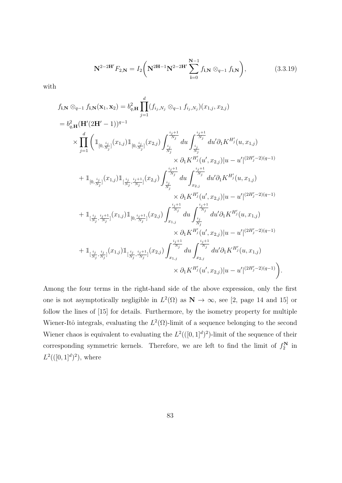$$
\mathbf{N}^{2-2\mathbf{H}'}F_{2,\mathbf{N}} = I_2 \bigg( \mathbf{N}^{2\mathbf{H}-1} \mathbf{N}^{2-2\mathbf{H}'} \sum_{\mathbf{i}=0}^{\mathbf{N}-1} f_{\mathbf{i},\mathbf{N}} \otimes_{q-1} f_{\mathbf{i},\mathbf{N}} \bigg), \tag{3.3.19}
$$

with

$$
f_{\mathbf{i},\mathbf{N}}\otimes_{q-1} f_{\mathbf{i},\mathbf{N}}(\mathbf{x}_{1},\mathbf{x}_{2}) = b_{q,\mathbf{H}}^{2} \prod_{j=1}^{d} (f_{i_{j},N_{j}}\otimes_{q-1} f_{i_{j},N_{j}})(x_{1,j},x_{2,j})
$$
  
\n
$$
= b_{q,\mathbf{H}}^{2} (\mathbf{H}'(2\mathbf{H}'-1))^{q-1}
$$
  
\n
$$
\times \prod_{j=1}^{d} \left( \mathbbm{1}_{[0,\frac{i_{j}}{N_{j}}]}(x_{1,j}) \mathbbm{1}_{[0,\frac{i_{j}}{N_{j}}]}(x_{2,j}) \int_{\frac{i_{j}}{N_{j}}}^{\frac{i_{j}+1}{N_{j}}} du \int_{\frac{i_{j}}{N_{j}}}^{\frac{i_{j}+1}{N_{j}}} du' \partial_{1} K^{H'_{j}}(u,x_{1,j})
$$
  
\n
$$
\times \partial_{1} K^{H'_{j}}(u',x_{2,j}) |u - u'|^{(2H'_{j}-2)(q-1)}
$$
  
\n
$$
+ \mathbbm{1}_{[0,\frac{i_{j}}{N_{j}}]}(x_{1,j}) \mathbbm{1}_{[\frac{i_{j}}{N_{j}},\frac{i_{j}+1}{N_{j}}]}(x_{2,j}) \int_{\frac{i_{j}}{N_{j}}}^{\frac{i_{j}+1}{N_{j}}} du \int_{x_{2,j}}^{\frac{i_{j}+1}{N_{j}}} du' \partial_{1} K^{H'_{j}}(u,x_{1,j})
$$
  
\n
$$
\times \partial_{1} K^{H'_{j}}(u',x_{2,j}) |u - u'|^{(2H'_{j}-2)(q-1)}
$$
  
\n
$$
+ \mathbbm{1}_{[\frac{i_{j}}{N_{j}},\frac{i_{j}+1}{N_{j}}]}(x_{1,j}) \mathbbm{1}_{[0,\frac{i_{j}+1}{N_{j}}]}(x_{2,j}) \int_{x_{1,j}}^{\frac{i_{j}+1}{N_{j}}} du \int_{\frac{i_{j}}{N_{j}}}^{\frac{i_{j}+1}{N_{j}}} du' \partial_{1} K^{H'_{j}}(u,x_{1,j})
$$
  
\n
$$
\times \partial_{1} K^{H'_{j}}(u',x_{2,j}) |u - u'|^{(
$$

Among the four terms in the right-hand side of the above expression, only the first one is not asymptotically negligible in  $L^2(\Omega)$  as  $\mathbb{N} \to \infty$ , see [2, page 14 and 15] or follow the lines of [15] for details. Furthermore, by the isometry property for multiple Wiener-Itô integrals, evaluating the  $L^2(\Omega)$ -limit of a sequence belonging to the second Wiener chaos is equivalent to evaluating the  $L^2((0,1]^d)^2)$ -limit of the sequence of their corresponding symmetric kernels. Therefore, we are left to find the limit of  $f_2^N$  in  $L^2((0,1]^d)^2)$ , where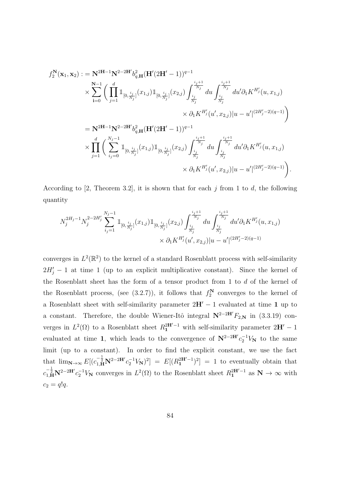$$
f_2^{\mathbf{N}}(\mathbf{x}_1, \mathbf{x}_2) := \mathbf{N}^{2\mathbf{H}-1}\mathbf{N}^{2-2\mathbf{H}'}b_{q,\mathbf{H}}^2(\mathbf{H}'(2\mathbf{H}'-1))^{q-1} \times \sum_{i=0}^{N-1} \left( \prod_{j=1}^d \mathbb{I}_{[0, \frac{i_j}{N_j}]}(x_{1,j}) \mathbb{I}_{[0, \frac{i_j}{N_j}]}(x_{2,j}) \int_{\frac{i_j}{N_j}}^{\frac{i_j+1}{N_j}} du \int_{\frac{i_j}{N_j}}^{\frac{i_j+1}{N_j}} du' \partial_1 K^{H'_j}(u, x_{1,j}) \right. \times \partial_1 K^{H'_j}(u', x_{2,j}) |u - u'|^{(2H'_j - 2)(q - 1)} \right) = \mathbf{N}^{2\mathbf{H}-1}\mathbf{N}^{2-2\mathbf{H}'}b_{q,\mathbf{H}}^2(\mathbf{H}'(2\mathbf{H}'-1))^{q-1} \times \prod_{j=1}^d \left( \sum_{i_j=0}^{N_j-1} \mathbb{I}_{[0, \frac{i_j}{N_j}]}(x_{1,j}) \mathbb{I}_{[0, \frac{i_j}{N_j}]}(x_{2,j}) \int_{\frac{i_j}{N_j}}^{\frac{i_j+1}{N_j}} du \int_{\frac{i_j}{N_j}}^{\frac{i_j+1}{N_j}} du' \partial_1 K^{H'_j}(u, x_{1,j}) \right. \times \partial_1 K^{H'_j}(u', x_{2,j}) |u - u'|^{(2H'_j - 2)(q - 1)} \right).
$$

According to [2, Theorem 3.2], it is shown that for each  $j$  from 1 to  $d$ , the following quantity

$$
N_j^{2H_j-1} N_j^{2-2H'_j} \sum_{i_j=1}^{N_j-1} \mathbbm{1}_{[0,\frac{i_j}{N_j}]}(x_{1,j}) \mathbbm{1}_{[0,\frac{i_j}{N_j}]}(x_{2,j}) \int_{\frac{i_j}{N_j}}^{\frac{i_j+1}{N_j}} du \int_{\frac{i_j}{N_j}}^{\frac{i_j+1}{N_j}} du' \partial_1 K^{H'_j}(u,x_{1,j})
$$
  

$$
\times \partial_1 K^{H'_j}(u',x_{2,j}) |u-u'|^{(2H'_j-2)(q-1)}
$$

converges in  $L^2(\mathbb{R}^2)$  to the kernel of a standard Rosenblatt process with self-similarity  $2H'_j - 1$  at time 1 (up to an explicit multiplicative constant). Since the kernel of the Rosenblatt sheet has the form of a tensor product from 1 to d of the kernel of the Rosenblatt process, (see (3.2.7)), it follows that  $f_2^N$  converges to the kernel of a Rosenblatt sheet with self-similarity parameter  $2H' - 1$  evaluated at time 1 up to a constant. Therefore, the double Wiener-Itô integral  $N^{2-2H'}F_{2,N}$  in (3.3.19) converges in  $L^2(\Omega)$  to a Rosenblatt sheet  $R_1^{2H'-1}$  with self-similarity parameter  $2H'-1$ evaluated at time 1, which leads to the convergence of  $N^{2-2H'}c_2^{-1}V_N$  to the same limit (up to a constant). In order to find the explicit constant, we use the fact that  $\lim_{N\to\infty} E[(c_{1,H}^{-\frac{1}{2}}N^{2-2H'}c_{2}^{-1}V_{N})^{2}] = E[(R_{1}^{2H'-1})^{2}] = 1$  to eventually obtain that  $c_{1,\mathbf{H}}^{-\frac{1}{2}} \mathbf{N}^{2-2\mathbf{H}'} c_2^{-1} V_{\mathbf{N}}$  converges in  $L^2(\Omega)$  to the Rosenblatt sheet  $R_1^{2\mathbf{H}'-1}$  as  $\mathbf{N} \to \infty$  with  $c_2 = q!q$ .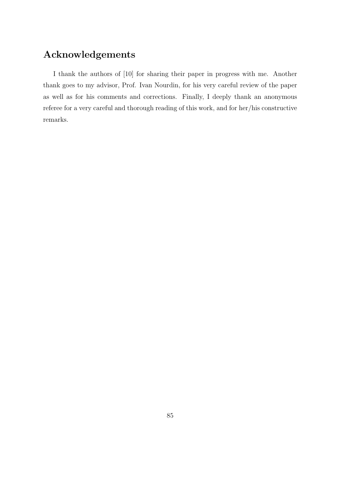## Acknowledgements

I thank the authors of [10] for sharing their paper in progress with me. Another thank goes to my advisor, Prof. Ivan Nourdin, for his very careful review of the paper as well as for his comments and corrections. Finally, I deeply thank an anonymous referee for a very careful and thorough reading of this work, and for her/his constructive remarks.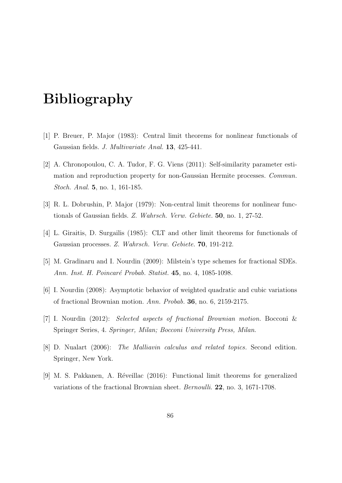## Bibliography

- [1] P. Breuer, P. Major (1983): Central limit theorems for nonlinear functionals of Gaussian fields. J. Multivariate Anal. 13, 425-441.
- [2] A. Chronopoulou, C. A. Tudor, F. G. Viens (2011): Self-similarity parameter estimation and reproduction property for non-Gaussian Hermite processes. Commun. Stoch. Anal. 5, no. 1, 161-185.
- [3] R. L. Dobrushin, P. Major (1979): Non-central limit theorems for nonlinear functionals of Gaussian fields. Z. Wahrsch. Verw. Gebiete. 50, no. 1, 27-52.
- [4] L. Giraitis, D. Surgailis (1985): CLT and other limit theorems for functionals of Gaussian processes. Z. Wahrsch. Verw. Gebiete. 70, 191-212.
- [5] M. Gradinaru and I. Nourdin (2009): Milstein's type schemes for fractional SDEs. Ann. Inst. H. Poincaré Probab. Statist. 45, no. 4, 1085-1098.
- [6] I. Nourdin (2008): Asymptotic behavior of weighted quadratic and cubic variations of fractional Brownian motion. Ann. Probab. 36, no. 6, 2159-2175.
- [7] I. Nourdin (2012): Selected aspects of fractional Brownian motion. Bocconi & Springer Series, 4. Springer, Milan; Bocconi University Press, Milan.
- [8] D. Nualart (2006): The Malliavin calculus and related topics. Second edition. Springer, New York.
- [9] M. S. Pakkanen, A. R´eveillac (2016): Functional limit theorems for generalized variations of the fractional Brownian sheet. Bernoulli. 22, no. 3, 1671-1708.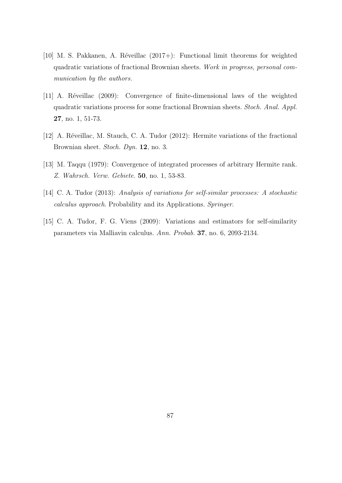- [10] M. S. Pakkanen, A. Réveillac  $(2017+)$ : Functional limit theorems for weighted quadratic variations of fractional Brownian sheets. Work in progress, personal communication by the authors.
- [11] A. Réveillac (2009): Convergence of finite-dimensional laws of the weighted quadratic variations process for some fractional Brownian sheets. Stoch. Anal. Appl. 27, no. 1, 51-73.
- [12] A. Réveillac, M. Stauch, C. A. Tudor (2012): Hermite variations of the fractional Brownian sheet. Stoch. Dyn. 12, no. 3.
- [13] M. Taqqu (1979): Convergence of integrated processes of arbitrary Hermite rank. Z. Wahrsch. Verw. Gebiete. 50, no. 1, 53-83.
- [14] C. A. Tudor (2013): Analysis of variations for self-similar processes: A stochastic calculus approach. Probability and its Applications. Springer.
- [15] C. A. Tudor, F. G. Viens (2009): Variations and estimators for self-similarity parameters via Malliavin calculus. Ann. Probab. 37, no. 6, 2093-2134.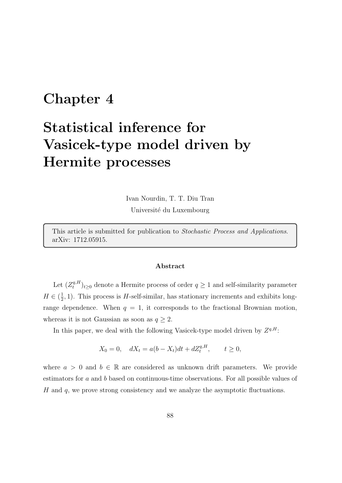## Chapter 4

# Statistical inference for Vasicek-type model driven by Hermite processes

Ivan Nourdin, T. T. Diu Tran Université du Luxembourg

This article is submitted for publication to Stochastic Process and Applications. arXiv: 1712.05915.

#### Abstract

Let  $(Z_t^{q,H})$  $(t<sub>t</sub><sup>q,H</sup>)<sub>t≥0</sub>$  denote a Hermite process of order  $q \ge 1$  and self-similarity parameter  $H \in (\frac{1}{2})$  $\frac{1}{2}$ , 1). This process is *H*-self-similar, has stationary increments and exhibits longrange dependence. When  $q = 1$ , it corresponds to the fractional Brownian motion, whereas it is not Gaussian as soon as  $q \geq 2$ .

In this paper, we deal with the following Vasicek-type model driven by  $Z^{q,H}$ :

$$
X_0 = 0
$$
,  $dX_t = a(b - X_t)dt + dZ_t^{q,H}$ ,  $t \ge 0$ ,

where  $a > 0$  and  $b \in \mathbb{R}$  are considered as unknown drift parameters. We provide estimators for a and b based on continuous-time observations. For all possible values of H and  $q$ , we prove strong consistency and we analyze the asymptotic fluctuations.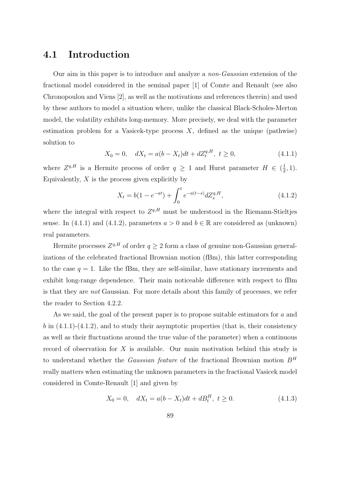### 4.1 Introduction

Our aim in this paper is to introduce and analyze a non-Gaussian extension of the fractional model considered in the seminal paper [1] of Comte and Renault (see also Chronopoulou and Viens [2], as well as the motivations and references therein) and used by these authors to model a situation where, unlike the classical Black-Scholes-Merton model, the volatility exhibits long-memory. More precisely, we deal with the parameter estimation problem for a Vasicek-type process  $X$ , defined as the unique (pathwise) solution to

$$
X_0 = 0, \quad dX_t = a(b - X_t)dt + dZ_t^{q,H}, \ t \ge 0,
$$
\n(4.1.1)

where  $Z^{q,H}$  is a Hermite process of order  $q \geq 1$  and Hurst parameter  $H \in \left(\frac{1}{2}\right)$  $(\frac{1}{2}, 1).$ Equivalently,  $X$  is the process given explicitly by

$$
X_t = b(1 - e^{-at}) + \int_0^t e^{-a(t-s)} dZ_s^{q,H}, \qquad (4.1.2)
$$

where the integral with respect to  $Z^{q,H}$  must be understood in the Riemann-Stieltjes sense. In (4.1.1) and (4.1.2), parameters  $a > 0$  and  $b \in \mathbb{R}$  are considered as (unknown) real parameters.

Hermite processes  $Z^{q,H}$  of order  $q \geq 2$  form a class of genuine non-Gaussian generalizations of the celebrated fractional Brownian motion (fBm), this latter corresponding to the case  $q = 1$ . Like the fBm, they are self-similar, have stationary increments and exhibit long-range dependence. Their main noticeable difference with respect to fBm is that they are not Gaussian. For more details about this family of processes, we refer the reader to Section 4.2.2.

As we said, the goal of the present paper is to propose suitable estimators for a and b in  $(4.1.1)-(4.1.2)$ , and to study their asymptotic properties (that is, their consistency as well as their fluctuations around the true value of the parameter) when a continuous record of observation for  $X$  is available. Our main motivation behind this study is to understand whether the *Gaussian feature* of the fractional Brownian motion  $B<sup>H</sup>$ really matters when estimating the unknown parameters in the fractional Vasicek model considered in Comte-Renault [1] and given by

$$
X_0 = 0, \quad dX_t = a(b - X_t)dt + dB_t^H, \ t \ge 0.
$$
\n(4.1.3)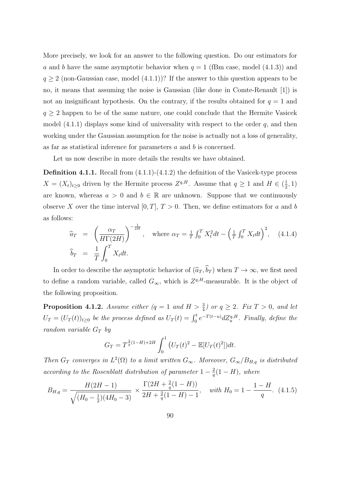More precisely, we look for an answer to the following question. Do our estimators for a and b have the same asymptotic behavior when  $q = 1$  (fBm case, model (4.1.3)) and  $q \geq 2$  (non-Gaussian case, model  $(4.1.1)$ )? If the answer to this question appears to be no, it means that assuming the noise is Gaussian (like done in Comte-Renault [1]) is not an insignificant hypothesis. On the contrary, if the results obtained for  $q = 1$  and  $q \geq 2$  happen to be of the same nature, one could conclude that the Hermite Vasicek model  $(4.1.1)$  displays some kind of universality with respect to the order q, and then working under the Gaussian assumption for the noise is actually not a loss of generality, as far as statistical inference for parameters  $a$  and  $b$  is concerned.

Let us now describe in more details the results we have obtained.

**Definition 4.1.1.** Recall from  $(4.1.1)-(4.1.2)$  the definition of the Vasicek-type process  $X = (X_t)_{t \geq 0}$  driven by the Hermite process  $Z^{q,H}$ . Assume that  $q \geq 1$  and  $H \in (\frac{1}{2})$  $(\frac{1}{2}, 1)$ are known, whereas  $a > 0$  and  $b \in \mathbb{R}$  are unknown. Suppose that we continuously observe X over the time interval  $[0, T]$ ,  $T > 0$ . Then, we define estimators for a and b as follows:

$$
\widehat{a}_T = \left(\frac{\alpha_T}{H\Gamma(2H)}\right)^{-\frac{1}{2H}}, \quad \text{where } \alpha_T = \frac{1}{T} \int_0^T X_t^2 dt - \left(\frac{1}{T} \int_0^T X_t dt\right)^2, \quad (4.1.4)
$$
\n
$$
\widehat{b}_T = \frac{1}{T} \int_0^T X_t dt.
$$

In order to describe the asymptotic behavior of  $(\widehat{a}_T, \widehat{b}_T )$  when  $T \to \infty$ , we first need to define a random variable, called  $G_{\infty}$ , which is  $Z^{q,H}$ -measurable. It is the object of the following proposition.

**Proposition 4.1.2.** Assume either  $(q = 1 \text{ and } H > \frac{3}{4})$  or  $q \geq 2$ . Fix  $T > 0$ , and let  $U_T = (U_T(t))_{t \geq 0}$  be the process defined as  $U_T(t) = \int_0^t e^{-T(t-u)} dZ_u^{q,H}$ . Finally, define the random variable  $G_T$  by

$$
G_T = T^{\frac{2}{q}(1-H)+2H} \int_0^1 \left( U_T(t)^2 - \mathbb{E}[U_T(t)^2] \right) dt.
$$

Then  $G_T$  converges in  $L^2(\Omega)$  to a limit written  $G_{\infty}$ . Moreover,  $G_{\infty}/B_{H,q}$  is distributed according to the Rosenblatt distribution of parameter  $1-\frac{2}{a}$  $\frac{2}{q}(1-H)$ , where

$$
B_{H,q} = \frac{H(2H-1)}{\sqrt{(H_0 - \frac{1}{2})(4H_0 - 3)}} \times \frac{\Gamma(2H + \frac{2}{q}(1 - H))}{2H + \frac{2}{q}(1 - H) - 1}, \text{ with } H_0 = 1 - \frac{1 - H}{q}. \tag{4.1.5}
$$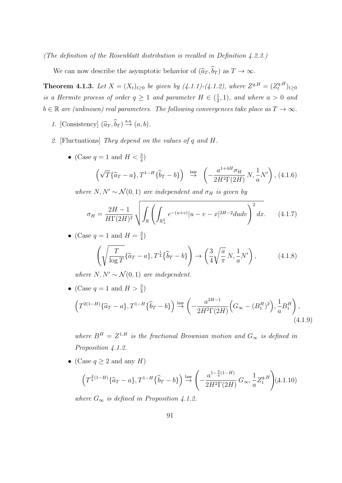(The definition of the Rosenblatt distribution is recalled in Definition 4.2.3.)

We can now describe the asymptotic behavior of  $(\widehat{a}_T, \widehat{b}_T)$  as  $T \to \infty$ .

**Theorem 4.1.3.** Let  $X = (X_t)_{t \geq 0}$  be given by  $(4.1.1)-(4.1.2)$ , where  $Z^{q,H} = (Z_t^{q,H})$  $t^{q,H}_t)_{t\geq 0}$ is a Hermite process of order  $q \geq 1$  and parameter  $H \in \left(\frac{1}{2}\right)$  $(\frac{1}{2}, 1)$ , and where  $a > 0$  and  $b \in \mathbb{R}$  are (unknown) real parameters. The following convergences take place as  $T \to \infty$ .

- 1. [Consistency]  $(\widehat{a}_T, \widehat{b}_T) \stackrel{\text{a.s.}}{\rightarrow} (a, b)$ .
- 2. [Fluctuations] They depend on the values of q and H.
	- (Case  $q = 1$  and  $H < \frac{3}{4}$ )

$$
\left(\sqrt{T}\{\widehat{a}_T - a\}, T^{1-H}\{\widehat{b}_T - b\}\right) \stackrel{\text{law}}{\rightarrow} \left(-\frac{a^{1+4H}\sigma_H}{2H^2\Gamma(2H)}N, \frac{1}{a}N'\right), (4.1.6)
$$

where  $N, N' \sim \mathcal{N}(0, 1)$  are independent and  $\sigma_H$  is given by

$$
\sigma_H = \frac{2H - 1}{H\Gamma(2H)^2} \sqrt{\int_{\mathbb{R}} \left( \int_{\mathbb{R}_+^2} e^{-(u+v)} |u - v - x|^{2H - 2} du dv \right)^2} dx. \tag{4.1.7}
$$

• (Case  $q=1$  and  $H=\frac{3}{4}$  $\frac{3}{4}$ 

$$
\left(\sqrt{\frac{T}{\log T}}\{\widehat{a}_T - a\}, T^{\frac{1}{4}}\{\widehat{b}_T - b\}\right) \to \left(\frac{3}{4}\sqrt{\frac{a}{\pi}}N, \frac{1}{a}N'\right),\tag{4.1.8}
$$

where  $N, N' \sim \mathcal{N}(0, 1)$  are independent.

• (Case  $q = 1$  and  $H > \frac{3}{4}$ )

$$
\left(T^{2(1-H)}\{\hat{a}_T - a\}, T^{1-H}\{\hat{b}_T - b\}\right) \stackrel{\text{law}}{\rightarrow} \left(-\frac{a^{2H-1}}{2H^2\Gamma(2H)}\left(G_{\infty} - (B_1^H)^2\right), \frac{1}{a}B_1^H\right),\tag{4.1.9}
$$

where  $B^H = Z^{1,H}$  is the fractional Brownian motion and  $G_{\infty}$  is defined in Proposition 4.1.2.

• (Case  $q \ge 2$  and any H)

$$
\left(T^{\frac{2}{q}(1-H)}\{\widehat{a}_T - a\}, T^{1-H}\{\widehat{b}_T - b\}\right) \stackrel{\text{law}}{\rightarrow} \left(-\frac{a^{1-\frac{2}{q}(1-H)}}{2H^2\Gamma(2H)}G_{\infty}, \frac{1}{a}Z_1^{q,H}\right) (4.1.10)
$$

where  $G_{\infty}$  is defined in Proposition 4.1.2.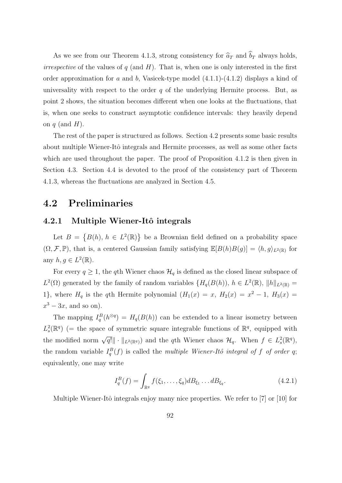As we see from our Theorem 4.1.3, strong consistency for  $\hat{a}_T$  and  $\hat{b}_T$  always holds, *irrespective* of the values of  $q$  (and  $H$ ). That is, when one is only interested in the first order approximation for a and b, Vasicek-type model  $(4.1.1)-(4.1.2)$  displays a kind of universality with respect to the order  $q$  of the underlying Hermite process. But, as point 2 shows, the situation becomes different when one looks at the fluctuations, that is, when one seeks to construct asymptotic confidence intervals: they heavily depend on  $q$  (and  $H$ ).

The rest of the paper is structured as follows. Section 4.2 presents some basic results about multiple Wiener-Itô integrals and Hermite processes, as well as some other facts which are used throughout the paper. The proof of Proposition 4.1.2 is then given in Section 4.3. Section 4.4 is devoted to the proof of the consistency part of Theorem 4.1.3, whereas the fluctuations are analyzed in Section 4.5.

### 4.2 Preliminaries

#### 4.2.1 Multiple Wiener-Itô integrals

Let  $B = \{B(h), h \in L^2(\mathbb{R})\}$  be a Brownian field defined on a probability space  $(\Omega, \mathcal{F}, \mathbb{P})$ , that is, a centered Gaussian family satisfying  $\mathbb{E}[B(h)B(g)] = \langle h, g \rangle_{L^2(\mathbb{R})}$  for any  $h, g \in L^2(\mathbb{R})$ .

For every  $q \geq 1$ , the qth Wiener chaos  $\mathcal{H}_q$  is defined as the closed linear subspace of  $L^2(\Omega)$  generated by the family of random variables  $\{H_q(B(h)), h \in L^2(\mathbb{R}), ||h||_{L^2(\mathbb{R})} =$ 1}, where  $H_q$  is the qth Hermite polynomial  $(H_1(x) = x, H_2(x) = x^2 - 1, H_3(x) =$  $x^3 - 3x$ , and so on).

The mapping  $I_q^B(h^{\otimes q}) = H_q(B(h))$  can be extended to a linear isometry between  $L_s^2(\mathbb{R}^q)$  (= the space of symmetric square integrable functions of  $\mathbb{R}^q$ , equipped with the modified norm  $\sqrt{q!} \| \cdot \|_{L^2(\mathbb{R}^q)}$  and the qth Wiener chaos  $\mathcal{H}_q$ . When  $f \in L^2_s(\mathbb{R}^q)$ , the random variable  $I_q^B(f)$  is called the multiple Wiener-Itô integral of f of order q; equivalently, one may write

$$
I_q^B(f) = \int_{\mathbb{R}^q} f(\xi_1, \dots, \xi_q) d B_{\xi_1} \dots d B_{\xi_q}.
$$
 (4.2.1)

Multiple Wiener-Itô integrals enjoy many nice properties. We refer to  $\lceil 7 \rceil$  or  $\lceil 10 \rceil$  for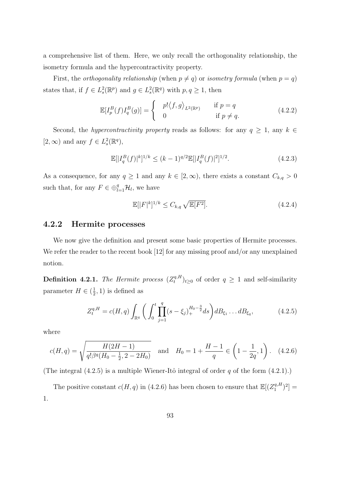a comprehensive list of them. Here, we only recall the orthogonality relationship, the isometry formula and the hypercontractivity property.

First, the *orthogonality relationship* (when  $p \neq q$ ) or *isometry formula* (when  $p = q$ ) states that, if  $f \in L^2_s(\mathbb{R}^p)$  and  $g \in L^2_s(\mathbb{R}^q)$  with  $p, q \ge 1$ , then

$$
\mathbb{E}[I_p^B(f)I_q^B(g)] = \begin{cases} p! \langle f, g \rangle_{L^2(\mathbb{R}^p)} & \text{if } p = q \\ 0 & \text{if } p \neq q. \end{cases}
$$
 (4.2.2)

Second, the *hypercontractivity property* reads as follows: for any  $q \geq 1$ , any  $k \in$ [2, ∞) and any  $f \in L_s^2(\mathbb{R}^q)$ ,

$$
\mathbb{E}[|I_q^B(f)|^k]^{1/k} \le (k-1)^{q/2} \mathbb{E}[|I_q^B(f)|^2]^{1/2}.
$$
\n(4.2.3)

As a consequence, for any  $q \ge 1$  and any  $k \in [2, \infty)$ , there exists a constant  $C_{k,q} > 0$ such that, for any  $F \in \bigoplus_{l=1}^{q} \mathcal{H}_l$ , we have

$$
\mathbb{E}[|F|^k]^{1/k} \le C_{k,q} \sqrt{\mathbb{E}[F^2]}.
$$
\n(4.2.4)

### 4.2.2 Hermite processes

We now give the definition and present some basic properties of Hermite processes. We refer the reader to the recent book [12] for any missing proof and/or any unexplained notion.

**Definition 4.2.1.** The Hermite process  $(Z_t^{q,H})$  $(t<sub>t</sub><sup>q,H</sup>)<sub>t\geq0</sub>$  of order  $q \geq 1$  and self-similarity parameter  $H \in \left(\frac{1}{2}\right)$  $(\frac{1}{2}, 1)$  is defined as

$$
Z_t^{q,H} = c(H,q) \int_{\mathbb{R}^q} \bigg( \int_0^t \prod_{j=1}^q (s - \xi_j)_+^{H_0 - \frac{3}{2}} ds \bigg) d B_{\xi_1} \dots d B_{\xi_q}, \tag{4.2.5}
$$

where

$$
c(H,q) = \sqrt{\frac{H(2H-1)}{q!\beta^q(H_0 - \frac{1}{2}, 2 - 2H_0)}} \quad \text{and} \quad H_0 = 1 + \frac{H-1}{q} \in \left(1 - \frac{1}{2q}, 1\right). \tag{4.2.6}
$$

(The integral  $(4.2.5)$  is a multiple Wiener-Itô integral of order q of the form  $(4.2.1)$ .)

The positive constant  $c(H, q)$  in (4.2.6) has been chosen to ensure that  $\mathbb{E}[(Z_1^{q,H}]$  $\binom{q,H}{1}^2] =$ 1.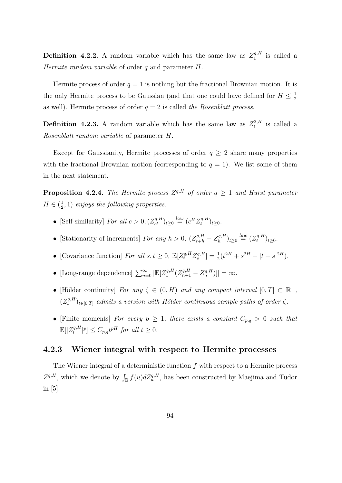**Definition 4.2.2.** A random variable which has the same law as  $Z_1^{q,H}$  $i_1^{q,H}$  is called a Hermite random variable of order  $q$  and parameter  $H$ .

Hermite process of order  $q = 1$  is nothing but the fractional Brownian motion. It is the only Hermite process to be Gaussian (and that one could have defined for  $H \leq \frac{1}{2}$ 2 as well). Hermite process of order  $q = 2$  is called the Rosenblatt process.

**Definition 4.2.3.** A random variable which has the same law as  $Z_1^{2,H}$  $i_1^{2,H}$  is called a Rosenblatt random variable of parameter H.

Except for Gaussianity, Hermite processes of order  $q \geq 2$  share many properties with the fractional Brownian motion (corresponding to  $q = 1$ ). We list some of them in the next statement.

**Proposition 4.2.4.** The Hermite process  $Z^{q,H}$  of order  $q \geq 1$  and Hurst parameter  $H \in \left(\frac{1}{2}\right)$  $(\frac{1}{2}, 1)$  enjoys the following properties.

- [Self-similarity] For all  $c > 0$ ,  $(Z_{ct}^{q,H})_{t \geq 0} \stackrel{law}{=} (c^H Z_t^{q,H})$  $t^{q,H}_t)_{t\geq0}$ .
- [Stationarity of increments] For any  $h > 0$ ,  $(Z_{t+h}^{q,H} Z_h^{q,H})$  $\binom{q,H}{h}_{t\geq 0}$   $\stackrel{law}{=}$   $\left(\frac{Z_t^{q,H}}{t}\right)$  $(t^{q,H})_{t\geq0}$ .
- [Covariance function] For all  $s, t \ge 0$ ,  $\mathbb{E}[Z_t^{q,H} Z_s^{q,H}] = \frac{1}{2}(t^{2H} + s^{2H} |t s|^{2H}).$
- [Long-range dependence]  $\sum_{n=0}^{\infty} |\mathbb{E}[Z_1^{q,H}]|$  $\left[ \frac{q,H}{1} (Z_{n+1}^{q,H} - Z_n^{q,H}) \right] | = \infty.$
- [Hölder continuity] For any  $\zeta \in (0, H)$  and any compact interval  $[0, T] \subset \mathbb{R}_+$ ,  $(Z_t^{q,H}$  $(t^{q,H}_t)_{t\in[0,T]}$  admits a version with Hölder continuous sample paths of order  $\zeta$ .
- [Finite moments] For every  $p \geq 1$ , there exists a constant  $C_{p,q} > 0$  such that  $\mathbb{E}[|Z_t^{q,H}$  $\left[ t^{q,H}\left| ^{p}\right] \leq C_{p,q}t^{pH}$  for all  $t\geq 0$ .

#### 4.2.3 Wiener integral with respect to Hermite processes

The Wiener integral of a deterministic function  $f$  with respect to a Hermite process  $Z^{q,H}$ , which we denote by  $\int_{\mathbb{R}} f(u) dZ_u^{q,H}$ , has been constructed by Maejima and Tudor in [5].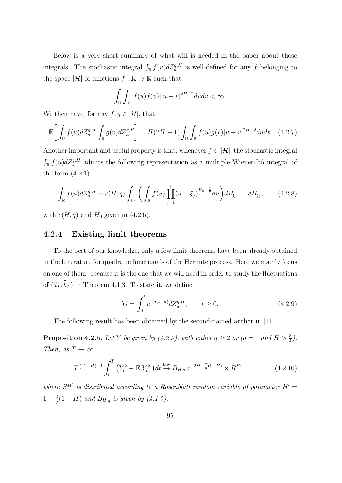Below is a very short summary of what will is needed in the paper about those integrals. The stochastic integral  $\int_{\mathbb{R}} f(u) dZ_u^{q,H}$  is well-defined for any f belonging to the space  $|\mathcal{H}|$  of functions  $f : \mathbb{R} \to \mathbb{R}$  such that

$$
\int_{\mathbb{R}} \int_{\mathbb{R}} |f(u)f(v)||u-v|^{2H-2}dudv < \infty.
$$

We then have, for any  $f, g \in |\mathcal{H}|$ , that

$$
\mathbb{E}\bigg[\int_{\mathbb{R}}f(u)dZ_u^{q,H}\int_{\mathbb{R}}g(v)dZ_u^{q,H}\bigg] = H(2H-1)\int_{\mathbb{R}}\int_{\mathbb{R}}f(u)g(v)|u-v|^{2H-2}dudv. \tag{4.2.7}
$$

Another important and useful property is that, whenever  $f \in |\mathcal{H}|$ , the stochastic integral  $\int_{\mathbb{R}} f(u) dZ_u^{q,H}$  admits the following representation as a multiple Wiener-Itô integral of the form (4.2.1):

$$
\int_{\mathbb{R}} f(u) dZ_u^{q,H} = c(H, q) \int_{\mathbb{R}^q} \left( \int_{\mathbb{R}} f(u) \prod_{j=1}^q (u - \xi_j)_+^{H_0 - \frac{3}{2}} du \right) d B_{\xi_1} \dots d B_{\xi_q}, \tag{4.2.8}
$$

with  $c(H, q)$  and  $H_0$  given in (4.2.6).

### 4.2.4 Existing limit theorems

To the best of our knowledge, only a few limit theorems have been already obtained in the litterature for quadratic functionals of the Hermite process. Here we mainly focus on one of them, because it is the one that we will need in order to study the fluctuations of  $(\widehat{a}_T, \widehat{b}_T)$  in Theorem 4.1.3. To state it, we define

$$
Y_t = \int_0^t e^{-a(t-u)} dZ_u^{q,H}, \qquad t \ge 0.
$$
 (4.2.9)

The following result has been obtained by the second-named author in [11].

**Proposition 4.2.5.** Let Y be given by (4.2.9), with either  $q \ge 2$  or  $(q = 1$  and  $H > \frac{3}{4}$ ). Then, as  $T \to \infty$ ,

$$
T^{\frac{2}{q}(1-H)-1} \int_0^T \left(Y_t^2 - \mathbb{E}[Y_t^2]\right) dt \stackrel{\text{law}}{\to} B_{H,q} a^{-2H - \frac{2}{q}(1-H)} \times R^{H'},\tag{4.2.10}
$$

where  $R^{H'}$  is distributed according to a Rosenblatt random variable of parameter  $H' =$  $1-\frac{2}{a}$  $q^2(1-H)$  and  $B_{H,q}$  is given by (4.1.5).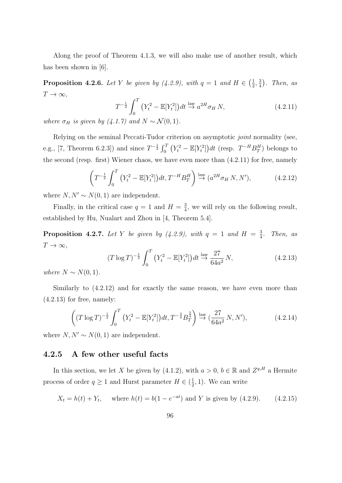Along the proof of Theorem 4.1.3, we will also make use of another result, which has been shown in [6].

**Proposition 4.2.6.** Let Y be given by (4.2.9), with  $q = 1$  and  $H \in \left(\frac{1}{2}\right)$  $\frac{1}{2}, \frac{3}{4}$  $\frac{3}{4}$ ). Then, as  $T \to \infty$ ,

$$
T^{-\frac{1}{2}} \int_0^T \left(Y_t^2 - \mathbb{E}[Y_t^2]\right) dt \stackrel{\text{law}}{\rightarrow} a^{2H} \sigma_H N,
$$
\n
$$
(4.2.11)
$$

where  $\sigma_H$  is given by (4.1.7) and  $N \sim \mathcal{N}(0, 1)$ .

Relying on the seminal Peccati-Tudor criterion on asymptotic *joint* normality (see, e.g., [7, Theorem 6.2.3]) and since  $T^{-\frac{1}{2}} \int_0^T (Y_t^2 - \mathbb{E}[Y_t^2]) dt$  (resp.  $T^{-H} B_T^H$ ) belongs to the second (resp. first) Wiener chaos, we have even more than (4.2.11) for free, namely

$$
\left(T^{-\frac{1}{2}} \int_0^T \left(Y_t^2 - \mathbb{E}[Y_t^2]\right) dt, T^{-H} B_T^H\right) \stackrel{\text{law}}{\to} (a^{2H} \sigma_H N, N'),\tag{4.2.12}
$$

where  $N, N' \sim N(0, 1)$  are independent.

Finally, in the critical case  $q = 1$  and  $H = \frac{3}{4}$  $\frac{3}{4}$ , we will rely on the following result, established by Hu, Nualart and Zhou in [4, Theorem 5.4].

**Proposition 4.2.7.** Let Y be given by (4.2.9), with  $q = 1$  and  $H = \frac{3}{4}$  $rac{3}{4}$ . Then, as  $T\rightarrow\infty,$ 

$$
(T \log T)^{-\frac{1}{2}} \int_0^T \left( Y_t^2 - \mathbb{E}[Y_t^2] \right) dt \stackrel{\text{law}}{\to} \frac{27}{64a^2} N,\tag{4.2.13}
$$

where  $N \sim N(0, 1)$ .

Similarly to (4.2.12) and for exactly the same reason, we have even more than  $(4.2.13)$  for free, namely:

$$
\left( (T \log T)^{-\frac{1}{2}} \int_0^T \left( Y_t^2 - \mathbb{E}[Y_t^2] \right) dt, T^{-\frac{3}{4}} B_T^{\frac{3}{4}} \right) \stackrel{\text{law}}{\to} \left( \frac{27}{64a^2} N, N' \right), \tag{4.2.14}
$$

where  $N, N' \sim N(0, 1)$  are independent.

### 4.2.5 A few other useful facts

In this section, we let X be given by (4.1.2), with  $a > 0, b \in \mathbb{R}$  and  $Z^{q,H}$  a Hermite process of order  $q \geq 1$  and Hurst parameter  $H \in \left(\frac{1}{2}\right)$  $(\frac{1}{2}, 1)$ . We can write

$$
X_t = h(t) + Y_t
$$
, where  $h(t) = b(1 - e^{-at})$  and Y is given by (4.2.9). (4.2.15)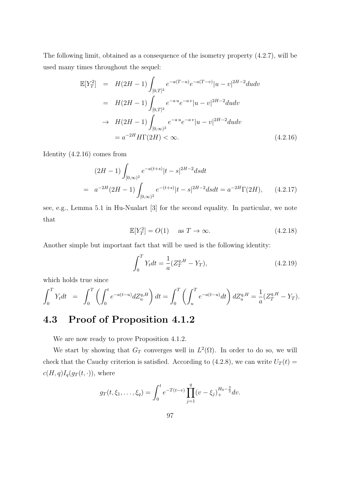The following limit, obtained as a consequence of the isometry property (4.2.7), will be used many times throughout the sequel:

$$
\mathbb{E}[Y_T^2] = H(2H - 1) \int_{[0,T]^2} e^{-a(T-u)} e^{-a(T-v)} |u - v|^{2H-2} du dv
$$
  
\n
$$
= H(2H - 1) \int_{[0,T]^2} e^{-au} e^{-av} |u - v|^{2H-2} du dv
$$
  
\n
$$
\to H(2H - 1) \int_{[0,\infty)^2} e^{-au} e^{-av} |u - v|^{2H-2} du dv
$$
  
\n
$$
= a^{-2H} H\Gamma(2H) < \infty.
$$
 (4.2.16)

Identity (4.2.16) comes from

$$
(2H - 1) \int_{[0,\infty)^2} e^{-a(t+s)} |t - s|^{2H-2} ds dt
$$
  
=  $a^{-2H} (2H - 1) \int_{[0,\infty)^2} e^{-(t+s)} |t - s|^{2H-2} ds dt = a^{-2H} \Gamma(2H),$  (4.2.17)

see, e.g., Lemma 5.1 in Hu-Nualart [3] for the second equality. In particular, we note that

$$
\mathbb{E}[Y_T^2] = O(1) \quad \text{as } T \to \infty. \tag{4.2.18}
$$

Another simple but important fact that will be used is the following identity:

$$
\int_{0}^{T} Y_{t}dt = \frac{1}{a}(Z_{T}^{q,H} - Y_{T}),
$$
\n(4.2.19)

which holds true since

$$
\int_0^T Y_t dt = \int_0^T \left( \int_0^t e^{-a(t-u)} dZ_u^{q,H} \right) dt = \int_0^T \left( \int_u^T e^{-a(t-u)} dt \right) dZ_u^{q,H} = \frac{1}{a} (Z_T^{q,H} - Y_T).
$$

## 4.3 Proof of Proposition 4.1.2

We are now ready to prove Proposition 4.1.2.

We start by showing that  $G_T$  converges well in  $L^2(\Omega)$ . In order to do so, we will check that the Cauchy criterion is satisfied. According to (4.2.8), we can write  $U_T(t)$  =  $c(H, q)I_q(g_T(t, \cdot)),$  where

$$
g_T(t,\xi_1,\ldots,\xi_q) = \int_0^t e^{-T(t-v)} \prod_{j=1}^q (v-\xi_j)_+^{H_0-\frac{3}{2}} dv.
$$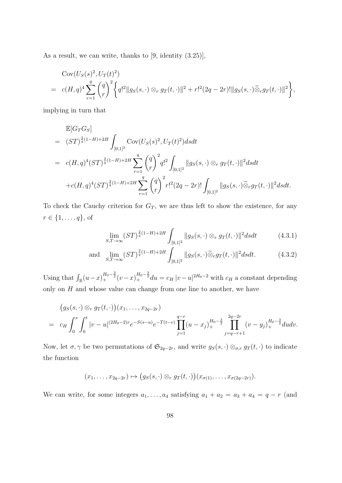As a result, we can write, thanks to  $[9,$  identity  $(3.25)],$ 

Cov
$$
(U_S(s)^2, U_T(t)^2)
$$
  
=  $c(H, q)^4 \sum_{r=1}^q {q \choose r}^2 \left\{ q^{12} ||g_S(s, \cdot) \otimes_r g_T(t, \cdot)||^2 + r!^2 (2q - 2r)! ||g_S(s, \cdot) \widetilde{\otimes}_r g_T(t, \cdot)||^2 \right\},$ 

implying in turn that

$$
\mathbb{E}[G_T G_S] \n= (ST)^{\frac{2}{q}(1-H)+2H} \int_{[0,1]^2} \text{Cov}(U_S(s)^2, U_T(t)^2) dsdt \n= c(H,q)^4 (ST)^{\frac{2}{q}(1-H)+2H} \sum_{r=1}^q {q \choose r}^2 q!^2 \int_{[0,1]^2} ||g_S(s, \cdot) \otimes_r g_T(t, \cdot)||^2 dsdt \n+ c(H,q)^4 (ST)^{\frac{2}{q}(1-H)+2H} \sum_{r=1}^q {q \choose r}^2 r!^2 (2q-2r)! \int_{[0,1]^2} ||g_S(s, \cdot) \tilde{\otimes}_r g_T(t, \cdot)||^2 dsdt.
$$

To check the Cauchy criterion for  $G_T$ , we are thus left to show the existence, for any  $r \in \{1, \ldots, q\}$ , of

$$
\lim_{S,T \to \infty} (ST)^{\frac{2}{q}(1-H)+2H} \int_{[0,1]^2} ||g_S(s, \cdot) \otimes_r g_T(t, \cdot)||^2 ds dt \tag{4.3.1}
$$

and 
$$
\lim_{S,T \to \infty} (ST)^{\frac{2}{q}(1-H)+2H} \int_{[0,1]^2} ||g_S(s, \cdot)\tilde{\otimes}_r g_T(t, \cdot)||^2 ds dt.
$$
 (4.3.2)

Using that  $\int_{\mathbb{R}} (u-x)_+^{H_0-\frac{3}{2}} (v-x)_+^{H_0-\frac{3}{2}} du = c_H |v-u|^{2H_0-2}$  with  $c_H$  a constant depending only on  $H$  and whose value can change from one line to another, we have

$$
\begin{array}{lll}\n\left(g_S(s,\cdot)\otimes_r g_T(t,\cdot)\right)(x_1,\ldots,x_{2q-2r})\\
=& c_H \int_0^s \int_0^t |v-u|^{(2H_0-2)r} e^{-S(s-u)} e^{-T(t-v)} \prod_{j=1}^{q-r} (u-x_j)_+^{H_0-\frac{3}{2}} \prod_{j=q-r+1}^{2q-2r} (v-y_j)_+^{H_0-\frac{3}{2}} du dv.\n\end{array}
$$

Now, let  $\sigma, \gamma$  be two permutations of  $\mathfrak{S}_{2q-2r}$ , and write  $g_S(s, \cdot) \otimes_{\sigma,r} g_T(t, \cdot)$  to indicate the function

$$
(x_1,\ldots,x_{2q-2r})\mapsto (g_S(s,\cdot)\otimes_r g_T(t,\cdot))(x_{\sigma(1)},\ldots,x_{\sigma(2q-2r)}).
$$

We can write, for some integers  $a_1, \ldots, a_4$  satisfying  $a_1 + a_2 = a_3 + a_4 = q - r$  (and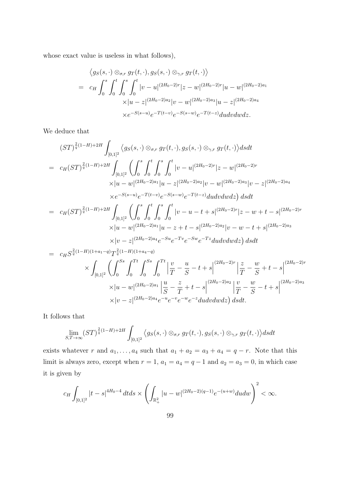whose exact value is useless in what follows),

$$
\langle g_S(s, \cdot) \otimes_{\sigma, r} g_T(t, \cdot), g_S(s, \cdot) \otimes_{\gamma, r} g_T(t, \cdot) \rangle
$$
  
=  $c_H \int_0^s \int_0^t \int_0^s \int_0^t |v - u|^{(2H_0 - 2)r} |z - w|^{(2H_0 - 2)r} |u - w|^{(2H_0 - 2)a_1}$   

$$
\times |u - z|^{(2H_0 - 2)a_2} |v - w|^{(2H_0 - 2)a_3} |u - z|^{(2H_0 - 2)a_4}
$$
  

$$
\times e^{-S(s - u)} e^{-T(t - v)} e^{-S(s - w)} e^{-T(t - z)} du dv dw dz.
$$

We deduce that

$$
(ST)^{\frac{2}{q}(1-H)+2H} \int_{[0,1]^2} \langle g_S(s, \cdot) \otimes_{\sigma,r} g_T(t, \cdot), g_S(s, \cdot) \otimes_{\gamma,r} g_T(t, \cdot) \rangle ds dt
$$
  
\n
$$
= c_H(ST)^{\frac{2}{q}(1-H)+2H} \int_{[0,1]^2} \left( \int_0^s \int_0^t \int_0^t \int_0^t |v-u|^{(2H_0-2)r} |z-w|^{(2H_0-2)r}
$$
  
\n
$$
\times |u-w|^{(2H_0-2)a_1} |u-z|^{(2H_0-2)a_2} |v-w|^{(2H_0-2)a_3} |v-z|^{(2H_0-2)a_4}
$$
  
\n
$$
\times e^{-S(s-u)} e^{-T(t-v)} e^{-S(s-w)} e^{-T(t-z)} du dv dw dz \right) ds dt
$$
  
\n
$$
= c_H(ST)^{\frac{2}{q}(1-H)+2H} \int_{[0,1]^2} \left( \int_0^s \int_0^t \int_0^s \int_0^t |v-u-t+s|^{(2H_0-2)r} |z-w+t-s|^{(2H_0-2)r}
$$
  
\n
$$
\times |u-w|^{(2H_0-2)a_1} |u-z+t-s|^{(2H_0-2)a_2} |v-w-t+s|^{(2H_0-2)a_3}
$$
  
\n
$$
\times |v-z|^{(2H_0-2)a_4} e^{-Su} e^{-Tv} e^{-Sw} e^{-Tz} du dv dw dz \right) ds dt
$$
  
\n
$$
= c_H S^{\frac{2}{q}(1-H)(1+a_1-q)} T^{\frac{2}{q}(1-H)(1+a_4-q)} \times \int_{[0,1]^2} \left( \int_0^{S_s} \int_0^{T_t} \int_0^{S_s} \int_0^{T_t} \left| \frac{v}{T} - \frac{u}{S} - t + s \right|^{(2H_0-2)r} \left| \frac{z}{T} - \frac{w}{S} + t - s \right|^{(2H_0-2)a_3}
$$
  
\n
$$
\times |u-w|^{(2H_0-2)a_1} \left| \frac{u}{S} - \frac{z}{T} + t - s \right|^{(2H_0-2)a_2} \left| \frac{v}{T} - \frac{w
$$

It follows that

$$
\lim_{S,T\to\infty} (ST)^{\frac{2}{q}(1-H)+2H} \int_{[0,1]^2} \langle g_S(s,\cdot) \otimes_{\sigma,r} g_T(t,\cdot), g_S(s,\cdot) \otimes_{\gamma,r} g_T(t,\cdot) \rangle dsdt
$$

exists whatever r and  $a_1, \ldots, a_4$  such that  $a_1 + a_2 = a_3 + a_4 = q - r$ . Note that this limit is always zero, except when  $r = 1$ ,  $a_1 = a_4 = q - 1$  and  $a_2 = a_3 = 0$ , in which case it is given by

$$
c_H\int_{[0,1]^2}|t-s|^{4H_0-4}\,dtds\times\left(\int_{\mathbb{R}_+^2}|u-w|^{(2H_0-2)(q-1)}e^{-(u+w)}dudw\right)^2<\infty.
$$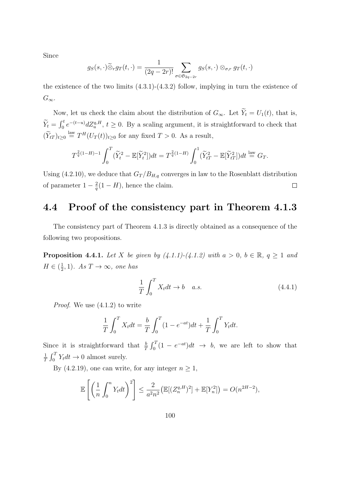Since

$$
g_S(s,\cdot)\widetilde{\otimes}_r g_T(t,\cdot)=\frac{1}{(2q-2r)!}\sum_{\sigma\in\mathfrak{S}_{2q-2r}}g_S(s,\cdot)\otimes_{\sigma,r}g_T(t,\cdot)
$$

the existence of the two limits  $(4.3.1)-(4.3.2)$  follow, implying in turn the existence of  $G_{\infty}$ .

Now, let us check the claim about the distribution of  $G_{\infty}$ . Let  $\widetilde{Y}_t = U_1(t)$ , that is,  $\widetilde{Y}_t = \int_0^t e^{-(t-u)} dZ_u^{q,H}, t \ge 0$ . By a scaling argument, it is straightforward to check that  $(\widetilde{Y}_{tT})_{t\geq 0} \stackrel{\text{law}}{=} T^H(U_T(t))_{t\geq 0}$  for any fixed  $T > 0$ . As a result,

$$
T^{\frac{2}{q}(1-H)-1} \int_0^T (\widetilde{Y}_t^2 - \mathbb{E}[\widetilde{Y}_t^2]) dt = T^{\frac{2}{q}(1-H)} \int_0^1 (\widetilde{Y}_{tT}^2 - \mathbb{E}[\widetilde{Y}_{tT}^2]) dt \stackrel{\text{law}}{=} G_T.
$$

Using (4.2.10), we deduce that  $G_T/B_{H,q}$  converges in law to the Rosenblatt distribution of parameter  $1-\frac{2}{a}$  $\frac{2}{q}(1-H)$ , hence the claim.  $\Box$ 

## 4.4 Proof of the consistency part in Theorem 4.1.3

The consistency part of Theorem 4.1.3 is directly obtained as a consequence of the following two propositions.

**Proposition 4.4.1.** Let X be given by  $(4.1.1)-(4.1.2)$  with  $a > 0, b \in \mathbb{R}, q \ge 1$  and  $H \in (\frac{1}{2})$  $(\frac{1}{2}, 1)$ . As  $T \to \infty$ , one has

$$
\frac{1}{T} \int_0^T X_t dt \to b \quad a.s. \tag{4.4.1}
$$

Proof. We use (4.1.2) to write

$$
\frac{1}{T} \int_0^T X_t dt = \frac{b}{T} \int_0^T (1 - e^{-at}) dt + \frac{1}{T} \int_0^T Y_t dt.
$$

Since it is straightforward that  $\frac{b}{T} \int_0^T (1 - e^{-at}) dt \rightarrow b$ , we are left to show that 1  $\frac{1}{T} \int_0^T Y_t dt \to 0$  almost surely.

By (4.2.19), one can write, for any integer  $n \geq 1$ ,

$$
\mathbb{E}\left[\left(\frac{1}{n}\int_0^n Y_t dt\right)^2\right] \le \frac{2}{a^2 n^2} \left(\mathbb{E}[(Z_n^{q,H})^2] + \mathbb{E}[Y_n^2]\right) = O(n^{2H-2}),
$$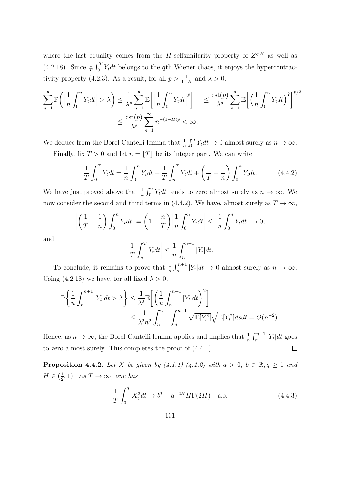where the last equality comes from the *H*-selfsimilarity property of  $Z^{q,H}$  as well as (4.2.18). Since  $\frac{1}{T} \int_0^T Y_t dt$  belongs to the qth Wiener chaos, it enjoys the hypercontractivity property (4.2.3). As a result, for all  $p > \frac{1}{1-H}$  and  $\lambda > 0$ ,

$$
\sum_{n=1}^{\infty} \mathbb{P}\left(\left|\frac{1}{n}\int_{0}^{n} Y_{t}dt\right| > \lambda\right) \leq \frac{1}{\lambda^{p}} \sum_{n=1}^{\infty} \mathbb{E}\left[\left|\frac{1}{n}\int_{0}^{n} Y_{t}dt\right|^{p}\right] \leq \frac{\text{cst}(p)}{\lambda^{p}} \sum_{n=1}^{\infty} \mathbb{E}\left[\left(\frac{1}{n}\int_{0}^{n} Y_{t}dt\right)^{2}\right]^{p/2}
$$

$$
\leq \frac{\text{cst}(p)}{\lambda^{p}} \sum_{n=1}^{\infty} n^{-(1-H)p} < \infty.
$$

We deduce from the Borel-Cantelli lemma that  $\frac{1}{n} \int_0^n Y_t dt \to 0$  almost surely as  $n \to \infty$ . Finally, fix  $T > 0$  and let  $n = |T|$  be its integer part. We can write

$$
\frac{1}{T} \int_0^T Y_t dt = \frac{1}{n} \int_0^n Y_t dt + \frac{1}{T} \int_n^T Y_t dt + \left(\frac{1}{T} - \frac{1}{n}\right) \int_0^n Y_t dt.
$$
 (4.4.2)

We have just proved above that  $\frac{1}{n} \int_0^n Y_t dt$  tends to zero almost surely as  $n \to \infty$ . We now consider the second and third terms in (4.4.2). We have, almost surely as  $T \to \infty$ ,

$$
\left| \left( \frac{1}{T} - \frac{1}{n} \right) \int_0^n Y_t dt \right| = \left( 1 - \frac{n}{T} \right) \left| \frac{1}{n} \int_0^n Y_t dt \right| \le \left| \frac{1}{n} \int_0^n Y_t dt \right| \to 0,
$$

and

$$
\left|\frac{1}{T}\int_{n}^{T}Y_{t}dt\right| \leq \frac{1}{n}\int_{n}^{n+1}|Y_{t}|dt.
$$

To conclude, it remains to prove that  $\frac{1}{n} \int_{n}^{n+1} |Y_t| dt \to 0$  almost surely as  $n \to \infty$ . Using (4.2.18) we have, for all fixed  $\lambda > 0$ ,

$$
\mathbb{P}\left\{\frac{1}{n}\int_{n}^{n+1}|Y_t|dt>\lambda\right\}\leq \frac{1}{\lambda^2}\mathbb{E}\left[\left(\frac{1}{n}\int_{n}^{n+1}|Y_t|dt\right)^2\right]
$$

$$
\leq \frac{1}{\lambda^2n^2}\int_{n}^{n+1}\int_{n}^{n+1}\sqrt{\mathbb{E}[Y_s^2]}\sqrt{\mathbb{E}[Y_t^2]}dsdt=O(n^{-2}).
$$

Hence, as  $n \to \infty$ , the Borel-Cantelli lemma applies and implies that  $\frac{1}{n} \int_{n}^{n+1} |Y_t| dt$  goes to zero almost surely. This completes the proof of (4.4.1).  $\Box$ 

**Proposition 4.4.2.** Let X be given by  $(4.1.1)-(4.1.2)$  with  $a > 0$ ,  $b \in \mathbb{R}, q \ge 1$  and  $H \in (\frac{1}{2})$  $(\frac{1}{2}, 1)$ . As  $T \to \infty$ , one has

$$
\frac{1}{T} \int_0^T X_t^2 dt \to b^2 + a^{-2H} H\Gamma(2H) \quad a.s.
$$
\n(4.4.3)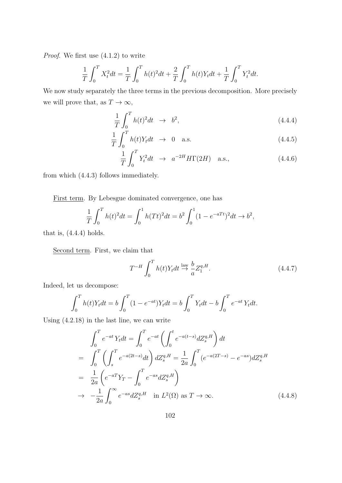Proof. We first use (4.1.2) to write

$$
\frac{1}{T} \int_0^T X_t^2 dt = \frac{1}{T} \int_0^T h(t)^2 dt + \frac{2}{T} \int_0^T h(t) Y_t dt + \frac{1}{T} \int_0^T Y_t^2 dt.
$$

We now study separately the three terms in the previous decomposition. More precisely we will prove that, as  $T\to\infty,$ 

$$
\frac{1}{T} \int_0^T h(t)^2 dt \rightarrow b^2,
$$
\n(4.4.4)

$$
\frac{1}{T} \int_0^T h(t) Y_t dt \rightarrow 0 \quad \text{a.s.} \tag{4.4.5}
$$

$$
\frac{1}{T} \int_0^T Y_t^2 dt \rightarrow a^{-2H} H\Gamma(2H) \quad \text{a.s.},\tag{4.4.6}
$$

from which (4.4.3) follows immediately.

First term. By Lebesgue dominated convergence, one has

$$
\frac{1}{T} \int_0^T h(t)^2 dt = \int_0^1 h(Tt)^2 dt = b^2 \int_0^1 (1 - e^{-aTt})^2 dt \to b^2,
$$

that is,  $(4.4.4)$  holds.

Second term. First, we claim that

$$
T^{-H} \int_0^T h(t) Y_t dt \stackrel{\text{law}}{\rightarrow} \frac{b}{a} Z_1^{q,H}.
$$
 (4.4.7)

Indeed, let us decompose:

$$
\int_0^T h(t)Y_t dt = b \int_0^T (1 - e^{-at})Y_t dt = b \int_0^T Y_t dt - b \int_0^T e^{-at} Y_t dt.
$$

Using (4.2.18) in the last line, we can write

$$
\int_{0}^{T} e^{-at} Y_{t} dt = \int_{0}^{T} e^{-at} \left( \int_{0}^{t} e^{-a(t-s)} dZ_{s}^{q,H} \right) dt
$$
\n
$$
= \int_{0}^{T} \left( \int_{s}^{T} e^{-a(2t-s)} dt \right) dZ_{s}^{q,H} = \frac{1}{2a} \int_{0}^{T} (e^{-a(2T-s)} - e^{-as}) dZ_{s}^{q,H}
$$
\n
$$
= \frac{1}{2a} \left( e^{-aT} Y_{T} - \int_{0}^{T} e^{-as} dZ_{s}^{q,H} \right)
$$
\n
$$
\to -\frac{1}{2a} \int_{0}^{\infty} e^{-as} dZ_{s}^{q,H} \quad \text{in } L^{2}(\Omega) \text{ as } T \to \infty.
$$
\n(4.4.8)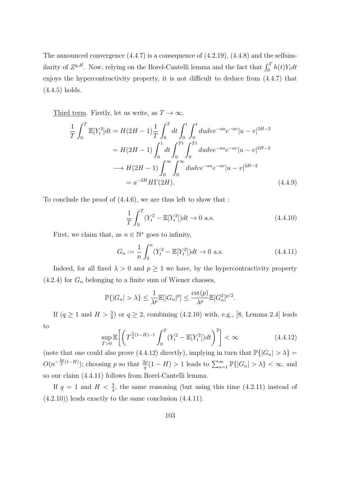The announced convergence  $(4.4.7)$  is a consequence of  $(4.2.19)$ ,  $(4.4.8)$  and the selfsimilarity of  $Z^{q,H}$ . Now, relying on the Borel-Cantelli lemma and the fact that  $\int_0^T h(t)Y_t dt$ enjoys the hypercontractivity property, it is not difficult to deduce from (4.4.7) that (4.4.5) holds.

Third term. Firstly, let us write, as  $T \to \infty$ ,

$$
\frac{1}{T} \int_0^T \mathbb{E}[Y_t^2] dt = H(2H - 1) \frac{1}{T} \int_0^T dt \int_0^t \int_0^t du dv e^{-au} e^{-av} |u - v|^{2H - 2}
$$
  
\n
$$
= H(2H - 1) \int_0^1 dt \int_0^{Tt} \int_0^{Tt} du dv e^{-au} e^{-av} |u - v|^{2H - 2}
$$
  
\n
$$
\longrightarrow H(2H - 1) \int_0^\infty \int_0^\infty du dv e^{-au} e^{-av} |u - v|^{2H - 2}
$$
  
\n
$$
= a^{-2H} H\Gamma(2H).
$$
\n(4.4.9)

To conclude the proof of (4.4.6), we are thus left to show that :

$$
\frac{1}{T} \int_0^T (Y_t^2 - \mathbb{E}[Y_t^2]) dt \to 0 \text{ a.s.}
$$
\n(4.4.10)

First, we claim that, as  $n \in \mathbb{N}^*$  goes to infinity,

$$
G_n := \frac{1}{n} \int_0^n (Y_t^2 - \mathbb{E}[Y_t^2]) dt \to 0 \text{ a.s.}
$$
 (4.4.11)

Indeed, for all fixed  $\lambda > 0$  and  $p \ge 1$  we have, by the hypercontractivity property  $(4.2.4)$  for  $G_n$  belonging to a finite sum of Wiener chaoses,

$$
\mathbb{P}\{|G_n| > \lambda\} \le \frac{1}{\lambda^p} \mathbb{E}[|G_n|^p] \le \frac{\text{cst}(p)}{\lambda^p} \mathbb{E}[G_n^2]^{p/2}.
$$

If  $(q \ge 1 \text{ and } H > \frac{3}{4})$  or  $q \ge 2$ , combining (4.2.10) with, e.g., [8, Lemma 2.4] leads to

$$
\sup_{T>0} \mathbb{E}\left[\left(T^{\frac{2}{q}(1-H)-1}\int_0^T (Y_t^2 - \mathbb{E}[Y_t^2])dt\right)^2\right] < \infty
$$
\n(4.4.12)

(note that one could also prove (4.4.12) directly), implying in turn that  $\mathbb{P}\{|G_n| > \lambda\} =$  $O(n^{-\frac{2p}{q}(1-H)})$ ; choosing p so that  $\frac{2p}{q}(1-H) > 1$  leads to  $\sum_{n=1}^{\infty} \mathbb{P}\{|G_n| > \lambda\} < \infty$ , and so our claim (4.4.11) follows from Borel-Cantelli lemma.

If  $q = 1$  and  $H < \frac{3}{4}$ , the same reasoning (but using this time (4.2.11) instead of  $(4.2.10)$ ) leads exactly to the same conclusion  $(4.4.11)$ .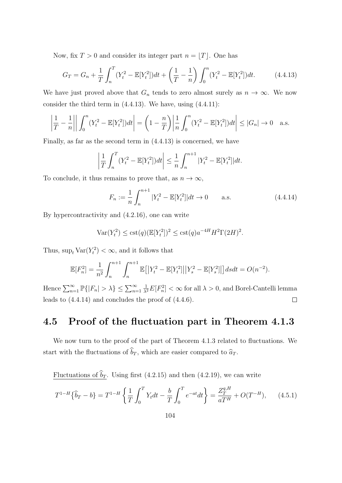Now, fix  $T > 0$  and consider its integer part  $n = |T|$ . One has

$$
G_T = G_n + \frac{1}{T} \int_n^T (Y_t^2 - \mathbb{E}[Y_t^2]) dt + \left(\frac{1}{T} - \frac{1}{n}\right) \int_0^n (Y_t^2 - \mathbb{E}[Y_t^2]) dt.
$$
 (4.4.13)

We have just proved above that  $G_n$  tends to zero almost surely as  $n \to \infty$ . We now consider the third term in  $(4.4.13)$ . We have, using  $(4.4.11)$ :

$$
\left| \frac{1}{T} - \frac{1}{n} \right| \left| \int_0^n (Y_t^2 - \mathbb{E}[Y_t^2]) dt \right| = \left( 1 - \frac{n}{T} \right) \left| \frac{1}{n} \int_0^n (Y_t^2 - \mathbb{E}[Y_t^2]) dt \right| \le |G_n| \to 0 \quad \text{a.s.}
$$

Finally, as far as the second term in (4.4.13) is concerned, we have

$$
\left|\frac{1}{T}\int_{n}^{T}(Y_{t}^{2}-\mathbb{E}[Y_{t}^{2}])dt\right| \leq \frac{1}{n}\int_{n}^{n+1}|Y_{t}^{2}-\mathbb{E}[Y_{t}^{2}]|dt.
$$

To conclude, it thus remains to prove that, as  $n \to \infty$ ,

$$
F_n := \frac{1}{n} \int_n^{n+1} |Y_t^2 - \mathbb{E}[Y_t^2]|dt \to 0 \quad \text{a.s.} \tag{4.4.14}
$$

By hypercontractivity and (4.2.16), one can write

$$
Var(Y_t^2) \leq \text{cst}(q)(\mathbb{E}[Y_t^2])^2 \leq \text{cst}(q)a^{-4H}H^2\Gamma(2H)^2.
$$

Thus,  $\sup_t \text{Var}(Y_t^2) < \infty$ , and it follows that

$$
\mathbb{E}[F_n^2] = \frac{1}{n^2} \int_n^{n+1} \int_n^{n+1} \mathbb{E}[|Y_t^2 - \mathbb{E}[Y_t^2]| |Y_s^2 - \mathbb{E}[Y_s^2]|] ds dt = O(n^{-2}).
$$

Hence  $\sum_{n=1}^{\infty} \mathbb{P}\{|F_n| > \lambda\} \leq \sum_{n=1}^{\infty}$  $\frac{1}{\lambda^2}E[F_n^2]<\infty$  for all  $\lambda>0$ , and Borel-Cantelli lemma leads to (4.4.14) and concludes the proof of (4.4.6).  $\Box$ 

## 4.5 Proof of the fluctuation part in Theorem 4.1.3

We now turn to the proof of the part of Theorem 4.1.3 related to fluctuations. We start with the fluctuations of  $\widehat{b}_T$ , which are easier compared to  $\widehat{a}_T$ .

Fluctuations of  $\widehat{b}_T$ . Using first (4.2.15) and then (4.2.19), we can write

$$
T^{1-H}\{\hat{b}_T - b\} = T^{1-H}\left\{\frac{1}{T}\int_0^T Y_t dt - \frac{b}{T}\int_0^T e^{-at} dt\right\} = \frac{Z_T^{q,H}}{aT^H} + O(T^{-H}),\tag{4.5.1}
$$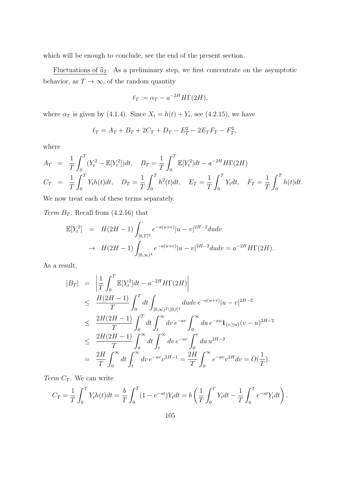which will be enough to conclude, see the end of the present section.

Fluctuations of  $\hat{a}_T$ . As a preliminary step, we first concentrate on the asymptotic behavior, as  $T\rightarrow\infty,$  of the random quantity

$$
\ell_T := \alpha_T - a^{-2H} H\Gamma(2H),
$$

where  $\alpha_T$  is given by (4.1.4). Since  $X_t = h(t) + Y_t$ , see (4.2.15), we have

$$
\ell_T = A_T + B_T + 2C_T + D_T - E_T^2 - 2E_T F_T - F_T^2,
$$

where

$$
A_T = \frac{1}{T} \int_0^T (Y_t^2 - \mathbb{E}[Y_t^2]) dt, \quad B_T = \frac{1}{T} \int_0^T \mathbb{E}[Y_t^2] dt - a^{-2H} H \Gamma(2H)
$$
  

$$
C_T = \frac{1}{T} \int_0^T Y_t h(t) dt, \quad D_T = \frac{1}{T} \int_0^T h^2(t) dt, \quad E_T = \frac{1}{T} \int_0^T Y_t dt, \quad F_T = \frac{1}{T} \int_0^T h(t) dt.
$$

We now treat each of these terms separately.

Term  $B_T$ . Recall from (4.2.16) that

$$
\mathbb{E}[Y_t^2] = H(2H - 1) \int_{[0,T]^2} e^{-a(u+v)} |u - v|^{2H-2} du dv
$$
  
\n
$$
\to H(2H - 1) \int_{[0,\infty)^2} e^{-a(u+v)} |u - v|^{2H-2} du dv = a^{-2H} H\Gamma(2H).
$$

As a result,

$$
|B_T| = \left| \frac{1}{T} \int_0^T \mathbb{E}[Y_t^2] dt - a^{-2H} H \Gamma(2H) \right|
$$
  
\n
$$
\leq \frac{H(2H - 1)}{T} \int_0^T dt \int_{[0, \infty)^2 \setminus [0, t]^2} du dv e^{-a(u+v)} |u - v|^{2H - 2}
$$
  
\n
$$
\leq \frac{2H(2H - 1)}{T} \int_0^T dt \int_t^{\infty} dv e^{-av} \int_0^{\infty} du e^{-au} \mathbf{1}_{\{v \geq u\}} (v - u)^{2H - 2}
$$
  
\n
$$
\leq \frac{2H(2H - 1)}{T} \int_0^{\infty} dt \int_t^{\infty} dv e^{-av} \int_0^v du u^{2H - 2}
$$
  
\n
$$
= \frac{2H}{T} \int_0^{\infty} dt \int_t^{\infty} dv e^{-av} v^{2H - 1} = \frac{2H}{T} \int_0^{\infty} e^{-av} v^{2H} dv = O(\frac{1}{T}).
$$

 $Term C_T$ . We can write

$$
C_T = \frac{1}{T} \int_0^T Y_t h(t) dt = \frac{b}{T} \int_0^T (1 - e^{-at}) Y_t dt = b \left( \frac{1}{T} \int_0^T Y_t dt - \frac{1}{T} \int_0^T e^{-at} Y_t dt \right).
$$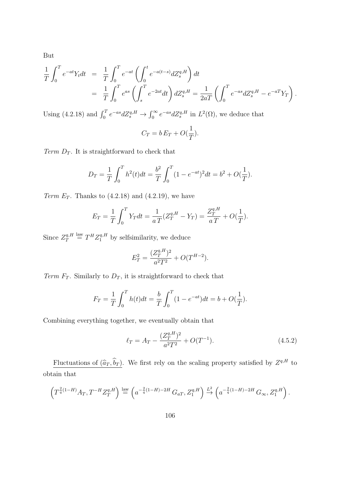But

$$
\frac{1}{T} \int_0^T e^{-at} Y_t dt = \frac{1}{T} \int_0^T e^{-at} \left( \int_0^t e^{-a(t-s)} dZ_s^{q,H} \right) dt \n= \frac{1}{T} \int_0^T e^{as} \left( \int_s^T e^{-2at} dt \right) dZ_s^{q,H} = \frac{1}{2aT} \left( \int_0^T e^{-as} dZ_s^{q,H} - e^{-aT} Y_T \right).
$$

Using (4.2.18) and  $\int_0^T e^{-as} dZ_s^{q,H} \to \int_0^\infty e^{-as} dZ_s^{q,H}$  in  $L^2(\Omega)$ , we deduce that

$$
C_T = b E_T + O(\frac{1}{T}).
$$

Term  $D_T$ . It is straightforward to check that

$$
D_T = \frac{1}{T} \int_0^T h^2(t)dt = \frac{b^2}{T} \int_0^T (1 - e^{-at})^2 dt = b^2 + O(\frac{1}{T}).
$$

Term  $E_T$ . Thanks to  $(4.2.18)$  and  $(4.2.19)$ , we have

$$
E_T = \frac{1}{T} \int_0^T Y_T dt = \frac{1}{aT} (Z_T^{q,H} - Y_T) = \frac{Z_T^{q,H}}{aT} + O(\frac{1}{T}).
$$

Since  $Z_T^{q,H}$  $T^{q,H}$   $\stackrel{\text{law}}{=} T^H Z_1^{q,H}$  by selfsimilarity, we deduce

$$
E_T^2 = \frac{(Z_T^{q,H})^2}{a^2 T^2} + O(T^{H-2}).
$$

Term  $F_T$ . Similarly to  $D_T$ , it is straightforward to check that

$$
F_T = \frac{1}{T} \int_0^T h(t)dt = \frac{b}{T} \int_0^T (1 - e^{-at})dt = b + O(\frac{1}{T}).
$$

Combining everything together, we eventually obtain that

$$
\ell_T = A_T - \frac{(Z_T^{q,H})^2}{a^2 T^2} + O(T^{-1}).\tag{4.5.2}
$$

Fluctuations of  $(\widehat{a}_T, \widehat{b}_T)$ . We first rely on the scaling property satisfied by  $Z^{q,H}$  to obtain that

$$
\left(T^{\frac{2}{q}(1-H)}A_T, T^{-H}Z_T^{q,H}\right) \stackrel{\text{law}}{=} \left(a^{-\frac{2}{q}(1-H)-2H}G_{aT}, Z_1^{q,H}\right) \stackrel{L^2}{\to} \left(a^{-\frac{2}{q}(1-H)-2H}G_\infty, Z_1^{q,H}\right).
$$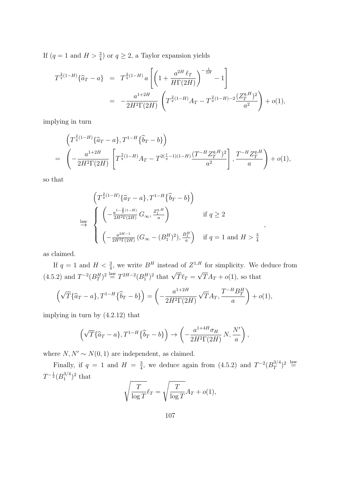If  $(q = 1 \text{ and } H > \frac{3}{4})$  or  $q \ge 2$ , a Taylor expansion yields

$$
T^{\frac{2}{q}(1-H)}\{\hat{a}_T - a\} = T^{\frac{2}{q}(1-H)}a \left[ \left( 1 + \frac{a^{2H} \ell_T}{H\Gamma(2H)} \right)^{-\frac{1}{2H}} - 1 \right]
$$
  
= 
$$
-\frac{a^{1+2H}}{2H^2\Gamma(2H)} \left( T^{\frac{2}{q}(1-H)}A_T - T^{\frac{2}{q}(1-H)-2} \frac{(Z_T^{q,H})^2}{a^2} \right) + o(1),
$$

implying in turn

$$
\left(T^{\frac{2}{q}(1-H)}\{\hat{a}_T - a\}, T^{1-H}\{\hat{b}_T - b\}\right)
$$
\n
$$
= \left(-\frac{a^{1+2H}}{2H^2\Gamma(2H)}\left[T^{\frac{2}{q}(1-H)}A_T - T^{2(\frac{1}{q}-1)(1-H)}\frac{(T^{-H}Z_T^{q,H})^2}{a^2}\right], \frac{T^{-H}Z_T^{q,H}}{a}\right) + o(1),
$$

so that

$$
\begin{aligned}\n\left(T^{\frac{2}{q}(1-H)}\{\hat{a}_T - a\}, T^{1-H}\{\hat{b}_T - b\}\right) \\
\xrightarrow{\text{law}} \left\{\n\begin{pmatrix}\n-\frac{a^{1-\frac{2}{q}(1-H)}}{2H^2\Gamma(2H)} G_{\infty}, \frac{Z_1^q}{a}\n\end{pmatrix} & \text{if } q \ge 2\n\end{pmatrix}\n\left(\n-\frac{a^{2H-1}}{2H^2\Gamma(2H)} (G_{\infty} - (B_1^H)^2), \frac{B_1^H}{a}\n\right) & \text{if } q = 1 \text{ and } H > \frac{3}{4}\n\end{aligned}\n\right.
$$

,

as claimed.

If  $q = 1$  and  $H < \frac{3}{4}$ , we write  $B<sup>H</sup>$  instead of  $Z<sup>1,H</sup>$  for simplicity. We deduce from  $(4.5.2)$  and  $T^{-2}(B_T^H)^2 \stackrel{\text{law}}{=} T^{2H-2}(B_1^H)^2$  that  $\sqrt{T} \ell_T =$ √  $TA_T + o(1)$ , so that

$$
\left(\sqrt{T}\{\widehat{a}_T-a\},T^{1-H}\{\widehat{b}_T-b\}\right)=\left(-\frac{a^{1+2H}}{2H^2\Gamma(2H)}\sqrt{T}A_T,\frac{T^{-H}B_T^H}{a}\right)+o(1),
$$

implying in turn by (4.2.12) that

$$
\left(\sqrt{T}\{\widehat{a}_T - a\}, T^{1-H}\{\widehat{b}_T - b\}\right) \to \left(-\frac{a^{1+4H}\sigma_H}{2H^2\Gamma(2H)}N, \frac{N'}{a}\right),\,
$$

where  $N, N' \sim N(0, 1)$  are independent, as claimed.

Finally, if  $q = 1$  and  $H = \frac{3}{4}$  $\frac{3}{4}$ , we deduce again from (4.5.2) and  $T^{-2}(B_T^{3/4})$  $\binom{3}{T}^2 \stackrel{\text{law}}{=}$  $T^{-\frac{1}{2}}(B_1^{3/4}$  $i^{3/4})^2$  that

$$
\sqrt{\frac{T}{\log T}} \ell_T = \sqrt{\frac{T}{\log T}} A_T + o(1),
$$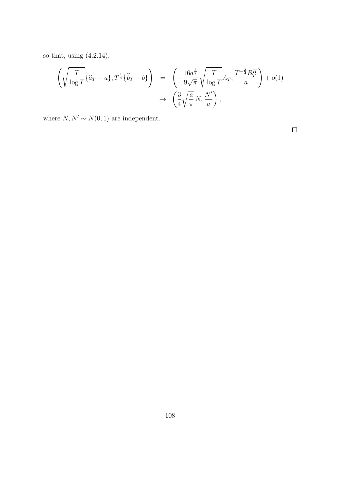so that, using (4.2.14),

$$
\left(\sqrt{\frac{T}{\log T}}\{\widehat{a}_T - a\}, T^{\frac{1}{4}}\{\widehat{b}_T - b\}\right) = \left(-\frac{16a^{\frac{5}{2}}}{9\sqrt{\pi}}\sqrt{\frac{T}{\log T}}A_T, \frac{T^{-\frac{3}{4}}B_T^H}{a}\right) + o(1) \rightarrow \left(\frac{3}{4}\sqrt{\frac{a}{\pi}}N, \frac{N'}{a}\right),
$$

where  $N, N' \sim N(0, 1)$  are independent.

 $\Box$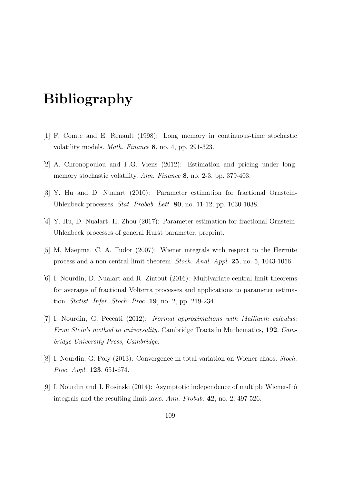# Bibliography

- [1] F. Comte and E. Renault (1998): Long memory in continuous-time stochastic volatility models. Math. Finance 8, no. 4, pp. 291-323.
- [2] A. Chronopoulou and F.G. Viens (2012): Estimation and pricing under longmemory stochastic volatility. Ann. Finance 8, no. 2-3, pp. 379-403.
- [3] Y. Hu and D. Nualart (2010): Parameter estimation for fractional Ornstein-Uhlenbeck processes. Stat. Probab. Lett. 80, no. 11-12, pp. 1030-1038.
- [4] Y. Hu, D. Nualart, H. Zhou (2017): Parameter estimation for fractional Ornstein-Uhlenbeck processes of general Hurst parameter, preprint.
- [5] M. Maejima, C. A. Tudor (2007): Wiener integrals with respect to the Hermite process and a non-central limit theorem. Stoch. Anal. Appl. 25, no. 5, 1043-1056.
- [6] I. Nourdin, D. Nualart and R. Zintout (2016): Multivariate central limit theorems for averages of fractional Volterra processes and applications to parameter estimation. Statist. Infer. Stoch. Proc. 19, no. 2, pp. 219-234.
- [7] I. Nourdin, G. Peccati (2012): Normal approximations with Malliavin calculus: From Stein's method to universality. Cambridge Tracts in Mathematics, 192. Cambridge University Press, Cambridge.
- [8] I. Nourdin, G. Poly (2013): Convergence in total variation on Wiener chaos. Stoch. Proc. Appl. 123, 651-674.
- [9] I. Nourdin and J. Rosinski  $(2014)$ : Asymptotic independence of multiple Wiener-Itô integrals and the resulting limit laws. Ann. Probab. 42, no. 2, 497-526.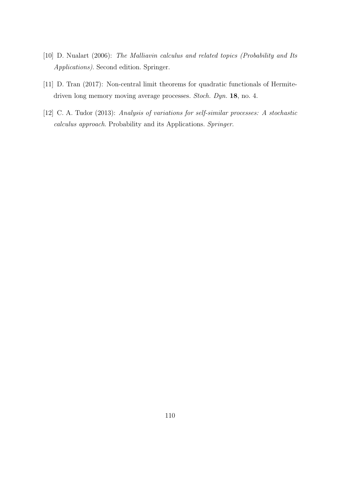- [10] D. Nualart (2006): The Malliavin calculus and related topics (Probability and Its Applications). Second edition. Springer.
- [11] D. Tran (2017): Non-central limit theorems for quadratic functionals of Hermitedriven long memory moving average processes. Stoch. Dyn. 18, no. 4.
- [12] C. A. Tudor (2013): Analysis of variations for self-similar processes: A stochastic calculus approach. Probability and its Applications. Springer.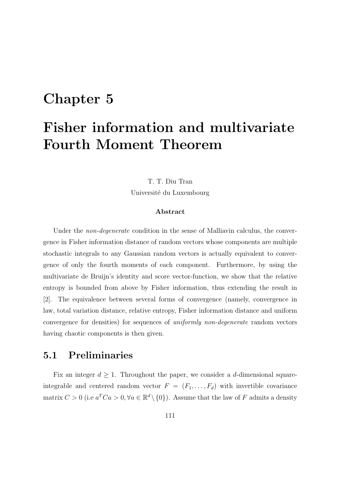## Chapter 5

# Fisher information and multivariate Fourth Moment Theorem

## T. T. Diu Tran

Université du Luxembourg

#### Abstract

Under the *non-degenerate* condition in the sense of Malliavin calculus, the convergence in Fisher information distance of random vectors whose components are multiple stochastic integrals to any Gaussian random vectors is actually equivalent to convergence of only the fourth moments of each component. Furthermore, by using the multivariate de Bruijn's identity and score vector-function, we show that the relative entropy is bounded from above by Fisher information, thus extending the result in [2]. The equivalence between several forms of convergence (namely, convergence in law, total variation distance, relative entropy, Fisher information distance and uniform convergence for densities) for sequences of uniformly non-degenerate random vectors having chaotic components is then given.

## 5.1 Preliminaries

Fix an integer  $d \geq 1$ . Throughout the paper, we consider a d-dimensional squareintegrable and centered random vector  $F = (F_1, \ldots, F_d)$  with invertible covariance matrix  $C > 0$  (i.e  $a^T C a > 0$ ,  $\forall a \in \mathbb{R}^d \setminus \{0\}$ ). Assume that the law of F admits a density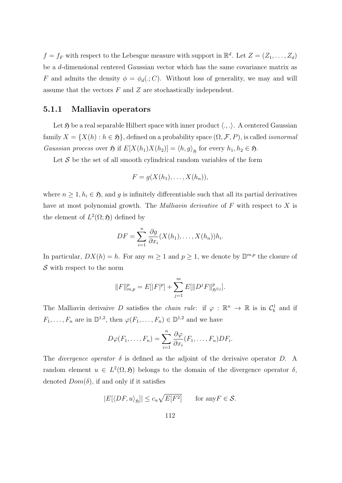$f = f_F$  with respect to the Lebesgue measure with support in  $\mathbb{R}^d$ . Let  $Z = (Z_1, \ldots, Z_d)$ be a d-dimensional centered Gaussian vector which has the same covariance matrix as F and admits the density  $\phi = \phi_d(.; C)$ . Without loss of generality, we may and will assume that the vectors  $F$  and  $Z$  are stochastically independent.

#### 5.1.1 Malliavin operators

Let  $\mathfrak H$  be a real separable Hilbert space with inner product  $\langle ., .\rangle$ . A centered Gaussian family  $X = \{X(h) : h \in \mathfrak{H}\}\,$ , defined on a probability space  $(\Omega, \mathcal{F}, P)$ , is called *isonormal* Gaussian process over  $\mathfrak{H}$  if  $E[X(h_1)X(h_2)] = \langle h, g \rangle_{\mathfrak{H}}$  for every  $h_1, h_2 \in \mathfrak{H}$ .

Let  $S$  be the set of all smooth cylindrical random variables of the form

$$
F = g(X(h_1), \ldots, X(h_n)),
$$

where  $n \geq 1, h_i \in \mathfrak{H}$ , and g is infinitely differentiable such that all its partial derivatives have at most polynomial growth. The *Malliavin derivative* of  $F$  with respect to  $X$  is the element of  $L^2(\Omega; \mathfrak{H})$  defined by

$$
DF = \sum_{i=1}^{n} \frac{\partial g}{\partial x_i} (X(h_1), \dots, X(h_n)) h_i.
$$

In particular,  $DX(h) = h$ . For any  $m \geq 1$  and  $p \geq 1$ , we denote by  $\mathbb{D}^{m,p}$  the closure of  $S$  with respect to the norm

$$
||F||_{m,p}^p = E[|F|^p] + \sum_{j=1}^m E[||D^j F||_{\mathfrak{H}^{\otimes j}}^p].
$$

The Malliavin derivaive D satisfies the *chain rule*: if  $\varphi : \mathbb{R}^n \to \mathbb{R}$  is in  $\mathcal{C}_b^1$  and if  $F_1, \ldots, F_n$  are in  $\mathbb{D}^{1,2}$ , then  $\varphi(F_1, \ldots, F_n) \in \mathbb{D}^{1,2}$  and we have

$$
D\varphi(F_1,\ldots,F_n)=\sum_{i=1}^n\frac{\partial\varphi}{\partial x_i}(F_1,\ldots,F_n)DF_i.
$$

The *divergence operator*  $\delta$  is defined as the adjoint of the derivaive operator D. A random element  $u \in L^2(\Omega, \mathfrak{H})$  belongs to the domain of the divergence operator  $\delta$ , denoted  $Dom(\delta)$ , if and only if it satisfies

$$
|E[\langle DF, u \rangle_{\mathfrak{H}}]| \le c_u \sqrt{E[F^2]} \quad \text{for any } F \in \mathcal{S}.
$$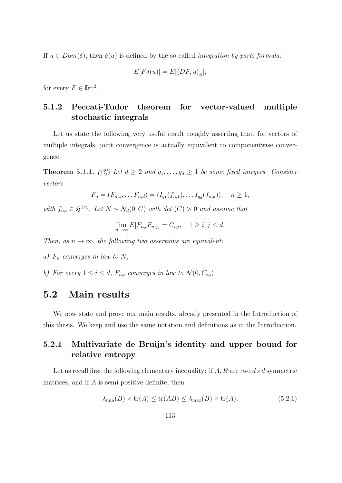If  $u \in Dom(\delta)$ , then  $\delta(u)$  is defined by the so-called *integration by parts formula*:

$$
E[F\delta(u)] = E[\langle DF, u \rangle_{\mathfrak{H}}],
$$

for every  $F \in \mathbb{D}^{1,2}$ .

## 5.1.2 Peccati-Tudor theorem for vector-valued multiple stochastic integrals

Let us state the following very useful result roughly asserting that, for vectors of multiple integrals, joint convergence is actually equivalent to componentwise convergence.

**Theorem 5.1.1.** ([3]) Let  $d \geq 2$  and  $q_1, \ldots, q_d \geq 1$  be some fixed integers. Consider vectors

$$
F_n = (F_{n,1}, \ldots F_{n,d}) = (I_{q_1}(f_{n,1}), \ldots I_{q_d}(f_{n,d})), \quad n \ge 1,
$$

with  $f_{n,i} \in \mathfrak{H}^{\odot q_i}$ . Let  $N \sim \mathcal{N}_d(0, C)$  with det  $(C) > 0$  and assume that

$$
\lim_{n \to \infty} E[F_{n,i}F_{n,j}] = C_{i,j}, \quad 1 \ge i, j \le d.
$$

Then, as  $n \to \infty$ , the following two assertions are equivalent:

- a)  $F_n$  converges in law to N;
- b) For every  $1 \leq i \leq d$ ,  $F_{n,i}$  converges in law to  $\mathcal{N}(0, C_{i,i})$ .

## 5.2 Main results

We now state and prove our main results, already presented in the Introduction of this thesis. We keep and use the same notation and definitions as in the Introduction.

## 5.2.1 Multivariate de Bruijn's identity and upper bound for relative entropy

Let us recall first the following elementary inequality: if  $A, B$  are two  $d \times d$  symmetric matrices, and if A is semi-positive definite, then

$$
\lambda_{\min}(B) \times \text{tr}(A) \le \text{tr}(AB) \le \lambda_{\max}(B) \times \text{tr}(A),\tag{5.2.1}
$$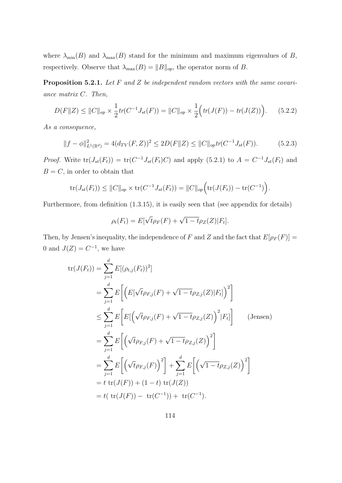where  $\lambda_{\min}(B)$  and  $\lambda_{\max}(B)$  stand for the minimum and maximum eigenvalues of B, respectively. Observe that  $\lambda_{\max}(B) = ||B||_{op}$ , the operator norm of B.

**Proposition 5.2.1.** Let F and Z be independent random vectors with the same covariance matrix C. Then,

$$
D(F||Z) \le ||C||_{op} \times \frac{1}{2} tr(C^{-1}J_{st}(F)) = ||C||_{op} \times \frac{1}{2} \Big( tr(J(F)) - tr(J(Z)) \Big). \tag{5.2.2}
$$

As a consequence,

$$
||f - \phi||_{L^1(\mathbb{R}^d)}^2 = 4(d_{TV}(F, Z))^2 \le 2D(F||Z) \le ||C||_{op} tr(C^{-1}J_{st}(F)).
$$
\n(5.2.3)

*Proof.* Write  $tr(J_{st}(F_t)) = tr(C^{-1}J_{st}(F_t)C)$  and apply (5.2.1) to  $A = C^{-1}J_{st}(F_t)$  and  $B = C$ , in order to obtain that

$$
\mathrm{tr}(J_{st}(F_t)) \leq ||C||_{op} \times \mathrm{tr}(C^{-1}J_{st}(F_t)) = ||C||_{op} \Big( \mathrm{tr}(J(F_t)) - \mathrm{tr}(C^{-1}) \Big).
$$

Furthermore, from definition (1.3.15), it is easily seen that (see appendix for details)

$$
\rho_t(F_t) = E[\sqrt{t}\rho_F(F) + \sqrt{1-t}\rho_Z(Z)|F_t].
$$

Then, by Jensen's inequality, the independence of F and Z and the fact that  $E[\rho_F(F)] =$ 0 and  $J(Z) = C^{-1}$ , we have

$$
tr(J(F_t)) = \sum_{j=1}^{d} E[(\rho_{t,j}(F_t))^2]
$$
  
\n
$$
= \sum_{j=1}^{d} E\left[ \left( E[\sqrt{t}\rho_{F,j}(F) + \sqrt{1-t}\rho_{Z,j}(Z)|F_t] \right)^2 \right]
$$
  
\n
$$
\leq \sum_{j=1}^{d} E\left[ E\left[ \left( \sqrt{t}\rho_{F,j}(F) + \sqrt{1-t}\rho_{Z,j}(Z) \right)^2 |F_t] \right] \qquad \text{(Jensen)}
$$
  
\n
$$
= \sum_{j=1}^{d} E\left[ \left( \sqrt{t}\rho_{F,j}(F) + \sqrt{1-t}\rho_{Z,j}(Z) \right)^2 \right]
$$
  
\n
$$
= \sum_{j=1}^{d} E\left[ \left( \sqrt{t}\rho_{F,j}(F) \right)^2 \right] + \sum_{j=1}^{d} E\left[ \left( \sqrt{1-t}\rho_{Z,j}(Z) \right)^2 \right]
$$
  
\n
$$
= t \text{ tr}(J(F)) + (1-t) \text{ tr}(J(Z))
$$
  
\n
$$
= t \text{ tr}(J(F)) - \text{ tr}(C^{-1})) + \text{ tr}(C^{-1}).
$$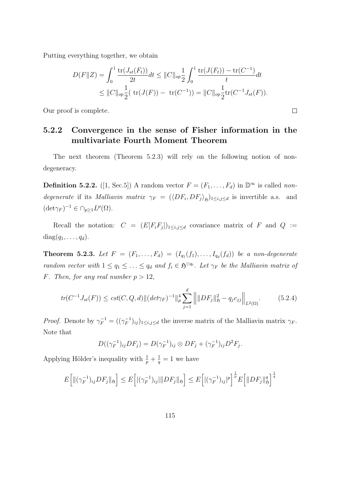Putting everything together, we obtain

$$
D(F||Z) = \int_0^1 \frac{\text{tr}(J_{st}(F_t))}{2t} dt \le ||C||_{op} \frac{1}{2} \int_0^1 \frac{\text{tr}(J(F_t)) - \text{tr}(C^{-1})}{t} dt
$$
  
 
$$
\le ||C||_{op} \frac{1}{2} (\text{tr}(J(F)) - \text{tr}(C^{-1})) = ||C||_{op} \frac{1}{2} \text{tr}(C^{-1}J_{st}(F)).
$$

 $\Box$ 

Our proof is complete.

## 5.2.2 Convergence in the sense of Fisher information in the multivariate Fourth Moment Theorem

The next theorem (Theorem 5.2.3) will rely on the following notion of nondegeneracy.

**Definition 5.2.2.** ([1, Sec.5]) A random vector  $F = (F_1, \ldots, F_d)$  in  $\mathbb{D}^{\infty}$  is called nondegenerate if its Malliavin matrix  $\gamma_F = (\langle DF_i, DF_j \rangle_{\mathfrak{H}})_{1 \leq i,j \leq d}$  is invertible a.s. and  $(\det \gamma_F)^{-1} \in \cap_{p \geq 1} L^p(\Omega).$ 

Recall the notation:  $C = (E[F_i F_j])_{1 \leq i,j \leq d}$  covariance matrix of F and  $Q :=$  $diag(q_1, \ldots, q_d).$ 

**Theorem 5.2.3.** Let  $F = (F_1, \ldots, F_d) = (I_{q_1}(f_1), \ldots, I_{q_d}(f_d))$  be a non-degenerate random vector with  $1 \leq q_1 \leq \ldots \leq q_d$  and  $f_i \in \mathfrak{H}^{\odot q_i}$ . Let  $\gamma_F$  be the Malliavin matrix of F. Then, for any real number  $p > 12$ ,

$$
tr(C^{-1}J_{st}(F)) \leq cst(C,Q,d) \|(det\gamma_F)^{-1}\|_p^4 \sum_{j=1}^d \left\| \|DF_j\|_{\mathfrak{H}}^2 - q_j c_{jj} \right\|_{L^2(\Omega)}.
$$
 (5.2.4)

*Proof.* Denote by  $\gamma_F^{-1} = ((\gamma_F^{-1}))$  $(\mathcal{F}^{-1})_{ij}$ <sub>1≤*i*,*j*≤*d* the inverse matrix of the Malliavin matrix  $\gamma_F$ .</sub> Note that

$$
D((\gamma_F^{-1})_{ij}DF_j) = D(\gamma_F^{-1})_{ij} \otimes DF_j + (\gamma_F^{-1})_{ij}D^2F_j.
$$

Applying Hölder's inequality with  $\frac{1}{p} + \frac{1}{q}$  $\frac{1}{q} = 1$  we have

$$
E\Big[\|(\gamma_F^{-1})_{ij}DF_j\|_{\mathfrak{H}}\Big] \leq E\Big[|(\gamma_F^{-1})_{ij}|\|DF_j\|_{\mathfrak{H}}\Big] \leq E\Big[|(\gamma_F^{-1})_{ij}|^p\Big]^{\frac{1}{p}}E\Big[\|DF_j\|_{\mathfrak{H}}^q\Big]^{\frac{1}{q}}
$$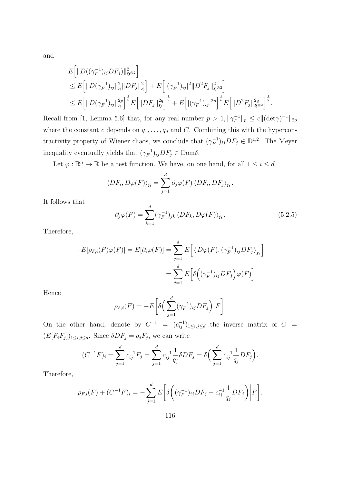and

$$
E\left[\|D((\gamma_F^{-1})_{ij}DF_j)\|_{\mathfrak{H}^{\otimes2}}^2\right]
$$
  
\n
$$
\leq E\left[\|D(\gamma_F^{-1})_{ij}\|_{\mathfrak{H}}^2\|DF_j\|_{\mathfrak{H}}^2\right] + E\left[\|(\gamma_F^{-1})_{ij}|^2\|D^2F_j\|_{\mathfrak{H}^{\otimes2}}^2\right]
$$
  
\n
$$
\leq E\left[\|D(\gamma_F^{-1})_{ij}\|_{\mathfrak{H}}^{2p}\right]^{\frac{1}{p}} E\left[\|DF_j\|_{\mathfrak{H}}^{2q}\right]^{\frac{1}{q}} + E\left[\|(\gamma_F^{-1})_{ij}|^{2p}\right]^{\frac{1}{p}} E\left[\|D^2F_j\|_{\mathfrak{H}^{\otimes2}}^{2q}\right]^{\frac{1}{q}}.
$$

Recall from [1, Lemma 5.6] that, for any real number  $p > 1$ ,  $\|\gamma_F^{-1}\|$  $||r_F^{-1}||_p \leq c ||(\det \gamma)^{-1}||_{2p}$ where the constant c depends on  $q_1, \ldots, q_d$  and C. Combining this with the hypercontractivity property of Wiener chaos, we conclude that  $(\gamma_F^{-1})$  $(F^{-1})_{ij}DF_j \in \mathbb{D}^{1,2}$ . The Meyer inequality eventually yields that  $(\gamma_F^{-1})$  $(F_F^{-1})_{ij} DF_j \in \text{Dom}\delta.$ 

Let  $\varphi : \mathbb{R}^n \to \mathbb{R}$  be a test function. We have, on one hand, for all  $1 \leq i \leq d$ 

$$
\langle DF_i, D\varphi(F) \rangle_{\mathfrak{H}} = \sum_{j=1}^d \partial_j \varphi(F) \langle DF_i, DF_j \rangle_{\mathfrak{H}}.
$$

It follows that

$$
\partial_j \varphi(F) = \sum_{k=1}^d (\gamma_F^{-1})_{jk} \langle DF_k, D\varphi(F) \rangle_{\mathfrak{H}}.
$$
\n(5.2.5)

Therefore,

$$
-E[\rho_{F,i}(F)\varphi(F)] = E[\partial_i\varphi(F)] = \sum_{j=1}^d E\Big[\langle D\varphi(F), (\gamma_F^{-1})_{ij} DF_j \rangle_{\mathfrak{H}}\Big]
$$

$$
= \sum_{j=1}^d E\Big[\delta\Big((\gamma_F^{-1})_{ij} DF_j\Big)\varphi(F)\Big]
$$

Hence

$$
\rho_{F,i}(F) = -E\bigg[\delta\bigg(\sum_{j=1}^d (\gamma_F^{-1})_{ij} DF_j\bigg)\bigg|F\bigg].
$$

On the other hand, denote by  $C^{-1} = (c_{ij}^{-1})_{1 \le i,j \le d}$  the inverse matrix of  $C =$  $(E[F_i F_j])_{1 \leq i,j \leq d}$ . Since  $\delta DF_j = q_j F_j$ , we can write

$$
(C^{-1}F)_i = \sum_{j=1}^d c_{ij}^{-1} F_j = \sum_{j=1}^d c_{ij}^{-1} \frac{1}{q_j} \delta DF_j = \delta \left( \sum_{j=1}^d c_{ij}^{-1} \frac{1}{q_j} DF_j \right).
$$

Therefore,

$$
\rho_{F,i}(F) + (C^{-1}F)_i = -\sum_{j=1}^d E\bigg[\delta\bigg((\gamma_F^{-1})_{ij}DF_j - c_{ij}^{-1}\frac{1}{q_j}DF_j\bigg)\bigg|F\bigg].
$$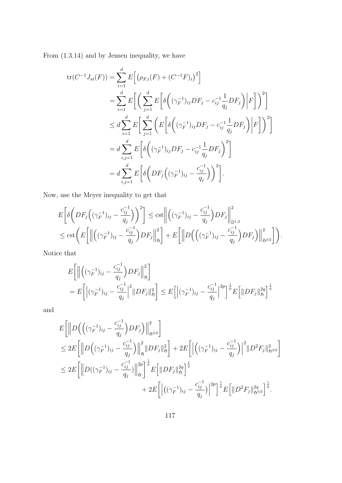From (1.3.14) and by Jensen inequality, we have

$$
tr(C^{-1}J_{st}(F)) = \sum_{i=1}^{d} E\Big[\Big(\rho_{F,i}(F) + (C^{-1}F)_i\Big)^2\Big]
$$
  
\n
$$
= \sum_{i=1}^{d} E\Big[\Big(\sum_{j=1}^{d} E\Big[\delta\Big((\gamma_F^{-1})_{ij}DF_j - c_{ij}^{-1}\frac{1}{q_j}DF_j\Big)\Big|F\Big]\Big)^2\Big]
$$
  
\n
$$
\leq d \sum_{i=1}^{d} E\Big[\sum_{j=1}^{d} \Big(E\Big[\delta\Big((\gamma_F^{-1})_{ij}DF_j - c_{ij}^{-1}\frac{1}{q_j}DF_j\Big)\Big|F\Big]\Big)^2\Big]
$$
  
\n
$$
= d \sum_{i,j=1}^{d} E\Big[\delta\Big((\gamma_F^{-1})_{ij}DF_j - c_{ij}^{-1}\frac{1}{q_j}DF_j\Big)^2\Big]
$$
  
\n
$$
= d \sum_{i,j=1}^{d} E\Big[\delta\Big(DF_j\Big((\gamma_F^{-1})_{ij} - \frac{c_{ij}^{-1}}{q_j}\Big)\Big)^2\Big].
$$

Now, use the Meyer inequality to get that

$$
E\bigg[\delta\bigg(DF_j((\gamma_F^{-1})_{ij}-\frac{c_{ij}^{-1}}{q_j})\bigg)^2\bigg] \leq \text{cst}\bigg\|\bigg((\gamma_F^{-1})_{ij}-\frac{c_{ij}^{-1}}{q_j}\bigg)DF_j\bigg\|_{\mathbb{D}^{1,2}}^2
$$
  

$$
\leq \text{cst}\bigg(E\bigg[\bigg\|\bigg((\gamma_F^{-1})_{ij}-\frac{c_{ij}^{-1}}{q_j}\bigg)DF_j\bigg\|_{\mathfrak{H}}^2\bigg] + E\bigg[\bigg\|D\bigg((\gamma_F^{-1})_{ij}-\frac{c_{ij}^{-1}}{q_j}\bigg)DF_j\bigg\|_{\mathfrak{H}^{\otimes 2}}^2\bigg]\bigg).
$$

Notice that

$$
E\left[\left\|\left((\gamma_F^{-1})_{ij} - \frac{c_{ij}^{-1}}{q_j}\right)DF_j\right\|_{\mathfrak{H}}^2\right]
$$
  
= 
$$
E\left[\left|(\gamma_F^{-1})_{ij} - \frac{c_{ij}^{-1}}{q_j}\right|^2 \|DF_j\|_{\mathfrak{H}}^2\right] \leq E\left[\left|(\gamma_F^{-1})_{ij} - \frac{c_{ij}^{-1}}{q_j}\right|^{2p}\right]^{\frac{1}{p}} E\left[\|DF_j\|_{\mathfrak{H}}^{2q}\right]^{\frac{1}{q}}
$$

and

$$
E\left[\left\|D\left(\left((\gamma_F^{-1})_{ij} - \frac{c_{ij}^{-1}}{q_j}\right)DF_j\right)\right\|_{\mathfrak{H}^{\otimes2}}^2\right] \right]
$$
  
\n
$$
\leq 2E\left[\left\|D\left((\gamma_F^{-1})_{ij} - \frac{c_{ij}^{-1}}{q_j}\right)\right\|_{\mathfrak{H}}^2\|DF_j\|_{\mathfrak{H}}^2\right] + 2E\left[\left|\left((\gamma_F^{-1})_{ij} - \frac{c_{ij}^{-1}}{q_j}\right)\right|^2\|D^2F_j\|_{\mathfrak{H}^{\otimes2}}^2\right]
$$
  
\n
$$
\leq 2E\left[\left\|D((\gamma_F^{-1})_{ij} - \frac{c_{ij}^{-1}}{q_j})\right\|_{\mathfrak{H}}^2\right]^{\frac{1}{p}}E\left[\|DF_j\|_{\mathfrak{H}}^{2q}\right]^{\frac{1}{q}}
$$
  
\n
$$
+ 2E\left[\left|\left((\gamma_F^{-1})_{ij} - \frac{c_{ij}^{-1}}{q_j}\right)\right|^{2p}\right]^{\frac{1}{p}}E\left[\|D^2F_j\|_{\mathfrak{H}^{\otimes2}}^2\right]^{\frac{1}{q}}.
$$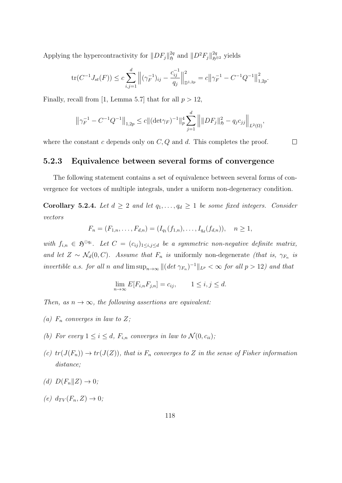Applying the hypercontractivity for  $||DF_j||_{\mathfrak{H}}^{2q}$  $_{5}^{2q}$  and  $||D^2F_j||_{5^{\otimes 2}}^{2q}$  yields

$$
\text{tr}(C^{-1}J_{st}(F)) \le c \sum_{i,j=1}^d \left\| (\gamma_F^{-1})_{ij} - \frac{c_{ij}^{-1}}{q_j} \right\|_{\mathbb{D}^{1,2p}}^2 = c \left\| \gamma_F^{-1} - C^{-1} Q^{-1} \right\|_{1,2p}^2.
$$

Finally, recall from [1, Lemma 5.7] that for all  $p > 12$ ,

$$
\left\|\gamma_F^{-1} - C^{-1}Q^{-1}\right\|_{1,2p} \le c \|\left(\det \gamma_F\right)^{-1}\|_p^4 \sum_{j=1}^d \left\| \|DF_j\|_{\mathfrak{H}}^2 - q_j c_{jj} \right\|_{L^2(\Omega)},
$$

where the constant  $c$  depends only on  $C, Q$  and  $d$ . This completes the proof.

 $\Box$ 

#### 5.2.3 Equivalence between several forms of convergence

The following statement contains a set of equivalence between several forms of convergence for vectors of multiple integrals, under a uniform non-degeneracy condition.

Corollary 5.2.4. Let  $d \geq 2$  and let  $q_1, \ldots, q_d \geq 1$  be some fixed integers. Consider vectors

$$
F_n = (F_{1,n}, \ldots, F_{d,n}) = (I_{q_1}(f_{1,n}), \ldots, I_{q_d}(f_{d,n})), \quad n \ge 1,
$$

with  $f_{i,n} \in \mathfrak{H}^{\odot q_i}$ . Let  $C = (c_{ij})_{1 \leq i,j \leq d}$  be a symmetric non-negative definite matrix, and let  $Z \sim \mathcal{N}_d(0, C)$ . Assume that  $F_n$  is uniformly non-degenerate (that is,  $\gamma_{F_n}$  is invertible a.s. for all n and  $\limsup_{n\to\infty} \|(det \gamma_{F_n})^{-1}\|_{L^p} < \infty$  for all  $p > 12$ ) and that

$$
\lim_{n \to \infty} E[F_{i,n} F_{j,n}] = c_{ij}, \qquad 1 \le i, j \le d.
$$

Then, as  $n \to \infty$ , the following assertions are equivalent:

- (a)  $F_n$  converges in law to Z;
- (b) For every  $1 \leq i \leq d$ ,  $F_{i,n}$  converges in law to  $\mathcal{N}(0, c_{ii})$ ;
- (c)  $tr(J(F_n)) \to tr(J(Z))$ , that is  $F_n$  converges to Z in the sense of Fisher information distance;
- (d)  $D(F_n||Z) \to 0;$
- $(e) d_{TV}(F_n, Z) \rightarrow 0;$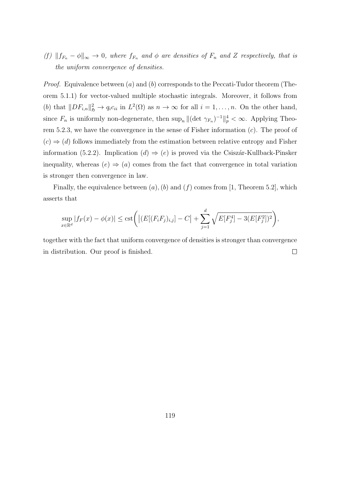(f)  $||f_{F_n} - \phi||_{\infty} \to 0$ , where  $f_{F_n}$  and  $\phi$  are densities of  $F_n$  and Z respectively, that is the uniform convergence of densities.

*Proof.* Equivalence between  $(a)$  and  $(b)$  corresponds to the Peccati-Tudor theorem (Theorem 5.1.1) for vector-valued multiple stochastic integrals. Moreover, it follows from (b) that  $||DF_{i,n}||_{\mathfrak{H}}^2 \to q_i c_{ii}$  in  $L^2(\Omega)$  as  $n \to \infty$  for all  $i = 1, \ldots, n$ . On the other hand, since  $F_n$  is uniformly non-degenerate, then  $\sup_n \|(\det \gamma_{F_n})^{-1}\|_p^4 < \infty$ . Applying Theorem 5.2.3, we have the convergence in the sense of Fisher information  $(c)$ . The proof of  $(c) \Rightarrow (d)$  follows immediately from the estimation between relative entropy and Fisher information (5.2.2). Implication (d)  $\Rightarrow$  (e) is proved via the Csiszár-Kullback-Pinsker inequality, whereas  $(e) \Rightarrow (a)$  comes from the fact that convergence in total variation is stronger then convergence in law.

Finally, the equivalence between  $(a)$ ,  $(b)$  and  $(f)$  comes from [1, Theorem 5.2], which asserts that

$$
\sup_{x \in \mathbb{R}^d} |f_F(x) - \phi(x)| \leq \text{cst}\left(|(E[(F_i F_j)_{i,j}] - C| + \sum_{j=1}^d \sqrt{E[F_j^4] - 3(E[F_j^2])^2}\right),
$$

together with the fact that uniform convergence of densities is stronger than convergence in distribution. Our proof is finished.  $\Box$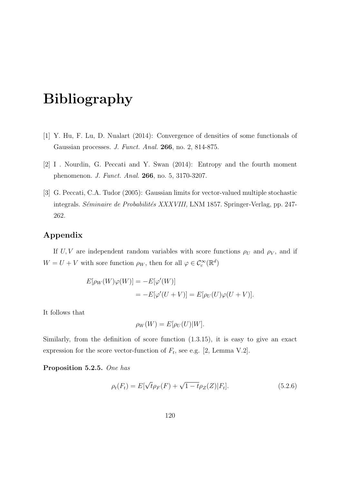# Bibliography

- [1] Y. Hu, F. Lu, D. Nualart (2014): Convergence of densities of some functionals of Gaussian processes. J. Funct. Anal. 266, no. 2, 814-875.
- [2] I . Nourdin, G. Peccati and Y. Swan (2014): Entropy and the fourth moment phenomenon. J. Funct. Anal. 266, no. 5, 3170-3207.
- [3] G. Peccati, C.A. Tudor (2005): Gaussian limits for vector-valued multiple stochastic integrals. Séminaire de Probabilités XXXVIII, LNM 1857. Springer-Verlag, pp. 247-262.

#### Appendix

If U, V are independent random variables with score functions  $\rho_U$  and  $\rho_V$ , and if  $W = U + V$  with sore function  $\rho_W$ , then for all  $\varphi \in \mathcal{C}_c^{\infty}(\mathbb{R}^d)$ 

$$
E[\rho_W(W)\varphi(W)] = -E[\varphi'(W)]
$$
  
= 
$$
-E[\varphi'(U+V)] = E[\rho_U(U)\varphi(U+V)].
$$

It follows that

$$
\rho_W(W) = E[\rho_U(U)|W].
$$

Similarly, from the definition of score function (1.3.15), it is easy to give an exact expression for the score vector-function of  $F_t$ , see e.g. [2, Lemma V.2].

Proposition 5.2.5. One has

$$
\rho_t(F_t) = E[\sqrt{t}\rho_F(F) + \sqrt{1 - t}\rho_Z(Z)|F_t].
$$
\n(5.2.6)